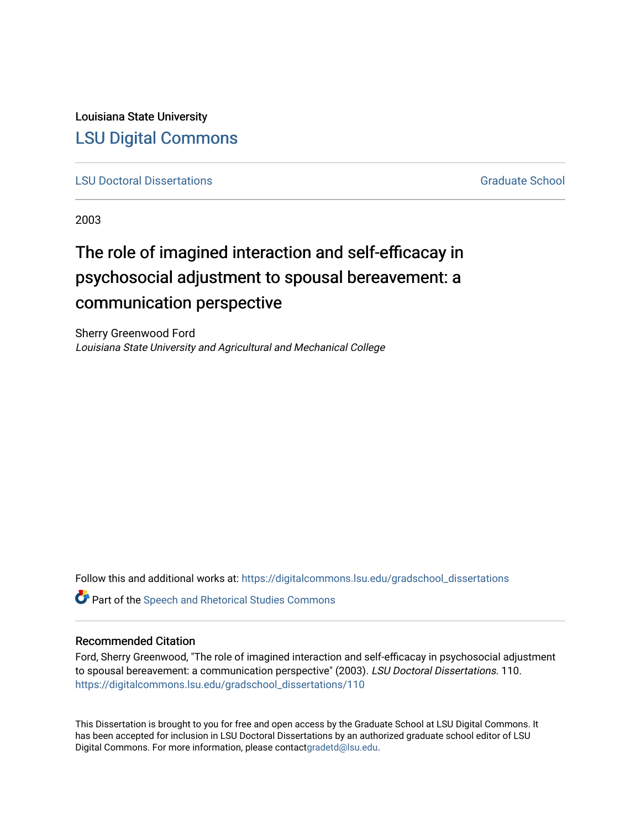Louisiana State University [LSU Digital Commons](https://digitalcommons.lsu.edu/)

**[LSU Doctoral Dissertations](https://digitalcommons.lsu.edu/gradschool_dissertations)** [Graduate School](https://digitalcommons.lsu.edu/gradschool) Control of the Graduate School Control of the Graduate School Control of the Graduate School Control of the Graduate School Control of the Graduate School Control of the Graduat

2003

# The role of imagined interaction and self-efficacay in psychosocial adjustment to spousal bereavement: a communication perspective

Sherry Greenwood Ford Louisiana State University and Agricultural and Mechanical College

Follow this and additional works at: [https://digitalcommons.lsu.edu/gradschool\\_dissertations](https://digitalcommons.lsu.edu/gradschool_dissertations?utm_source=digitalcommons.lsu.edu%2Fgradschool_dissertations%2F110&utm_medium=PDF&utm_campaign=PDFCoverPages)

**C** Part of the Speech and Rhetorical Studies Commons

## Recommended Citation

Ford, Sherry Greenwood, "The role of imagined interaction and self-efficacay in psychosocial adjustment to spousal bereavement: a communication perspective" (2003). LSU Doctoral Dissertations. 110. [https://digitalcommons.lsu.edu/gradschool\\_dissertations/110](https://digitalcommons.lsu.edu/gradschool_dissertations/110?utm_source=digitalcommons.lsu.edu%2Fgradschool_dissertations%2F110&utm_medium=PDF&utm_campaign=PDFCoverPages) 

This Dissertation is brought to you for free and open access by the Graduate School at LSU Digital Commons. It has been accepted for inclusion in LSU Doctoral Dissertations by an authorized graduate school editor of LSU Digital Commons. For more information, please contac[tgradetd@lsu.edu.](mailto:gradetd@lsu.edu)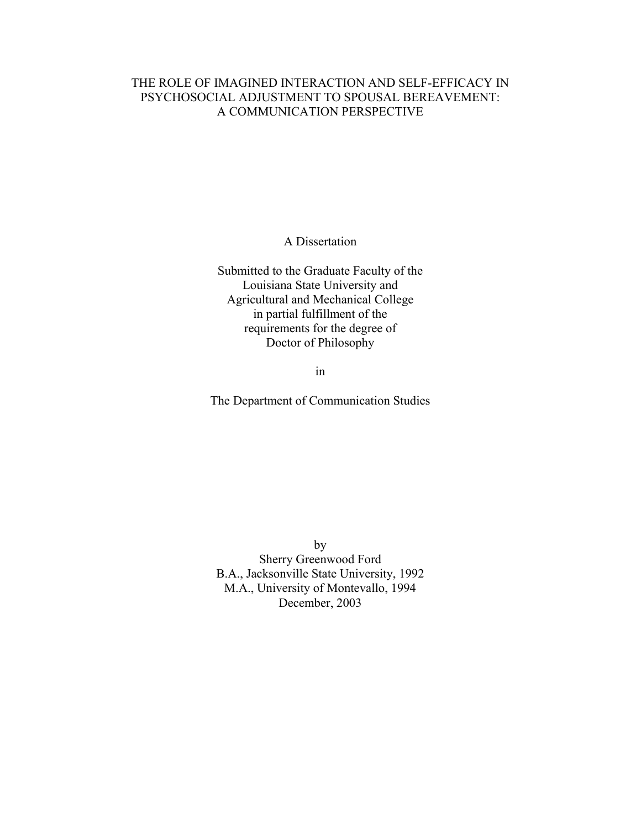## THE ROLE OF IMAGINED INTERACTION AND SELF-EFFICACY IN PSYCHOSOCIAL ADJUSTMENT TO SPOUSAL BEREAVEMENT: A COMMUNICATION PERSPECTIVE

A Dissertation

Submitted to the Graduate Faculty of the Louisiana State University and Agricultural and Mechanical College in partial fulfillment of the requirements for the degree of Doctor of Philosophy

in

The Department of Communication Studies

by Sherry Greenwood Ford B.A., Jacksonville State University, 1992 M.A., University of Montevallo, 1994 December, 2003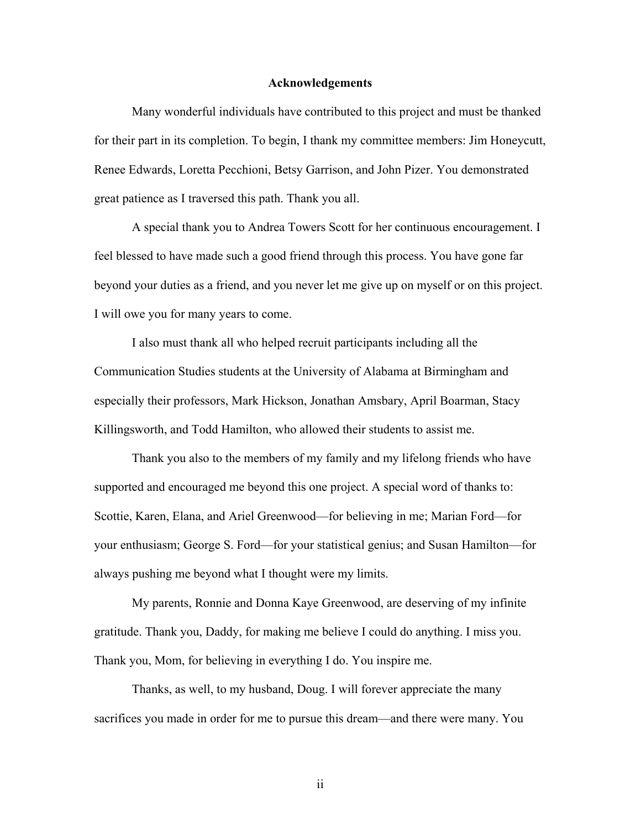### **Acknowledgements**

Many wonderful individuals have contributed to this project and must be thanked for their part in its completion. To begin, I thank my committee members: Jim Honeycutt, Renee Edwards, Loretta Pecchioni, Betsy Garrison, and John Pizer. You demonstrated great patience as I traversed this path. Thank you all.

A special thank you to Andrea Towers Scott for her continuous encouragement. I feel blessed to have made such a good friend through this process. You have gone far beyond your duties as a friend, and you never let me give up on myself or on this project. I will owe you for many years to come.

I also must thank all who helped recruit participants including all the Communication Studies students at the University of Alabama at Birmingham and especially their professors, Mark Hickson, Jonathan Amsbary, April Boarman, Stacy Killingsworth, and Todd Hamilton, who allowed their students to assist me.

Thank you also to the members of my family and my lifelong friends who have supported and encouraged me beyond this one project. A special word of thanks to: Scottie, Karen, Elana, and Ariel Greenwood—for believing in me; Marian Ford—for your enthusiasm; George S. Ford—for your statistical genius; and Susan Hamilton—for always pushing me beyond what I thought were my limits.

My parents, Ronnie and Donna Kaye Greenwood, are deserving of my infinite gratitude. Thank you, Daddy, for making me believe I could do anything. I miss you. Thank you, Mom, for believing in everything I do. You inspire me.

Thanks, as well, to my husband, Doug. I will forever appreciate the many sacrifices you made in order for me to pursue this dream—and there were many. You

ii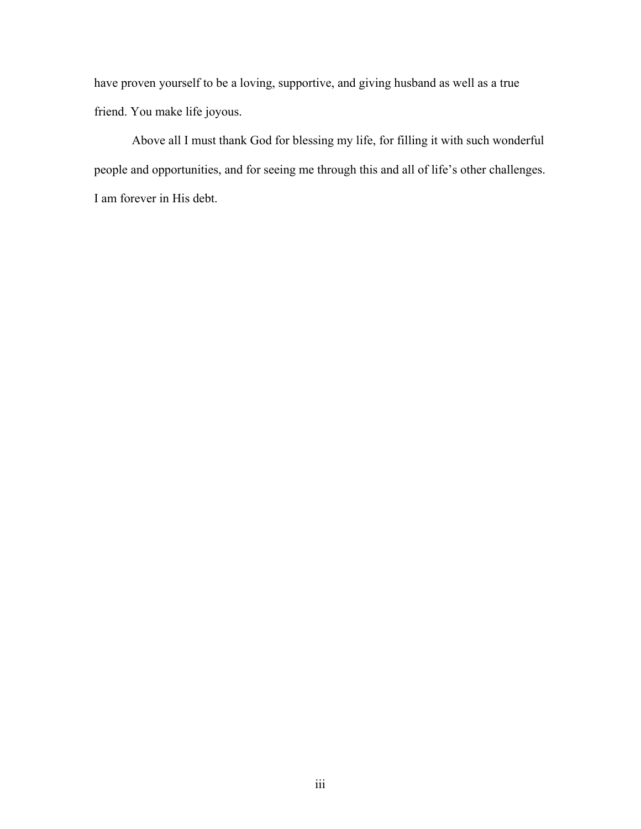have proven yourself to be a loving, supportive, and giving husband as well as a true friend. You make life joyous.

Above all I must thank God for blessing my life, for filling it with such wonderful people and opportunities, and for seeing me through this and all of life's other challenges. I am forever in His debt.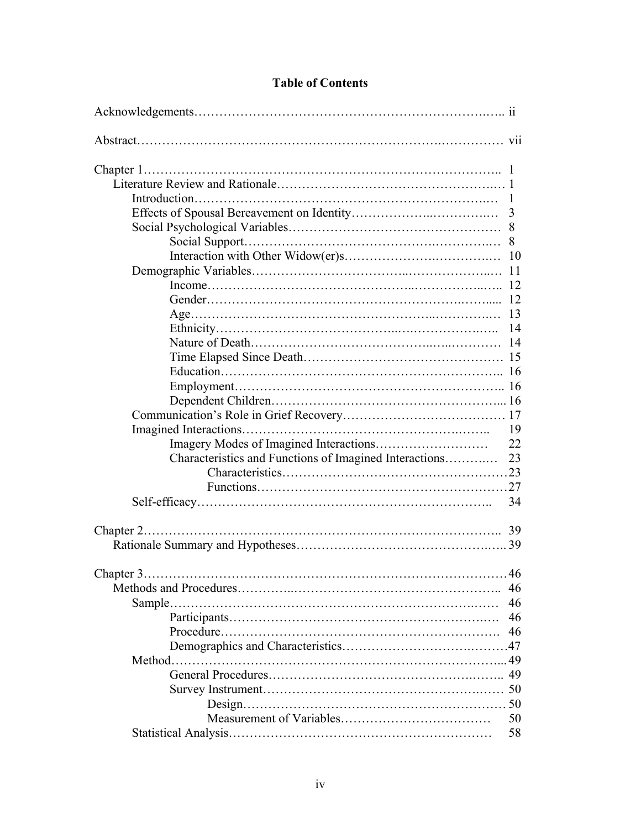| <b>Table of Contents</b> |
|--------------------------|
|--------------------------|

|                                                        | 3  |
|--------------------------------------------------------|----|
|                                                        |    |
|                                                        |    |
|                                                        |    |
|                                                        |    |
|                                                        |    |
|                                                        |    |
|                                                        |    |
|                                                        | 13 |
|                                                        | 14 |
|                                                        |    |
|                                                        |    |
|                                                        |    |
|                                                        |    |
|                                                        |    |
|                                                        |    |
|                                                        | 19 |
|                                                        | 22 |
| Characteristics and Functions of Imagined Interactions | 23 |
|                                                        |    |
|                                                        |    |
|                                                        | 34 |
|                                                        |    |
|                                                        |    |
|                                                        |    |
|                                                        |    |
| Chapter 3                                              | 46 |
|                                                        | 46 |
|                                                        | 46 |
|                                                        | 46 |
|                                                        | 46 |
|                                                        |    |
|                                                        |    |
|                                                        |    |
|                                                        |    |
|                                                        |    |
|                                                        | 50 |
|                                                        | 58 |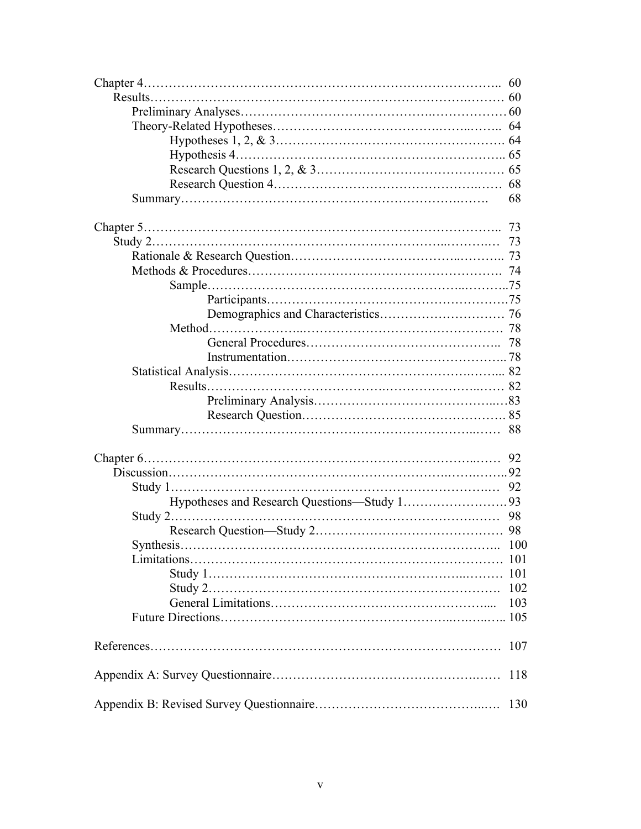| 68  |
|-----|
|     |
|     |
|     |
|     |
|     |
|     |
|     |
|     |
|     |
|     |
|     |
|     |
|     |
|     |
|     |
|     |
|     |
|     |
|     |
|     |
|     |
|     |
|     |
|     |
|     |
| 103 |
|     |
| 107 |
| 118 |
| 130 |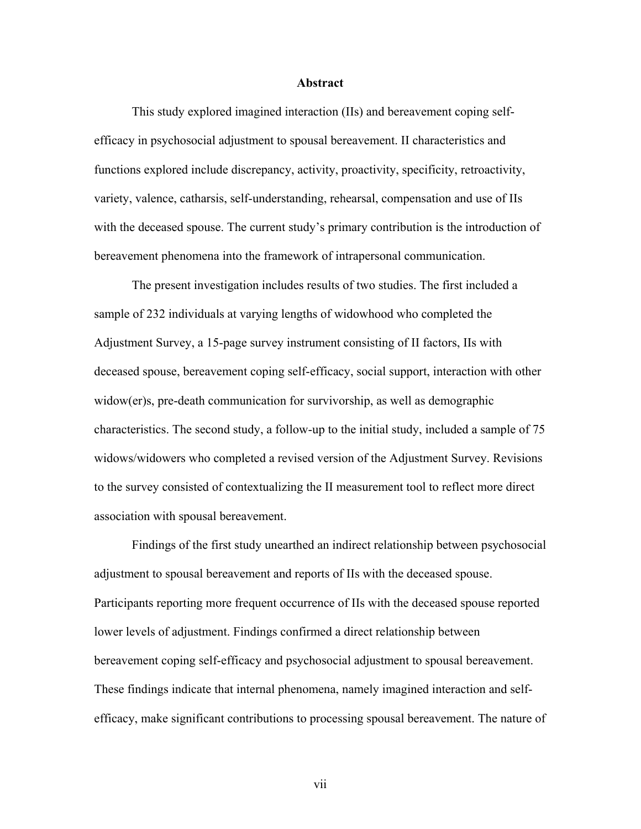#### **Abstract**

 This study explored imagined interaction (IIs) and bereavement coping selfefficacy in psychosocial adjustment to spousal bereavement. II characteristics and functions explored include discrepancy, activity, proactivity, specificity, retroactivity, variety, valence, catharsis, self-understanding, rehearsal, compensation and use of IIs with the deceased spouse. The current study's primary contribution is the introduction of bereavement phenomena into the framework of intrapersonal communication.

 The present investigation includes results of two studies. The first included a sample of 232 individuals at varying lengths of widowhood who completed the Adjustment Survey, a 15-page survey instrument consisting of II factors, IIs with deceased spouse, bereavement coping self-efficacy, social support, interaction with other widow(er)s, pre-death communication for survivorship, as well as demographic characteristics. The second study, a follow-up to the initial study, included a sample of 75 widows/widowers who completed a revised version of the Adjustment Survey. Revisions to the survey consisted of contextualizing the II measurement tool to reflect more direct association with spousal bereavement.

 Findings of the first study unearthed an indirect relationship between psychosocial adjustment to spousal bereavement and reports of IIs with the deceased spouse. Participants reporting more frequent occurrence of IIs with the deceased spouse reported lower levels of adjustment. Findings confirmed a direct relationship between bereavement coping self-efficacy and psychosocial adjustment to spousal bereavement. These findings indicate that internal phenomena, namely imagined interaction and selfefficacy, make significant contributions to processing spousal bereavement. The nature of

vii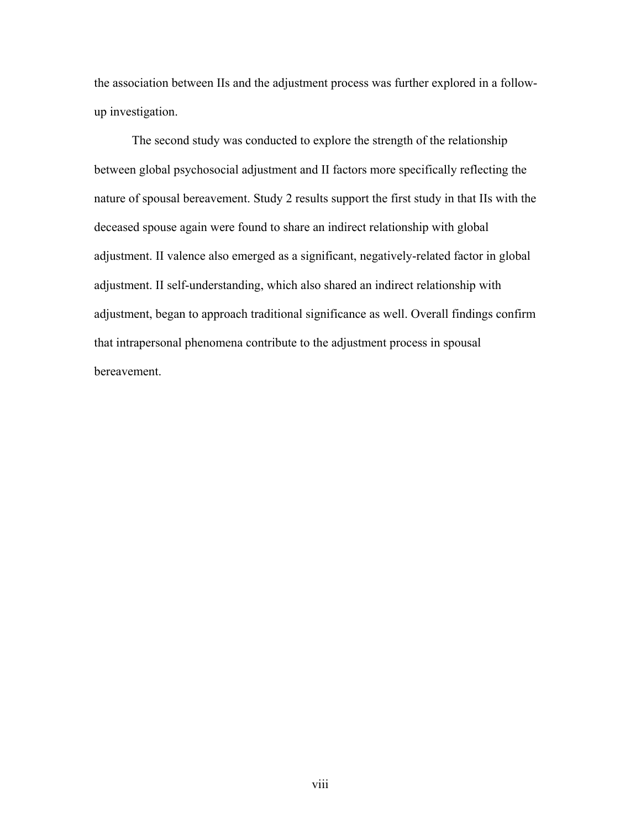the association between IIs and the adjustment process was further explored in a followup investigation.

 The second study was conducted to explore the strength of the relationship between global psychosocial adjustment and II factors more specifically reflecting the nature of spousal bereavement. Study 2 results support the first study in that IIs with the deceased spouse again were found to share an indirect relationship with global adjustment. II valence also emerged as a significant, negatively-related factor in global adjustment. II self-understanding, which also shared an indirect relationship with adjustment, began to approach traditional significance as well. Overall findings confirm that intrapersonal phenomena contribute to the adjustment process in spousal bereavement.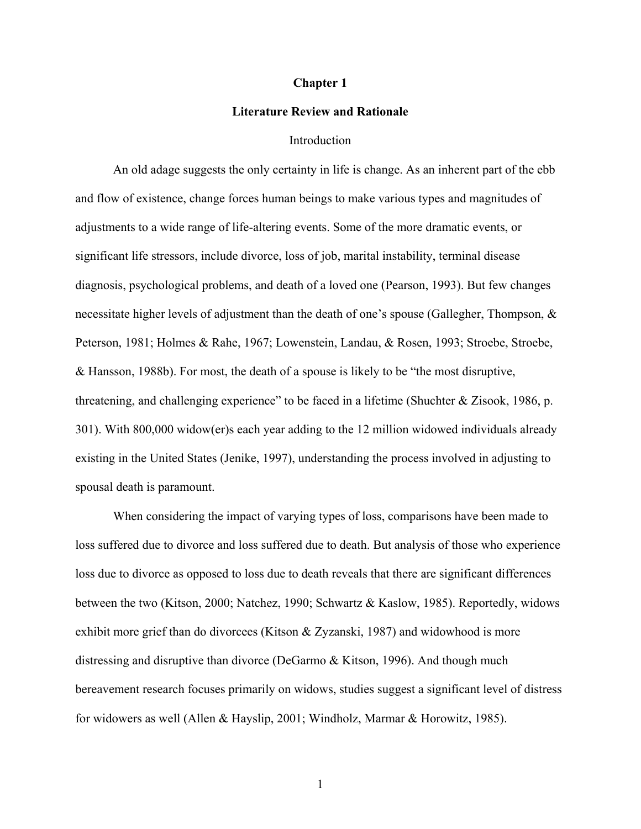#### **Chapter 1**

## **Literature Review and Rationale**

#### Introduction

An old adage suggests the only certainty in life is change. As an inherent part of the ebb and flow of existence, change forces human beings to make various types and magnitudes of adjustments to a wide range of life-altering events. Some of the more dramatic events, or significant life stressors, include divorce, loss of job, marital instability, terminal disease diagnosis, psychological problems, and death of a loved one (Pearson, 1993). But few changes necessitate higher levels of adjustment than the death of one's spouse (Gallegher, Thompson, & Peterson, 1981; Holmes & Rahe, 1967; Lowenstein, Landau, & Rosen, 1993; Stroebe, Stroebe, & Hansson, 1988b). For most, the death of a spouse is likely to be "the most disruptive, threatening, and challenging experience" to be faced in a lifetime (Shuchter & Zisook, 1986, p. 301). With 800,000 widow(er)s each year adding to the 12 million widowed individuals already existing in the United States (Jenike, 1997), understanding the process involved in adjusting to spousal death is paramount.

When considering the impact of varying types of loss, comparisons have been made to loss suffered due to divorce and loss suffered due to death. But analysis of those who experience loss due to divorce as opposed to loss due to death reveals that there are significant differences between the two (Kitson, 2000; Natchez, 1990; Schwartz & Kaslow, 1985). Reportedly, widows exhibit more grief than do divorcees (Kitson & Zyzanski, 1987) and widowhood is more distressing and disruptive than divorce (DeGarmo & Kitson, 1996). And though much bereavement research focuses primarily on widows, studies suggest a significant level of distress for widowers as well (Allen & Hayslip, 2001; Windholz, Marmar & Horowitz, 1985).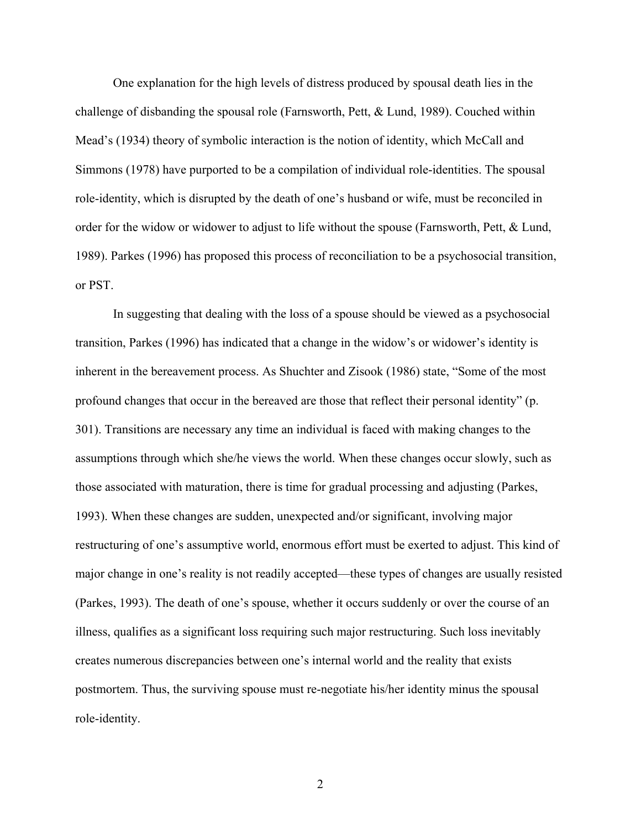One explanation for the high levels of distress produced by spousal death lies in the challenge of disbanding the spousal role (Farnsworth, Pett, & Lund, 1989). Couched within Mead's (1934) theory of symbolic interaction is the notion of identity, which McCall and Simmons (1978) have purported to be a compilation of individual role-identities. The spousal role-identity, which is disrupted by the death of one's husband or wife, must be reconciled in order for the widow or widower to adjust to life without the spouse (Farnsworth, Pett, & Lund, 1989). Parkes (1996) has proposed this process of reconciliation to be a psychosocial transition, or PST.

In suggesting that dealing with the loss of a spouse should be viewed as a psychosocial transition, Parkes (1996) has indicated that a change in the widow's or widower's identity is inherent in the bereavement process. As Shuchter and Zisook (1986) state, "Some of the most profound changes that occur in the bereaved are those that reflect their personal identity" (p. 301). Transitions are necessary any time an individual is faced with making changes to the assumptions through which she/he views the world. When these changes occur slowly, such as those associated with maturation, there is time for gradual processing and adjusting (Parkes, 1993). When these changes are sudden, unexpected and/or significant, involving major restructuring of one's assumptive world, enormous effort must be exerted to adjust. This kind of major change in one's reality is not readily accepted—these types of changes are usually resisted (Parkes, 1993). The death of one's spouse, whether it occurs suddenly or over the course of an illness, qualifies as a significant loss requiring such major restructuring. Such loss inevitably creates numerous discrepancies between one's internal world and the reality that exists postmortem. Thus, the surviving spouse must re-negotiate his/her identity minus the spousal role-identity.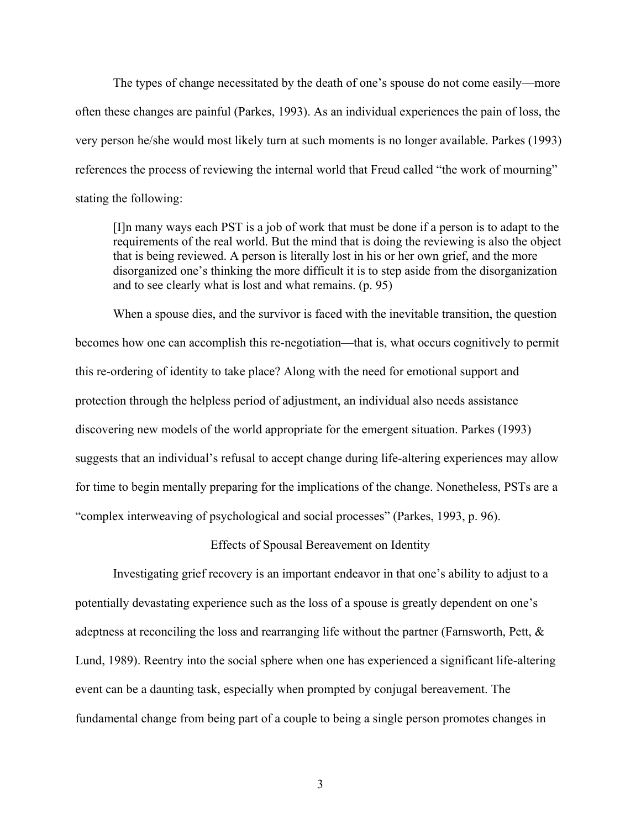The types of change necessitated by the death of one's spouse do not come easily—more often these changes are painful (Parkes, 1993). As an individual experiences the pain of loss, the very person he/she would most likely turn at such moments is no longer available. Parkes (1993) references the process of reviewing the internal world that Freud called "the work of mourning" stating the following:

[I]n many ways each PST is a job of work that must be done if a person is to adapt to the requirements of the real world. But the mind that is doing the reviewing is also the object that is being reviewed. A person is literally lost in his or her own grief, and the more disorganized one's thinking the more difficult it is to step aside from the disorganization and to see clearly what is lost and what remains. (p. 95)

When a spouse dies, and the survivor is faced with the inevitable transition, the question becomes how one can accomplish this re-negotiation—that is, what occurs cognitively to permit this re-ordering of identity to take place? Along with the need for emotional support and protection through the helpless period of adjustment, an individual also needs assistance discovering new models of the world appropriate for the emergent situation. Parkes (1993) suggests that an individual's refusal to accept change during life-altering experiences may allow for time to begin mentally preparing for the implications of the change. Nonetheless, PSTs are a "complex interweaving of psychological and social processes" (Parkes, 1993, p. 96).

Effects of Spousal Bereavement on Identity

Investigating grief recovery is an important endeavor in that one's ability to adjust to a potentially devastating experience such as the loss of a spouse is greatly dependent on one's adeptness at reconciling the loss and rearranging life without the partner (Farnsworth, Pett, & Lund, 1989). Reentry into the social sphere when one has experienced a significant life-altering event can be a daunting task, especially when prompted by conjugal bereavement. The fundamental change from being part of a couple to being a single person promotes changes in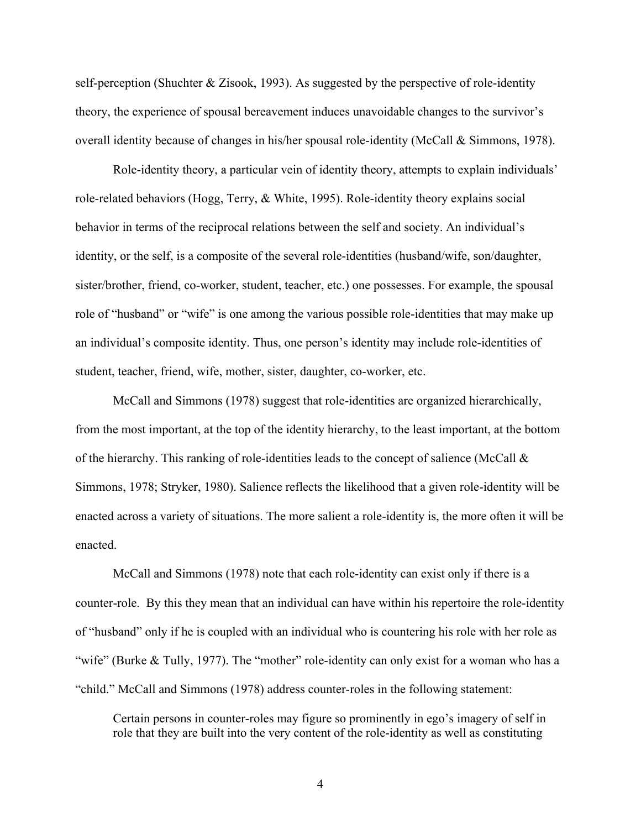self-perception (Shuchter & Zisook, 1993). As suggested by the perspective of role-identity theory, the experience of spousal bereavement induces unavoidable changes to the survivor's overall identity because of changes in his/her spousal role-identity (McCall & Simmons, 1978).

Role-identity theory, a particular vein of identity theory, attempts to explain individuals' role-related behaviors (Hogg, Terry, & White, 1995). Role-identity theory explains social behavior in terms of the reciprocal relations between the self and society. An individual's identity, or the self, is a composite of the several role-identities (husband/wife, son/daughter, sister/brother, friend, co-worker, student, teacher, etc.) one possesses. For example, the spousal role of "husband" or "wife" is one among the various possible role-identities that may make up an individual's composite identity. Thus, one person's identity may include role-identities of student, teacher, friend, wife, mother, sister, daughter, co-worker, etc.

McCall and Simmons (1978) suggest that role-identities are organized hierarchically, from the most important, at the top of the identity hierarchy, to the least important, at the bottom of the hierarchy. This ranking of role-identities leads to the concept of salience (McCall  $\&$ Simmons, 1978; Stryker, 1980). Salience reflects the likelihood that a given role-identity will be enacted across a variety of situations. The more salient a role-identity is, the more often it will be enacted.

McCall and Simmons (1978) note that each role-identity can exist only if there is a counter-role. By this they mean that an individual can have within his repertoire the role-identity of "husband" only if he is coupled with an individual who is countering his role with her role as "wife" (Burke & Tully, 1977). The "mother" role-identity can only exist for a woman who has a "child." McCall and Simmons (1978) address counter-roles in the following statement:

Certain persons in counter-roles may figure so prominently in ego's imagery of self in role that they are built into the very content of the role-identity as well as constituting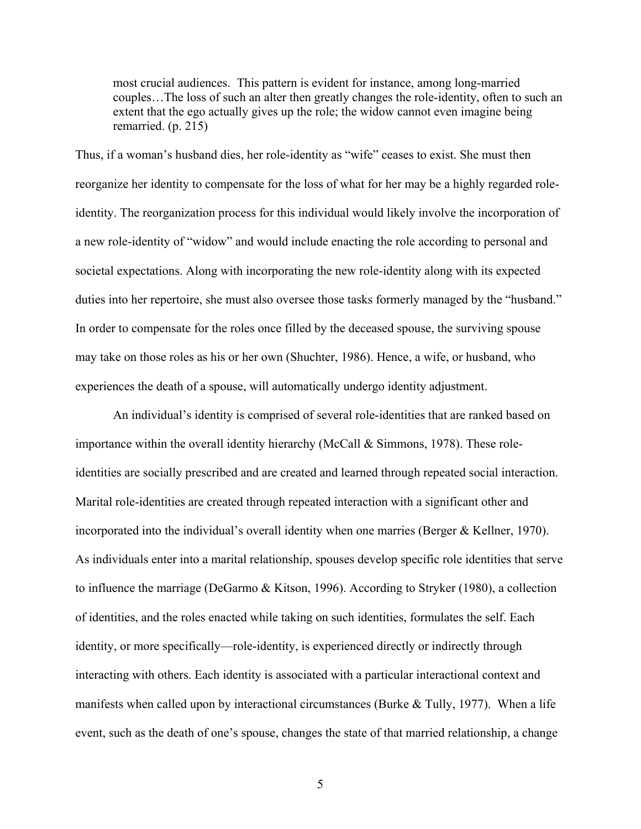most crucial audiences. This pattern is evident for instance, among long-married couples…The loss of such an alter then greatly changes the role-identity, often to such an extent that the ego actually gives up the role; the widow cannot even imagine being remarried. (p. 215)

Thus, if a woman's husband dies, her role-identity as "wife" ceases to exist. She must then reorganize her identity to compensate for the loss of what for her may be a highly regarded roleidentity. The reorganization process for this individual would likely involve the incorporation of a new role-identity of "widow" and would include enacting the role according to personal and societal expectations. Along with incorporating the new role-identity along with its expected duties into her repertoire, she must also oversee those tasks formerly managed by the "husband." In order to compensate for the roles once filled by the deceased spouse, the surviving spouse may take on those roles as his or her own (Shuchter, 1986). Hence, a wife, or husband, who experiences the death of a spouse, will automatically undergo identity adjustment.

An individual's identity is comprised of several role-identities that are ranked based on importance within the overall identity hierarchy (McCall & Simmons, 1978). These roleidentities are socially prescribed and are created and learned through repeated social interaction. Marital role-identities are created through repeated interaction with a significant other and incorporated into the individual's overall identity when one marries (Berger & Kellner, 1970). As individuals enter into a marital relationship, spouses develop specific role identities that serve to influence the marriage (DeGarmo & Kitson, 1996). According to Stryker (1980), a collection of identities, and the roles enacted while taking on such identities, formulates the self. Each identity, or more specifically—role-identity, is experienced directly or indirectly through interacting with others. Each identity is associated with a particular interactional context and manifests when called upon by interactional circumstances (Burke  $&$  Tully, 1977). When a life event, such as the death of one's spouse, changes the state of that married relationship, a change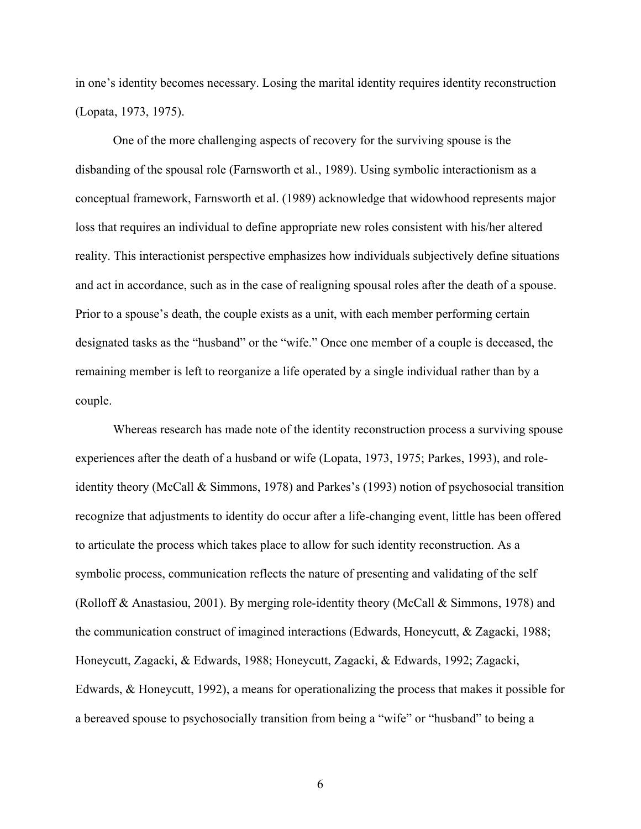in one's identity becomes necessary. Losing the marital identity requires identity reconstruction (Lopata, 1973, 1975).

One of the more challenging aspects of recovery for the surviving spouse is the disbanding of the spousal role (Farnsworth et al., 1989). Using symbolic interactionism as a conceptual framework, Farnsworth et al. (1989) acknowledge that widowhood represents major loss that requires an individual to define appropriate new roles consistent with his/her altered reality. This interactionist perspective emphasizes how individuals subjectively define situations and act in accordance, such as in the case of realigning spousal roles after the death of a spouse. Prior to a spouse's death, the couple exists as a unit, with each member performing certain designated tasks as the "husband" or the "wife." Once one member of a couple is deceased, the remaining member is left to reorganize a life operated by a single individual rather than by a couple.

Whereas research has made note of the identity reconstruction process a surviving spouse experiences after the death of a husband or wife (Lopata, 1973, 1975; Parkes, 1993), and roleidentity theory (McCall & Simmons, 1978) and Parkes's (1993) notion of psychosocial transition recognize that adjustments to identity do occur after a life-changing event, little has been offered to articulate the process which takes place to allow for such identity reconstruction. As a symbolic process, communication reflects the nature of presenting and validating of the self (Rolloff & Anastasiou, 2001). By merging role-identity theory (McCall & Simmons, 1978) and the communication construct of imagined interactions (Edwards, Honeycutt, & Zagacki, 1988; Honeycutt, Zagacki, & Edwards, 1988; Honeycutt, Zagacki, & Edwards, 1992; Zagacki, Edwards, & Honeycutt, 1992), a means for operationalizing the process that makes it possible for a bereaved spouse to psychosocially transition from being a "wife" or "husband" to being a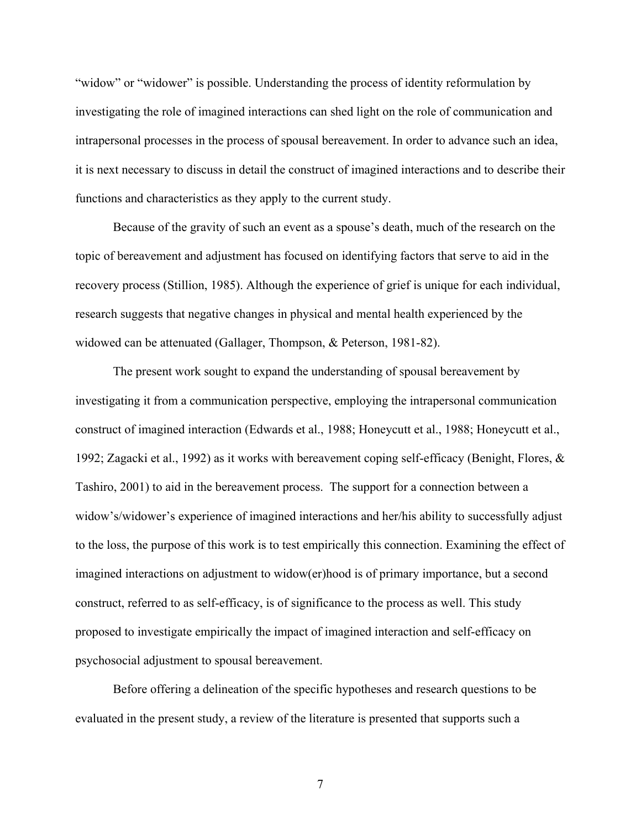"widow" or "widower" is possible. Understanding the process of identity reformulation by investigating the role of imagined interactions can shed light on the role of communication and intrapersonal processes in the process of spousal bereavement. In order to advance such an idea, it is next necessary to discuss in detail the construct of imagined interactions and to describe their functions and characteristics as they apply to the current study.

Because of the gravity of such an event as a spouse's death, much of the research on the topic of bereavement and adjustment has focused on identifying factors that serve to aid in the recovery process (Stillion, 1985). Although the experience of grief is unique for each individual, research suggests that negative changes in physical and mental health experienced by the widowed can be attenuated (Gallager, Thompson, & Peterson, 1981-82).

The present work sought to expand the understanding of spousal bereavement by investigating it from a communication perspective, employing the intrapersonal communication construct of imagined interaction (Edwards et al., 1988; Honeycutt et al., 1988; Honeycutt et al., 1992; Zagacki et al., 1992) as it works with bereavement coping self-efficacy (Benight, Flores, & Tashiro, 2001) to aid in the bereavement process. The support for a connection between a widow's/widower's experience of imagined interactions and her/his ability to successfully adjust to the loss, the purpose of this work is to test empirically this connection. Examining the effect of imagined interactions on adjustment to widow(er)hood is of primary importance, but a second construct, referred to as self-efficacy, is of significance to the process as well. This study proposed to investigate empirically the impact of imagined interaction and self-efficacy on psychosocial adjustment to spousal bereavement.

Before offering a delineation of the specific hypotheses and research questions to be evaluated in the present study, a review of the literature is presented that supports such a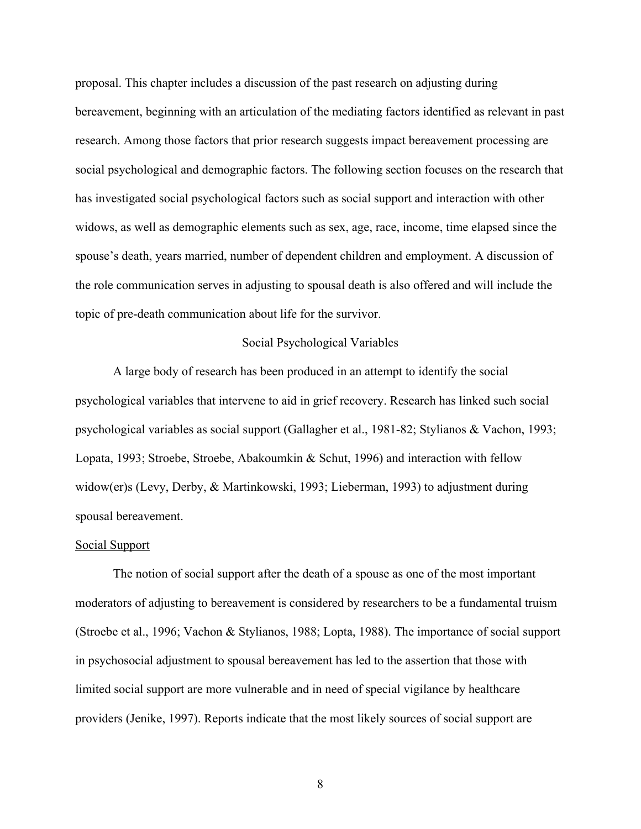proposal. This chapter includes a discussion of the past research on adjusting during bereavement, beginning with an articulation of the mediating factors identified as relevant in past research. Among those factors that prior research suggests impact bereavement processing are social psychological and demographic factors. The following section focuses on the research that has investigated social psychological factors such as social support and interaction with other widows, as well as demographic elements such as sex, age, race, income, time elapsed since the spouse's death, years married, number of dependent children and employment. A discussion of the role communication serves in adjusting to spousal death is also offered and will include the topic of pre-death communication about life for the survivor.

## Social Psychological Variables

A large body of research has been produced in an attempt to identify the social psychological variables that intervene to aid in grief recovery. Research has linked such social psychological variables as social support (Gallagher et al., 1981-82; Stylianos & Vachon, 1993; Lopata, 1993; Stroebe, Stroebe, Abakoumkin & Schut, 1996) and interaction with fellow widow(er)s (Levy, Derby, & Martinkowski, 1993; Lieberman, 1993) to adjustment during spousal bereavement.

#### Social Support

The notion of social support after the death of a spouse as one of the most important moderators of adjusting to bereavement is considered by researchers to be a fundamental truism (Stroebe et al., 1996; Vachon & Stylianos, 1988; Lopta, 1988). The importance of social support in psychosocial adjustment to spousal bereavement has led to the assertion that those with limited social support are more vulnerable and in need of special vigilance by healthcare providers (Jenike, 1997). Reports indicate that the most likely sources of social support are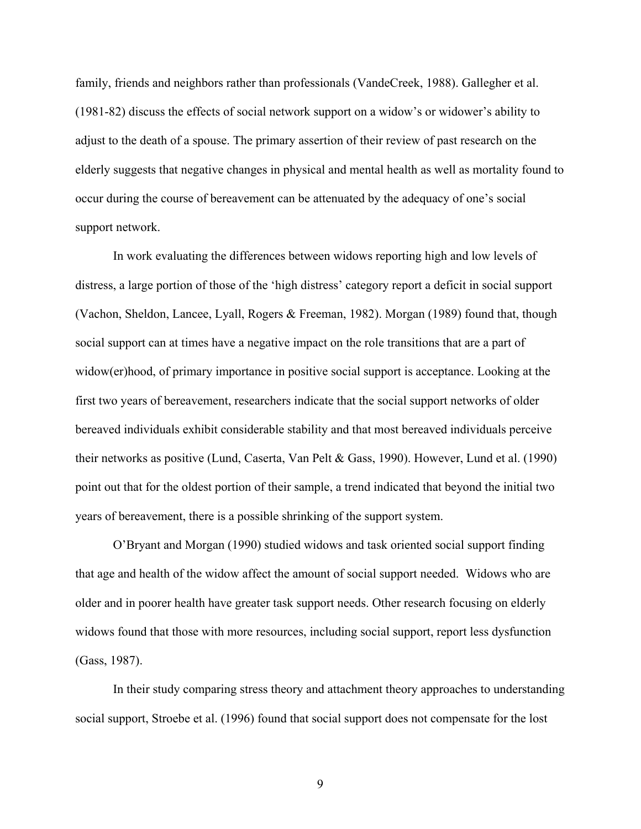family, friends and neighbors rather than professionals (VandeCreek, 1988). Gallegher et al. (1981-82) discuss the effects of social network support on a widow's or widower's ability to adjust to the death of a spouse. The primary assertion of their review of past research on the elderly suggests that negative changes in physical and mental health as well as mortality found to occur during the course of bereavement can be attenuated by the adequacy of one's social support network.

In work evaluating the differences between widows reporting high and low levels of distress, a large portion of those of the 'high distress' category report a deficit in social support (Vachon, Sheldon, Lancee, Lyall, Rogers & Freeman, 1982). Morgan (1989) found that, though social support can at times have a negative impact on the role transitions that are a part of widow(er)hood, of primary importance in positive social support is acceptance. Looking at the first two years of bereavement, researchers indicate that the social support networks of older bereaved individuals exhibit considerable stability and that most bereaved individuals perceive their networks as positive (Lund, Caserta, Van Pelt & Gass, 1990). However, Lund et al. (1990) point out that for the oldest portion of their sample, a trend indicated that beyond the initial two years of bereavement, there is a possible shrinking of the support system.

O'Bryant and Morgan (1990) studied widows and task oriented social support finding that age and health of the widow affect the amount of social support needed. Widows who are older and in poorer health have greater task support needs. Other research focusing on elderly widows found that those with more resources, including social support, report less dysfunction (Gass, 1987).

In their study comparing stress theory and attachment theory approaches to understanding social support, Stroebe et al. (1996) found that social support does not compensate for the lost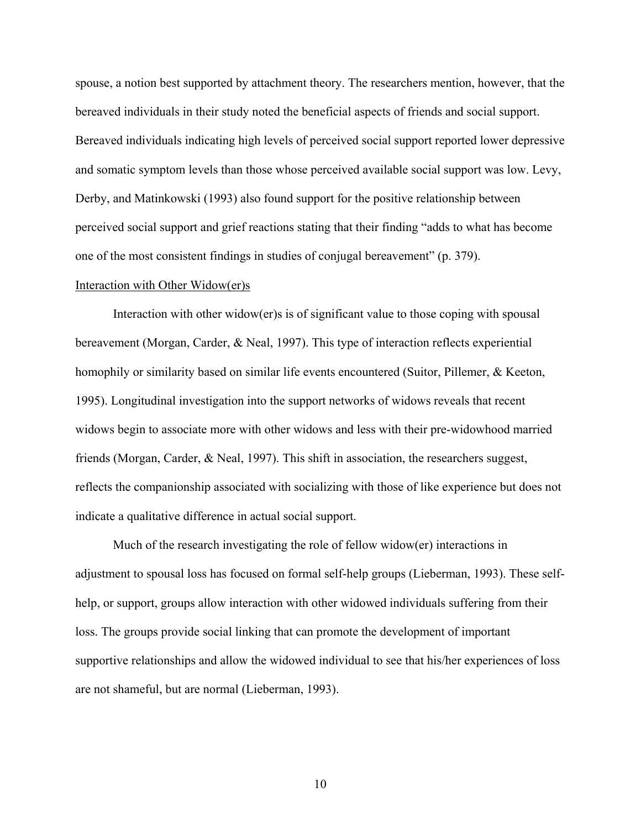spouse, a notion best supported by attachment theory. The researchers mention, however, that the bereaved individuals in their study noted the beneficial aspects of friends and social support. Bereaved individuals indicating high levels of perceived social support reported lower depressive and somatic symptom levels than those whose perceived available social support was low. Levy, Derby, and Matinkowski (1993) also found support for the positive relationship between perceived social support and grief reactions stating that their finding "adds to what has become one of the most consistent findings in studies of conjugal bereavement" (p. 379).

## Interaction with Other Widow(er)s

Interaction with other widow(er)s is of significant value to those coping with spousal bereavement (Morgan, Carder, & Neal, 1997). This type of interaction reflects experiential homophily or similarity based on similar life events encountered (Suitor, Pillemer, & Keeton, 1995). Longitudinal investigation into the support networks of widows reveals that recent widows begin to associate more with other widows and less with their pre-widowhood married friends (Morgan, Carder, & Neal, 1997). This shift in association, the researchers suggest, reflects the companionship associated with socializing with those of like experience but does not indicate a qualitative difference in actual social support.

Much of the research investigating the role of fellow widow(er) interactions in adjustment to spousal loss has focused on formal self-help groups (Lieberman, 1993). These selfhelp, or support, groups allow interaction with other widowed individuals suffering from their loss. The groups provide social linking that can promote the development of important supportive relationships and allow the widowed individual to see that his/her experiences of loss are not shameful, but are normal (Lieberman, 1993).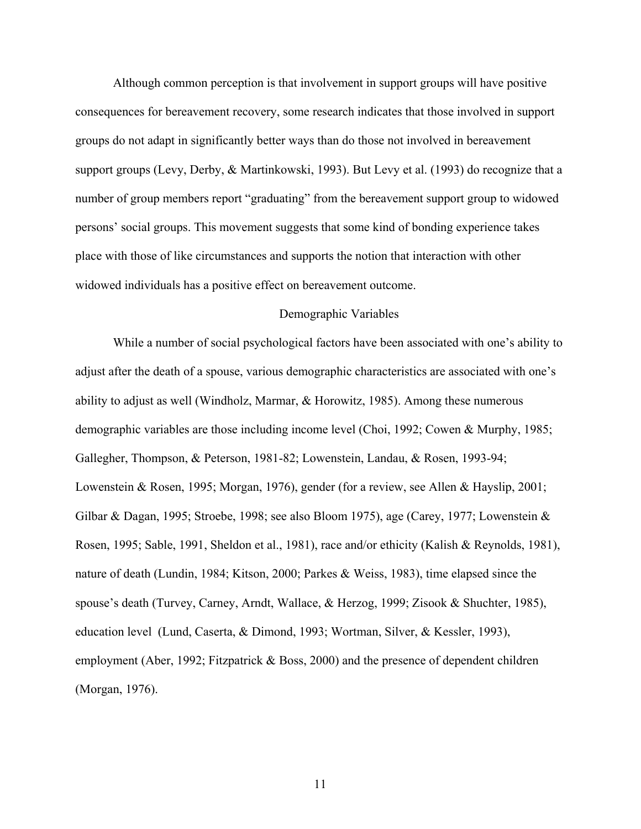Although common perception is that involvement in support groups will have positive consequences for bereavement recovery, some research indicates that those involved in support groups do not adapt in significantly better ways than do those not involved in bereavement support groups (Levy, Derby, & Martinkowski, 1993). But Levy et al. (1993) do recognize that a number of group members report "graduating" from the bereavement support group to widowed persons' social groups. This movement suggests that some kind of bonding experience takes place with those of like circumstances and supports the notion that interaction with other widowed individuals has a positive effect on bereavement outcome.

## Demographic Variables

While a number of social psychological factors have been associated with one's ability to adjust after the death of a spouse, various demographic characteristics are associated with one's ability to adjust as well (Windholz, Marmar, & Horowitz, 1985). Among these numerous demographic variables are those including income level (Choi, 1992; Cowen & Murphy, 1985; Gallegher, Thompson, & Peterson, 1981-82; Lowenstein, Landau, & Rosen, 1993-94; Lowenstein & Rosen, 1995; Morgan, 1976), gender (for a review, see Allen & Hayslip, 2001; Gilbar & Dagan, 1995; Stroebe, 1998; see also Bloom 1975), age (Carey, 1977; Lowenstein & Rosen, 1995; Sable, 1991, Sheldon et al., 1981), race and/or ethicity (Kalish & Reynolds, 1981), nature of death (Lundin, 1984; Kitson, 2000; Parkes & Weiss, 1983), time elapsed since the spouse's death (Turvey, Carney, Arndt, Wallace, & Herzog, 1999; Zisook & Shuchter, 1985), education level (Lund, Caserta, & Dimond, 1993; Wortman, Silver, & Kessler, 1993), employment (Aber, 1992; Fitzpatrick & Boss, 2000) and the presence of dependent children (Morgan, 1976).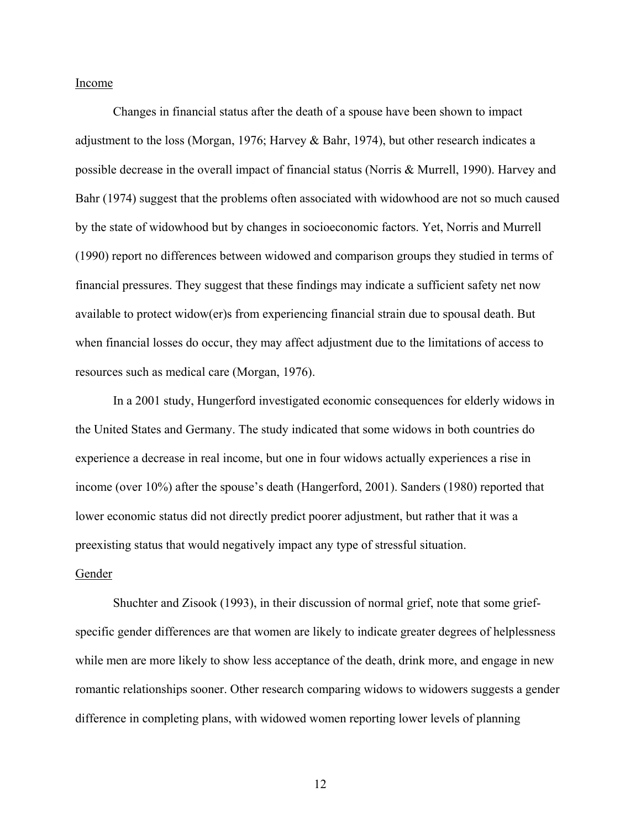Income

Changes in financial status after the death of a spouse have been shown to impact adjustment to the loss (Morgan, 1976; Harvey & Bahr, 1974), but other research indicates a possible decrease in the overall impact of financial status (Norris & Murrell, 1990). Harvey and Bahr (1974) suggest that the problems often associated with widowhood are not so much caused by the state of widowhood but by changes in socioeconomic factors. Yet, Norris and Murrell (1990) report no differences between widowed and comparison groups they studied in terms of financial pressures. They suggest that these findings may indicate a sufficient safety net now available to protect widow(er)s from experiencing financial strain due to spousal death. But when financial losses do occur, they may affect adjustment due to the limitations of access to resources such as medical care (Morgan, 1976).

In a 2001 study, Hungerford investigated economic consequences for elderly widows in the United States and Germany. The study indicated that some widows in both countries do experience a decrease in real income, but one in four widows actually experiences a rise in income (over 10%) after the spouse's death (Hangerford, 2001). Sanders (1980) reported that lower economic status did not directly predict poorer adjustment, but rather that it was a preexisting status that would negatively impact any type of stressful situation.

#### Gender

Shuchter and Zisook (1993), in their discussion of normal grief, note that some griefspecific gender differences are that women are likely to indicate greater degrees of helplessness while men are more likely to show less acceptance of the death, drink more, and engage in new romantic relationships sooner. Other research comparing widows to widowers suggests a gender difference in completing plans, with widowed women reporting lower levels of planning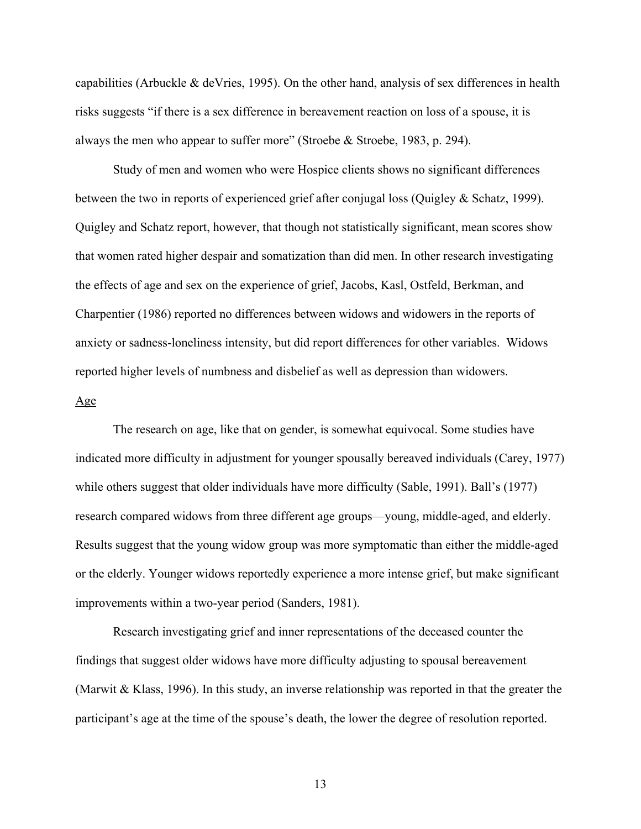capabilities (Arbuckle & deVries, 1995). On the other hand, analysis of sex differences in health risks suggests "if there is a sex difference in bereavement reaction on loss of a spouse, it is always the men who appear to suffer more" (Stroebe & Stroebe, 1983, p. 294).

Study of men and women who were Hospice clients shows no significant differences between the two in reports of experienced grief after conjugal loss (Quigley & Schatz, 1999). Quigley and Schatz report, however, that though not statistically significant, mean scores show that women rated higher despair and somatization than did men. In other research investigating the effects of age and sex on the experience of grief, Jacobs, Kasl, Ostfeld, Berkman, and Charpentier (1986) reported no differences between widows and widowers in the reports of anxiety or sadness-loneliness intensity, but did report differences for other variables. Widows reported higher levels of numbness and disbelief as well as depression than widowers.

#### Age

The research on age, like that on gender, is somewhat equivocal. Some studies have indicated more difficulty in adjustment for younger spousally bereaved individuals (Carey, 1977) while others suggest that older individuals have more difficulty (Sable, 1991). Ball's (1977) research compared widows from three different age groups—young, middle-aged, and elderly. Results suggest that the young widow group was more symptomatic than either the middle-aged or the elderly. Younger widows reportedly experience a more intense grief, but make significant improvements within a two-year period (Sanders, 1981).

Research investigating grief and inner representations of the deceased counter the findings that suggest older widows have more difficulty adjusting to spousal bereavement (Marwit & Klass, 1996). In this study, an inverse relationship was reported in that the greater the participant's age at the time of the spouse's death, the lower the degree of resolution reported.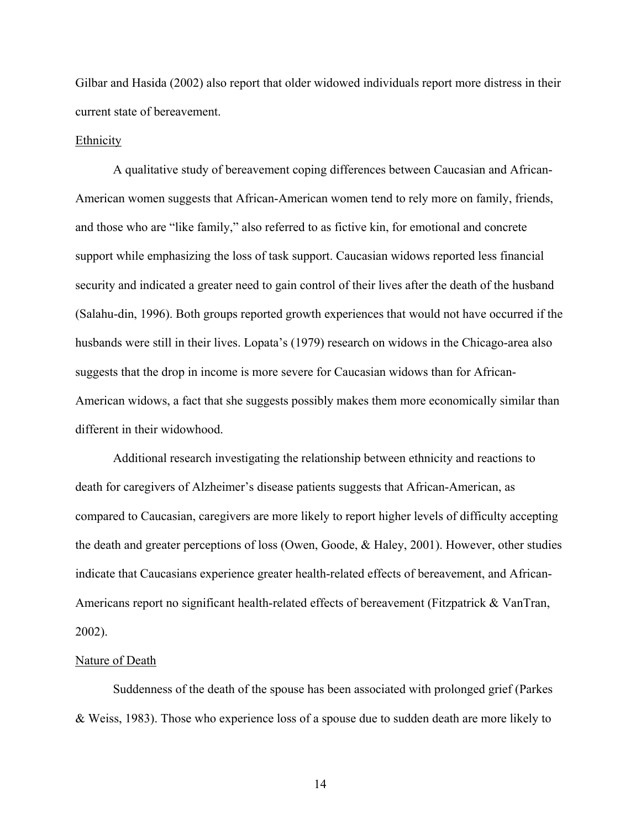Gilbar and Hasida (2002) also report that older widowed individuals report more distress in their current state of bereavement.

#### Ethnicity

A qualitative study of bereavement coping differences between Caucasian and African-American women suggests that African-American women tend to rely more on family, friends, and those who are "like family," also referred to as fictive kin, for emotional and concrete support while emphasizing the loss of task support. Caucasian widows reported less financial security and indicated a greater need to gain control of their lives after the death of the husband (Salahu-din, 1996). Both groups reported growth experiences that would not have occurred if the husbands were still in their lives. Lopata's (1979) research on widows in the Chicago-area also suggests that the drop in income is more severe for Caucasian widows than for African-American widows, a fact that she suggests possibly makes them more economically similar than different in their widowhood.

Additional research investigating the relationship between ethnicity and reactions to death for caregivers of Alzheimer's disease patients suggests that African-American, as compared to Caucasian, caregivers are more likely to report higher levels of difficulty accepting the death and greater perceptions of loss (Owen, Goode, & Haley, 2001). However, other studies indicate that Caucasians experience greater health-related effects of bereavement, and African-Americans report no significant health-related effects of bereavement (Fitzpatrick & VanTran, 2002).

## Nature of Death

Suddenness of the death of the spouse has been associated with prolonged grief (Parkes & Weiss, 1983). Those who experience loss of a spouse due to sudden death are more likely to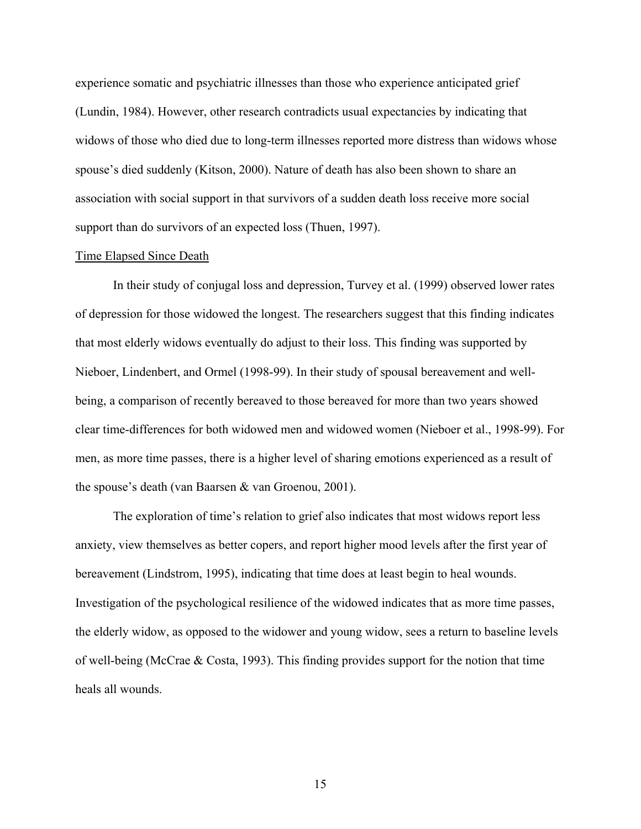experience somatic and psychiatric illnesses than those who experience anticipated grief (Lundin, 1984). However, other research contradicts usual expectancies by indicating that widows of those who died due to long-term illnesses reported more distress than widows whose spouse's died suddenly (Kitson, 2000). Nature of death has also been shown to share an association with social support in that survivors of a sudden death loss receive more social support than do survivors of an expected loss (Thuen, 1997).

#### Time Elapsed Since Death

In their study of conjugal loss and depression, Turvey et al. (1999) observed lower rates of depression for those widowed the longest. The researchers suggest that this finding indicates that most elderly widows eventually do adjust to their loss. This finding was supported by Nieboer, Lindenbert, and Ormel (1998-99). In their study of spousal bereavement and wellbeing, a comparison of recently bereaved to those bereaved for more than two years showed clear time-differences for both widowed men and widowed women (Nieboer et al., 1998-99). For men, as more time passes, there is a higher level of sharing emotions experienced as a result of the spouse's death (van Baarsen & van Groenou, 2001).

The exploration of time's relation to grief also indicates that most widows report less anxiety, view themselves as better copers, and report higher mood levels after the first year of bereavement (Lindstrom, 1995), indicating that time does at least begin to heal wounds. Investigation of the psychological resilience of the widowed indicates that as more time passes, the elderly widow, as opposed to the widower and young widow, sees a return to baseline levels of well-being (McCrae & Costa, 1993). This finding provides support for the notion that time heals all wounds.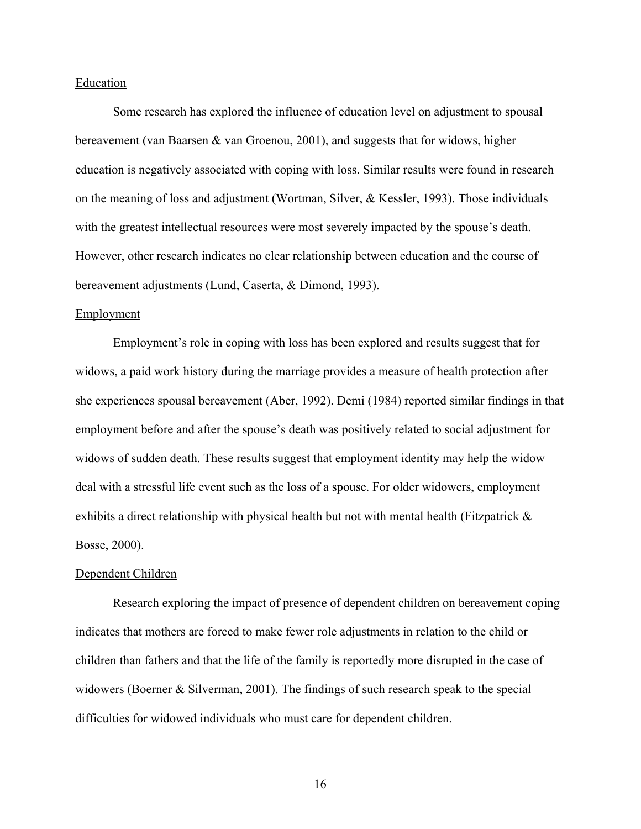## Education

Some research has explored the influence of education level on adjustment to spousal bereavement (van Baarsen & van Groenou, 2001), and suggests that for widows, higher education is negatively associated with coping with loss. Similar results were found in research on the meaning of loss and adjustment (Wortman, Silver, & Kessler, 1993). Those individuals with the greatest intellectual resources were most severely impacted by the spouse's death. However, other research indicates no clear relationship between education and the course of bereavement adjustments (Lund, Caserta, & Dimond, 1993).

## Employment

Employment's role in coping with loss has been explored and results suggest that for widows, a paid work history during the marriage provides a measure of health protection after she experiences spousal bereavement (Aber, 1992). Demi (1984) reported similar findings in that employment before and after the spouse's death was positively related to social adjustment for widows of sudden death. These results suggest that employment identity may help the widow deal with a stressful life event such as the loss of a spouse. For older widowers, employment exhibits a direct relationship with physical health but not with mental health (Fitzpatrick  $\&$ Bosse, 2000).

#### Dependent Children

Research exploring the impact of presence of dependent children on bereavement coping indicates that mothers are forced to make fewer role adjustments in relation to the child or children than fathers and that the life of the family is reportedly more disrupted in the case of widowers (Boerner & Silverman, 2001). The findings of such research speak to the special difficulties for widowed individuals who must care for dependent children.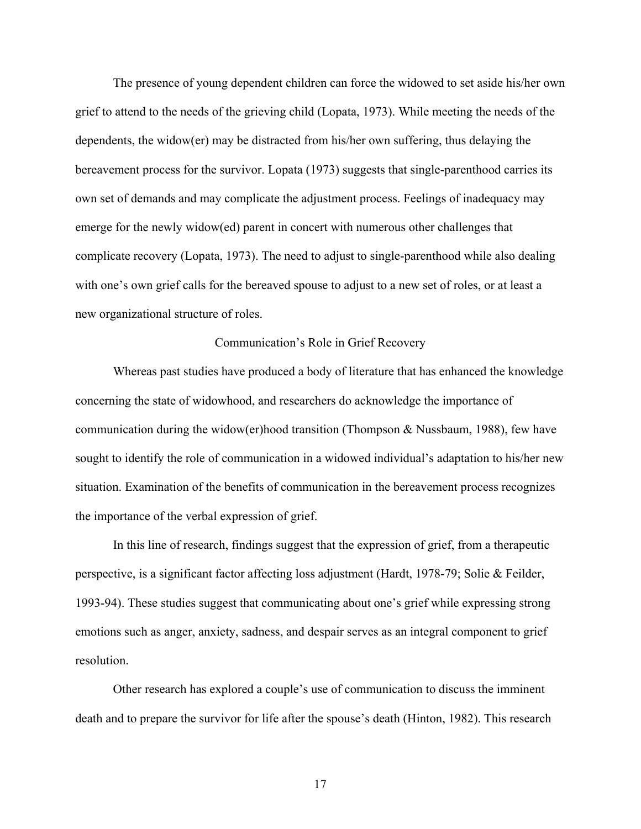The presence of young dependent children can force the widowed to set aside his/her own grief to attend to the needs of the grieving child (Lopata, 1973). While meeting the needs of the dependents, the widow(er) may be distracted from his/her own suffering, thus delaying the bereavement process for the survivor. Lopata (1973) suggests that single-parenthood carries its own set of demands and may complicate the adjustment process. Feelings of inadequacy may emerge for the newly widow(ed) parent in concert with numerous other challenges that complicate recovery (Lopata, 1973). The need to adjust to single-parenthood while also dealing with one's own grief calls for the bereaved spouse to adjust to a new set of roles, or at least a new organizational structure of roles.

## Communication's Role in Grief Recovery

Whereas past studies have produced a body of literature that has enhanced the knowledge concerning the state of widowhood, and researchers do acknowledge the importance of communication during the widow(er)hood transition (Thompson & Nussbaum, 1988), few have sought to identify the role of communication in a widowed individual's adaptation to his/her new situation. Examination of the benefits of communication in the bereavement process recognizes the importance of the verbal expression of grief.

In this line of research, findings suggest that the expression of grief, from a therapeutic perspective, is a significant factor affecting loss adjustment (Hardt, 1978-79; Solie & Feilder, 1993-94). These studies suggest that communicating about one's grief while expressing strong emotions such as anger, anxiety, sadness, and despair serves as an integral component to grief resolution.

Other research has explored a couple's use of communication to discuss the imminent death and to prepare the survivor for life after the spouse's death (Hinton, 1982). This research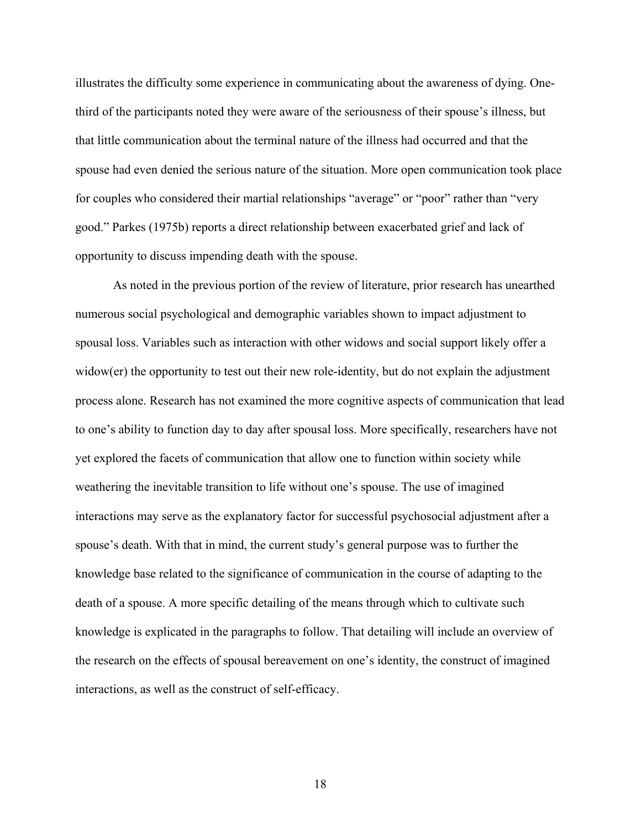illustrates the difficulty some experience in communicating about the awareness of dying. Onethird of the participants noted they were aware of the seriousness of their spouse's illness, but that little communication about the terminal nature of the illness had occurred and that the spouse had even denied the serious nature of the situation. More open communication took place for couples who considered their martial relationships "average" or "poor" rather than "very good." Parkes (1975b) reports a direct relationship between exacerbated grief and lack of opportunity to discuss impending death with the spouse.

As noted in the previous portion of the review of literature, prior research has unearthed numerous social psychological and demographic variables shown to impact adjustment to spousal loss. Variables such as interaction with other widows and social support likely offer a widow(er) the opportunity to test out their new role-identity, but do not explain the adjustment process alone. Research has not examined the more cognitive aspects of communication that lead to one's ability to function day to day after spousal loss. More specifically, researchers have not yet explored the facets of communication that allow one to function within society while weathering the inevitable transition to life without one's spouse. The use of imagined interactions may serve as the explanatory factor for successful psychosocial adjustment after a spouse's death. With that in mind, the current study's general purpose was to further the knowledge base related to the significance of communication in the course of adapting to the death of a spouse. A more specific detailing of the means through which to cultivate such knowledge is explicated in the paragraphs to follow. That detailing will include an overview of the research on the effects of spousal bereavement on one's identity, the construct of imagined interactions, as well as the construct of self-efficacy.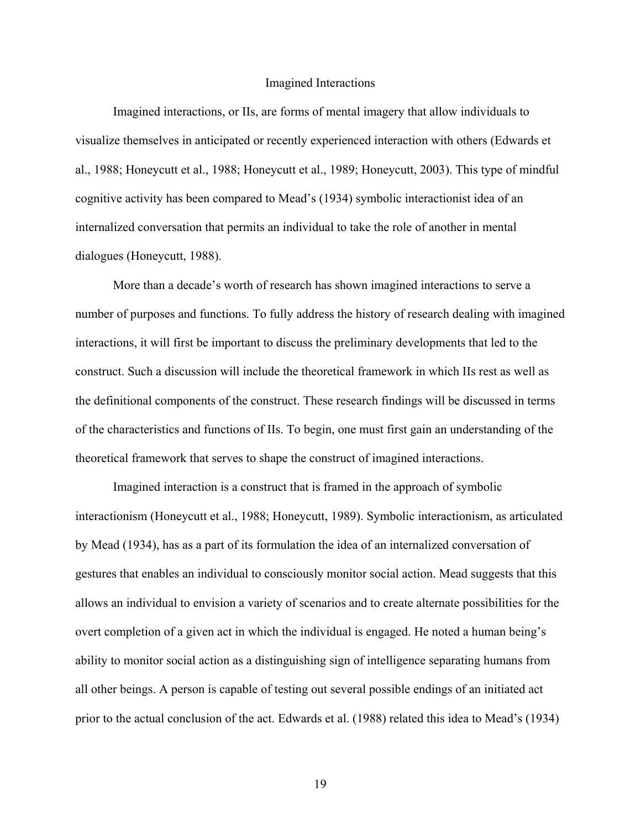#### Imagined Interactions

Imagined interactions, or IIs, are forms of mental imagery that allow individuals to visualize themselves in anticipated or recently experienced interaction with others (Edwards et al., 1988; Honeycutt et al., 1988; Honeycutt et al., 1989; Honeycutt, 2003). This type of mindful cognitive activity has been compared to Mead's (1934) symbolic interactionist idea of an internalized conversation that permits an individual to take the role of another in mental dialogues (Honeycutt, 1988).

More than a decade's worth of research has shown imagined interactions to serve a number of purposes and functions. To fully address the history of research dealing with imagined interactions, it will first be important to discuss the preliminary developments that led to the construct. Such a discussion will include the theoretical framework in which IIs rest as well as the definitional components of the construct. These research findings will be discussed in terms of the characteristics and functions of IIs. To begin, one must first gain an understanding of the theoretical framework that serves to shape the construct of imagined interactions.

Imagined interaction is a construct that is framed in the approach of symbolic interactionism (Honeycutt et al., 1988; Honeycutt, 1989). Symbolic interactionism, as articulated by Mead (1934), has as a part of its formulation the idea of an internalized conversation of gestures that enables an individual to consciously monitor social action. Mead suggests that this allows an individual to envision a variety of scenarios and to create alternate possibilities for the overt completion of a given act in which the individual is engaged. He noted a human being's ability to monitor social action as a distinguishing sign of intelligence separating humans from all other beings. A person is capable of testing out several possible endings of an initiated act prior to the actual conclusion of the act. Edwards et al. (1988) related this idea to Mead's (1934)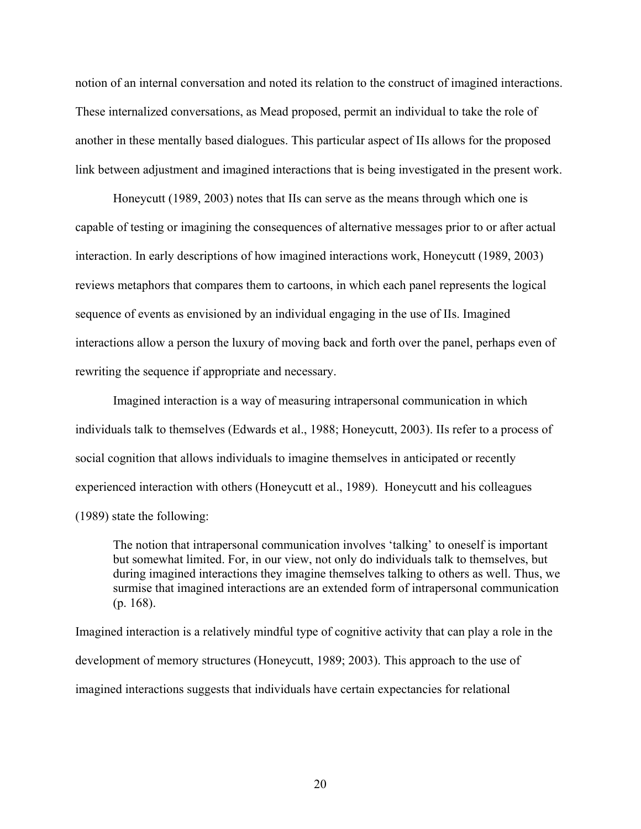notion of an internal conversation and noted its relation to the construct of imagined interactions. These internalized conversations, as Mead proposed, permit an individual to take the role of another in these mentally based dialogues. This particular aspect of IIs allows for the proposed link between adjustment and imagined interactions that is being investigated in the present work.

Honeycutt (1989, 2003) notes that IIs can serve as the means through which one is capable of testing or imagining the consequences of alternative messages prior to or after actual interaction. In early descriptions of how imagined interactions work, Honeycutt (1989, 2003) reviews metaphors that compares them to cartoons, in which each panel represents the logical sequence of events as envisioned by an individual engaging in the use of IIs. Imagined interactions allow a person the luxury of moving back and forth over the panel, perhaps even of rewriting the sequence if appropriate and necessary.

Imagined interaction is a way of measuring intrapersonal communication in which individuals talk to themselves (Edwards et al., 1988; Honeycutt, 2003). IIs refer to a process of social cognition that allows individuals to imagine themselves in anticipated or recently experienced interaction with others (Honeycutt et al., 1989). Honeycutt and his colleagues (1989) state the following:

The notion that intrapersonal communication involves 'talking' to oneself is important but somewhat limited. For, in our view, not only do individuals talk to themselves, but during imagined interactions they imagine themselves talking to others as well. Thus, we surmise that imagined interactions are an extended form of intrapersonal communication (p. 168).

Imagined interaction is a relatively mindful type of cognitive activity that can play a role in the development of memory structures (Honeycutt, 1989; 2003). This approach to the use of imagined interactions suggests that individuals have certain expectancies for relational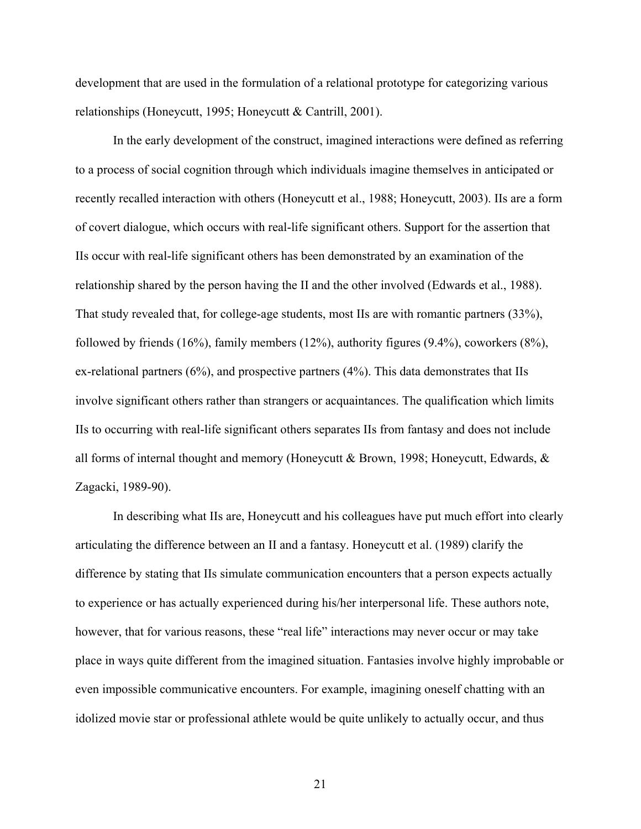development that are used in the formulation of a relational prototype for categorizing various relationships (Honeycutt, 1995; Honeycutt & Cantrill, 2001).

In the early development of the construct, imagined interactions were defined as referring to a process of social cognition through which individuals imagine themselves in anticipated or recently recalled interaction with others (Honeycutt et al., 1988; Honeycutt, 2003). IIs are a form of covert dialogue, which occurs with real-life significant others. Support for the assertion that IIs occur with real-life significant others has been demonstrated by an examination of the relationship shared by the person having the II and the other involved (Edwards et al., 1988). That study revealed that, for college-age students, most IIs are with romantic partners (33%), followed by friends (16%), family members (12%), authority figures (9.4%), coworkers (8%), ex-relational partners (6%), and prospective partners (4%). This data demonstrates that IIs involve significant others rather than strangers or acquaintances. The qualification which limits IIs to occurring with real-life significant others separates IIs from fantasy and does not include all forms of internal thought and memory (Honeycutt & Brown, 1998; Honeycutt, Edwards, & Zagacki, 1989-90).

In describing what IIs are, Honeycutt and his colleagues have put much effort into clearly articulating the difference between an II and a fantasy. Honeycutt et al. (1989) clarify the difference by stating that IIs simulate communication encounters that a person expects actually to experience or has actually experienced during his/her interpersonal life. These authors note, however, that for various reasons, these "real life" interactions may never occur or may take place in ways quite different from the imagined situation. Fantasies involve highly improbable or even impossible communicative encounters. For example, imagining oneself chatting with an idolized movie star or professional athlete would be quite unlikely to actually occur, and thus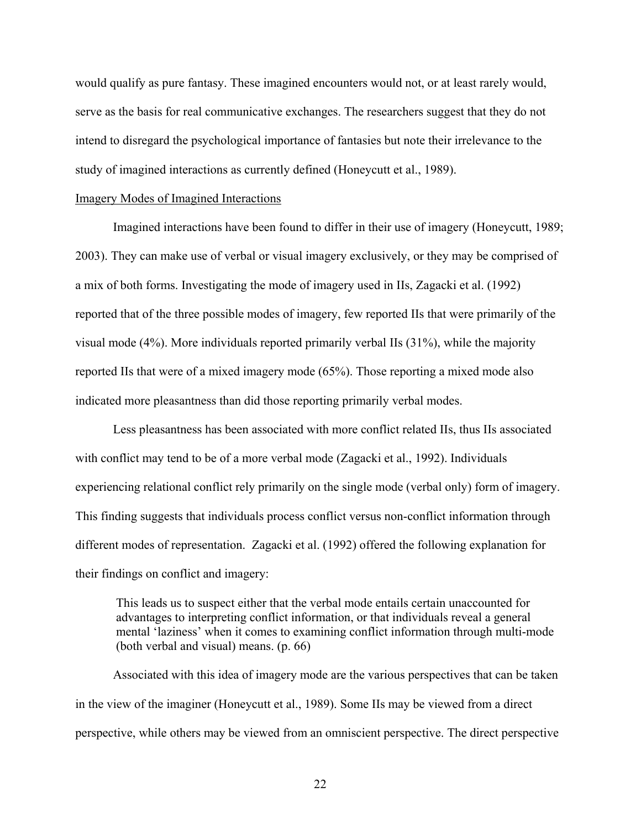would qualify as pure fantasy. These imagined encounters would not, or at least rarely would, serve as the basis for real communicative exchanges. The researchers suggest that they do not intend to disregard the psychological importance of fantasies but note their irrelevance to the study of imagined interactions as currently defined (Honeycutt et al., 1989).

#### Imagery Modes of Imagined Interactions

Imagined interactions have been found to differ in their use of imagery (Honeycutt, 1989; 2003). They can make use of verbal or visual imagery exclusively, or they may be comprised of a mix of both forms. Investigating the mode of imagery used in IIs, Zagacki et al. (1992) reported that of the three possible modes of imagery, few reported IIs that were primarily of the visual mode (4%). More individuals reported primarily verbal IIs (31%), while the majority reported IIs that were of a mixed imagery mode (65%). Those reporting a mixed mode also indicated more pleasantness than did those reporting primarily verbal modes.

Less pleasantness has been associated with more conflict related IIs, thus IIs associated with conflict may tend to be of a more verbal mode (Zagacki et al., 1992). Individuals experiencing relational conflict rely primarily on the single mode (verbal only) form of imagery. This finding suggests that individuals process conflict versus non-conflict information through different modes of representation. Zagacki et al. (1992) offered the following explanation for their findings on conflict and imagery:

This leads us to suspect either that the verbal mode entails certain unaccounted for advantages to interpreting conflict information, or that individuals reveal a general mental 'laziness' when it comes to examining conflict information through multi-mode (both verbal and visual) means. (p. 66)

Associated with this idea of imagery mode are the various perspectives that can be taken in the view of the imaginer (Honeycutt et al., 1989). Some IIs may be viewed from a direct perspective, while others may be viewed from an omniscient perspective. The direct perspective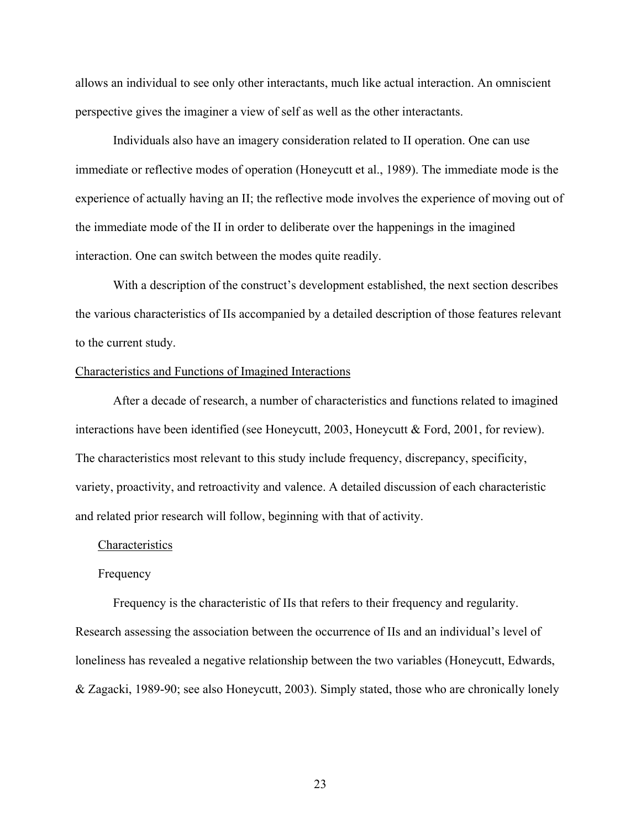allows an individual to see only other interactants, much like actual interaction. An omniscient perspective gives the imaginer a view of self as well as the other interactants.

Individuals also have an imagery consideration related to II operation. One can use immediate or reflective modes of operation (Honeycutt et al., 1989). The immediate mode is the experience of actually having an II; the reflective mode involves the experience of moving out of the immediate mode of the II in order to deliberate over the happenings in the imagined interaction. One can switch between the modes quite readily.

With a description of the construct's development established, the next section describes the various characteristics of IIs accompanied by a detailed description of those features relevant to the current study.

#### Characteristics and Functions of Imagined Interactions

After a decade of research, a number of characteristics and functions related to imagined interactions have been identified (see Honeycutt, 2003, Honeycutt & Ford, 2001, for review). The characteristics most relevant to this study include frequency, discrepancy, specificity, variety, proactivity, and retroactivity and valence. A detailed discussion of each characteristic and related prior research will follow, beginning with that of activity.

#### **Characteristics**

## Frequency

Frequency is the characteristic of IIs that refers to their frequency and regularity. Research assessing the association between the occurrence of IIs and an individual's level of loneliness has revealed a negative relationship between the two variables (Honeycutt, Edwards, & Zagacki, 1989-90; see also Honeycutt, 2003). Simply stated, those who are chronically lonely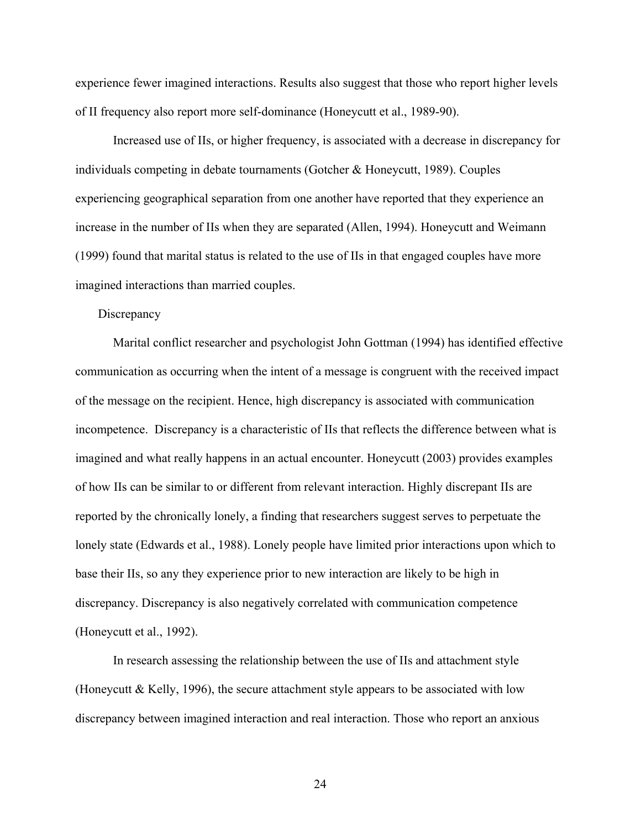experience fewer imagined interactions. Results also suggest that those who report higher levels of II frequency also report more self-dominance (Honeycutt et al., 1989-90).

Increased use of IIs, or higher frequency, is associated with a decrease in discrepancy for individuals competing in debate tournaments (Gotcher & Honeycutt, 1989). Couples experiencing geographical separation from one another have reported that they experience an increase in the number of IIs when they are separated (Allen, 1994). Honeycutt and Weimann (1999) found that marital status is related to the use of IIs in that engaged couples have more imagined interactions than married couples.

## **Discrepancy**

Marital conflict researcher and psychologist John Gottman (1994) has identified effective communication as occurring when the intent of a message is congruent with the received impact of the message on the recipient. Hence, high discrepancy is associated with communication incompetence. Discrepancy is a characteristic of IIs that reflects the difference between what is imagined and what really happens in an actual encounter. Honeycutt (2003) provides examples of how IIs can be similar to or different from relevant interaction. Highly discrepant IIs are reported by the chronically lonely, a finding that researchers suggest serves to perpetuate the lonely state (Edwards et al., 1988). Lonely people have limited prior interactions upon which to base their IIs, so any they experience prior to new interaction are likely to be high in discrepancy. Discrepancy is also negatively correlated with communication competence (Honeycutt et al., 1992).

In research assessing the relationship between the use of IIs and attachment style (Honeycutt & Kelly, 1996), the secure attachment style appears to be associated with low discrepancy between imagined interaction and real interaction. Those who report an anxious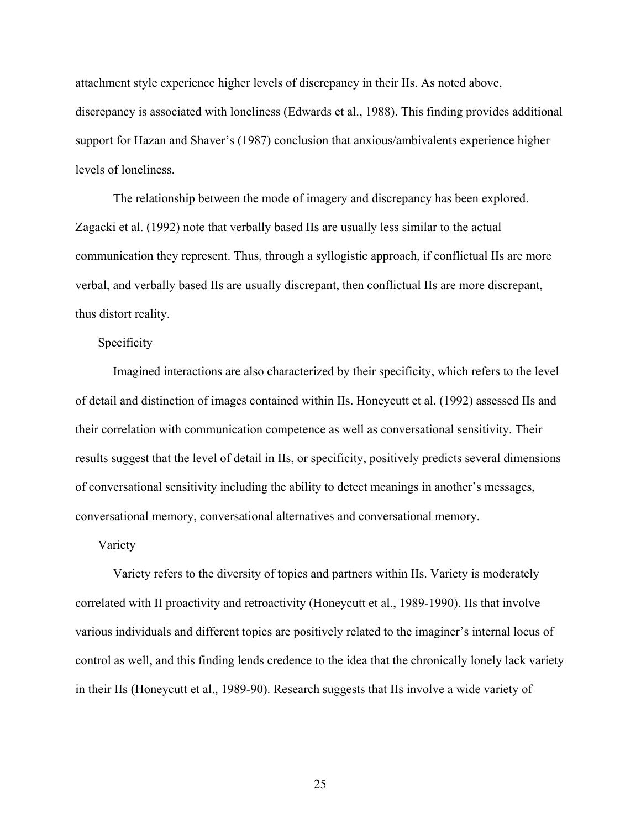attachment style experience higher levels of discrepancy in their IIs. As noted above, discrepancy is associated with loneliness (Edwards et al., 1988). This finding provides additional support for Hazan and Shaver's (1987) conclusion that anxious/ambivalents experience higher levels of loneliness.

The relationship between the mode of imagery and discrepancy has been explored. Zagacki et al. (1992) note that verbally based IIs are usually less similar to the actual communication they represent. Thus, through a syllogistic approach, if conflictual IIs are more verbal, and verbally based IIs are usually discrepant, then conflictual IIs are more discrepant, thus distort reality.

## Specificity

Imagined interactions are also characterized by their specificity, which refers to the level of detail and distinction of images contained within IIs. Honeycutt et al. (1992) assessed IIs and their correlation with communication competence as well as conversational sensitivity. Their results suggest that the level of detail in IIs, or specificity, positively predicts several dimensions of conversational sensitivity including the ability to detect meanings in another's messages, conversational memory, conversational alternatives and conversational memory.

## Variety

Variety refers to the diversity of topics and partners within IIs. Variety is moderately correlated with II proactivity and retroactivity (Honeycutt et al., 1989-1990). IIs that involve various individuals and different topics are positively related to the imaginer's internal locus of control as well, and this finding lends credence to the idea that the chronically lonely lack variety in their IIs (Honeycutt et al., 1989-90). Research suggests that IIs involve a wide variety of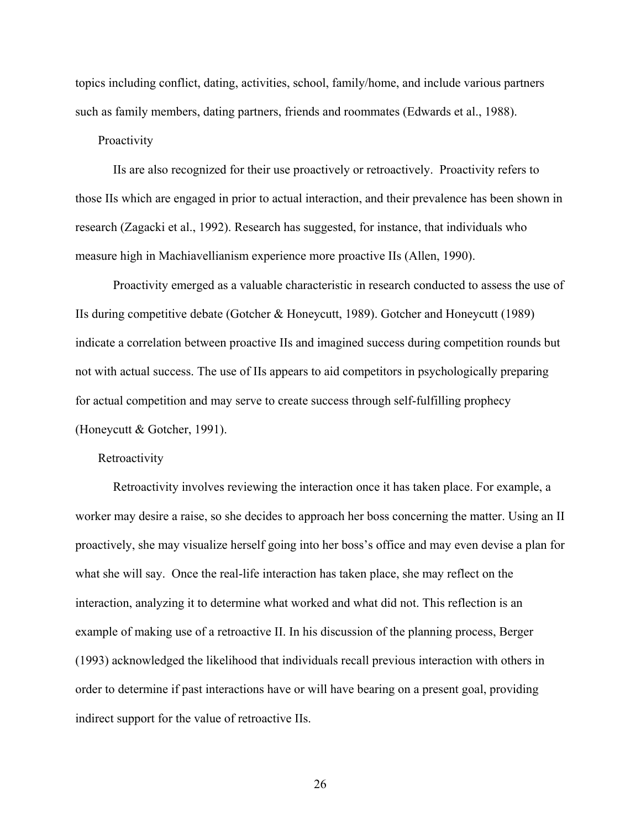topics including conflict, dating, activities, school, family/home, and include various partners such as family members, dating partners, friends and roommates (Edwards et al., 1988).

## Proactivity

IIs are also recognized for their use proactively or retroactively. Proactivity refers to those IIs which are engaged in prior to actual interaction, and their prevalence has been shown in research (Zagacki et al., 1992). Research has suggested, for instance, that individuals who measure high in Machiavellianism experience more proactive IIs (Allen, 1990).

Proactivity emerged as a valuable characteristic in research conducted to assess the use of IIs during competitive debate (Gotcher & Honeycutt, 1989). Gotcher and Honeycutt (1989) indicate a correlation between proactive IIs and imagined success during competition rounds but not with actual success. The use of IIs appears to aid competitors in psychologically preparing for actual competition and may serve to create success through self-fulfilling prophecy (Honeycutt & Gotcher, 1991).

#### **Retroactivity**

Retroactivity involves reviewing the interaction once it has taken place. For example, a worker may desire a raise, so she decides to approach her boss concerning the matter. Using an II proactively, she may visualize herself going into her boss's office and may even devise a plan for what she will say. Once the real-life interaction has taken place, she may reflect on the interaction, analyzing it to determine what worked and what did not. This reflection is an example of making use of a retroactive II. In his discussion of the planning process, Berger (1993) acknowledged the likelihood that individuals recall previous interaction with others in order to determine if past interactions have or will have bearing on a present goal, providing indirect support for the value of retroactive IIs.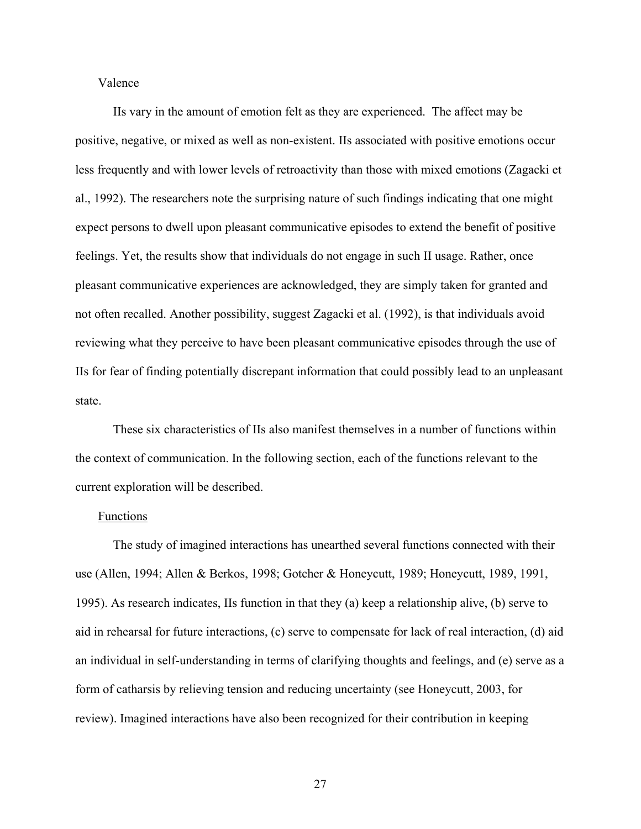## Valence

IIs vary in the amount of emotion felt as they are experienced. The affect may be positive, negative, or mixed as well as non-existent. IIs associated with positive emotions occur less frequently and with lower levels of retroactivity than those with mixed emotions (Zagacki et al., 1992). The researchers note the surprising nature of such findings indicating that one might expect persons to dwell upon pleasant communicative episodes to extend the benefit of positive feelings. Yet, the results show that individuals do not engage in such II usage. Rather, once pleasant communicative experiences are acknowledged, they are simply taken for granted and not often recalled. Another possibility, suggest Zagacki et al. (1992), is that individuals avoid reviewing what they perceive to have been pleasant communicative episodes through the use of IIs for fear of finding potentially discrepant information that could possibly lead to an unpleasant state.

These six characteristics of IIs also manifest themselves in a number of functions within the context of communication. In the following section, each of the functions relevant to the current exploration will be described.

## Functions

The study of imagined interactions has unearthed several functions connected with their use (Allen, 1994; Allen & Berkos, 1998; Gotcher & Honeycutt, 1989; Honeycutt, 1989, 1991, 1995). As research indicates, IIs function in that they (a) keep a relationship alive, (b) serve to aid in rehearsal for future interactions, (c) serve to compensate for lack of real interaction, (d) aid an individual in self-understanding in terms of clarifying thoughts and feelings, and (e) serve as a form of catharsis by relieving tension and reducing uncertainty (see Honeycutt, 2003, for review). Imagined interactions have also been recognized for their contribution in keeping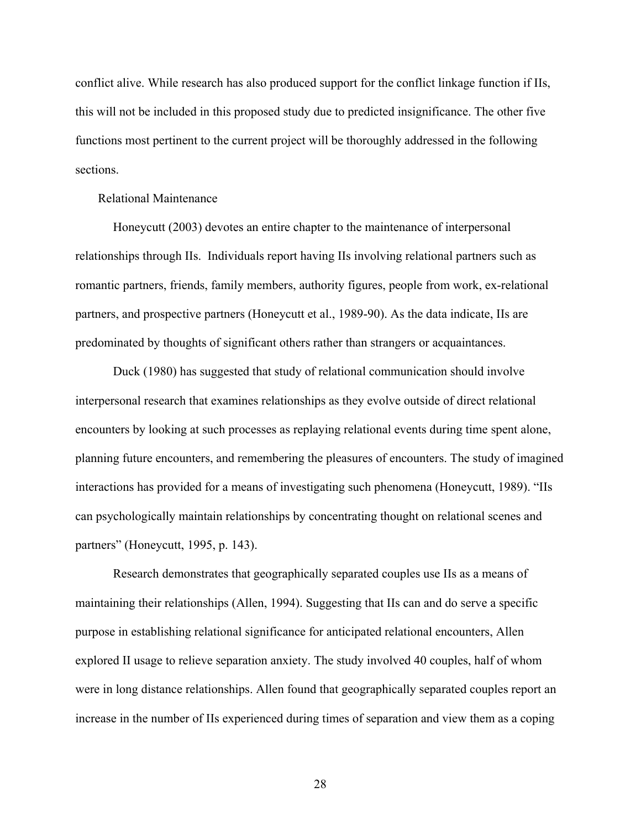conflict alive. While research has also produced support for the conflict linkage function if IIs, this will not be included in this proposed study due to predicted insignificance. The other five functions most pertinent to the current project will be thoroughly addressed in the following sections.

## Relational Maintenance

Honeycutt (2003) devotes an entire chapter to the maintenance of interpersonal relationships through IIs. Individuals report having IIs involving relational partners such as romantic partners, friends, family members, authority figures, people from work, ex-relational partners, and prospective partners (Honeycutt et al., 1989-90). As the data indicate, IIs are predominated by thoughts of significant others rather than strangers or acquaintances.

Duck (1980) has suggested that study of relational communication should involve interpersonal research that examines relationships as they evolve outside of direct relational encounters by looking at such processes as replaying relational events during time spent alone, planning future encounters, and remembering the pleasures of encounters. The study of imagined interactions has provided for a means of investigating such phenomena (Honeycutt, 1989). "IIs can psychologically maintain relationships by concentrating thought on relational scenes and partners" (Honeycutt, 1995, p. 143).

Research demonstrates that geographically separated couples use IIs as a means of maintaining their relationships (Allen, 1994). Suggesting that IIs can and do serve a specific purpose in establishing relational significance for anticipated relational encounters, Allen explored II usage to relieve separation anxiety. The study involved 40 couples, half of whom were in long distance relationships. Allen found that geographically separated couples report an increase in the number of IIs experienced during times of separation and view them as a coping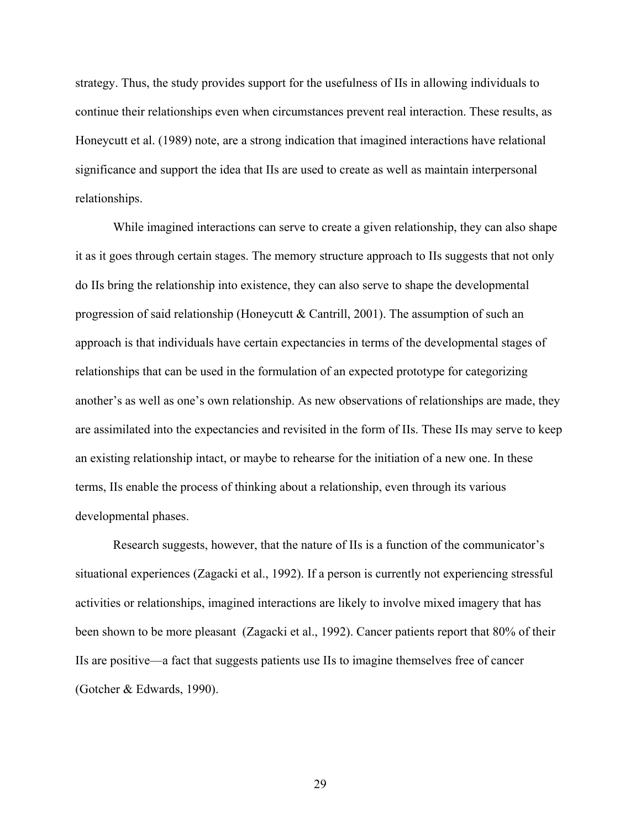strategy. Thus, the study provides support for the usefulness of IIs in allowing individuals to continue their relationships even when circumstances prevent real interaction. These results, as Honeycutt et al. (1989) note, are a strong indication that imagined interactions have relational significance and support the idea that IIs are used to create as well as maintain interpersonal relationships.

While imagined interactions can serve to create a given relationship, they can also shape it as it goes through certain stages. The memory structure approach to IIs suggests that not only do IIs bring the relationship into existence, they can also serve to shape the developmental progression of said relationship (Honeycutt & Cantrill, 2001). The assumption of such an approach is that individuals have certain expectancies in terms of the developmental stages of relationships that can be used in the formulation of an expected prototype for categorizing another's as well as one's own relationship. As new observations of relationships are made, they are assimilated into the expectancies and revisited in the form of IIs. These IIs may serve to keep an existing relationship intact, or maybe to rehearse for the initiation of a new one. In these terms, IIs enable the process of thinking about a relationship, even through its various developmental phases.

Research suggests, however, that the nature of IIs is a function of the communicator's situational experiences (Zagacki et al., 1992). If a person is currently not experiencing stressful activities or relationships, imagined interactions are likely to involve mixed imagery that has been shown to be more pleasant (Zagacki et al., 1992). Cancer patients report that 80% of their IIs are positive—a fact that suggests patients use IIs to imagine themselves free of cancer (Gotcher & Edwards, 1990).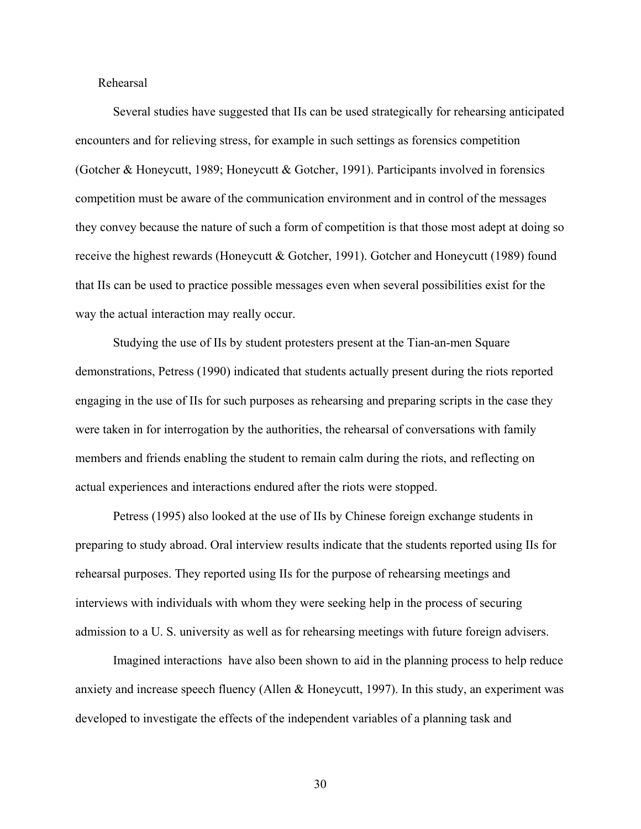Rehearsal

Several studies have suggested that IIs can be used strategically for rehearsing anticipated encounters and for relieving stress, for example in such settings as forensics competition (Gotcher & Honeycutt, 1989; Honeycutt & Gotcher, 1991). Participants involved in forensics competition must be aware of the communication environment and in control of the messages they convey because the nature of such a form of competition is that those most adept at doing so receive the highest rewards (Honeycutt & Gotcher, 1991). Gotcher and Honeycutt (1989) found that IIs can be used to practice possible messages even when several possibilities exist for the way the actual interaction may really occur.

Studying the use of IIs by student protesters present at the Tian-an-men Square demonstrations, Petress (1990) indicated that students actually present during the riots reported engaging in the use of IIs for such purposes as rehearsing and preparing scripts in the case they were taken in for interrogation by the authorities, the rehearsal of conversations with family members and friends enabling the student to remain calm during the riots, and reflecting on actual experiences and interactions endured after the riots were stopped.

Petress (1995) also looked at the use of IIs by Chinese foreign exchange students in preparing to study abroad. Oral interview results indicate that the students reported using IIs for rehearsal purposes. They reported using IIs for the purpose of rehearsing meetings and interviews with individuals with whom they were seeking help in the process of securing admission to a U. S. university as well as for rehearsing meetings with future foreign advisers.

Imagined interactions have also been shown to aid in the planning process to help reduce anxiety and increase speech fluency (Allen & Honeycutt, 1997). In this study, an experiment was developed to investigate the effects of the independent variables of a planning task and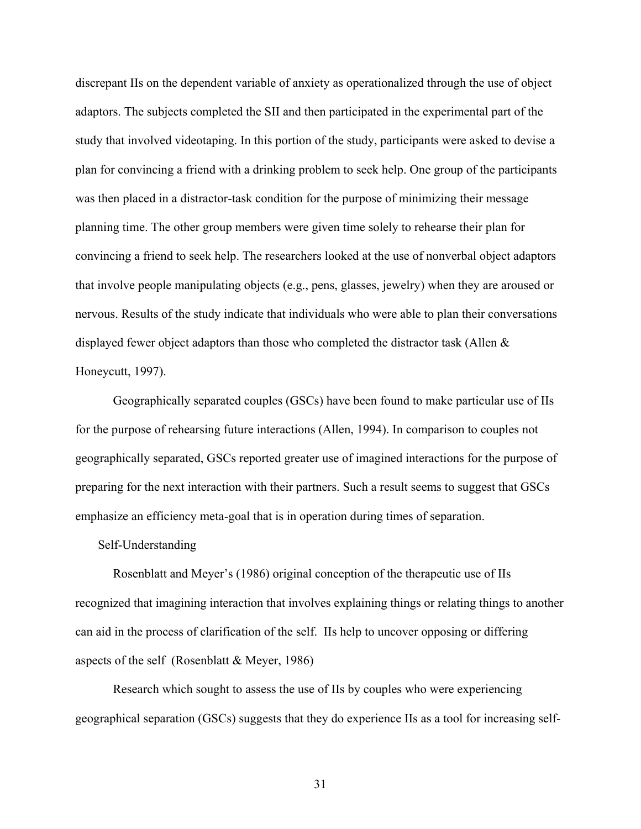discrepant IIs on the dependent variable of anxiety as operationalized through the use of object adaptors. The subjects completed the SII and then participated in the experimental part of the study that involved videotaping. In this portion of the study, participants were asked to devise a plan for convincing a friend with a drinking problem to seek help. One group of the participants was then placed in a distractor-task condition for the purpose of minimizing their message planning time. The other group members were given time solely to rehearse their plan for convincing a friend to seek help. The researchers looked at the use of nonverbal object adaptors that involve people manipulating objects (e.g., pens, glasses, jewelry) when they are aroused or nervous. Results of the study indicate that individuals who were able to plan their conversations displayed fewer object adaptors than those who completed the distractor task (Allen & Honeycutt, 1997).

Geographically separated couples (GSCs) have been found to make particular use of IIs for the purpose of rehearsing future interactions (Allen, 1994). In comparison to couples not geographically separated, GSCs reported greater use of imagined interactions for the purpose of preparing for the next interaction with their partners. Such a result seems to suggest that GSCs emphasize an efficiency meta-goal that is in operation during times of separation.

#### Self-Understanding

Rosenblatt and Meyer's (1986) original conception of the therapeutic use of IIs recognized that imagining interaction that involves explaining things or relating things to another can aid in the process of clarification of the self. IIs help to uncover opposing or differing aspects of the self (Rosenblatt & Meyer, 1986)

Research which sought to assess the use of IIs by couples who were experiencing geographical separation (GSCs) suggests that they do experience IIs as a tool for increasing self-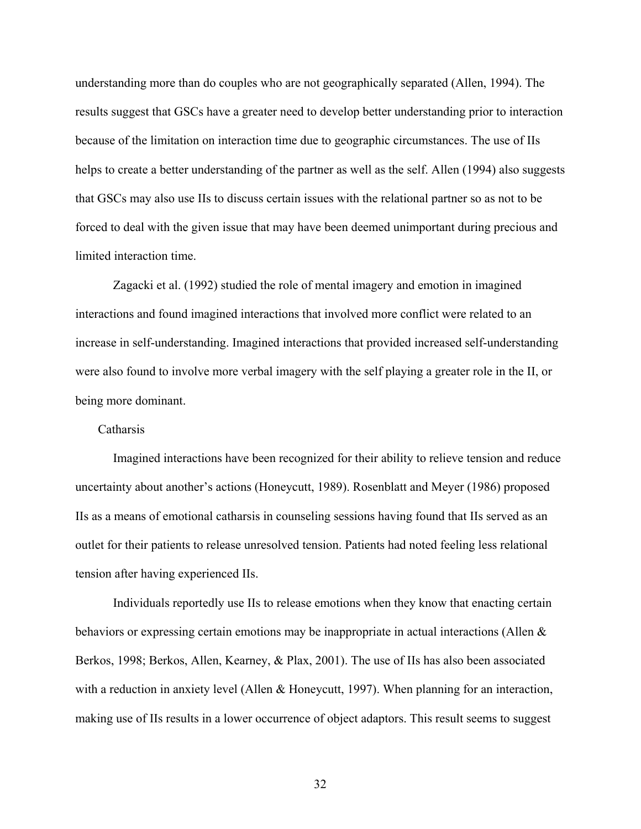understanding more than do couples who are not geographically separated (Allen, 1994). The results suggest that GSCs have a greater need to develop better understanding prior to interaction because of the limitation on interaction time due to geographic circumstances. The use of IIs helps to create a better understanding of the partner as well as the self. Allen (1994) also suggests that GSCs may also use IIs to discuss certain issues with the relational partner so as not to be forced to deal with the given issue that may have been deemed unimportant during precious and limited interaction time.

Zagacki et al. (1992) studied the role of mental imagery and emotion in imagined interactions and found imagined interactions that involved more conflict were related to an increase in self-understanding. Imagined interactions that provided increased self-understanding were also found to involve more verbal imagery with the self playing a greater role in the II, or being more dominant.

#### Catharsis

Imagined interactions have been recognized for their ability to relieve tension and reduce uncertainty about another's actions (Honeycutt, 1989). Rosenblatt and Meyer (1986) proposed IIs as a means of emotional catharsis in counseling sessions having found that IIs served as an outlet for their patients to release unresolved tension. Patients had noted feeling less relational tension after having experienced IIs.

Individuals reportedly use IIs to release emotions when they know that enacting certain behaviors or expressing certain emotions may be inappropriate in actual interactions (Allen & Berkos, 1998; Berkos, Allen, Kearney, & Plax, 2001). The use of IIs has also been associated with a reduction in anxiety level (Allen & Honeycutt, 1997). When planning for an interaction, making use of IIs results in a lower occurrence of object adaptors. This result seems to suggest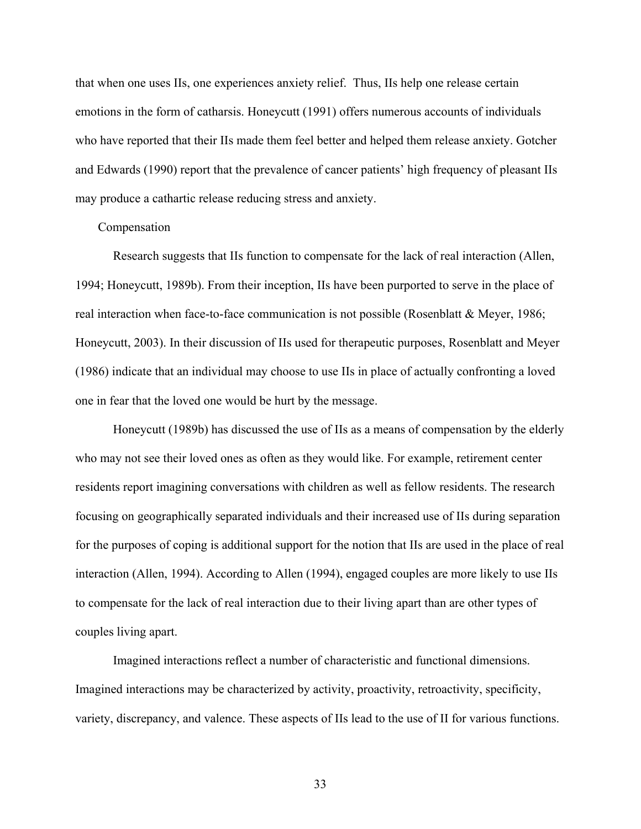that when one uses IIs, one experiences anxiety relief. Thus, IIs help one release certain emotions in the form of catharsis. Honeycutt (1991) offers numerous accounts of individuals who have reported that their IIs made them feel better and helped them release anxiety. Gotcher and Edwards (1990) report that the prevalence of cancer patients' high frequency of pleasant IIs may produce a cathartic release reducing stress and anxiety.

#### Compensation

Research suggests that IIs function to compensate for the lack of real interaction (Allen, 1994; Honeycutt, 1989b). From their inception, IIs have been purported to serve in the place of real interaction when face-to-face communication is not possible (Rosenblatt & Meyer, 1986; Honeycutt, 2003). In their discussion of IIs used for therapeutic purposes, Rosenblatt and Meyer (1986) indicate that an individual may choose to use IIs in place of actually confronting a loved one in fear that the loved one would be hurt by the message.

Honeycutt (1989b) has discussed the use of IIs as a means of compensation by the elderly who may not see their loved ones as often as they would like. For example, retirement center residents report imagining conversations with children as well as fellow residents. The research focusing on geographically separated individuals and their increased use of IIs during separation for the purposes of coping is additional support for the notion that IIs are used in the place of real interaction (Allen, 1994). According to Allen (1994), engaged couples are more likely to use IIs to compensate for the lack of real interaction due to their living apart than are other types of couples living apart.

Imagined interactions reflect a number of characteristic and functional dimensions. Imagined interactions may be characterized by activity, proactivity, retroactivity, specificity, variety, discrepancy, and valence. These aspects of IIs lead to the use of II for various functions.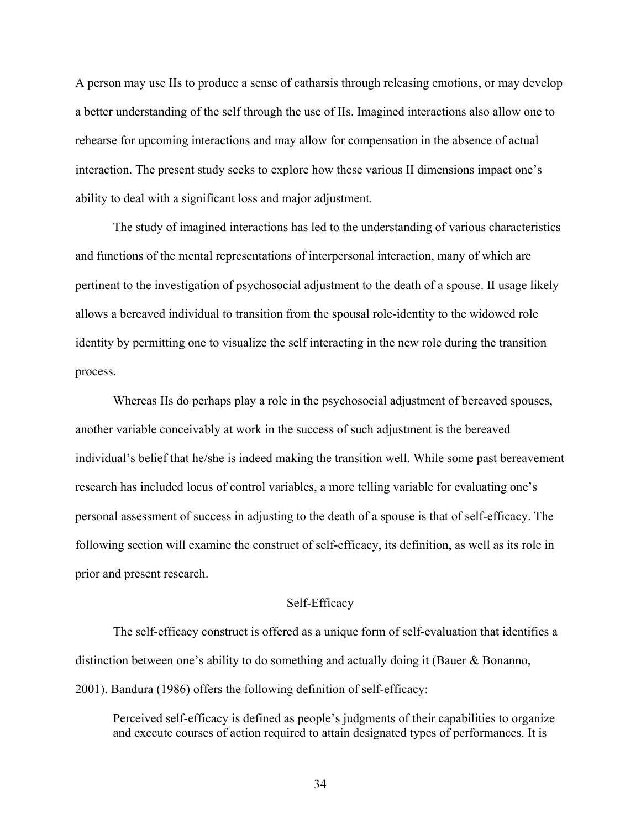A person may use IIs to produce a sense of catharsis through releasing emotions, or may develop a better understanding of the self through the use of IIs. Imagined interactions also allow one to rehearse for upcoming interactions and may allow for compensation in the absence of actual interaction. The present study seeks to explore how these various II dimensions impact one's ability to deal with a significant loss and major adjustment.

The study of imagined interactions has led to the understanding of various characteristics and functions of the mental representations of interpersonal interaction, many of which are pertinent to the investigation of psychosocial adjustment to the death of a spouse. II usage likely allows a bereaved individual to transition from the spousal role-identity to the widowed role identity by permitting one to visualize the self interacting in the new role during the transition process.

Whereas IIs do perhaps play a role in the psychosocial adjustment of bereaved spouses, another variable conceivably at work in the success of such adjustment is the bereaved individual's belief that he/she is indeed making the transition well. While some past bereavement research has included locus of control variables, a more telling variable for evaluating one's personal assessment of success in adjusting to the death of a spouse is that of self-efficacy. The following section will examine the construct of self-efficacy, its definition, as well as its role in prior and present research.

## Self-Efficacy

The self-efficacy construct is offered as a unique form of self-evaluation that identifies a distinction between one's ability to do something and actually doing it (Bauer & Bonanno, 2001). Bandura (1986) offers the following definition of self-efficacy:

Perceived self-efficacy is defined as people's judgments of their capabilities to organize and execute courses of action required to attain designated types of performances. It is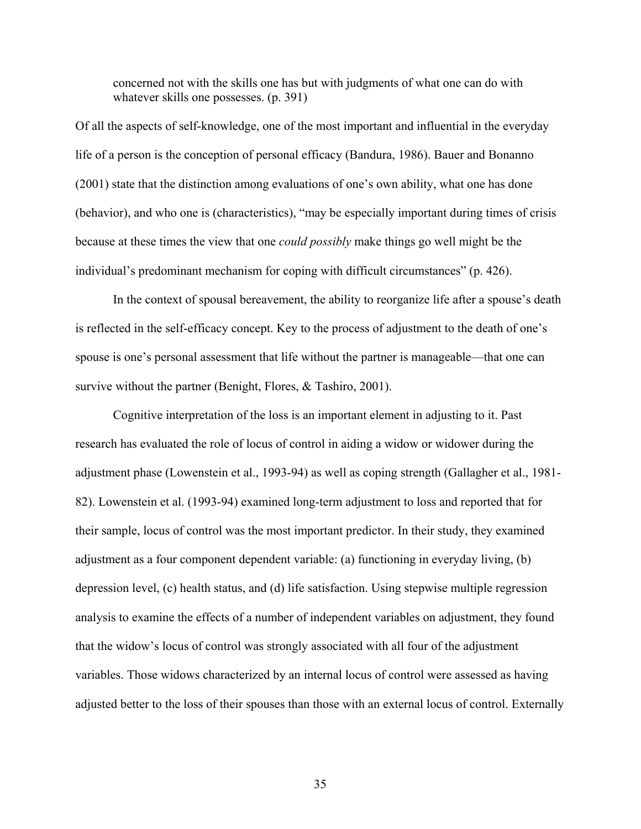concerned not with the skills one has but with judgments of what one can do with whatever skills one possesses. (p. 391)

Of all the aspects of self-knowledge, one of the most important and influential in the everyday life of a person is the conception of personal efficacy (Bandura, 1986). Bauer and Bonanno (2001) state that the distinction among evaluations of one's own ability, what one has done (behavior), and who one is (characteristics), "may be especially important during times of crisis because at these times the view that one *could possibly* make things go well might be the individual's predominant mechanism for coping with difficult circumstances" (p. 426).

In the context of spousal bereavement, the ability to reorganize life after a spouse's death is reflected in the self-efficacy concept. Key to the process of adjustment to the death of one's spouse is one's personal assessment that life without the partner is manageable—that one can survive without the partner (Benight, Flores, & Tashiro, 2001).

Cognitive interpretation of the loss is an important element in adjusting to it. Past research has evaluated the role of locus of control in aiding a widow or widower during the adjustment phase (Lowenstein et al., 1993-94) as well as coping strength (Gallagher et al., 1981- 82). Lowenstein et al. (1993-94) examined long-term adjustment to loss and reported that for their sample, locus of control was the most important predictor. In their study, they examined adjustment as a four component dependent variable: (a) functioning in everyday living, (b) depression level, (c) health status, and (d) life satisfaction. Using stepwise multiple regression analysis to examine the effects of a number of independent variables on adjustment, they found that the widow's locus of control was strongly associated with all four of the adjustment variables. Those widows characterized by an internal locus of control were assessed as having adjusted better to the loss of their spouses than those with an external locus of control. Externally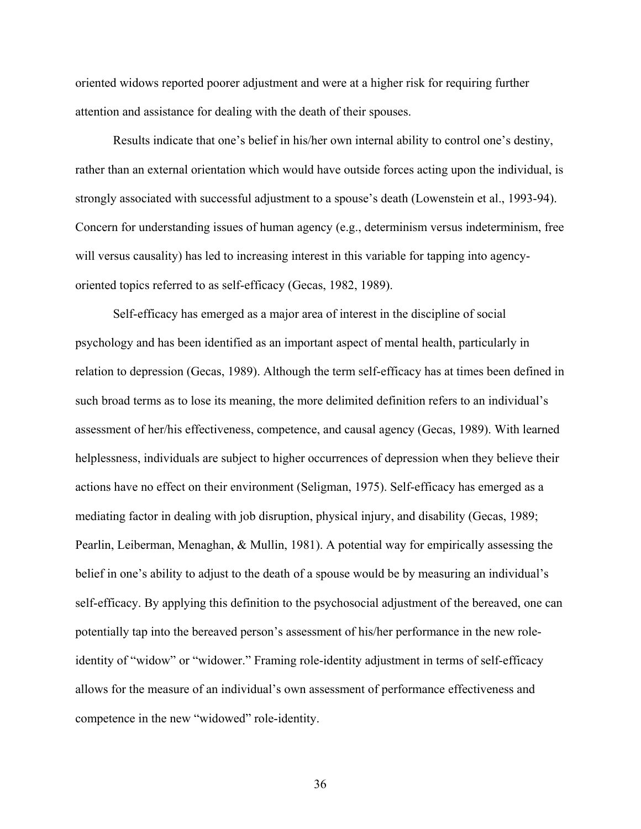oriented widows reported poorer adjustment and were at a higher risk for requiring further attention and assistance for dealing with the death of their spouses.

Results indicate that one's belief in his/her own internal ability to control one's destiny, rather than an external orientation which would have outside forces acting upon the individual, is strongly associated with successful adjustment to a spouse's death (Lowenstein et al., 1993-94). Concern for understanding issues of human agency (e.g., determinism versus indeterminism, free will versus causality) has led to increasing interest in this variable for tapping into agencyoriented topics referred to as self-efficacy (Gecas, 1982, 1989).

Self-efficacy has emerged as a major area of interest in the discipline of social psychology and has been identified as an important aspect of mental health, particularly in relation to depression (Gecas, 1989). Although the term self-efficacy has at times been defined in such broad terms as to lose its meaning, the more delimited definition refers to an individual's assessment of her/his effectiveness, competence, and causal agency (Gecas, 1989). With learned helplessness, individuals are subject to higher occurrences of depression when they believe their actions have no effect on their environment (Seligman, 1975). Self-efficacy has emerged as a mediating factor in dealing with job disruption, physical injury, and disability (Gecas, 1989; Pearlin, Leiberman, Menaghan, & Mullin, 1981). A potential way for empirically assessing the belief in one's ability to adjust to the death of a spouse would be by measuring an individual's self-efficacy. By applying this definition to the psychosocial adjustment of the bereaved, one can potentially tap into the bereaved person's assessment of his/her performance in the new roleidentity of "widow" or "widower." Framing role-identity adjustment in terms of self-efficacy allows for the measure of an individual's own assessment of performance effectiveness and competence in the new "widowed" role-identity.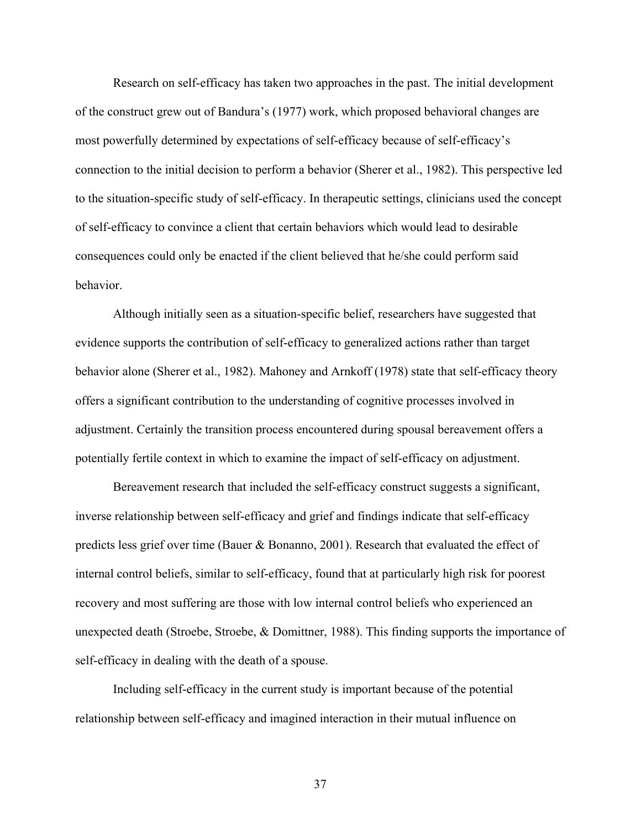Research on self-efficacy has taken two approaches in the past. The initial development of the construct grew out of Bandura's (1977) work, which proposed behavioral changes are most powerfully determined by expectations of self-efficacy because of self-efficacy's connection to the initial decision to perform a behavior (Sherer et al., 1982). This perspective led to the situation-specific study of self-efficacy. In therapeutic settings, clinicians used the concept of self-efficacy to convince a client that certain behaviors which would lead to desirable consequences could only be enacted if the client believed that he/she could perform said behavior.

Although initially seen as a situation-specific belief, researchers have suggested that evidence supports the contribution of self-efficacy to generalized actions rather than target behavior alone (Sherer et al., 1982). Mahoney and Arnkoff (1978) state that self-efficacy theory offers a significant contribution to the understanding of cognitive processes involved in adjustment. Certainly the transition process encountered during spousal bereavement offers a potentially fertile context in which to examine the impact of self-efficacy on adjustment.

Bereavement research that included the self-efficacy construct suggests a significant, inverse relationship between self-efficacy and grief and findings indicate that self-efficacy predicts less grief over time (Bauer & Bonanno, 2001). Research that evaluated the effect of internal control beliefs, similar to self-efficacy, found that at particularly high risk for poorest recovery and most suffering are those with low internal control beliefs who experienced an unexpected death (Stroebe, Stroebe, & Domittner, 1988). This finding supports the importance of self-efficacy in dealing with the death of a spouse.

Including self-efficacy in the current study is important because of the potential relationship between self-efficacy and imagined interaction in their mutual influence on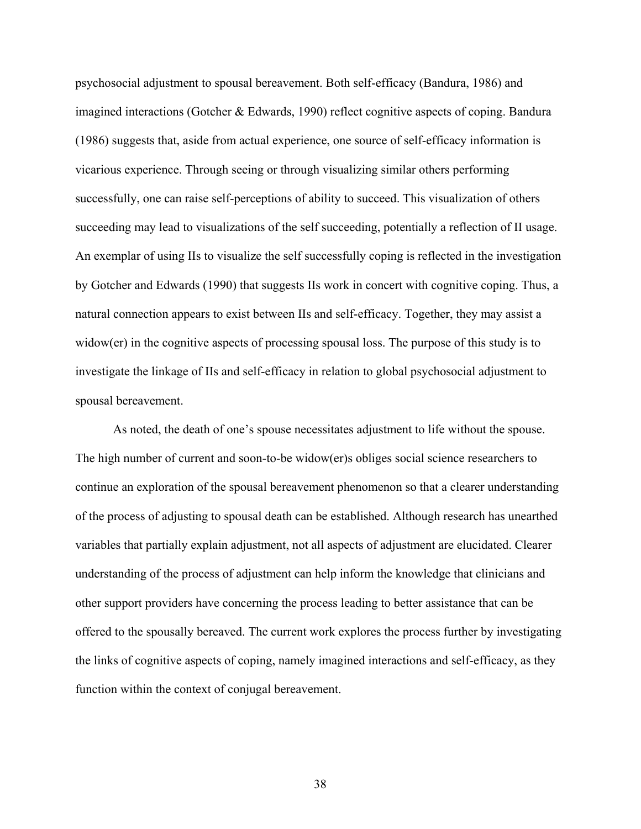psychosocial adjustment to spousal bereavement. Both self-efficacy (Bandura, 1986) and imagined interactions (Gotcher & Edwards, 1990) reflect cognitive aspects of coping. Bandura (1986) suggests that, aside from actual experience, one source of self-efficacy information is vicarious experience. Through seeing or through visualizing similar others performing successfully, one can raise self-perceptions of ability to succeed. This visualization of others succeeding may lead to visualizations of the self succeeding, potentially a reflection of II usage. An exemplar of using IIs to visualize the self successfully coping is reflected in the investigation by Gotcher and Edwards (1990) that suggests IIs work in concert with cognitive coping. Thus, a natural connection appears to exist between IIs and self-efficacy. Together, they may assist a widow(er) in the cognitive aspects of processing spousal loss. The purpose of this study is to investigate the linkage of IIs and self-efficacy in relation to global psychosocial adjustment to spousal bereavement.

As noted, the death of one's spouse necessitates adjustment to life without the spouse. The high number of current and soon-to-be widow(er)s obliges social science researchers to continue an exploration of the spousal bereavement phenomenon so that a clearer understanding of the process of adjusting to spousal death can be established. Although research has unearthed variables that partially explain adjustment, not all aspects of adjustment are elucidated. Clearer understanding of the process of adjustment can help inform the knowledge that clinicians and other support providers have concerning the process leading to better assistance that can be offered to the spousally bereaved. The current work explores the process further by investigating the links of cognitive aspects of coping, namely imagined interactions and self-efficacy, as they function within the context of conjugal bereavement.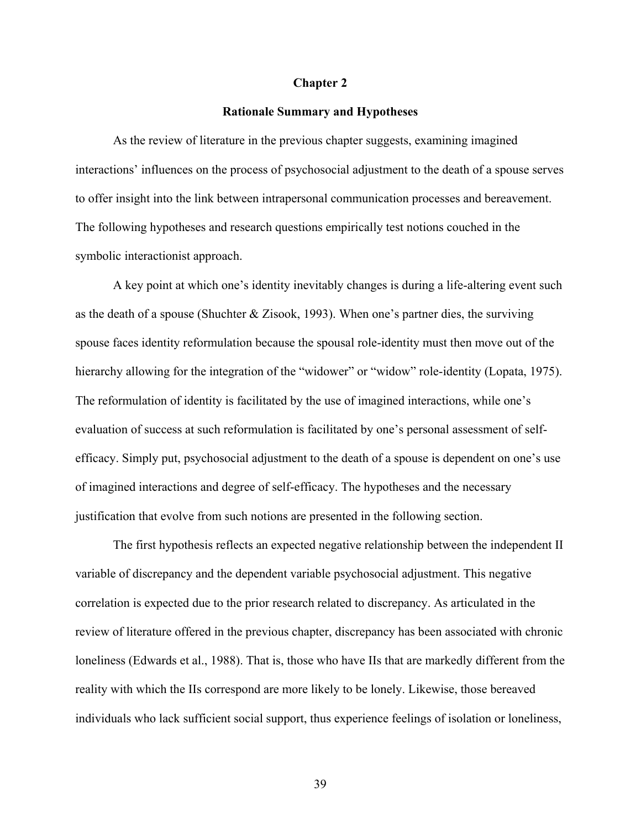#### **Chapter 2**

#### **Rationale Summary and Hypotheses**

As the review of literature in the previous chapter suggests, examining imagined interactions' influences on the process of psychosocial adjustment to the death of a spouse serves to offer insight into the link between intrapersonal communication processes and bereavement. The following hypotheses and research questions empirically test notions couched in the symbolic interactionist approach.

A key point at which one's identity inevitably changes is during a life-altering event such as the death of a spouse (Shuchter & Zisook, 1993). When one's partner dies, the surviving spouse faces identity reformulation because the spousal role-identity must then move out of the hierarchy allowing for the integration of the "widower" or "widow" role-identity (Lopata, 1975). The reformulation of identity is facilitated by the use of imagined interactions, while one's evaluation of success at such reformulation is facilitated by one's personal assessment of selfefficacy. Simply put, psychosocial adjustment to the death of a spouse is dependent on one's use of imagined interactions and degree of self-efficacy. The hypotheses and the necessary justification that evolve from such notions are presented in the following section.

The first hypothesis reflects an expected negative relationship between the independent II variable of discrepancy and the dependent variable psychosocial adjustment. This negative correlation is expected due to the prior research related to discrepancy. As articulated in the review of literature offered in the previous chapter, discrepancy has been associated with chronic loneliness (Edwards et al., 1988). That is, those who have IIs that are markedly different from the reality with which the IIs correspond are more likely to be lonely. Likewise, those bereaved individuals who lack sufficient social support, thus experience feelings of isolation or loneliness,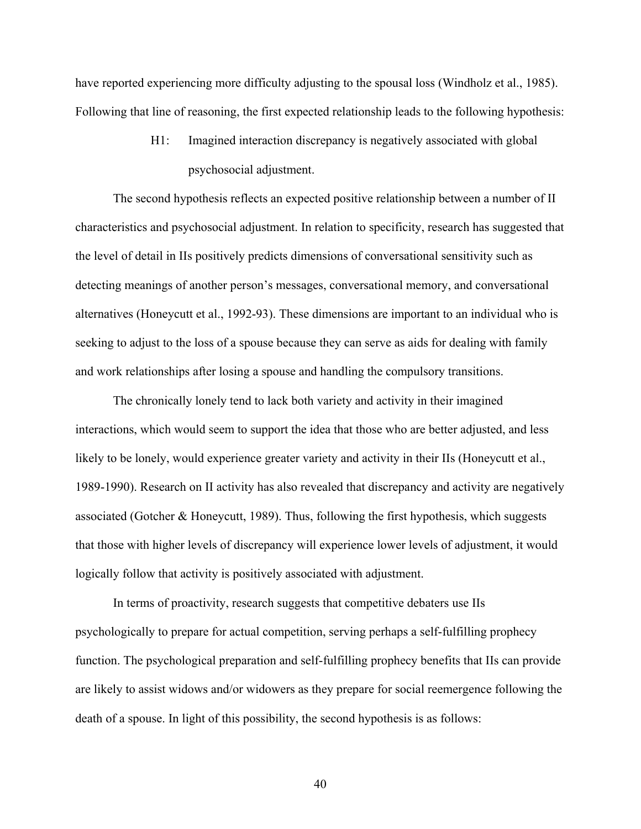have reported experiencing more difficulty adjusting to the spousal loss (Windholz et al., 1985). Following that line of reasoning, the first expected relationship leads to the following hypothesis:

> H1: Imagined interaction discrepancy is negatively associated with global psychosocial adjustment.

The second hypothesis reflects an expected positive relationship between a number of II characteristics and psychosocial adjustment. In relation to specificity, research has suggested that the level of detail in IIs positively predicts dimensions of conversational sensitivity such as detecting meanings of another person's messages, conversational memory, and conversational alternatives (Honeycutt et al., 1992-93). These dimensions are important to an individual who is seeking to adjust to the loss of a spouse because they can serve as aids for dealing with family and work relationships after losing a spouse and handling the compulsory transitions.

The chronically lonely tend to lack both variety and activity in their imagined interactions, which would seem to support the idea that those who are better adjusted, and less likely to be lonely, would experience greater variety and activity in their IIs (Honeycutt et al., 1989-1990). Research on II activity has also revealed that discrepancy and activity are negatively associated (Gotcher & Honeycutt, 1989). Thus, following the first hypothesis, which suggests that those with higher levels of discrepancy will experience lower levels of adjustment, it would logically follow that activity is positively associated with adjustment.

In terms of proactivity, research suggests that competitive debaters use IIs psychologically to prepare for actual competition, serving perhaps a self-fulfilling prophecy function. The psychological preparation and self-fulfilling prophecy benefits that IIs can provide are likely to assist widows and/or widowers as they prepare for social reemergence following the death of a spouse. In light of this possibility, the second hypothesis is as follows: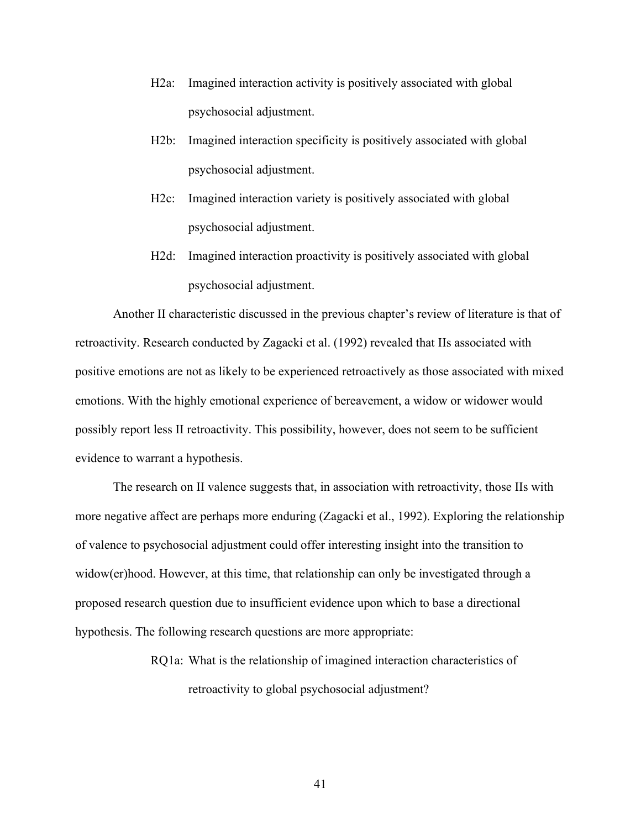- H2a: Imagined interaction activity is positively associated with global psychosocial adjustment.
- H2b: Imagined interaction specificity is positively associated with global psychosocial adjustment.
- H2c: Imagined interaction variety is positively associated with global psychosocial adjustment.
- H2d: Imagined interaction proactivity is positively associated with global psychosocial adjustment.

Another II characteristic discussed in the previous chapter's review of literature is that of retroactivity. Research conducted by Zagacki et al. (1992) revealed that IIs associated with positive emotions are not as likely to be experienced retroactively as those associated with mixed emotions. With the highly emotional experience of bereavement, a widow or widower would possibly report less II retroactivity. This possibility, however, does not seem to be sufficient evidence to warrant a hypothesis.

The research on II valence suggests that, in association with retroactivity, those IIs with more negative affect are perhaps more enduring (Zagacki et al., 1992). Exploring the relationship of valence to psychosocial adjustment could offer interesting insight into the transition to widow(er)hood. However, at this time, that relationship can only be investigated through a proposed research question due to insufficient evidence upon which to base a directional hypothesis. The following research questions are more appropriate:

> RQ1a: What is the relationship of imagined interaction characteristics of retroactivity to global psychosocial adjustment?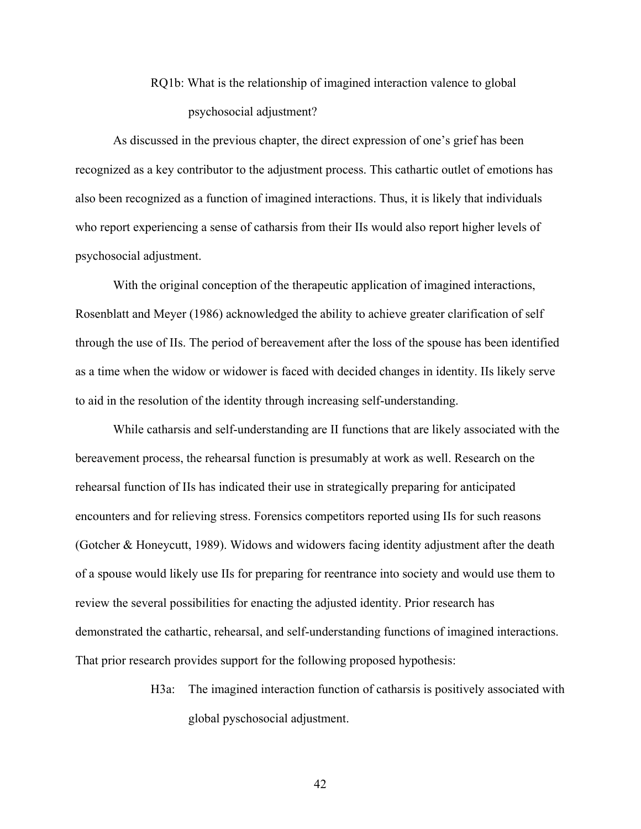# RQ1b: What is the relationship of imagined interaction valence to global psychosocial adjustment?

As discussed in the previous chapter, the direct expression of one's grief has been recognized as a key contributor to the adjustment process. This cathartic outlet of emotions has also been recognized as a function of imagined interactions. Thus, it is likely that individuals who report experiencing a sense of catharsis from their IIs would also report higher levels of psychosocial adjustment.

With the original conception of the therapeutic application of imagined interactions, Rosenblatt and Meyer (1986) acknowledged the ability to achieve greater clarification of self through the use of IIs. The period of bereavement after the loss of the spouse has been identified as a time when the widow or widower is faced with decided changes in identity. IIs likely serve to aid in the resolution of the identity through increasing self-understanding.

While catharsis and self-understanding are II functions that are likely associated with the bereavement process, the rehearsal function is presumably at work as well. Research on the rehearsal function of IIs has indicated their use in strategically preparing for anticipated encounters and for relieving stress. Forensics competitors reported using IIs for such reasons (Gotcher & Honeycutt, 1989). Widows and widowers facing identity adjustment after the death of a spouse would likely use IIs for preparing for reentrance into society and would use them to review the several possibilities for enacting the adjusted identity. Prior research has demonstrated the cathartic, rehearsal, and self-understanding functions of imagined interactions. That prior research provides support for the following proposed hypothesis:

> H3a: The imagined interaction function of catharsis is positively associated with global pyschosocial adjustment.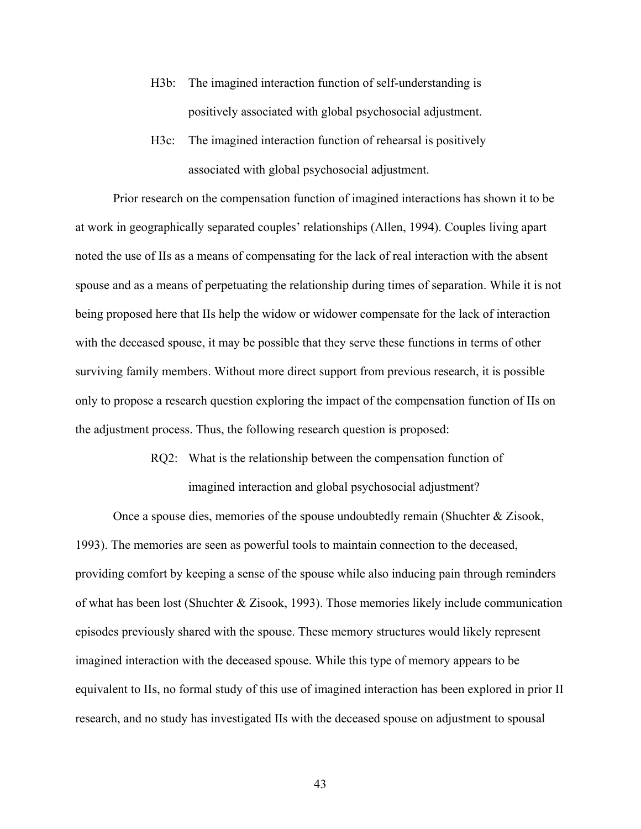- H3b: The imagined interaction function of self-understanding is positively associated with global psychosocial adjustment.
- H3c: The imagined interaction function of rehearsal is positively associated with global psychosocial adjustment.

Prior research on the compensation function of imagined interactions has shown it to be at work in geographically separated couples' relationships (Allen, 1994). Couples living apart noted the use of IIs as a means of compensating for the lack of real interaction with the absent spouse and as a means of perpetuating the relationship during times of separation. While it is not being proposed here that IIs help the widow or widower compensate for the lack of interaction with the deceased spouse, it may be possible that they serve these functions in terms of other surviving family members. Without more direct support from previous research, it is possible only to propose a research question exploring the impact of the compensation function of IIs on the adjustment process. Thus, the following research question is proposed:

> RQ2: What is the relationship between the compensation function of imagined interaction and global psychosocial adjustment?

Once a spouse dies, memories of the spouse undoubtedly remain (Shuchter & Zisook, 1993). The memories are seen as powerful tools to maintain connection to the deceased, providing comfort by keeping a sense of the spouse while also inducing pain through reminders of what has been lost (Shuchter & Zisook, 1993). Those memories likely include communication episodes previously shared with the spouse. These memory structures would likely represent imagined interaction with the deceased spouse. While this type of memory appears to be equivalent to IIs, no formal study of this use of imagined interaction has been explored in prior II research, and no study has investigated IIs with the deceased spouse on adjustment to spousal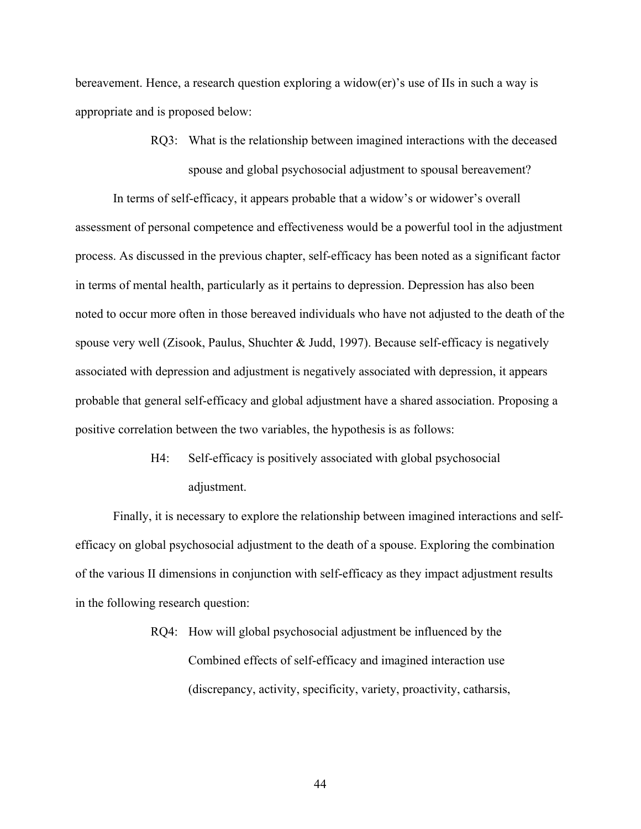bereavement. Hence, a research question exploring a widow(er)'s use of IIs in such a way is appropriate and is proposed below:

> RQ3: What is the relationship between imagined interactions with the deceased spouse and global psychosocial adjustment to spousal bereavement?

In terms of self-efficacy, it appears probable that a widow's or widower's overall assessment of personal competence and effectiveness would be a powerful tool in the adjustment process. As discussed in the previous chapter, self-efficacy has been noted as a significant factor in terms of mental health, particularly as it pertains to depression. Depression has also been noted to occur more often in those bereaved individuals who have not adjusted to the death of the spouse very well (Zisook, Paulus, Shuchter & Judd, 1997). Because self-efficacy is negatively associated with depression and adjustment is negatively associated with depression, it appears probable that general self-efficacy and global adjustment have a shared association. Proposing a positive correlation between the two variables, the hypothesis is as follows:

> H4: Self-efficacy is positively associated with global psychosocial adjustment.

Finally, it is necessary to explore the relationship between imagined interactions and selfefficacy on global psychosocial adjustment to the death of a spouse. Exploring the combination of the various II dimensions in conjunction with self-efficacy as they impact adjustment results in the following research question:

> RQ4: How will global psychosocial adjustment be influenced by the Combined effects of self-efficacy and imagined interaction use (discrepancy, activity, specificity, variety, proactivity, catharsis,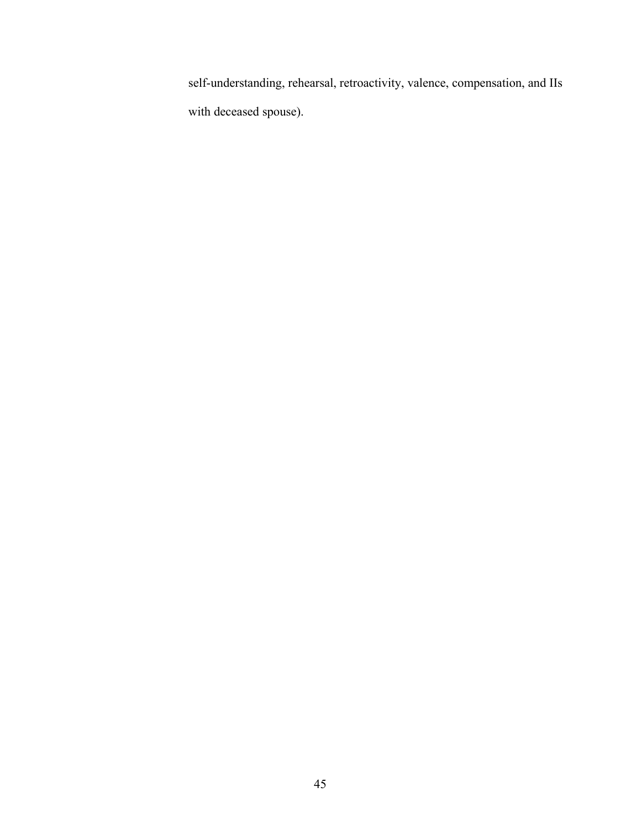self-understanding, rehearsal, retroactivity, valence, compensation, and IIs with deceased spouse).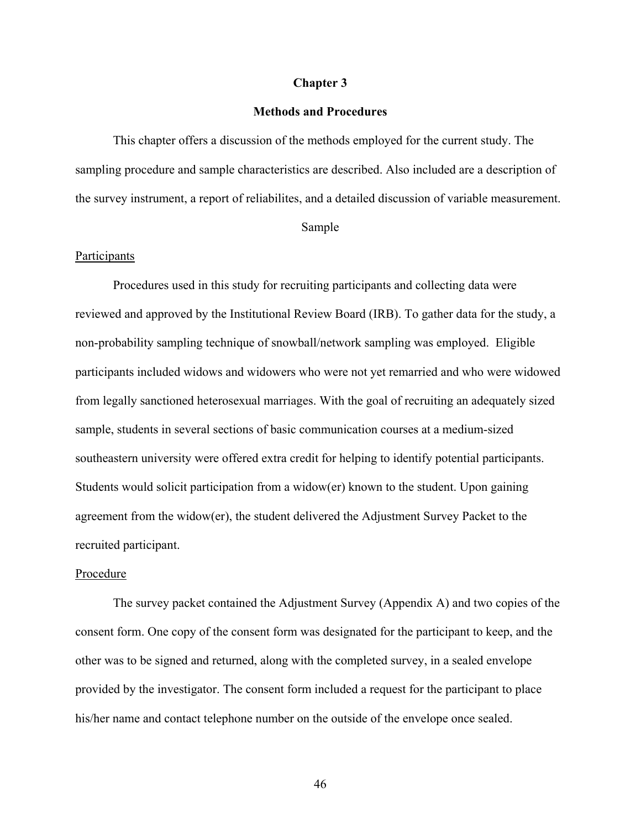#### **Chapter 3**

# **Methods and Procedures**

This chapter offers a discussion of the methods employed for the current study. The sampling procedure and sample characteristics are described. Also included are a description of the survey instrument, a report of reliabilites, and a detailed discussion of variable measurement.

#### Sample

#### Participants

Procedures used in this study for recruiting participants and collecting data were reviewed and approved by the Institutional Review Board (IRB). To gather data for the study, a non-probability sampling technique of snowball/network sampling was employed. Eligible participants included widows and widowers who were not yet remarried and who were widowed from legally sanctioned heterosexual marriages. With the goal of recruiting an adequately sized sample, students in several sections of basic communication courses at a medium-sized southeastern university were offered extra credit for helping to identify potential participants. Students would solicit participation from a widow(er) known to the student. Upon gaining agreement from the widow(er), the student delivered the Adjustment Survey Packet to the recruited participant.

# Procedure

The survey packet contained the Adjustment Survey (Appendix A) and two copies of the consent form. One copy of the consent form was designated for the participant to keep, and the other was to be signed and returned, along with the completed survey, in a sealed envelope provided by the investigator. The consent form included a request for the participant to place his/her name and contact telephone number on the outside of the envelope once sealed.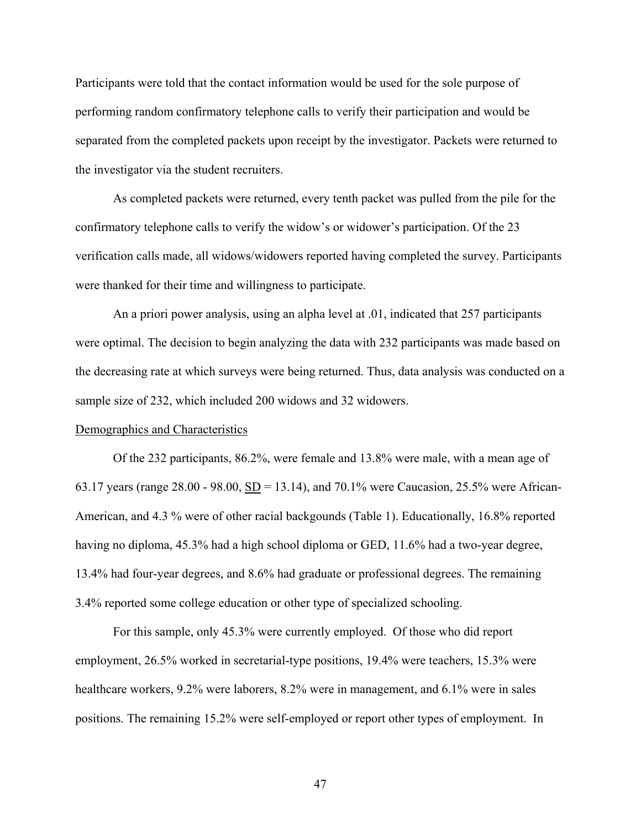Participants were told that the contact information would be used for the sole purpose of performing random confirmatory telephone calls to verify their participation and would be separated from the completed packets upon receipt by the investigator. Packets were returned to the investigator via the student recruiters.

As completed packets were returned, every tenth packet was pulled from the pile for the confirmatory telephone calls to verify the widow's or widower's participation. Of the 23 verification calls made, all widows/widowers reported having completed the survey. Participants were thanked for their time and willingness to participate.

An a priori power analysis, using an alpha level at .01, indicated that 257 participants were optimal. The decision to begin analyzing the data with 232 participants was made based on the decreasing rate at which surveys were being returned. Thus, data analysis was conducted on a sample size of 232, which included 200 widows and 32 widowers.

#### Demographics and Characteristics

Of the 232 participants, 86.2%, were female and 13.8% were male, with a mean age of 63.17 years (range  $28.00 - 98.00$ ,  $\underline{SD} = 13.14$ ), and  $70.1\%$  were Caucasion, 25.5% were African-American, and 4.3 % were of other racial backgounds (Table 1). Educationally, 16.8% reported having no diploma, 45.3% had a high school diploma or GED, 11.6% had a two-year degree, 13.4% had four-year degrees, and 8.6% had graduate or professional degrees. The remaining 3.4% reported some college education or other type of specialized schooling.

For this sample, only 45.3% were currently employed. Of those who did report employment, 26.5% worked in secretarial-type positions, 19.4% were teachers, 15.3% were healthcare workers, 9.2% were laborers, 8.2% were in management, and 6.1% were in sales positions. The remaining 15.2% were self-employed or report other types of employment. In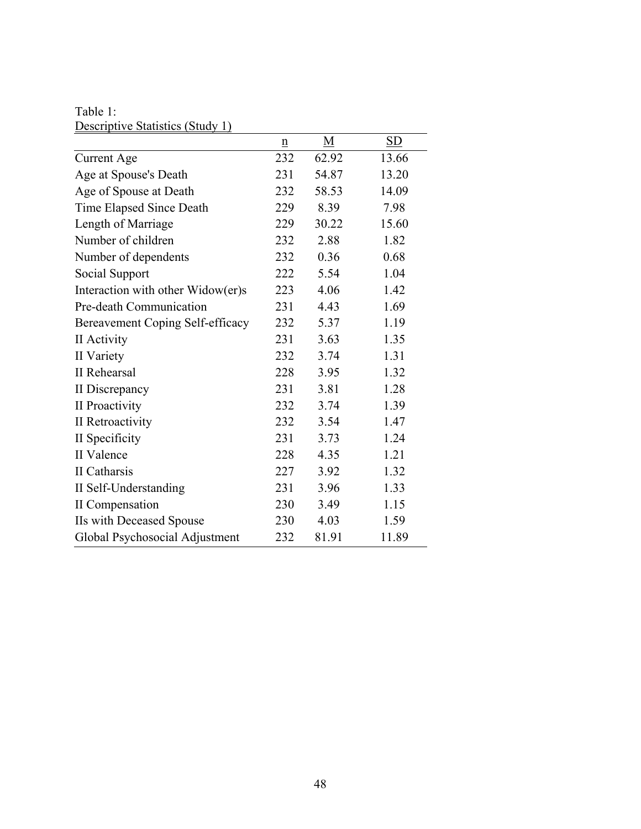Table 1: Descriptive Statistics (Study 1)

| $\underline{\mathbf{n}}$ | M     | <b>SD</b> |
|--------------------------|-------|-----------|
| 232                      | 62.92 | 13.66     |
| 231                      | 54.87 | 13.20     |
| 232                      | 58.53 | 14.09     |
| 229                      | 8.39  | 7.98      |
| 229                      | 30.22 | 15.60     |
| 232                      | 2.88  | 1.82      |
| 232                      | 0.36  | 0.68      |
| 222                      | 5.54  | 1.04      |
| 223                      | 4.06  | 1.42      |
| 231                      | 4.43  | 1.69      |
| 232                      | 5.37  | 1.19      |
| 231                      | 3.63  | 1.35      |
| 232                      | 3.74  | 1.31      |
| 228                      | 3.95  | 1.32      |
| 231                      | 3.81  | 1.28      |
| 232                      | 3.74  | 1.39      |
| 232                      | 3.54  | 1.47      |
| 231                      | 3.73  | 1.24      |
| 228                      | 4.35  | 1.21      |
| 227                      | 3.92  | 1.32      |
| 231                      | 3.96  | 1.33      |
| 230                      | 3.49  | 1.15      |
| 230                      | 4.03  | 1.59      |
| 232                      | 81.91 | 11.89     |
|                          |       |           |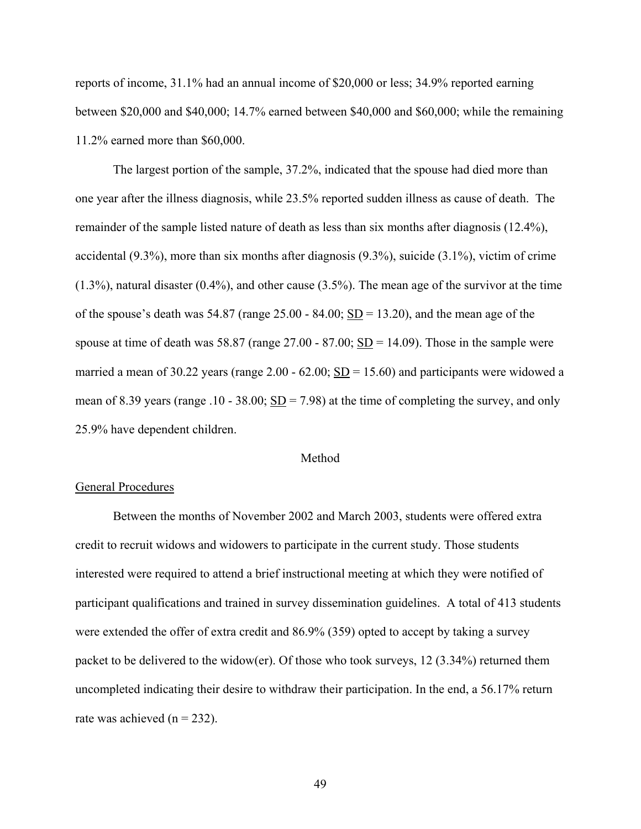reports of income, 31.1% had an annual income of \$20,000 or less; 34.9% reported earning between \$20,000 and \$40,000; 14.7% earned between \$40,000 and \$60,000; while the remaining 11.2% earned more than \$60,000.

The largest portion of the sample, 37.2%, indicated that the spouse had died more than one year after the illness diagnosis, while 23.5% reported sudden illness as cause of death. The remainder of the sample listed nature of death as less than six months after diagnosis (12.4%), accidental (9.3%), more than six months after diagnosis (9.3%), suicide (3.1%), victim of crime (1.3%), natural disaster (0.4%), and other cause (3.5%). The mean age of the survivor at the time of the spouse's death was  $54.87$  (range  $25.00 - 84.00$ ; SD = 13.20), and the mean age of the spouse at time of death was 58.87 (range  $27.00 - 87.00$ ;  $\underline{SD} = 14.09$ ). Those in the sample were married a mean of 30.22 years (range  $2.00 - 62.00$ ; SD = 15.60) and participants were widowed a mean of 8.39 years (range .10 - 38.00;  $SD = 7.98$ ) at the time of completing the survey, and only 25.9% have dependent children.

#### Method

#### General Procedures

Between the months of November 2002 and March 2003, students were offered extra credit to recruit widows and widowers to participate in the current study. Those students interested were required to attend a brief instructional meeting at which they were notified of participant qualifications and trained in survey dissemination guidelines. A total of 413 students were extended the offer of extra credit and 86.9% (359) opted to accept by taking a survey packet to be delivered to the widow(er). Of those who took surveys, 12 (3.34%) returned them uncompleted indicating their desire to withdraw their participation. In the end, a 56.17% return rate was achieved  $(n = 232)$ .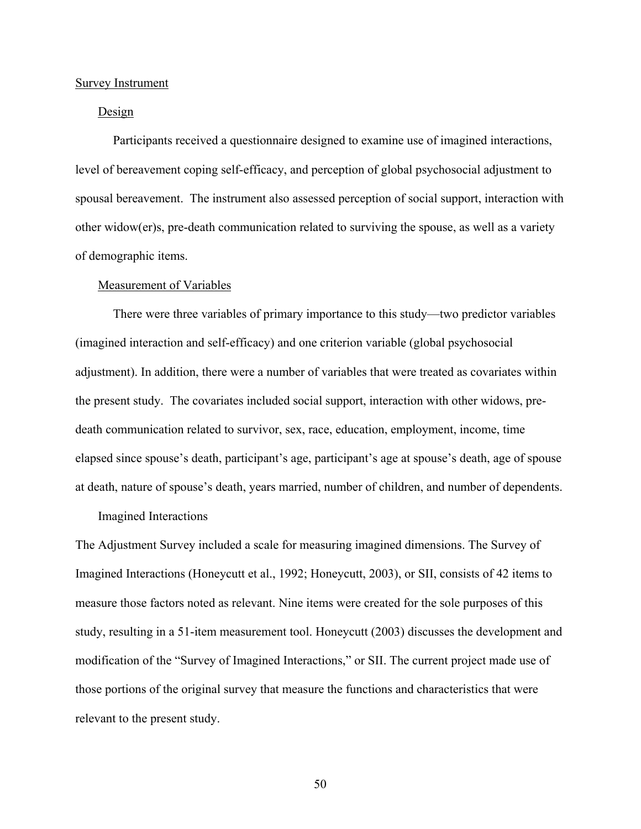#### Survey Instrument

# Design

Participants received a questionnaire designed to examine use of imagined interactions, level of bereavement coping self-efficacy, and perception of global psychosocial adjustment to spousal bereavement. The instrument also assessed perception of social support, interaction with other widow(er)s, pre-death communication related to surviving the spouse, as well as a variety of demographic items.

#### Measurement of Variables

There were three variables of primary importance to this study—two predictor variables (imagined interaction and self-efficacy) and one criterion variable (global psychosocial adjustment). In addition, there were a number of variables that were treated as covariates within the present study. The covariates included social support, interaction with other widows, predeath communication related to survivor, sex, race, education, employment, income, time elapsed since spouse's death, participant's age, participant's age at spouse's death, age of spouse at death, nature of spouse's death, years married, number of children, and number of dependents.

#### Imagined Interactions

The Adjustment Survey included a scale for measuring imagined dimensions. The Survey of Imagined Interactions (Honeycutt et al., 1992; Honeycutt, 2003), or SII, consists of 42 items to measure those factors noted as relevant. Nine items were created for the sole purposes of this study, resulting in a 51-item measurement tool. Honeycutt (2003) discusses the development and modification of the "Survey of Imagined Interactions," or SII. The current project made use of those portions of the original survey that measure the functions and characteristics that were relevant to the present study.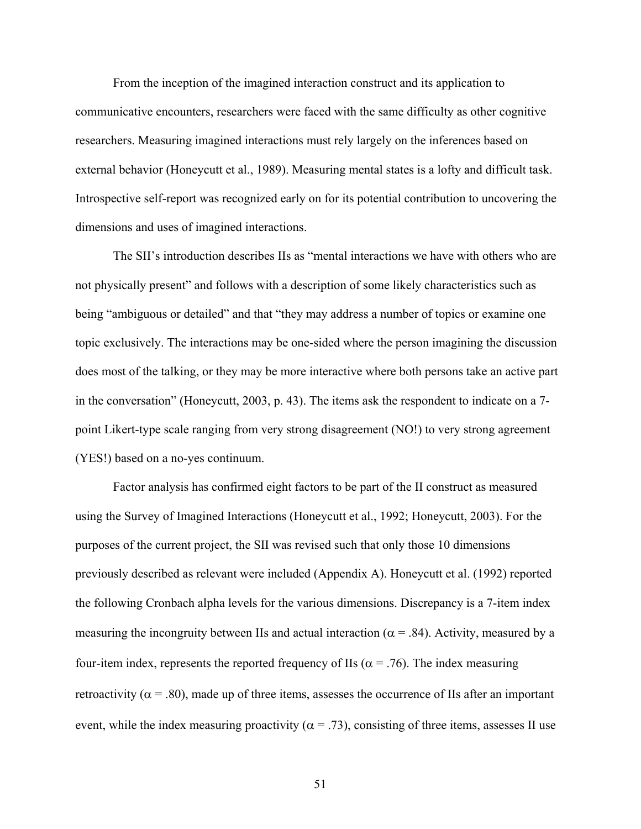From the inception of the imagined interaction construct and its application to communicative encounters, researchers were faced with the same difficulty as other cognitive researchers. Measuring imagined interactions must rely largely on the inferences based on external behavior (Honeycutt et al., 1989). Measuring mental states is a lofty and difficult task. Introspective self-report was recognized early on for its potential contribution to uncovering the dimensions and uses of imagined interactions.

The SII's introduction describes IIs as "mental interactions we have with others who are not physically present" and follows with a description of some likely characteristics such as being "ambiguous or detailed" and that "they may address a number of topics or examine one topic exclusively. The interactions may be one-sided where the person imagining the discussion does most of the talking, or they may be more interactive where both persons take an active part in the conversation" (Honeycutt, 2003, p. 43). The items ask the respondent to indicate on a 7 point Likert-type scale ranging from very strong disagreement (NO!) to very strong agreement (YES!) based on a no-yes continuum.

Factor analysis has confirmed eight factors to be part of the II construct as measured using the Survey of Imagined Interactions (Honeycutt et al., 1992; Honeycutt, 2003). For the purposes of the current project, the SII was revised such that only those 10 dimensions previously described as relevant were included (Appendix A). Honeycutt et al. (1992) reported the following Cronbach alpha levels for the various dimensions. Discrepancy is a 7-item index measuring the incongruity between IIs and actual interaction ( $\alpha$  = .84). Activity, measured by a four-item index, represents the reported frequency of IIs ( $\alpha$  = .76). The index measuring retroactivity ( $\alpha$  = .80), made up of three items, assesses the occurrence of IIs after an important event, while the index measuring proactivity ( $\alpha$  = .73), consisting of three items, assesses II use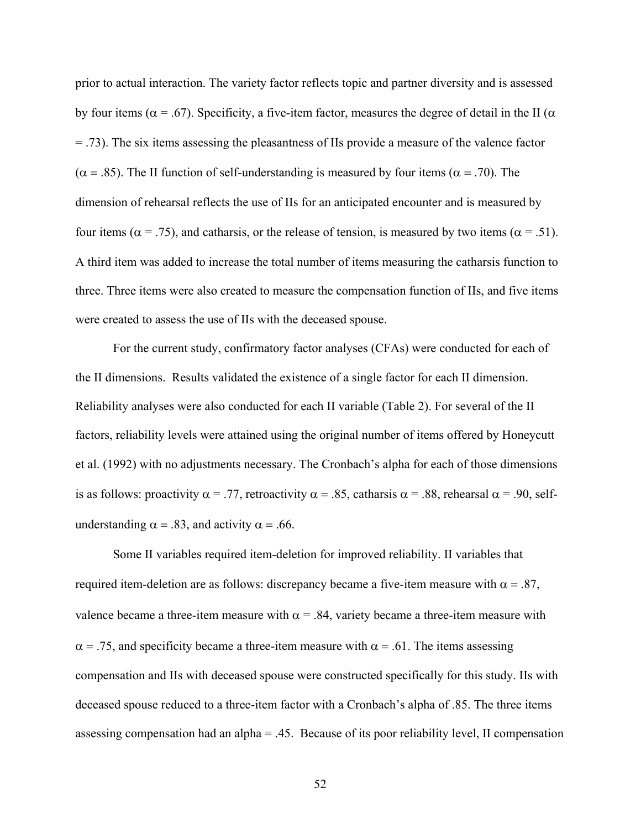prior to actual interaction. The variety factor reflects topic and partner diversity and is assessed by four items ( $\alpha$  = .67). Specificity, a five-item factor, measures the degree of detail in the II ( $\alpha$ = .73). The six items assessing the pleasantness of IIs provide a measure of the valence factor ( $\alpha$  = .85). The II function of self-understanding is measured by four items ( $\alpha$  = .70). The dimension of rehearsal reflects the use of IIs for an anticipated encounter and is measured by four items ( $\alpha$  = .75), and catharsis, or the release of tension, is measured by two items ( $\alpha$  = .51). A third item was added to increase the total number of items measuring the catharsis function to three. Three items were also created to measure the compensation function of IIs, and five items were created to assess the use of IIs with the deceased spouse.

For the current study, confirmatory factor analyses (CFAs) were conducted for each of the II dimensions. Results validated the existence of a single factor for each II dimension. Reliability analyses were also conducted for each II variable (Table 2). For several of the II factors, reliability levels were attained using the original number of items offered by Honeycutt et al. (1992) with no adjustments necessary. The Cronbach's alpha for each of those dimensions is as follows: proactivity  $\alpha = .77$ , retroactivity  $\alpha = .85$ , catharsis  $\alpha = .88$ , rehearsal  $\alpha = .90$ , selfunderstanding  $\alpha = .83$ , and activity  $\alpha = .66$ .

Some II variables required item-deletion for improved reliability. II variables that required item-deletion are as follows: discrepancy became a five-item measure with  $α = .87$ , valence became a three-item measure with  $\alpha$  = .84, variety became a three-item measure with  $\alpha$  = .75, and specificity became a three-item measure with  $\alpha$  = .61. The items assessing compensation and IIs with deceased spouse were constructed specifically for this study. IIs with deceased spouse reduced to a three-item factor with a Cronbach's alpha of .85. The three items assessing compensation had an alpha = .45. Because of its poor reliability level, II compensation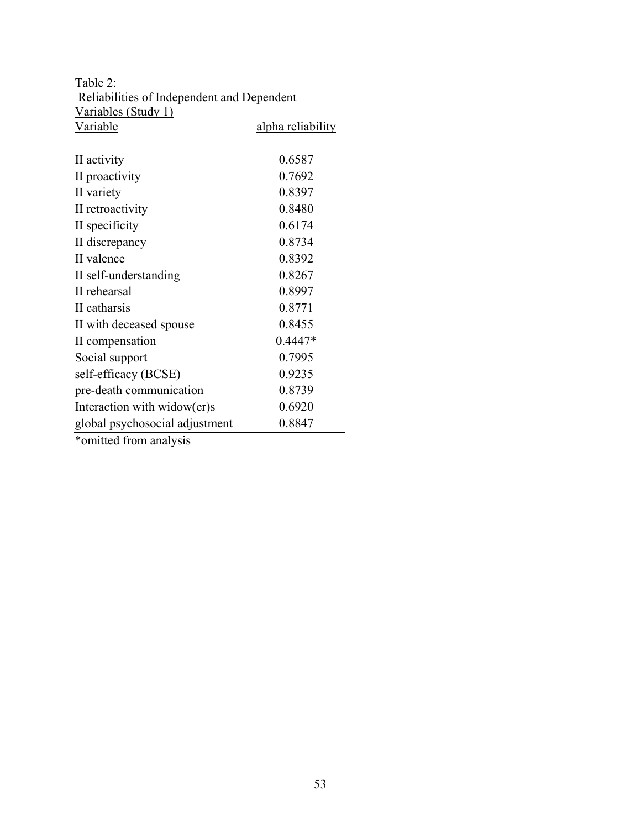| Variables (Study 1)            |                   |
|--------------------------------|-------------------|
| <u>Variable</u>                | alpha reliability |
|                                |                   |
| II activity                    | 0.6587            |
| II proactivity                 | 0.7692            |
| II variety                     | 0.8397            |
| II retroactivity               | 0.8480            |
| II specificity                 | 0.6174            |
| II discrepancy                 | 0.8734            |
| II valence                     | 0.8392            |
| II self-understanding          | 0.8267            |
| II rehearsal                   | 0.8997            |
| II catharsis                   | 0.8771            |
| II with deceased spouse        | 0.8455            |
| II compensation                | $0.4447*$         |
| Social support                 | 0.7995            |
| self-efficacy (BCSE)           | 0.9235            |
| pre-death communication        | 0.8739            |
| Interaction with widow(er)s    | 0.6920            |
| global psychosocial adjustment | 0.8847            |
| *omitted from analysis         |                   |

Table 2: Reliabilities of Independent and Dependent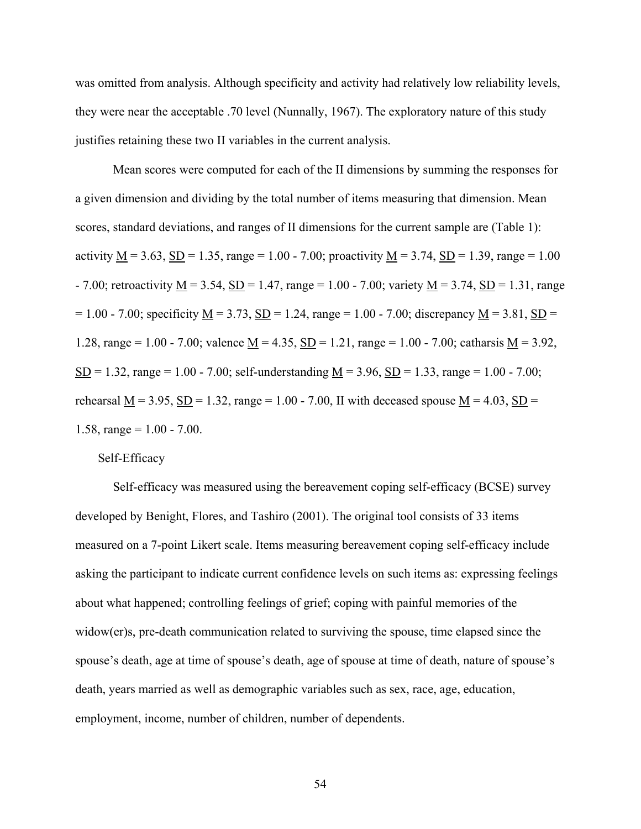was omitted from analysis. Although specificity and activity had relatively low reliability levels, they were near the acceptable .70 level (Nunnally, 1967). The exploratory nature of this study justifies retaining these two II variables in the current analysis.

Mean scores were computed for each of the II dimensions by summing the responses for a given dimension and dividing by the total number of items measuring that dimension. Mean scores, standard deviations, and ranges of II dimensions for the current sample are (Table 1): activity  $M = 3.63$ ,  $SD = 1.35$ , range = 1.00 - 7.00; proactivity  $M = 3.74$ ,  $SD = 1.39$ , range = 1.00  $- 7.00$ ; retroactivity M = 3.54, SD = 1.47, range = 1.00 - 7.00; variety M = 3.74, SD = 1.31, range  $= 1.00 - 7.00$ ; specificity M = 3.73, SD = 1.24, range = 1.00 - 7.00; discrepancy M = 3.81, SD = 1.28, range = 1.00 - 7.00; valence  $\underline{M} = 4.35$ ,  $\underline{SD} = 1.21$ , range = 1.00 - 7.00; catharsis  $\underline{M} = 3.92$ , SD = 1.32, range = 1.00 - 7.00; self-understanding  $M = 3.96$ , SD = 1.33, range = 1.00 - 7.00; rehearsal M = 3.95, SD = 1.32, range = 1.00 - 7.00, II with deceased spouse M = 4.03, SD = 1.58, range =  $1.00 - 7.00$ .

#### Self-Efficacy

Self-efficacy was measured using the bereavement coping self-efficacy (BCSE) survey developed by Benight, Flores, and Tashiro (2001). The original tool consists of 33 items measured on a 7-point Likert scale. Items measuring bereavement coping self-efficacy include asking the participant to indicate current confidence levels on such items as: expressing feelings about what happened; controlling feelings of grief; coping with painful memories of the widow(er)s, pre-death communication related to surviving the spouse, time elapsed since the spouse's death, age at time of spouse's death, age of spouse at time of death, nature of spouse's death, years married as well as demographic variables such as sex, race, age, education, employment, income, number of children, number of dependents.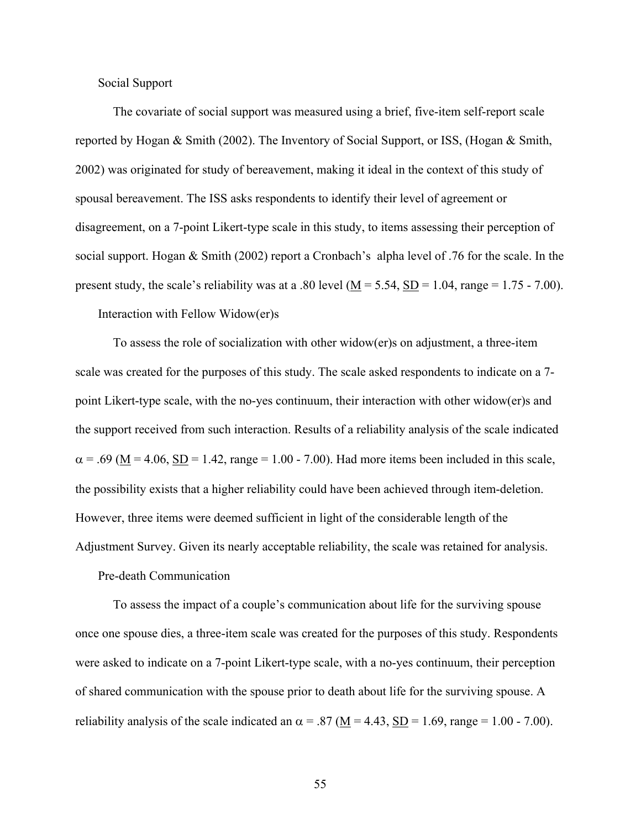Social Support

The covariate of social support was measured using a brief, five-item self-report scale reported by Hogan & Smith (2002). The Inventory of Social Support, or ISS, (Hogan & Smith, 2002) was originated for study of bereavement, making it ideal in the context of this study of spousal bereavement. The ISS asks respondents to identify their level of agreement or disagreement, on a 7-point Likert-type scale in this study, to items assessing their perception of social support. Hogan & Smith (2002) report a Cronbach's alpha level of .76 for the scale. In the present study, the scale's reliability was at a .80 level ( $M = 5.54$ ,  $SD = 1.04$ , range = 1.75 - 7.00).

Interaction with Fellow Widow(er)s

To assess the role of socialization with other widow(er)s on adjustment, a three-item scale was created for the purposes of this study. The scale asked respondents to indicate on a 7 point Likert-type scale, with the no-yes continuum, their interaction with other widow(er)s and the support received from such interaction. Results of a reliability analysis of the scale indicated  $\alpha$  = .69 ( $\underline{M}$  = 4.06,  $\underline{SD}$  = 1.42, range = 1.00 - 7.00). Had more items been included in this scale, the possibility exists that a higher reliability could have been achieved through item-deletion. However, three items were deemed sufficient in light of the considerable length of the Adjustment Survey. Given its nearly acceptable reliability, the scale was retained for analysis.

Pre-death Communication

To assess the impact of a couple's communication about life for the surviving spouse once one spouse dies, a three-item scale was created for the purposes of this study. Respondents were asked to indicate on a 7-point Likert-type scale, with a no-yes continuum, their perception of shared communication with the spouse prior to death about life for the surviving spouse. A reliability analysis of the scale indicated an  $\alpha$  = .87 (M = 4.43, SD = 1.69, range = 1.00 - 7.00).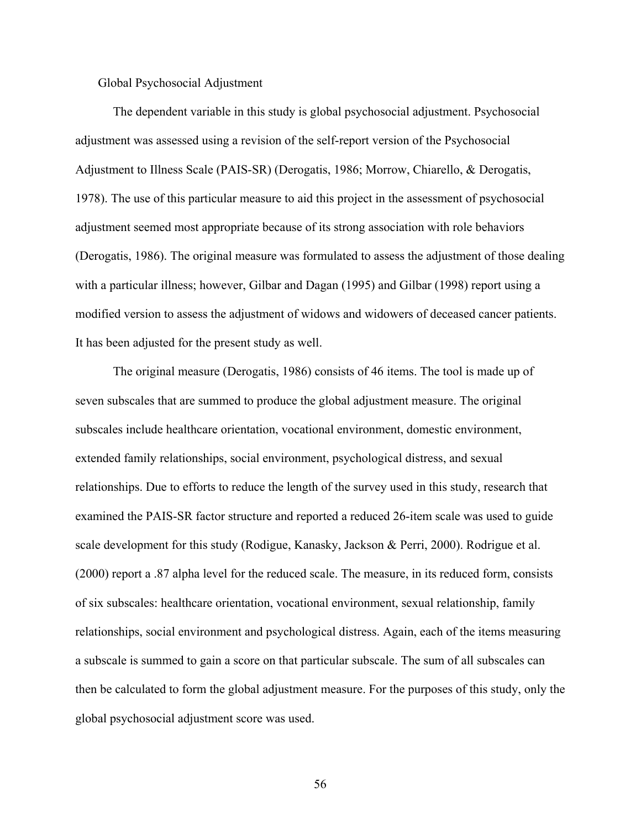# Global Psychosocial Adjustment

The dependent variable in this study is global psychosocial adjustment. Psychosocial adjustment was assessed using a revision of the self-report version of the Psychosocial Adjustment to Illness Scale (PAIS-SR) (Derogatis, 1986; Morrow, Chiarello, & Derogatis, 1978). The use of this particular measure to aid this project in the assessment of psychosocial adjustment seemed most appropriate because of its strong association with role behaviors (Derogatis, 1986). The original measure was formulated to assess the adjustment of those dealing with a particular illness; however, Gilbar and Dagan (1995) and Gilbar (1998) report using a modified version to assess the adjustment of widows and widowers of deceased cancer patients. It has been adjusted for the present study as well.

The original measure (Derogatis, 1986) consists of 46 items. The tool is made up of seven subscales that are summed to produce the global adjustment measure. The original subscales include healthcare orientation, vocational environment, domestic environment, extended family relationships, social environment, psychological distress, and sexual relationships. Due to efforts to reduce the length of the survey used in this study, research that examined the PAIS-SR factor structure and reported a reduced 26-item scale was used to guide scale development for this study (Rodigue, Kanasky, Jackson & Perri, 2000). Rodrigue et al. (2000) report a .87 alpha level for the reduced scale. The measure, in its reduced form, consists of six subscales: healthcare orientation, vocational environment, sexual relationship, family relationships, social environment and psychological distress. Again, each of the items measuring a subscale is summed to gain a score on that particular subscale. The sum of all subscales can then be calculated to form the global adjustment measure. For the purposes of this study, only the global psychosocial adjustment score was used.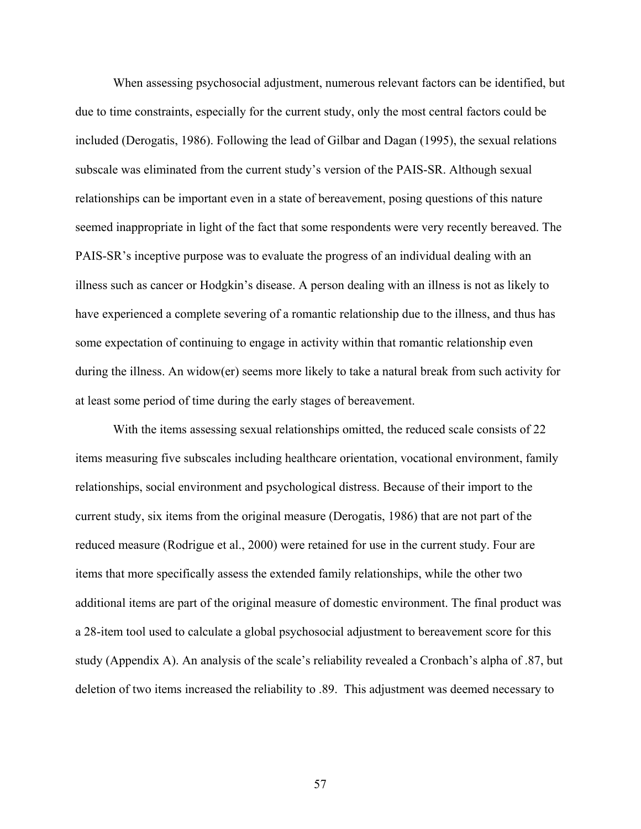When assessing psychosocial adjustment, numerous relevant factors can be identified, but due to time constraints, especially for the current study, only the most central factors could be included (Derogatis, 1986). Following the lead of Gilbar and Dagan (1995), the sexual relations subscale was eliminated from the current study's version of the PAIS-SR. Although sexual relationships can be important even in a state of bereavement, posing questions of this nature seemed inappropriate in light of the fact that some respondents were very recently bereaved. The PAIS-SR's inceptive purpose was to evaluate the progress of an individual dealing with an illness such as cancer or Hodgkin's disease. A person dealing with an illness is not as likely to have experienced a complete severing of a romantic relationship due to the illness, and thus has some expectation of continuing to engage in activity within that romantic relationship even during the illness. An widow(er) seems more likely to take a natural break from such activity for at least some period of time during the early stages of bereavement.

With the items assessing sexual relationships omitted, the reduced scale consists of 22 items measuring five subscales including healthcare orientation, vocational environment, family relationships, social environment and psychological distress. Because of their import to the current study, six items from the original measure (Derogatis, 1986) that are not part of the reduced measure (Rodrigue et al., 2000) were retained for use in the current study. Four are items that more specifically assess the extended family relationships, while the other two additional items are part of the original measure of domestic environment. The final product was a 28-item tool used to calculate a global psychosocial adjustment to bereavement score for this study (Appendix A). An analysis of the scale's reliability revealed a Cronbach's alpha of .87, but deletion of two items increased the reliability to .89. This adjustment was deemed necessary to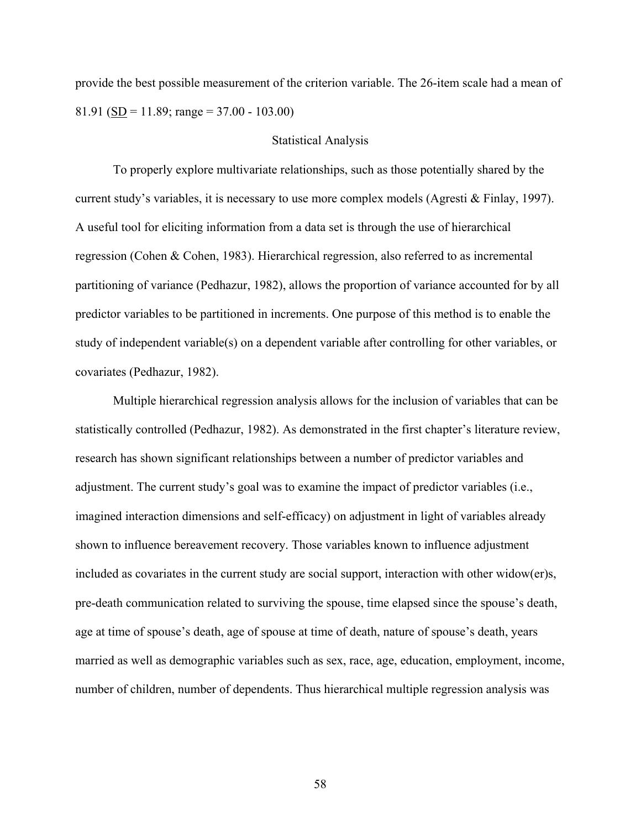provide the best possible measurement of the criterion variable. The 26-item scale had a mean of 81.91 (SD = 11.89; range =  $37.00 - 103.00$ )

## Statistical Analysis

To properly explore multivariate relationships, such as those potentially shared by the current study's variables, it is necessary to use more complex models (Agresti & Finlay, 1997). A useful tool for eliciting information from a data set is through the use of hierarchical regression (Cohen & Cohen, 1983). Hierarchical regression, also referred to as incremental partitioning of variance (Pedhazur, 1982), allows the proportion of variance accounted for by all predictor variables to be partitioned in increments. One purpose of this method is to enable the study of independent variable(s) on a dependent variable after controlling for other variables, or covariates (Pedhazur, 1982).

Multiple hierarchical regression analysis allows for the inclusion of variables that can be statistically controlled (Pedhazur, 1982). As demonstrated in the first chapter's literature review, research has shown significant relationships between a number of predictor variables and adjustment. The current study's goal was to examine the impact of predictor variables (i.e., imagined interaction dimensions and self-efficacy) on adjustment in light of variables already shown to influence bereavement recovery. Those variables known to influence adjustment included as covariates in the current study are social support, interaction with other widow(er)s, pre-death communication related to surviving the spouse, time elapsed since the spouse's death, age at time of spouse's death, age of spouse at time of death, nature of spouse's death, years married as well as demographic variables such as sex, race, age, education, employment, income, number of children, number of dependents. Thus hierarchical multiple regression analysis was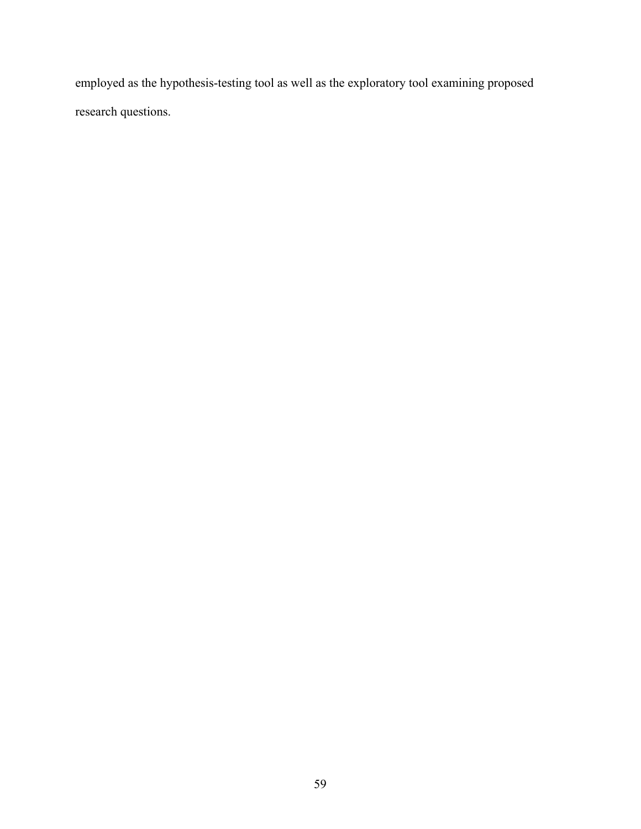employed as the hypothesis-testing tool as well as the exploratory tool examining proposed research questions.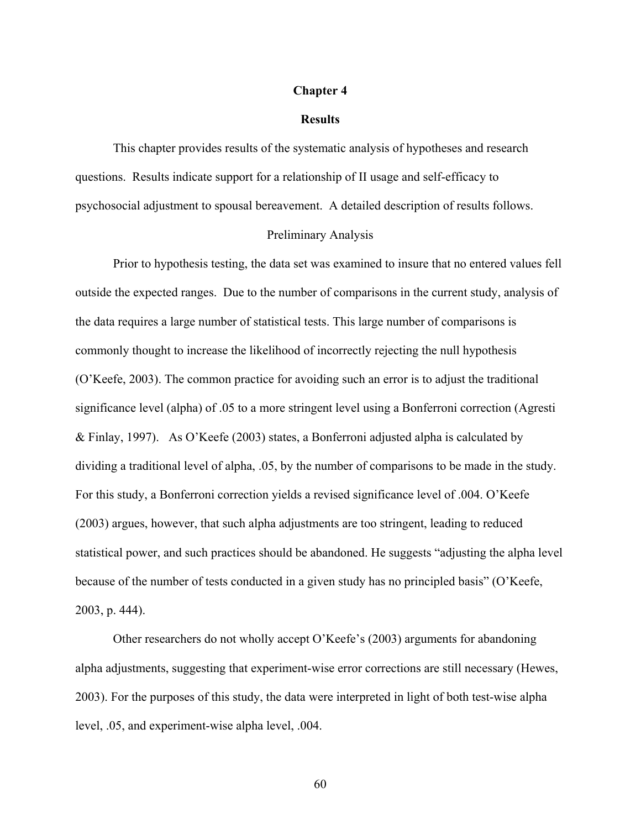#### **Chapter 4**

#### **Results**

This chapter provides results of the systematic analysis of hypotheses and research questions. Results indicate support for a relationship of II usage and self-efficacy to psychosocial adjustment to spousal bereavement. A detailed description of results follows.

#### Preliminary Analysis

Prior to hypothesis testing, the data set was examined to insure that no entered values fell outside the expected ranges. Due to the number of comparisons in the current study, analysis of the data requires a large number of statistical tests. This large number of comparisons is commonly thought to increase the likelihood of incorrectly rejecting the null hypothesis (O'Keefe, 2003). The common practice for avoiding such an error is to adjust the traditional significance level (alpha) of .05 to a more stringent level using a Bonferroni correction (Agresti & Finlay, 1997). As O'Keefe (2003) states, a Bonferroni adjusted alpha is calculated by dividing a traditional level of alpha, .05, by the number of comparisons to be made in the study. For this study, a Bonferroni correction yields a revised significance level of .004. O'Keefe (2003) argues, however, that such alpha adjustments are too stringent, leading to reduced statistical power, and such practices should be abandoned. He suggests "adjusting the alpha level because of the number of tests conducted in a given study has no principled basis" (O'Keefe, 2003, p. 444).

Other researchers do not wholly accept O'Keefe's (2003) arguments for abandoning alpha adjustments, suggesting that experiment-wise error corrections are still necessary (Hewes, 2003). For the purposes of this study, the data were interpreted in light of both test-wise alpha level, .05, and experiment-wise alpha level, .004.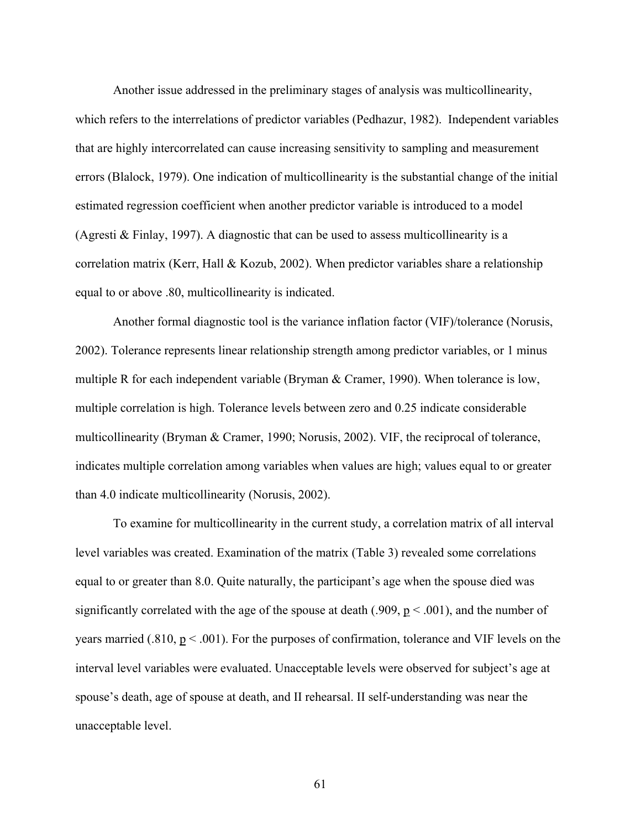Another issue addressed in the preliminary stages of analysis was multicollinearity, which refers to the interrelations of predictor variables (Pedhazur, 1982). Independent variables that are highly intercorrelated can cause increasing sensitivity to sampling and measurement errors (Blalock, 1979). One indication of multicollinearity is the substantial change of the initial estimated regression coefficient when another predictor variable is introduced to a model (Agresti & Finlay, 1997). A diagnostic that can be used to assess multicollinearity is a correlation matrix (Kerr, Hall & Kozub, 2002). When predictor variables share a relationship equal to or above .80, multicollinearity is indicated.

Another formal diagnostic tool is the variance inflation factor (VIF)/tolerance (Norusis, 2002). Tolerance represents linear relationship strength among predictor variables, or 1 minus multiple R for each independent variable (Bryman & Cramer, 1990). When tolerance is low, multiple correlation is high. Tolerance levels between zero and 0.25 indicate considerable multicollinearity (Bryman & Cramer, 1990; Norusis, 2002). VIF, the reciprocal of tolerance, indicates multiple correlation among variables when values are high; values equal to or greater than 4.0 indicate multicollinearity (Norusis, 2002).

To examine for multicollinearity in the current study, a correlation matrix of all interval level variables was created. Examination of the matrix (Table 3) revealed some correlations equal to or greater than 8.0. Quite naturally, the participant's age when the spouse died was significantly correlated with the age of the spouse at death (.909,  $p < .001$ ), and the number of years married (.810,  $p < .001$ ). For the purposes of confirmation, tolerance and VIF levels on the interval level variables were evaluated. Unacceptable levels were observed for subject's age at spouse's death, age of spouse at death, and II rehearsal. II self-understanding was near the unacceptable level.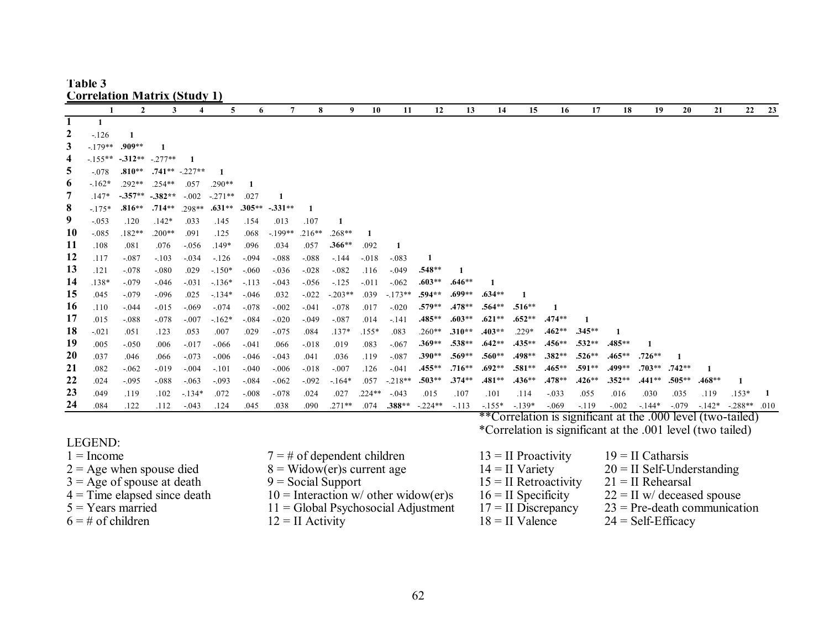|                                | <b>Correlation Matrix (Study 1)</b> |                |           |          |              |          |                                                      |          |           |          |          |          |                                                                                                                           |                         |                       |          |                     |                                |          |          |          |              |      |  |
|--------------------------------|-------------------------------------|----------------|-----------|----------|--------------|----------|------------------------------------------------------|----------|-----------|----------|----------|----------|---------------------------------------------------------------------------------------------------------------------------|-------------------------|-----------------------|----------|---------------------|--------------------------------|----------|----------|----------|--------------|------|--|
|                                | 1                                   | $\overline{2}$ | 3         |          | 5            | 6        | $7\phantom{.0}$                                      | 8        | 9         | 10       | 11       | 12       | 13                                                                                                                        | 14                      | 15                    | 16       | 17                  | 18                             | 19       | 20       | 21       | 22           | 23   |  |
| 1                              | 1                                   |                |           |          |              |          |                                                      |          |           |          |          |          |                                                                                                                           |                         |                       |          |                     |                                |          |          |          |              |      |  |
| $\boldsymbol{2}$               | $-126$                              | 1              |           |          |              |          |                                                      |          |           |          |          |          |                                                                                                                           |                         |                       |          |                     |                                |          |          |          |              |      |  |
| 3                              | $-179**$                            | $.909**$       |           |          |              |          |                                                      |          |           |          |          |          |                                                                                                                           |                         |                       |          |                     |                                |          |          |          |              |      |  |
| 4                              | $-155**$                            | $-312**$       | $-.277**$ |          |              |          |                                                      |          |           |          |          |          |                                                                                                                           |                         |                       |          |                     |                                |          |          |          |              |      |  |
| 5                              | $-.078$                             | $.810**$       | .741**    | $-227**$ | $\mathbf{1}$ |          |                                                      |          |           |          |          |          |                                                                                                                           |                         |                       |          |                     |                                |          |          |          |              |      |  |
| 6                              | $-162*$                             | .292**         | .254**    | .057     | $.290**$     | 1        |                                                      |          |           |          |          |          |                                                                                                                           |                         |                       |          |                     |                                |          |          |          |              |      |  |
| 7                              | $.147*$                             | $-357**$       | $-382**$  | $-.002$  | $-271**$     | .027     | -1                                                   |          |           |          |          |          |                                                                                                                           |                         |                       |          |                     |                                |          |          |          |              |      |  |
| 8                              | $-175*$                             | $.816**$       | $.714**$  | .298**   | $.631**$     | $.305**$ | $-331**$                                             |          |           |          |          |          |                                                                                                                           |                         |                       |          |                     |                                |          |          |          |              |      |  |
| 9                              | $-.053$                             | .120           | $.142*$   | .033     | .145         | .154     | .013                                                 | .107     | 1         |          |          |          |                                                                                                                           |                         |                       |          |                     |                                |          |          |          |              |      |  |
| 10                             | $-0.085$                            | $.182**$       | $.200**$  | .091     | .125         | .068     | $-199**$                                             | $.216**$ | $.268**$  |          |          |          |                                                                                                                           |                         |                       |          |                     |                                |          |          |          |              |      |  |
| 11                             | .108                                | .081           | .076      | $-0.056$ | $.149*$      | .096     | .034                                                 | .057     | $.366**$  | .092     | 1        |          |                                                                                                                           |                         |                       |          |                     |                                |          |          |          |              |      |  |
| 12                             | .117                                | $-.087$        | $-.103$   | $-.034$  | $-126$       | $-.094$  | $-.088$                                              | $-.088$  | $-144$    | $-018$   | $-.083$  | 1        |                                                                                                                           |                         |                       |          |                     |                                |          |          |          |              |      |  |
| 13                             | .121                                | $-.078$        | $-.080$   | .029     | $-150*$      | $-060$   | $-0.036$                                             | $-.028$  | $-.082$   | .116     | $-.049$  | $.548**$ | 1                                                                                                                         |                         |                       |          |                     |                                |          |          |          |              |      |  |
| 14                             | .138*                               | $-.079$        | $-0.046$  | $-0.031$ | $-.136*$     | $-113$   | $-0.043$                                             | $-.056$  | $-125$    | $-.011$  | $-.062$  | $.603**$ | $.646**$                                                                                                                  | 1                       |                       |          |                     |                                |          |          |          |              |      |  |
| 15                             | .045                                | $-.079$        | $-.096$   | .025     | $-134*$      | $-0.046$ | .032                                                 | $-.022$  | $-.203**$ | .039     | $-173**$ | .594**   | .699**                                                                                                                    | .634**                  |                       |          |                     |                                |          |          |          |              |      |  |
| 16                             | .110                                | $-0.044$       | $-.015$   | $-0.069$ | $-.074$      | $-.078$  | $-.002$                                              | $-.041$  | $-.078$   | .017     | $-.020$  | $.579**$ | .478**                                                                                                                    | $.564**$                | $.516**$              |          |                     |                                |          |          |          |              |      |  |
| 17                             | .015                                | $-0.088$       | $-.078$   | $-.007$  | $-162*$      | $-.084$  | $-0.020$                                             | $-.049$  | $-.087$   | .014     | $-.141$  | .485**   | .603**                                                                                                                    | $.621**$                | $.652**$              | $.474**$ | $\mathbf{1}$        |                                |          |          |          |              |      |  |
| 18                             | $-.021$                             | .051           | .123      | .053     | .007         | .029     | $-0.075$                                             | .084     | $.137*$   | $.155*$  | .083     | $.260**$ | .310**                                                                                                                    | .403**                  | .229*                 | .462**   | $.345**$            | 1                              |          |          |          |              |      |  |
| 19                             | .005                                | $-0.050$       | .006      | $-0.017$ | $-0.066$     | $-.041$  | .066                                                 | $-0.018$ | .019      | .083     | $-.067$  | $.369**$ | $.538**$                                                                                                                  | $.642**$                | $.435***$             | $.456**$ | .532**              | .485**                         |          |          |          |              |      |  |
| 20                             | .037                                | .046           | .066      | $-.073$  | $-0.06$      | $-0.046$ | $-0.043$                                             | .041     | .036      | .119     | $-.087$  | $.390**$ | .569**                                                                                                                    | $.560**$                | .498**                | $.382**$ | $.526**$            | .465**                         | $.726**$ |          |          |              |      |  |
| 21                             | .082                                | $-062$         | $-0.019$  | $-0.04$  | $-.101$      | $-.040$  | $-0.006$                                             | $-.018$  | $-.007$   | .126     | $-.041$  | .455**   | .716**                                                                                                                    | $.692**$                | $.581**$              | .465**   | .591**              | .499**                         | $.703**$ | $.742**$ |          |              |      |  |
| 22                             | .024                                | $-.095$        | $-0.088$  | $-.063$  | $-0.093$     | $-.084$  | $-0.062$                                             | $-.092$  | $-164*$   | .057     | $-218**$ | $.503**$ | $.374**$                                                                                                                  | .481**                  | $.436**$              | .478**   | $.426**$            | $.352**$                       | $.441**$ | .505**   | $.468**$ | $\mathbf{1}$ |      |  |
| 23                             | .049                                | .119           | .102      | $-134*$  | .072         | $-.008$  | $-0.078$                                             | .024     | .027      | $.224**$ | $-.043$  | .015     | .107                                                                                                                      | .101                    | .114                  | $-.033$  | .055                | .016                           | .030     | .035     | .119     | $.153*$      | 1    |  |
| 24                             | .084                                | .122           | .112      | $-.043$  | .124         | .045     | .038                                                 | .090     | $.271**$  | .074     | $.388**$ | $-224**$ | $-.113$                                                                                                                   | $-155*$                 | $-139*$               | $-.069$  | $-119$              | $-.002$                        | $-144*$  | $-.079$  | $-142*$  | $-288**$     | .010 |  |
|                                |                                     |                |           |          |              |          |                                                      |          |           |          |          |          | **Correlation is significant at the .000 level (two-tailed)<br>*Correlation is significant at the .001 level (two tailed) |                         |                       |          |                     |                                |          |          |          |              |      |  |
|                                |                                     |                |           |          |              |          |                                                      |          |           |          |          |          |                                                                                                                           |                         |                       |          |                     |                                |          |          |          |              |      |  |
| LEGEND:                        |                                     |                |           |          |              |          |                                                      |          |           |          |          |          |                                                                                                                           |                         |                       |          |                     |                                |          |          |          |              |      |  |
| $1 =$ Income                   |                                     |                |           |          |              |          | $7 = #$ of dependent children                        |          |           |          |          |          |                                                                                                                           | $13 = II$ Proactivity   |                       |          | $19 = II$ Catharsis |                                |          |          |          |              |      |  |
| $2 = Age$ when spouse died     |                                     |                |           |          |              |          | $8 =$ Widow(er)s current age                         |          |           |          |          |          |                                                                                                                           |                         | $14 = II$ Variety     |          |                     | $20 =$ II Self-Understanding   |          |          |          |              |      |  |
| $3 = Age$ of spouse at death   |                                     |                |           |          |              |          | $9 = Social Support$                                 |          |           |          |          |          |                                                                                                                           | $15 =$ II Retroactivity |                       |          |                     | $21 = II$ Rehearsal            |          |          |          |              |      |  |
| $4 =$ Time elapsed since death |                                     |                |           |          |              |          | $10 =$ Interaction w/ other widow(er)s               |          |           |          |          |          |                                                                                                                           |                         | $16 = II$ Specificity |          |                     | $22 =$ II w/ deceased spouse   |          |          |          |              |      |  |
| $5 = Years$ married            |                                     |                |           |          |              |          | $11 = Global \text{Psychosocial \text{ Adjustment}}$ |          |           |          |          |          |                                                                                                                           |                         | $17 =$ II Discrepancy |          |                     | $23$ = Pre-death communication |          |          |          |              |      |  |
| $6 = #$ of children            |                                     |                |           |          |              |          | $12 = II$ Activity                                   |          |           |          |          |          |                                                                                                                           |                         | $18 = II$ Valence     |          |                     | $24 = Self-Efficacy$           |          |          |          |              |      |  |

# **Table 3**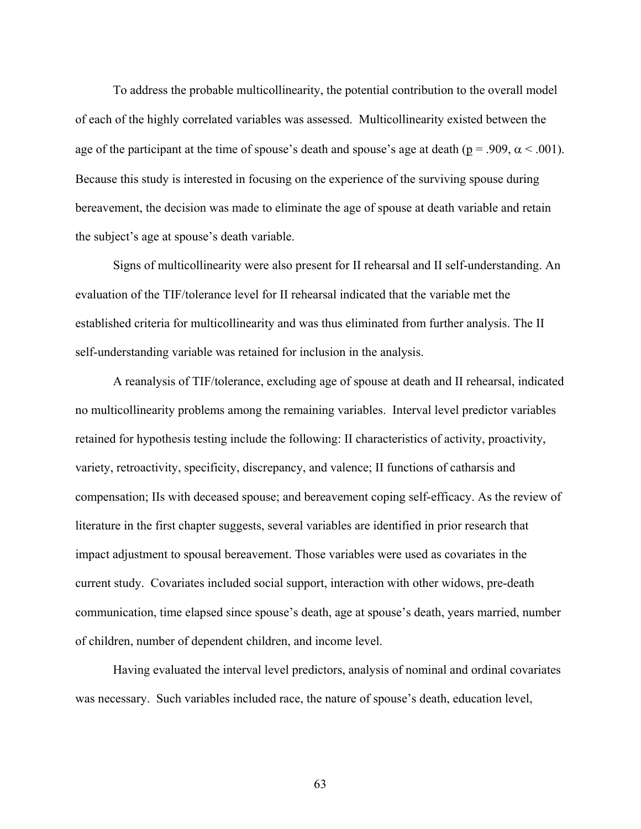To address the probable multicollinearity, the potential contribution to the overall model of each of the highly correlated variables was assessed. Multicollinearity existed between the age of the participant at the time of spouse's death and spouse's age at death ( $p = .909$ ,  $\alpha < .001$ ). Because this study is interested in focusing on the experience of the surviving spouse during bereavement, the decision was made to eliminate the age of spouse at death variable and retain the subject's age at spouse's death variable.

Signs of multicollinearity were also present for II rehearsal and II self-understanding. An evaluation of the TIF/tolerance level for II rehearsal indicated that the variable met the established criteria for multicollinearity and was thus eliminated from further analysis. The II self-understanding variable was retained for inclusion in the analysis.

 A reanalysis of TIF/tolerance, excluding age of spouse at death and II rehearsal, indicated no multicollinearity problems among the remaining variables. Interval level predictor variables retained for hypothesis testing include the following: II characteristics of activity, proactivity, variety, retroactivity, specificity, discrepancy, and valence; II functions of catharsis and compensation; IIs with deceased spouse; and bereavement coping self-efficacy. As the review of literature in the first chapter suggests, several variables are identified in prior research that impact adjustment to spousal bereavement. Those variables were used as covariates in the current study. Covariates included social support, interaction with other widows, pre-death communication, time elapsed since spouse's death, age at spouse's death, years married, number of children, number of dependent children, and income level.

Having evaluated the interval level predictors, analysis of nominal and ordinal covariates was necessary. Such variables included race, the nature of spouse's death, education level,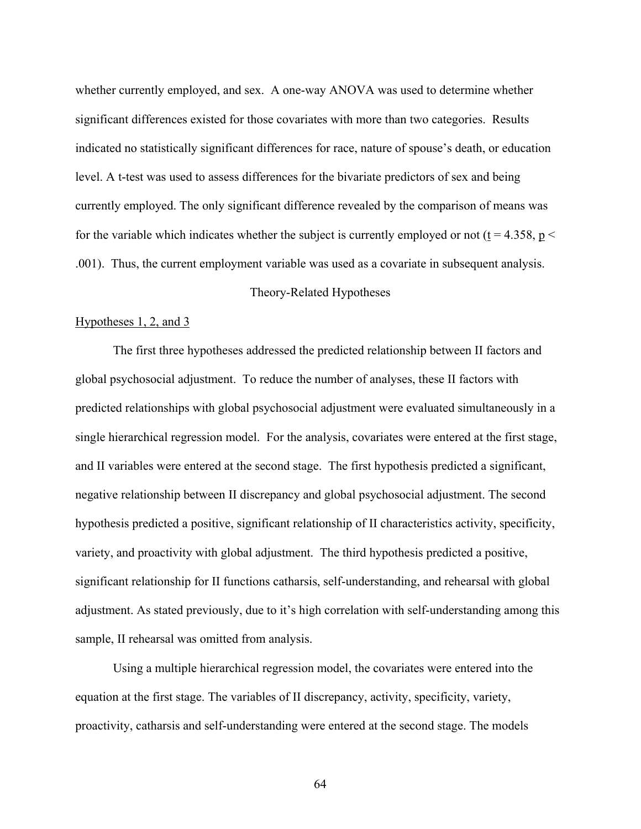whether currently employed, and sex. A one-way ANOVA was used to determine whether significant differences existed for those covariates with more than two categories. Results indicated no statistically significant differences for race, nature of spouse's death, or education level. A t-test was used to assess differences for the bivariate predictors of sex and being currently employed. The only significant difference revealed by the comparison of means was for the variable which indicates whether the subject is currently employed or not ( $t = 4.358$ ,  $p <$ .001). Thus, the current employment variable was used as a covariate in subsequent analysis.

# Theory-Related Hypotheses

# Hypotheses 1, 2, and 3

The first three hypotheses addressed the predicted relationship between II factors and global psychosocial adjustment. To reduce the number of analyses, these II factors with predicted relationships with global psychosocial adjustment were evaluated simultaneously in a single hierarchical regression model. For the analysis, covariates were entered at the first stage, and II variables were entered at the second stage. The first hypothesis predicted a significant, negative relationship between II discrepancy and global psychosocial adjustment. The second hypothesis predicted a positive, significant relationship of II characteristics activity, specificity, variety, and proactivity with global adjustment. The third hypothesis predicted a positive, significant relationship for II functions catharsis, self-understanding, and rehearsal with global adjustment. As stated previously, due to it's high correlation with self-understanding among this sample, II rehearsal was omitted from analysis.

Using a multiple hierarchical regression model, the covariates were entered into the equation at the first stage. The variables of II discrepancy, activity, specificity, variety, proactivity, catharsis and self-understanding were entered at the second stage. The models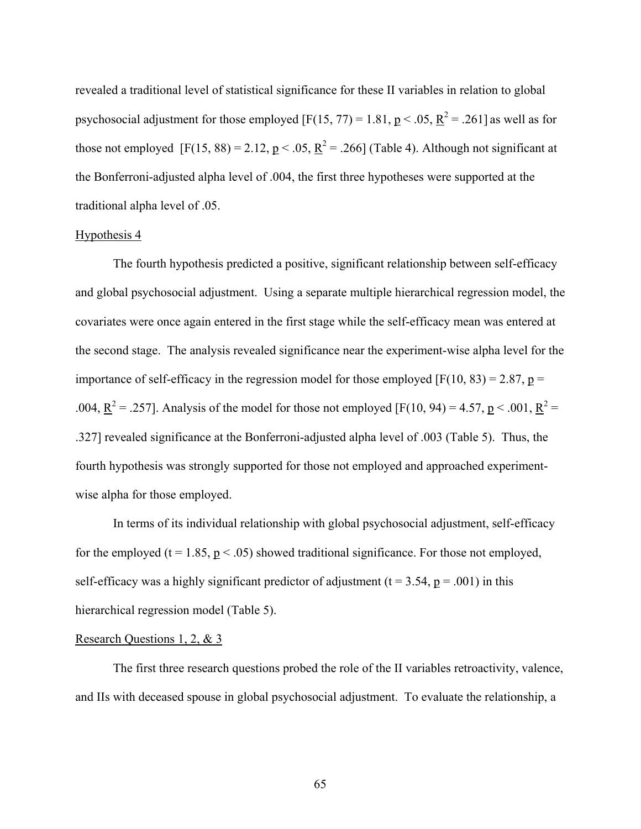revealed a traditional level of statistical significance for these II variables in relation to global psychosocial adjustment for those employed [F(15, 77) = 1.81,  $p < .05$ ,  $R^2 = .261$ ] as well as for those not employed [F(15, 88) = 2.12,  $p < .05$ ,  $R^2 = .266$ ] (Table 4). Although not significant at the Bonferroni-adjusted alpha level of .004, the first three hypotheses were supported at the traditional alpha level of .05.

#### Hypothesis 4

The fourth hypothesis predicted a positive, significant relationship between self-efficacy and global psychosocial adjustment. Using a separate multiple hierarchical regression model, the covariates were once again entered in the first stage while the self-efficacy mean was entered at the second stage. The analysis revealed significance near the experiment-wise alpha level for the importance of self-efficacy in the regression model for those employed  $[F(10, 83) = 2.87, p =$ .004,  $\underline{R}^2 = .257$ ]. Analysis of the model for those not employed [F(10, 94) = 4.57, p < .001,  $\underline{R}^2 =$ .327] revealed significance at the Bonferroni-adjusted alpha level of .003 (Table 5). Thus, the fourth hypothesis was strongly supported for those not employed and approached experimentwise alpha for those employed.

In terms of its individual relationship with global psychosocial adjustment, self-efficacy for the employed (t = 1.85,  $p < .05$ ) showed traditional significance. For those not employed, self-efficacy was a highly significant predictor of adjustment ( $t = 3.54$ ,  $p = .001$ ) in this hierarchical regression model (Table 5).

# Research Questions 1, 2, & 3

The first three research questions probed the role of the II variables retroactivity, valence, and IIs with deceased spouse in global psychosocial adjustment. To evaluate the relationship, a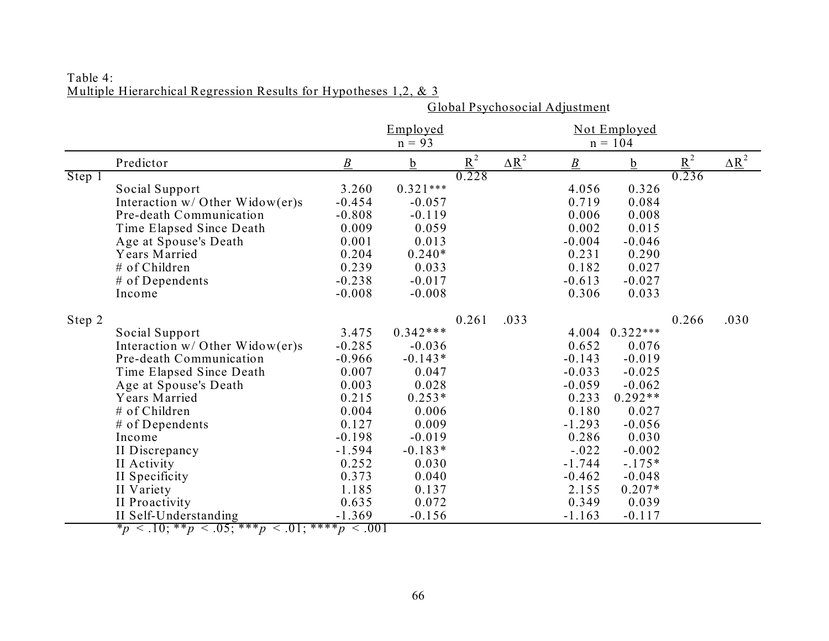|        |                                   | Global Psychosocial Adjustment |             |       |                          |                  |            |                   |                          |  |  |  |
|--------|-----------------------------------|--------------------------------|-------------|-------|--------------------------|------------------|------------|-------------------|--------------------------|--|--|--|
|        |                                   |                                | Emploved    |       |                          | Not Employed     |            |                   |                          |  |  |  |
|        |                                   |                                | $n = 93$    |       |                          |                  | $n = 104$  |                   |                          |  |  |  |
|        | Predictor                         | $\boldsymbol{B}$               | $\mathbf b$ | $R^2$ | $\Delta \underline{R}^2$ | $\boldsymbol{B}$ | b          | $\underline{R}^2$ | $\Delta \underline{R}^2$ |  |  |  |
| Step 1 |                                   |                                |             | 0.228 |                          |                  |            | 0.236             |                          |  |  |  |
|        | Social Support                    | 3.260                          | $0.321***$  |       |                          | 4.056            | 0.326      |                   |                          |  |  |  |
|        | Interaction $w/$ Other Widow(er)s | $-0.454$                       | $-0.057$    |       |                          | 0.719            | 0.084      |                   |                          |  |  |  |
|        | Pre-death Communication           | $-0.808$                       | $-0.119$    |       |                          | 0.006            | 0.008      |                   |                          |  |  |  |
|        | Time Elapsed Since Death          | 0.009                          | 0.059       |       |                          | 0.002            | 0.015      |                   |                          |  |  |  |
|        | Age at Spouse's Death             | 0.001                          | 0.013       |       |                          | $-0.004$         | $-0.046$   |                   |                          |  |  |  |
|        | Years Married                     | 0.204                          | $0.240*$    |       |                          | 0.231            | 0.290      |                   |                          |  |  |  |
|        | # of Children                     | 0.239                          | 0.033       |       |                          | 0.182            | 0.027      |                   |                          |  |  |  |
|        | $#$ of Dependents                 | $-0.238$                       | $-0.017$    |       |                          | $-0.613$         | $-0.027$   |                   |                          |  |  |  |
|        | Income                            | $-0.008$                       | $-0.008$    |       |                          | 0.306            | 0.033      |                   |                          |  |  |  |
| Step 2 |                                   |                                |             | 0.261 | .033                     |                  |            | 0.266             | .030                     |  |  |  |
|        | Social Support                    | 3.475                          | $0.342***$  |       |                          | 4.004            | $0.322***$ |                   |                          |  |  |  |
|        | Interaction $w/$ Other Widow(er)s | $-0.285$                       | $-0.036$    |       |                          | 0.652            | 0.076      |                   |                          |  |  |  |
|        | Pre-death Communication           | $-0.966$                       | $-0.143*$   |       |                          | $-0.143$         | $-0.019$   |                   |                          |  |  |  |
|        | Time Elapsed Since Death          | 0.007                          | 0.047       |       |                          | $-0.033$         | $-0.025$   |                   |                          |  |  |  |
|        | Age at Spouse's Death             | 0.003                          | 0.028       |       |                          | $-0.059$         | $-0.062$   |                   |                          |  |  |  |
|        | Years Married                     | 0.215                          | $0.253*$    |       |                          | 0.233            | $0.292**$  |                   |                          |  |  |  |
|        | # of Children                     | 0.004                          | 0.006       |       |                          | 0.180            | 0.027      |                   |                          |  |  |  |
|        | $#$ of Dependents                 | 0.127                          | 0.009       |       |                          | $-1.293$         | $-0.056$   |                   |                          |  |  |  |
|        | Income                            | $-0.198$                       | $-0.019$    |       |                          | 0.286            | 0.030      |                   |                          |  |  |  |
|        | II Discrepancy                    | $-1.594$                       | $-0.183*$   |       |                          | $-.022$          | $-0.002$   |                   |                          |  |  |  |
|        | II Activity                       | 0.252                          | 0.030       |       |                          | $-1.744$         | $-.175*$   |                   |                          |  |  |  |
|        | II Specificity                    | 0.373                          | 0.040       |       |                          | $-0.462$         | $-0.048$   |                   |                          |  |  |  |
|        | II Variety                        | 1.185                          | 0.137       |       |                          | 2.155            | $0.207*$   |                   |                          |  |  |  |
|        | II Proactivity                    | 0.635                          | 0.072       |       |                          | 0.349            | 0.039      |                   |                          |  |  |  |
|        | II Self-Understanding             | $-1.369$                       | $-0.156$    |       |                          | $-1.163$         | $-0.117$   |                   |                          |  |  |  |

# Table 4: Multiple Hierarchical Regression Results for Hypotheses 1,2, & 3

 $*_{p}$  < .10;  $*_{p}$  < .05;  $*_{p}$  < .01;  $*_{p}$  < .001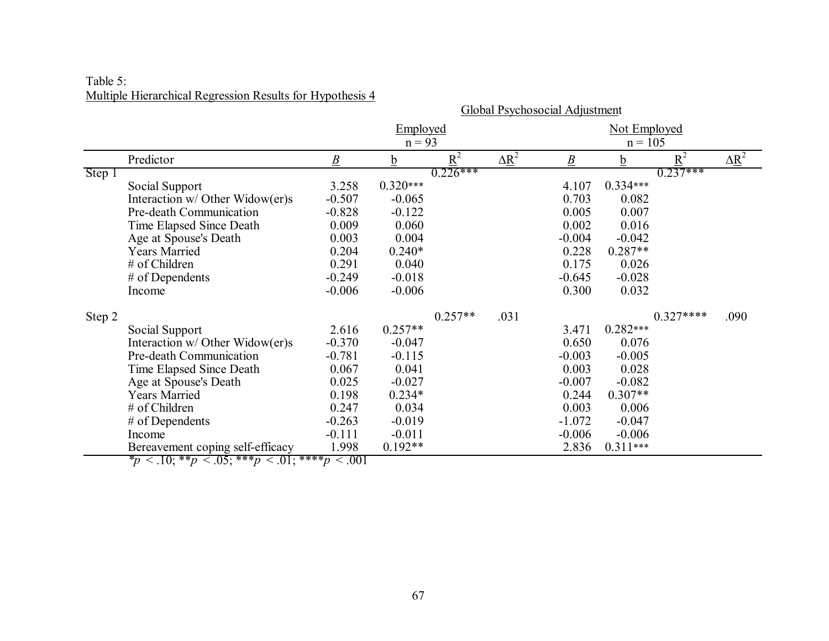| Table 5: |                                                           |
|----------|-----------------------------------------------------------|
|          | Multiple Hierarchical Regression Results for Hypothesis 4 |

|        |                                                                                                        | <b>Global Psychosocial Adjustment</b> |            |            |                          |                 |              |            |                          |  |  |  |
|--------|--------------------------------------------------------------------------------------------------------|---------------------------------------|------------|------------|--------------------------|-----------------|--------------|------------|--------------------------|--|--|--|
|        |                                                                                                        |                                       | Employed   |            |                          |                 | Not Employed |            |                          |  |  |  |
|        |                                                                                                        |                                       | $n = 93$   |            |                          |                 | $n = 105$    |            |                          |  |  |  |
|        | Predictor                                                                                              | $\underline{B}$                       | <u>b</u>   | $R^2$      | $\Delta \underline{R}^2$ | $\underline{B}$ | <u>b</u>     | $R^2$      | $\Delta \underline{R}^2$ |  |  |  |
| Step 1 |                                                                                                        |                                       |            | $0.226***$ |                          |                 |              | $0.237***$ |                          |  |  |  |
|        | Social Support                                                                                         | 3.258                                 | $0.320***$ |            |                          | 4.107           | $0.334***$   |            |                          |  |  |  |
|        | Interaction w/ Other Widow(er)s                                                                        | $-0.507$                              | $-0.065$   |            |                          | 0.703           | 0.082        |            |                          |  |  |  |
|        | Pre-death Communication                                                                                | $-0.828$                              | $-0.122$   |            |                          | 0.005           | 0.007        |            |                          |  |  |  |
|        | Time Elapsed Since Death                                                                               | 0.009                                 | 0.060      |            |                          | 0.002           | 0.016        |            |                          |  |  |  |
|        | Age at Spouse's Death                                                                                  | 0.003                                 | 0.004      |            |                          | $-0.004$        | $-0.042$     |            |                          |  |  |  |
|        | <b>Years Married</b>                                                                                   | 0.204                                 | $0.240*$   |            |                          | 0.228           | $0.287**$    |            |                          |  |  |  |
|        | # of Children                                                                                          | 0.291                                 | 0.040      |            |                          | 0.175           | 0.026        |            |                          |  |  |  |
|        | # of Dependents                                                                                        | $-0.249$                              | $-0.018$   |            |                          | $-0.645$        | $-0.028$     |            |                          |  |  |  |
|        | Income                                                                                                 | $-0.006$                              | $-0.006$   |            |                          | 0.300           | 0.032        |            |                          |  |  |  |
| Step 2 |                                                                                                        |                                       |            | $0.257**$  | .031                     |                 |              | $0.327***$ | .090                     |  |  |  |
|        | Social Support                                                                                         | 2.616                                 | $0.257**$  |            |                          | 3.471           | $0.282***$   |            |                          |  |  |  |
|        | Interaction w/ Other Widow(er)s                                                                        | $-0.370$                              | $-0.047$   |            |                          | 0.650           | 0.076        |            |                          |  |  |  |
|        | Pre-death Communication                                                                                | $-0.781$                              | $-0.115$   |            |                          | $-0.003$        | $-0.005$     |            |                          |  |  |  |
|        | Time Elapsed Since Death                                                                               | 0.067                                 | 0.041      |            |                          | 0.003           | 0.028        |            |                          |  |  |  |
|        | Age at Spouse's Death                                                                                  | 0.025                                 | $-0.027$   |            |                          | $-0.007$        | $-0.082$     |            |                          |  |  |  |
|        | <b>Years Married</b>                                                                                   | 0.198                                 | $0.234*$   |            |                          | 0.244           | $0.307**$    |            |                          |  |  |  |
|        | # of Children                                                                                          | 0.247                                 | 0.034      |            |                          | 0.003           | 0.006        |            |                          |  |  |  |
|        | $#$ of Dependents                                                                                      | $-0.263$                              | $-0.019$   |            |                          | $-1.072$        | $-0.047$     |            |                          |  |  |  |
|        | Income                                                                                                 | $-0.111$                              | $-0.011$   |            |                          | $-0.006$        | $-0.006$     |            |                          |  |  |  |
|        | Bereavement coping self-efficacy<br>$*_{n}$ $\geq$ 10. **n $\geq$ 05. ***n $\geq$ 01. ****n $\geq$ 001 | 1.998                                 | $0.192**$  |            |                          | 2.836           | $0.311***$   |            |                          |  |  |  |

 $*_{p}$  < .10; \*\**p* < .05; \*\*\**p* < .01; \*\*\**\*p* < .001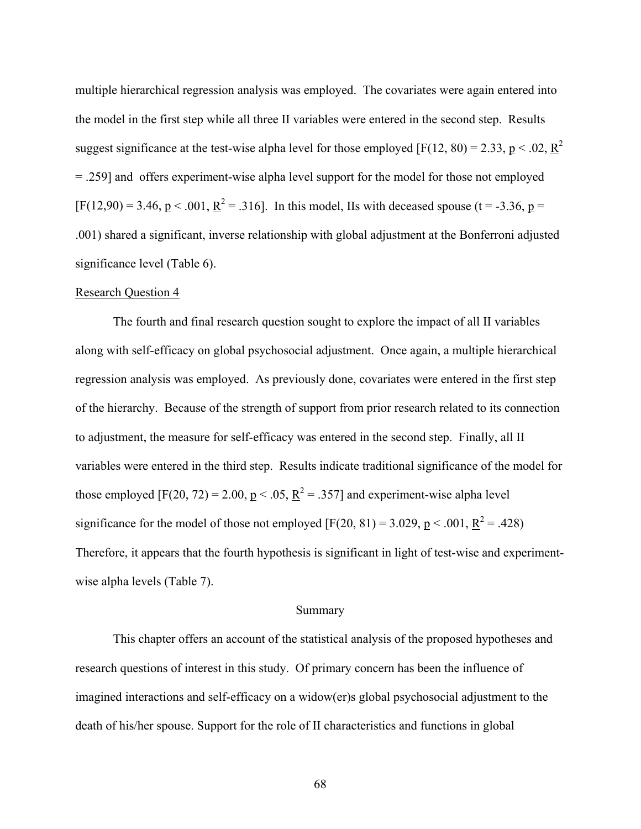multiple hierarchical regression analysis was employed. The covariates were again entered into the model in the first step while all three II variables were entered in the second step. Results suggest significance at the test-wise alpha level for those employed [F(12, 80) = 2.33,  $p < .02$ ,  $R^2$ = .259] and offers experiment-wise alpha level support for the model for those not employed  $[F(12,90) = 3.46, p < .001, \underline{R}^2 = .316]$ . In this model, IIs with deceased spouse (t = -3.36, p = .001) shared a significant, inverse relationship with global adjustment at the Bonferroni adjusted significance level (Table 6).

### Research Question 4

The fourth and final research question sought to explore the impact of all II variables along with self-efficacy on global psychosocial adjustment. Once again, a multiple hierarchical regression analysis was employed. As previously done, covariates were entered in the first step of the hierarchy. Because of the strength of support from prior research related to its connection to adjustment, the measure for self-efficacy was entered in the second step. Finally, all II variables were entered in the third step. Results indicate traditional significance of the model for those employed [F(20, 72) = 2.00,  $p < .05$ ,  $R^2 = .357$ ] and experiment-wise alpha level significance for the model of those not employed  $[F(20, 81) = 3.029, p < .001, R^2 = .428)$ Therefore, it appears that the fourth hypothesis is significant in light of test-wise and experimentwise alpha levels (Table 7).

### Summary

This chapter offers an account of the statistical analysis of the proposed hypotheses and research questions of interest in this study. Of primary concern has been the influence of imagined interactions and self-efficacy on a widow(er)s global psychosocial adjustment to the death of his/her spouse. Support for the role of II characteristics and functions in global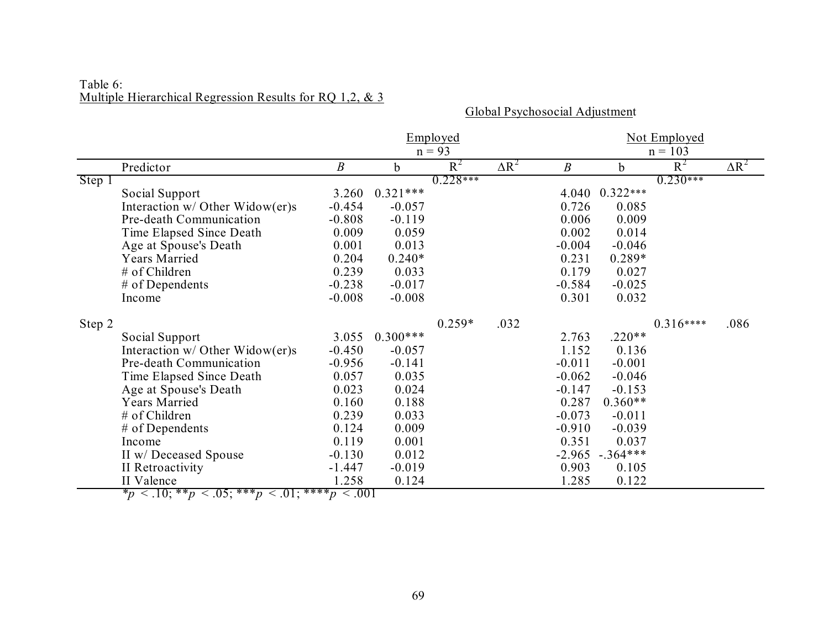# Table 6: Multiple Hierarchical Regression Results for RQ 1,2, & 3

Global Psychosocial Adjustment

|        |                                           |                  |             | Employed   |              | Not Employed     |             |            |              |  |  |  |
|--------|-------------------------------------------|------------------|-------------|------------|--------------|------------------|-------------|------------|--------------|--|--|--|
|        |                                           |                  |             | $n = 93$   |              |                  | $n = 103$   |            |              |  |  |  |
|        | Predictor                                 | $\boldsymbol{B}$ | $\mathbf b$ | $R^2$      | $\Delta R^2$ | $\boldsymbol{B}$ | $\mathbf b$ | $R^2$      | $\Delta R^2$ |  |  |  |
| Step 1 |                                           |                  |             | $0.228***$ |              |                  |             | $0.230***$ |              |  |  |  |
|        | Social Support                            | 3.260            | $0.321***$  |            |              | 4.040            | $0.322***$  |            |              |  |  |  |
|        | Interaction $w/$ Other Widow(er)s         | $-0.454$         | $-0.057$    |            |              | 0.726            | 0.085       |            |              |  |  |  |
|        | Pre-death Communication                   | $-0.808$         | $-0.119$    |            |              | 0.006            | 0.009       |            |              |  |  |  |
|        | Time Elapsed Since Death                  | 0.009            | 0.059       |            |              | 0.002            | 0.014       |            |              |  |  |  |
|        | Age at Spouse's Death                     | 0.001            | 0.013       |            |              | $-0.004$         | $-0.046$    |            |              |  |  |  |
|        | <b>Years Married</b>                      | 0.204            | $0.240*$    |            |              | 0.231            | $0.289*$    |            |              |  |  |  |
|        | # of Children                             | 0.239            | 0.033       |            |              | 0.179            | 0.027       |            |              |  |  |  |
|        | # of Dependents                           | $-0.238$         | $-0.017$    |            |              | $-0.584$         | $-0.025$    |            |              |  |  |  |
|        | Income                                    | $-0.008$         | $-0.008$    |            |              | 0.301            | 0.032       |            |              |  |  |  |
| Step 2 |                                           |                  |             | $0.259*$   | .032         |                  |             | $0.316***$ | .086         |  |  |  |
|        | Social Support                            | 3.055            | $0.300***$  |            |              | 2.763            | $.220**$    |            |              |  |  |  |
|        | Interaction $w/$ Other Widow(er)s         | $-0.450$         | $-0.057$    |            |              | 1.152            | 0.136       |            |              |  |  |  |
|        | Pre-death Communication                   | $-0.956$         | $-0.141$    |            |              | $-0.011$         | $-0.001$    |            |              |  |  |  |
|        | Time Elapsed Since Death                  | 0.057            | 0.035       |            |              | $-0.062$         | $-0.046$    |            |              |  |  |  |
|        | Age at Spouse's Death                     | 0.023            | 0.024       |            |              | $-0.147$         | $-0.153$    |            |              |  |  |  |
|        | <b>Years Married</b>                      | 0.160            | 0.188       |            |              | 0.287            | $0.360**$   |            |              |  |  |  |
|        | # of Children                             | 0.239            | 0.033       |            |              | $-0.073$         | $-0.011$    |            |              |  |  |  |
|        | $#$ of Dependents                         | 0.124            | 0.009       |            |              | $-0.910$         | $-0.039$    |            |              |  |  |  |
|        | Income                                    | 0.119            | 0.001       |            |              | 0.351            | 0.037       |            |              |  |  |  |
|        | II w/ Deceased Spouse                     | $-0.130$         | 0.012       |            |              | $-2.965$         | $-.364***$  |            |              |  |  |  |
|        | II Retroactivity                          | $-1.447$         | $-0.019$    |            |              | 0.903            | 0.105       |            |              |  |  |  |
|        | II Valence<br>05. XXX<br>*<br>$2 - 10.88$ | 1.258<br>$\pi$   | 0.124       |            |              | 1.285            | 0.122       |            |              |  |  |  |

 $*_{p}$  < .10; \*\**p* < .05; \*\*\**p* < .01; \*\*\*\**p* < .001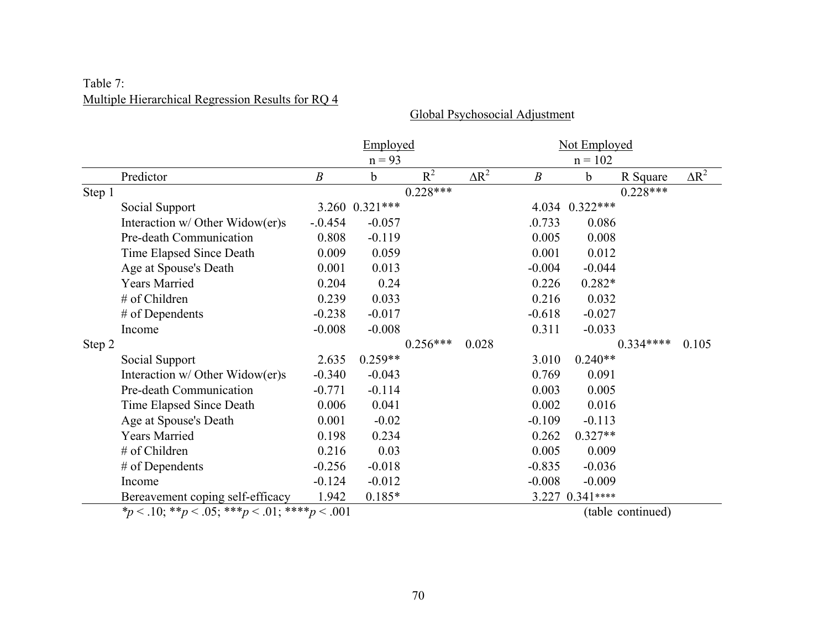# Table 7: Multiple Hierarchical Regression Results for RQ 4

Global Psychosocial Adjustment

|        |                                                                                  |                              | Employed       |            |              |                  | Not Employed                 |            |              |
|--------|----------------------------------------------------------------------------------|------------------------------|----------------|------------|--------------|------------------|------------------------------|------------|--------------|
|        |                                                                                  |                              | $n = 93$       |            |              |                  | $n = 102$                    |            |              |
|        | Predictor                                                                        | $\boldsymbol{B}$             | $\mathbf b$    | $R^2$      | $\Delta R^2$ | $\boldsymbol{B}$ | b                            | R Square   | $\Delta R^2$ |
| Step 1 |                                                                                  |                              |                | $0.228***$ |              |                  |                              | $0.228***$ |              |
|        | Social Support                                                                   |                              | 3.260 0.321*** |            |              |                  | 4.034 0.322***               |            |              |
|        | Interaction w/ Other Widow(er)s                                                  | $-.0.454$                    | $-0.057$       |            |              | .0.733           | 0.086                        |            |              |
|        | Pre-death Communication                                                          | 0.808                        | $-0.119$       |            |              | 0.005            | 0.008                        |            |              |
|        | Time Elapsed Since Death                                                         | 0.009                        | 0.059          |            |              | 0.001            | 0.012                        |            |              |
|        | Age at Spouse's Death                                                            | 0.001                        | 0.013          |            |              | $-0.004$         | $-0.044$                     |            |              |
|        | <b>Years Married</b>                                                             | 0.204                        | 0.24           |            |              | 0.226            | $0.282*$                     |            |              |
|        | # of Children                                                                    | 0.239                        | 0.033          |            |              | 0.216            | 0.032                        |            |              |
|        | # of Dependents                                                                  | $-0.238$                     | $-0.017$       |            |              | $-0.618$         | $-0.027$                     |            |              |
|        | Income                                                                           | $-0.008$                     | $-0.008$       |            |              | 0.311            | $-0.033$                     |            |              |
| Step 2 |                                                                                  |                              |                | $0.256***$ | 0.028        |                  |                              | $0.334***$ | 0.105        |
|        | Social Support                                                                   | 2.635                        | $0.259**$      |            |              | 3.010            | $0.240**$                    |            |              |
|        | Interaction w/ Other Widow(er)s                                                  | $-0.340$                     | $-0.043$       |            |              | 0.769            | 0.091                        |            |              |
|        | Pre-death Communication                                                          | $-0.771$                     | $-0.114$       |            |              | 0.003            | 0.005                        |            |              |
|        | Time Elapsed Since Death                                                         | 0.006                        | 0.041          |            |              | 0.002            | 0.016                        |            |              |
|        | Age at Spouse's Death                                                            | 0.001                        | $-0.02$        |            |              | $-0.109$         | $-0.113$                     |            |              |
|        | <b>Years Married</b>                                                             | 0.198                        | 0.234          |            |              | 0.262            | $0.327**$                    |            |              |
|        | # of Children                                                                    | 0.216                        | 0.03           |            |              | 0.005            | 0.009                        |            |              |
|        | # of Dependents                                                                  | $-0.256$                     | $-0.018$       |            |              | $-0.835$         | $-0.036$                     |            |              |
|        | Income                                                                           | $-0.124$                     | $-0.012$       |            |              | $-0.008$         | $-0.009$                     |            |              |
|        | Bereavement coping self-efficacy<br>$\sim$ 1.0 ቀቀ $\sim$ 0.7 ቀቀቀ $\sim$ 0.1 ቀቀቀቀ | 1.942<br>$\Omega$ $\Omega$ 1 | $0.185*$       |            |              |                  | 3.227 0.341****<br>(1, 1, 1) | $1\lambda$ |              |

*\*p* < .10; \*\**p* < .05; \*\*\**p* < .01; \*\*\*\**p* < .001 (table continued)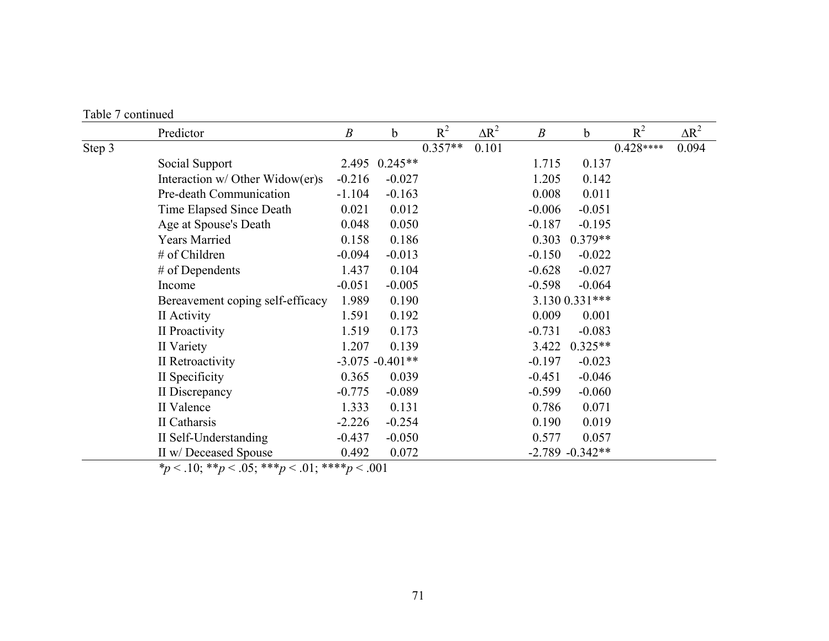| Table 7 continued |
|-------------------|

|        | Predictor                         | $\boldsymbol{B}$ | b                  | $R^2$     | $\Delta R^2$ | $\boldsymbol{B}$ | b                   | $R^2$      | $\Delta R^2$ |
|--------|-----------------------------------|------------------|--------------------|-----------|--------------|------------------|---------------------|------------|--------------|
| Step 3 |                                   |                  |                    | $0.357**$ | 0.101        |                  |                     | $0.428***$ | 0.094        |
|        | Social Support                    | 2.495            | $0.245**$          |           |              | 1.715            | 0.137               |            |              |
|        | Interaction $w/$ Other Widow(er)s | $-0.216$         | $-0.027$           |           |              | 1.205            | 0.142               |            |              |
|        | Pre-death Communication           | $-1.104$         | $-0.163$           |           |              | 0.008            | 0.011               |            |              |
|        | Time Elapsed Since Death          | 0.021            | 0.012              |           |              | $-0.006$         | $-0.051$            |            |              |
|        | Age at Spouse's Death             | 0.048            | 0.050              |           |              | $-0.187$         | $-0.195$            |            |              |
|        | <b>Years Married</b>              | 0.158            | 0.186              |           |              | 0.303            | $0.379**$           |            |              |
|        | # of Children                     | $-0.094$         | $-0.013$           |           |              | $-0.150$         | $-0.022$            |            |              |
|        | $#$ of Dependents                 | 1.437            | 0.104              |           |              | $-0.628$         | $-0.027$            |            |              |
|        | Income                            | $-0.051$         | $-0.005$           |           |              | $-0.598$         | $-0.064$            |            |              |
|        | Bereavement coping self-efficacy  | 1.989            | 0.190              |           |              |                  | 3.130 0.331***      |            |              |
|        | II Activity                       | 1.591            | 0.192              |           |              | 0.009            | 0.001               |            |              |
|        | II Proactivity                    | 1.519            | 0.173              |           |              | $-0.731$         | $-0.083$            |            |              |
|        | II Variety                        | 1.207            | 0.139              |           |              | 3.422            | $0.325**$           |            |              |
|        | II Retroactivity                  |                  | $-3.075 - 0.401**$ |           |              | $-0.197$         | $-0.023$            |            |              |
|        | II Specificity                    | 0.365            | 0.039              |           |              | $-0.451$         | $-0.046$            |            |              |
|        | II Discrepancy                    | $-0.775$         | $-0.089$           |           |              | $-0.599$         | $-0.060$            |            |              |
|        | II Valence                        | 1.333            | 0.131              |           |              | 0.786            | 0.071               |            |              |
|        | II Catharsis                      | $-2.226$         | $-0.254$           |           |              | 0.190            | 0.019               |            |              |
|        | II Self-Understanding             | $-0.437$         | $-0.050$           |           |              | 0.577            | 0.057               |            |              |
|        | II w/ Deceased Spouse             | 0.492            | 0.072              |           |              |                  | $-2.789$ $-0.342**$ |            |              |

*\*p* < .10; \*\**p* < .05; \*\*\**p* < .01; \*\*\*\**p* < .001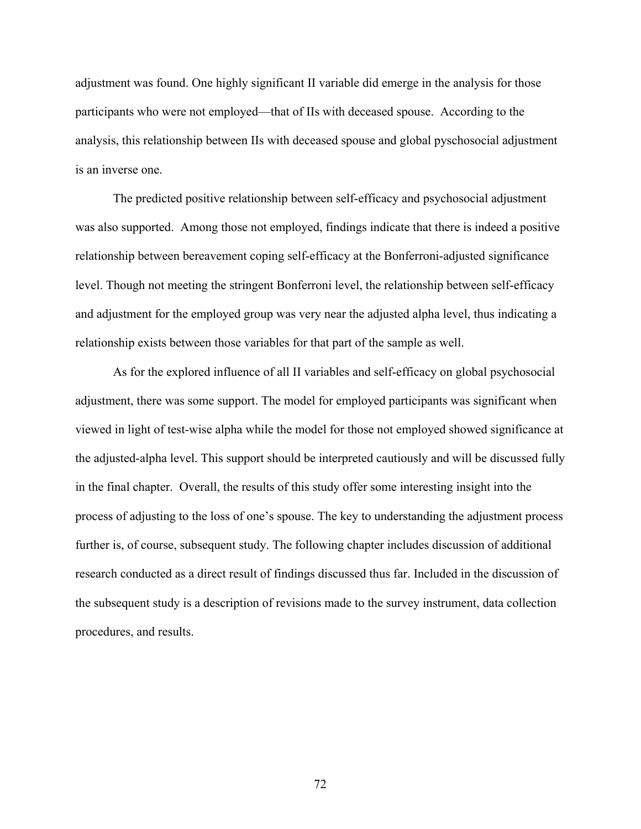adjustment was found. One highly significant II variable did emerge in the analysis for those participants who were not employed—that of IIs with deceased spouse. According to the analysis, this relationship between IIs with deceased spouse and global pyschosocial adjustment is an inverse one.

The predicted positive relationship between self-efficacy and psychosocial adjustment was also supported. Among those not employed, findings indicate that there is indeed a positive relationship between bereavement coping self-efficacy at the Bonferroni-adjusted significance level. Though not meeting the stringent Bonferroni level, the relationship between self-efficacy and adjustment for the employed group was very near the adjusted alpha level, thus indicating a relationship exists between those variables for that part of the sample as well.

As for the explored influence of all II variables and self-efficacy on global psychosocial adjustment, there was some support. The model for employed participants was significant when viewed in light of test-wise alpha while the model for those not employed showed significance at the adjusted-alpha level. This support should be interpreted cautiously and will be discussed fully in the final chapter. Overall, the results of this study offer some interesting insight into the process of adjusting to the loss of one's spouse. The key to understanding the adjustment process further is, of course, subsequent study. The following chapter includes discussion of additional research conducted as a direct result of findings discussed thus far. Included in the discussion of the subsequent study is a description of revisions made to the survey instrument, data collection procedures, and results.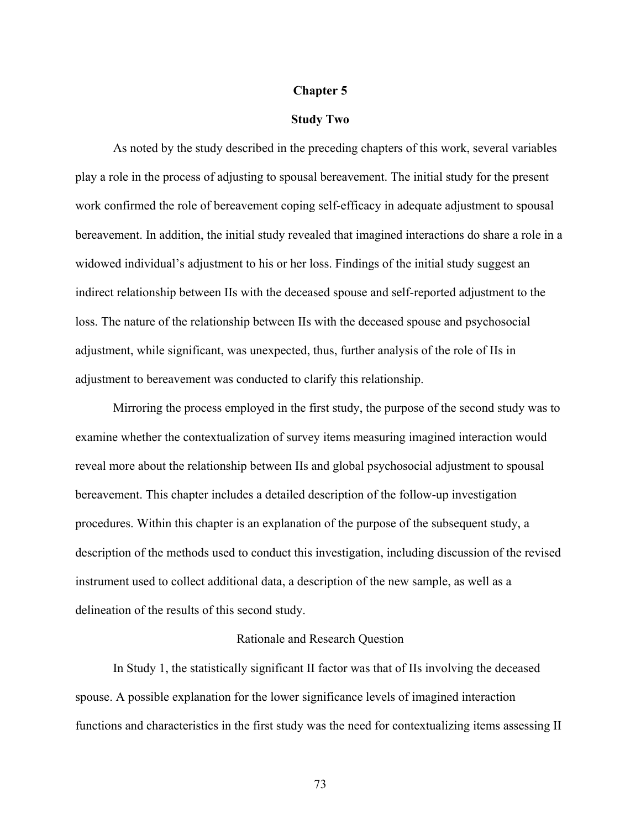### **Chapter 5**

#### **Study Two**

As noted by the study described in the preceding chapters of this work, several variables play a role in the process of adjusting to spousal bereavement. The initial study for the present work confirmed the role of bereavement coping self-efficacy in adequate adjustment to spousal bereavement. In addition, the initial study revealed that imagined interactions do share a role in a widowed individual's adjustment to his or her loss. Findings of the initial study suggest an indirect relationship between IIs with the deceased spouse and self-reported adjustment to the loss. The nature of the relationship between IIs with the deceased spouse and psychosocial adjustment, while significant, was unexpected, thus, further analysis of the role of IIs in adjustment to bereavement was conducted to clarify this relationship.

Mirroring the process employed in the first study, the purpose of the second study was to examine whether the contextualization of survey items measuring imagined interaction would reveal more about the relationship between IIs and global psychosocial adjustment to spousal bereavement. This chapter includes a detailed description of the follow-up investigation procedures. Within this chapter is an explanation of the purpose of the subsequent study, a description of the methods used to conduct this investigation, including discussion of the revised instrument used to collect additional data, a description of the new sample, as well as a delineation of the results of this second study.

# Rationale and Research Question

In Study 1, the statistically significant II factor was that of IIs involving the deceased spouse. A possible explanation for the lower significance levels of imagined interaction functions and characteristics in the first study was the need for contextualizing items assessing II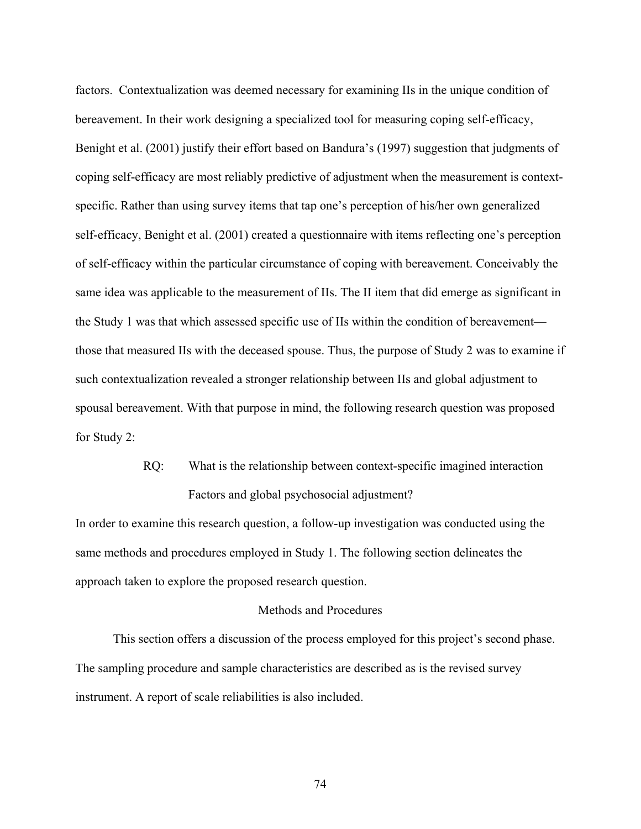factors. Contextualization was deemed necessary for examining IIs in the unique condition of bereavement. In their work designing a specialized tool for measuring coping self-efficacy, Benight et al. (2001) justify their effort based on Bandura's (1997) suggestion that judgments of coping self-efficacy are most reliably predictive of adjustment when the measurement is contextspecific. Rather than using survey items that tap one's perception of his/her own generalized self-efficacy, Benight et al. (2001) created a questionnaire with items reflecting one's perception of self-efficacy within the particular circumstance of coping with bereavement. Conceivably the same idea was applicable to the measurement of IIs. The II item that did emerge as significant in the Study 1 was that which assessed specific use of IIs within the condition of bereavement those that measured IIs with the deceased spouse. Thus, the purpose of Study 2 was to examine if such contextualization revealed a stronger relationship between IIs and global adjustment to spousal bereavement. With that purpose in mind, the following research question was proposed for Study 2:

> RQ: What is the relationship between context-specific imagined interaction Factors and global psychosocial adjustment?

In order to examine this research question, a follow-up investigation was conducted using the same methods and procedures employed in Study 1. The following section delineates the approach taken to explore the proposed research question.

# Methods and Procedures

This section offers a discussion of the process employed for this project's second phase. The sampling procedure and sample characteristics are described as is the revised survey instrument. A report of scale reliabilities is also included.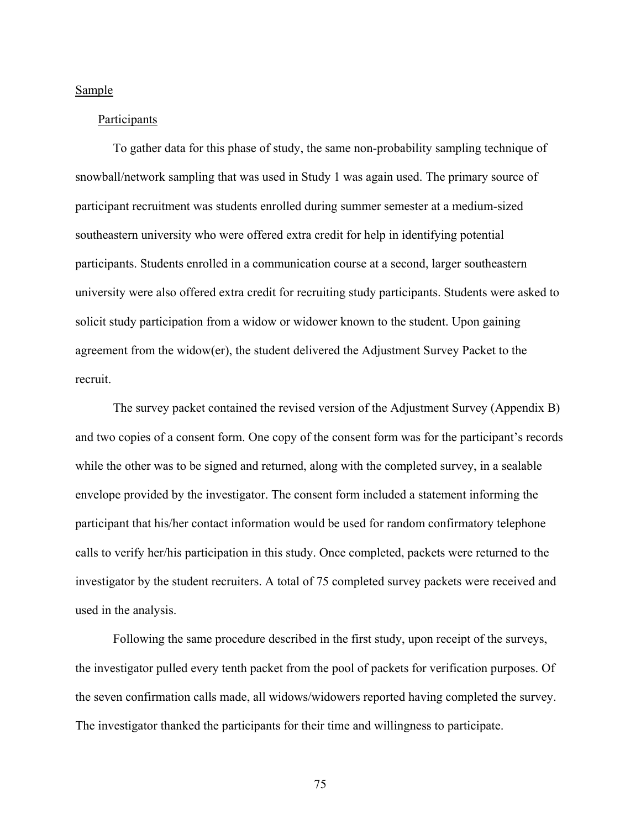#### Sample

#### Participants

To gather data for this phase of study, the same non-probability sampling technique of snowball/network sampling that was used in Study 1 was again used. The primary source of participant recruitment was students enrolled during summer semester at a medium-sized southeastern university who were offered extra credit for help in identifying potential participants. Students enrolled in a communication course at a second, larger southeastern university were also offered extra credit for recruiting study participants. Students were asked to solicit study participation from a widow or widower known to the student. Upon gaining agreement from the widow(er), the student delivered the Adjustment Survey Packet to the recruit.

The survey packet contained the revised version of the Adjustment Survey (Appendix B) and two copies of a consent form. One copy of the consent form was for the participant's records while the other was to be signed and returned, along with the completed survey, in a sealable envelope provided by the investigator. The consent form included a statement informing the participant that his/her contact information would be used for random confirmatory telephone calls to verify her/his participation in this study. Once completed, packets were returned to the investigator by the student recruiters. A total of 75 completed survey packets were received and used in the analysis.

Following the same procedure described in the first study, upon receipt of the surveys, the investigator pulled every tenth packet from the pool of packets for verification purposes. Of the seven confirmation calls made, all widows/widowers reported having completed the survey. The investigator thanked the participants for their time and willingness to participate.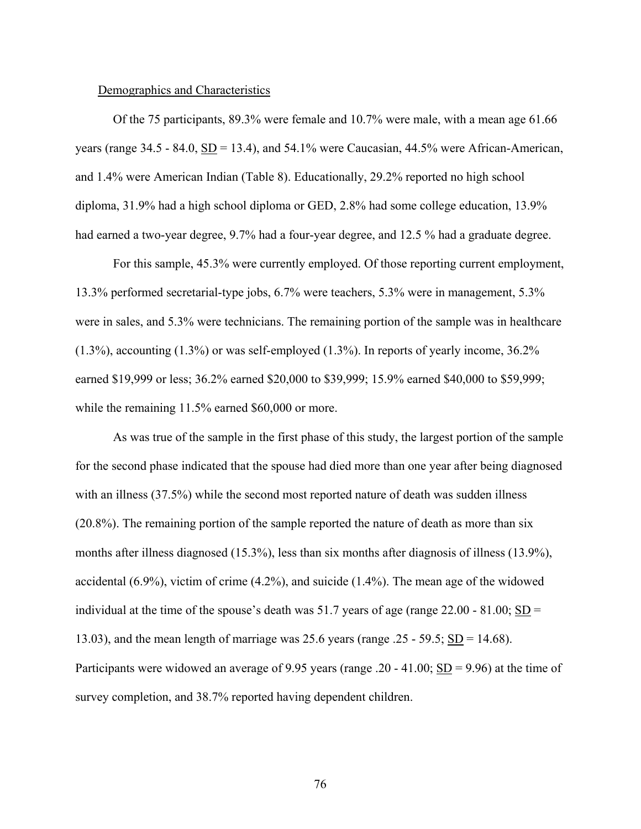### Demographics and Characteristics

Of the 75 participants, 89.3% were female and 10.7% were male, with a mean age 61.66 years (range  $34.5 - 84.0$ ,  $SD = 13.4$ ), and  $54.1\%$  were Caucasian, 44.5% were African-American, and 1.4% were American Indian (Table 8). Educationally, 29.2% reported no high school diploma, 31.9% had a high school diploma or GED, 2.8% had some college education, 13.9% had earned a two-year degree, 9.7% had a four-year degree, and 12.5 % had a graduate degree.

For this sample, 45.3% were currently employed. Of those reporting current employment, 13.3% performed secretarial-type jobs, 6.7% were teachers, 5.3% were in management, 5.3% were in sales, and 5.3% were technicians. The remaining portion of the sample was in healthcare (1.3%), accounting (1.3%) or was self-employed (1.3%). In reports of yearly income, 36.2% earned \$19,999 or less; 36.2% earned \$20,000 to \$39,999; 15.9% earned \$40,000 to \$59,999; while the remaining 11.5% earned \$60,000 or more.

As was true of the sample in the first phase of this study, the largest portion of the sample for the second phase indicated that the spouse had died more than one year after being diagnosed with an illness (37.5%) while the second most reported nature of death was sudden illness (20.8%). The remaining portion of the sample reported the nature of death as more than six months after illness diagnosed (15.3%), less than six months after diagnosis of illness (13.9%), accidental (6.9%), victim of crime (4.2%), and suicide (1.4%). The mean age of the widowed individual at the time of the spouse's death was 51.7 years of age (range  $22.00 - 81.00$ ; SD = 13.03), and the mean length of marriage was 25.6 years (range .25 - 59.5;  $SD = 14.68$ ). Participants were widowed an average of 9.95 years (range .20 - 41.00; SD = 9.96) at the time of survey completion, and 38.7% reported having dependent children.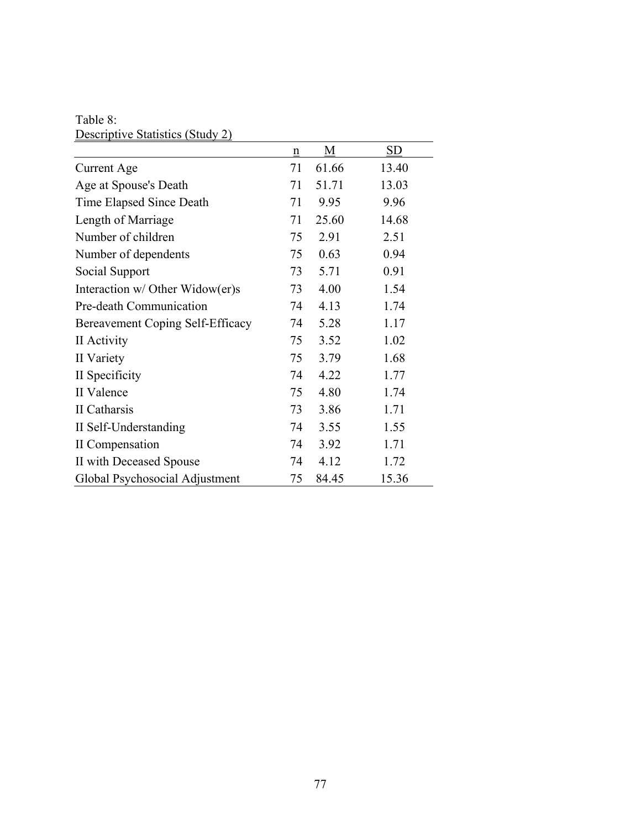Table 8: Descriptive Statistics (Study 2)

|                                  | $\underline{n}$ | M     | <u>SD</u> |
|----------------------------------|-----------------|-------|-----------|
| Current Age                      | 71              | 61.66 | 13.40     |
| Age at Spouse's Death            | 71              | 51.71 | 13.03     |
| Time Elapsed Since Death         | 71              | 9.95  | 9.96      |
| Length of Marriage               | 71              | 25.60 | 14.68     |
| Number of children               | 75              | 2.91  | 2.51      |
| Number of dependents             | 75              | 0.63  | 0.94      |
| Social Support                   | 73              | 5.71  | 0.91      |
| Interaction w/ Other Widow(er)s  | 73              | 4.00  | 1.54      |
| Pre-death Communication          | 74              | 4.13  | 1.74      |
| Bereavement Coping Self-Efficacy | 74              | 5.28  | 1.17      |
| II Activity                      | 75              | 3.52  | 1.02      |
| II Variety                       | 75              | 3.79  | 1.68      |
| II Specificity                   | 74              | 4.22  | 1.77      |
| II Valence                       | 75              | 4.80  | 1.74      |
| II Catharsis                     | 73              | 3.86  | 1.71      |
| II Self-Understanding            | 74              | 3.55  | 1.55      |
| II Compensation                  | 74              | 3.92  | 1.71      |
| II with Deceased Spouse          | 74              | 4.12  | 1.72      |
| Global Psychosocial Adjustment   | 75              | 84.45 | 15.36     |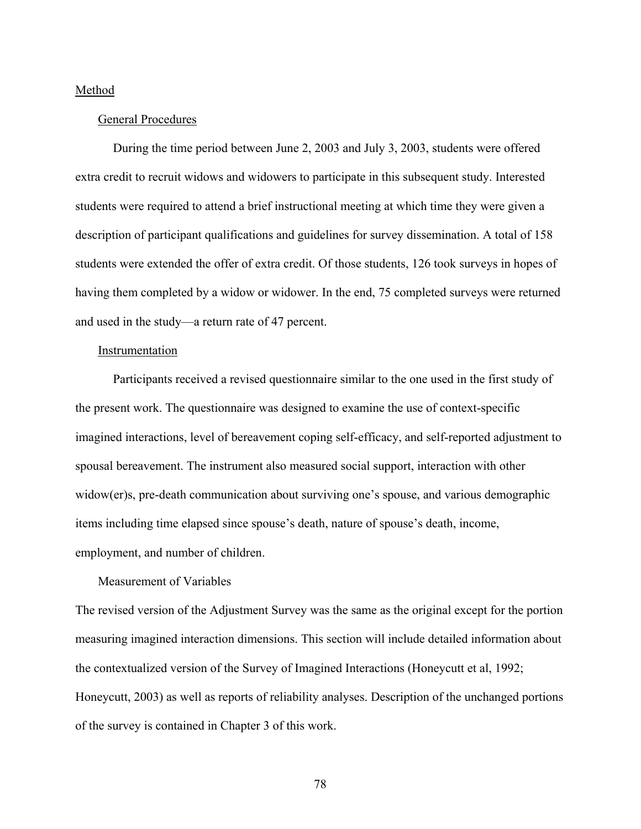## Method

## General Procedures

During the time period between June 2, 2003 and July 3, 2003, students were offered extra credit to recruit widows and widowers to participate in this subsequent study. Interested students were required to attend a brief instructional meeting at which time they were given a description of participant qualifications and guidelines for survey dissemination. A total of 158 students were extended the offer of extra credit. Of those students, 126 took surveys in hopes of having them completed by a widow or widower. In the end, 75 completed surveys were returned and used in the study—a return rate of 47 percent.

# Instrumentation

Participants received a revised questionnaire similar to the one used in the first study of the present work. The questionnaire was designed to examine the use of context-specific imagined interactions, level of bereavement coping self-efficacy, and self-reported adjustment to spousal bereavement. The instrument also measured social support, interaction with other widow(er)s, pre-death communication about surviving one's spouse, and various demographic items including time elapsed since spouse's death, nature of spouse's death, income, employment, and number of children.

# Measurement of Variables

The revised version of the Adjustment Survey was the same as the original except for the portion measuring imagined interaction dimensions. This section will include detailed information about the contextualized version of the Survey of Imagined Interactions (Honeycutt et al, 1992; Honeycutt, 2003) as well as reports of reliability analyses. Description of the unchanged portions of the survey is contained in Chapter 3 of this work.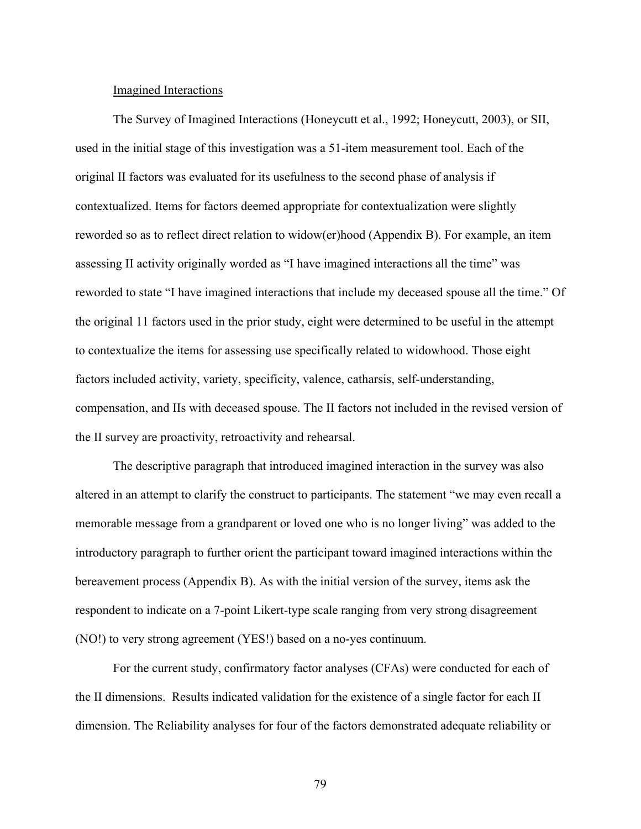### Imagined Interactions

The Survey of Imagined Interactions (Honeycutt et al., 1992; Honeycutt, 2003), or SII, used in the initial stage of this investigation was a 51-item measurement tool. Each of the original II factors was evaluated for its usefulness to the second phase of analysis if contextualized. Items for factors deemed appropriate for contextualization were slightly reworded so as to reflect direct relation to widow(er)hood (Appendix B). For example, an item assessing II activity originally worded as "I have imagined interactions all the time" was reworded to state "I have imagined interactions that include my deceased spouse all the time." Of the original 11 factors used in the prior study, eight were determined to be useful in the attempt to contextualize the items for assessing use specifically related to widowhood. Those eight factors included activity, variety, specificity, valence, catharsis, self-understanding, compensation, and IIs with deceased spouse. The II factors not included in the revised version of the II survey are proactivity, retroactivity and rehearsal.

The descriptive paragraph that introduced imagined interaction in the survey was also altered in an attempt to clarify the construct to participants. The statement "we may even recall a memorable message from a grandparent or loved one who is no longer living" was added to the introductory paragraph to further orient the participant toward imagined interactions within the bereavement process (Appendix B). As with the initial version of the survey, items ask the respondent to indicate on a 7-point Likert-type scale ranging from very strong disagreement (NO!) to very strong agreement (YES!) based on a no-yes continuum.

For the current study, confirmatory factor analyses (CFAs) were conducted for each of the II dimensions. Results indicated validation for the existence of a single factor for each II dimension. The Reliability analyses for four of the factors demonstrated adequate reliability or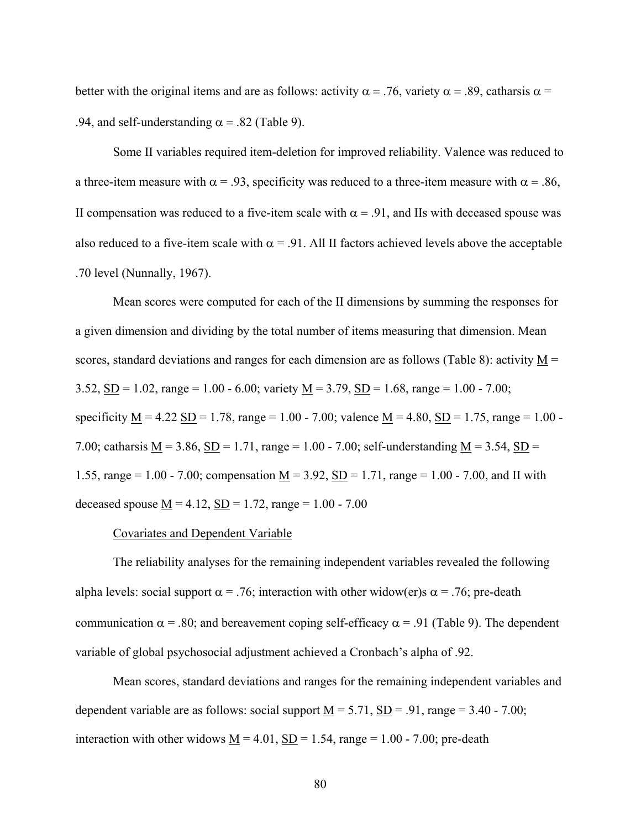better with the original items and are as follows: activity  $\alpha = .76$ , variety  $\alpha = .89$ , catharsis  $\alpha =$ .94, and self-understanding  $\alpha$  = .82 (Table 9).

Some II variables required item-deletion for improved reliability. Valence was reduced to a three-item measure with  $\alpha$  = .93, specificity was reduced to a three-item measure with  $\alpha$  = .86, II compensation was reduced to a five-item scale with  $\alpha = .91$ , and IIs with deceased spouse was also reduced to a five-item scale with  $\alpha$  = .91. All II factors achieved levels above the acceptable .70 level (Nunnally, 1967).

Mean scores were computed for each of the II dimensions by summing the responses for a given dimension and dividing by the total number of items measuring that dimension. Mean scores, standard deviations and ranges for each dimension are as follows (Table 8): activity  $M =$ 3.52, SD = 1.02, range = 1.00 - 6.00; variety  $M = 3.79$ , SD = 1.68, range = 1.00 - 7.00; specificity  $M = 4.22$  SD = 1.78, range = 1.00 - 7.00; valence  $M = 4.80$ , SD = 1.75, range = 1.00 -7.00; catharsis <u>M</u> = 3.86, <u>SD</u> = 1.71, range = 1.00 - 7.00; self-understanding <u>M</u> = 3.54, <u>SD</u> = 1.55, range = 1.00 - 7.00; compensation  $M = 3.92$ ,  $SD = 1.71$ , range = 1.00 - 7.00, and II with deceased spouse  $\underline{M} = 4.12$ ,  $\underline{SD} = 1.72$ , range = 1.00 - 7.00

# Covariates and Dependent Variable

The reliability analyses for the remaining independent variables revealed the following alpha levels: social support  $\alpha = .76$ ; interaction with other widow(er)s  $\alpha = .76$ ; pre-death communication  $\alpha$  = .80; and bereavement coping self-efficacy  $\alpha$  = .91 (Table 9). The dependent variable of global psychosocial adjustment achieved a Cronbach's alpha of .92.

Mean scores, standard deviations and ranges for the remaining independent variables and dependent variable are as follows: social support  $M = 5.71$ ,  $SD = .91$ , range  $= 3.40 - 7.00$ ; interaction with other widows  $M = 4.01$ ,  $SD = 1.54$ , range = 1.00 - 7.00; pre-death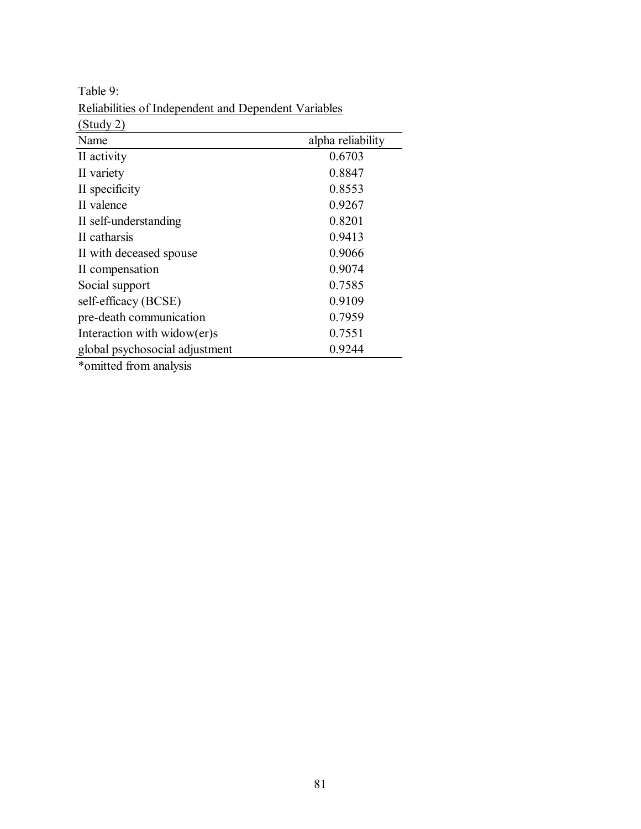| (Study 2)                       |                   |
|---------------------------------|-------------------|
| Name                            | alpha reliability |
| II activity                     | 0.6703            |
| II variety                      | 0.8847            |
| II specificity                  | 0.8553            |
| II valence                      | 0.9267            |
| II self-understanding           | 0.8201            |
| II catharsis                    | 0.9413            |
| II with deceased spouse         | 0.9066            |
| II compensation                 | 0.9074            |
| Social support                  | 0.7585            |
| self-efficacy (BCSE)            | 0.9109            |
| pre-death communication         | 0.7959            |
| Interaction with widow( $er$ )s | 0.7551            |
| global psychosocial adjustment  | 0.9244            |
| *omitted from analysis          |                   |

Table 9: Reliabilities of Independent and Dependent Variables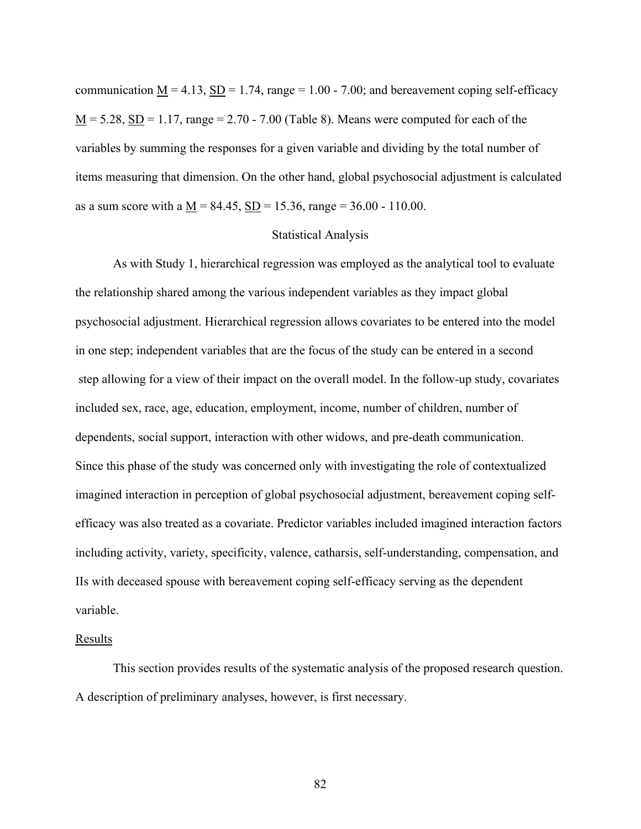communication  $M = 4.13$ ,  $SD = 1.74$ , range = 1.00 - 7.00; and bereavement coping self-efficacy  $M = 5.28$ ,  $SD = 1.17$ , range = 2.70 - 7.00 (Table 8). Means were computed for each of the variables by summing the responses for a given variable and dividing by the total number of items measuring that dimension. On the other hand, global psychosocial adjustment is calculated as a sum score with a  $M = 84.45$ ,  $SD = 15.36$ , range = 36.00 - 110.00.

## Statistical Analysis

As with Study 1, hierarchical regression was employed as the analytical tool to evaluate the relationship shared among the various independent variables as they impact global psychosocial adjustment. Hierarchical regression allows covariates to be entered into the model in one step; independent variables that are the focus of the study can be entered in a second step allowing for a view of their impact on the overall model. In the follow-up study, covariates included sex, race, age, education, employment, income, number of children, number of dependents, social support, interaction with other widows, and pre-death communication. Since this phase of the study was concerned only with investigating the role of contextualized imagined interaction in perception of global psychosocial adjustment, bereavement coping selfefficacy was also treated as a covariate. Predictor variables included imagined interaction factors including activity, variety, specificity, valence, catharsis, self-understanding, compensation, and IIs with deceased spouse with bereavement coping self-efficacy serving as the dependent variable.

### Results

This section provides results of the systematic analysis of the proposed research question. A description of preliminary analyses, however, is first necessary.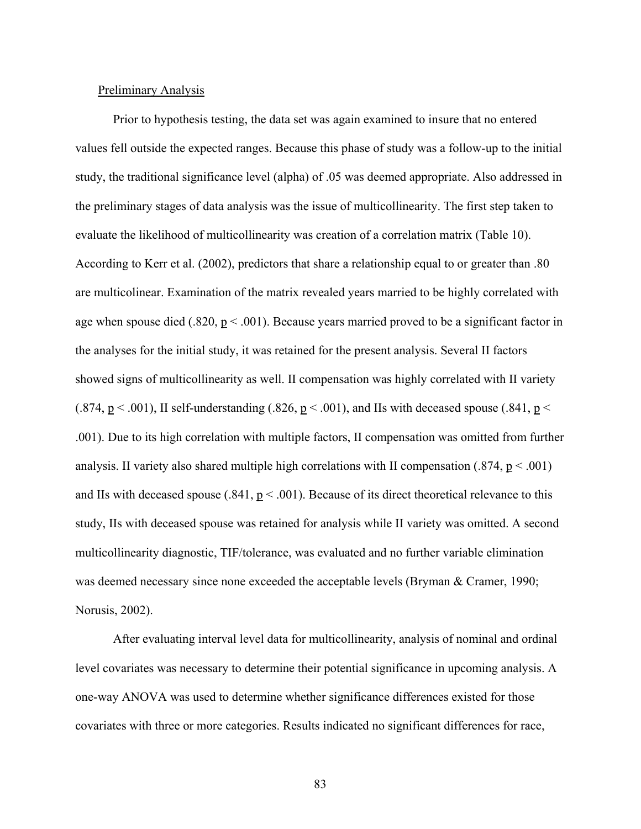#### Preliminary Analysis

Prior to hypothesis testing, the data set was again examined to insure that no entered values fell outside the expected ranges. Because this phase of study was a follow-up to the initial study, the traditional significance level (alpha) of .05 was deemed appropriate. Also addressed in the preliminary stages of data analysis was the issue of multicollinearity. The first step taken to evaluate the likelihood of multicollinearity was creation of a correlation matrix (Table 10). According to Kerr et al. (2002), predictors that share a relationship equal to or greater than .80 are multicolinear. Examination of the matrix revealed years married to be highly correlated with age when spouse died (.820,  $p < .001$ ). Because years married proved to be a significant factor in the analyses for the initial study, it was retained for the present analysis. Several II factors showed signs of multicollinearity as well. II compensation was highly correlated with II variety (.874,  $p < .001$ ), II self-understanding (.826,  $p < .001$ ), and IIs with deceased spouse (.841,  $p <$ .001). Due to its high correlation with multiple factors, II compensation was omitted from further analysis. II variety also shared multiple high correlations with II compensation (.874,  $p < .001$ ) and IIs with deceased spouse (.841,  $p < .001$ ). Because of its direct theoretical relevance to this study, IIs with deceased spouse was retained for analysis while II variety was omitted. A second multicollinearity diagnostic, TIF/tolerance, was evaluated and no further variable elimination was deemed necessary since none exceeded the acceptable levels (Bryman & Cramer, 1990; Norusis, 2002).

After evaluating interval level data for multicollinearity, analysis of nominal and ordinal level covariates was necessary to determine their potential significance in upcoming analysis. A one-way ANOVA was used to determine whether significance differences existed for those covariates with three or more categories. Results indicated no significant differences for race,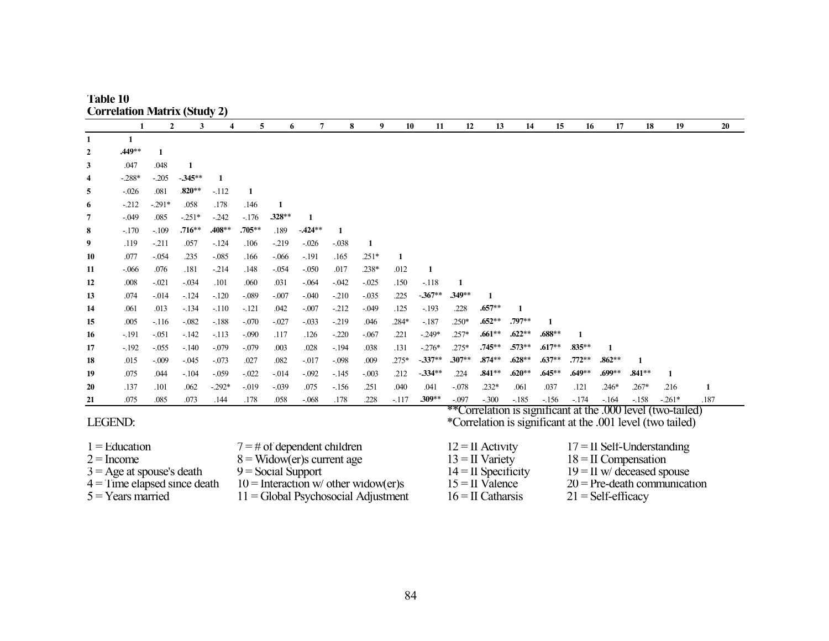| Table 10                            |  |
|-------------------------------------|--|
| <b>Correlation Matrix (Study 2)</b> |  |

|           |          | $\mathbf{2}$ | 3        | 4        | 5         | 6        | 7        | 8       | 9        | 10      | 11       | 12       | 13       | 14           | 15       | 16       | 17       | 18       | 19      | 20   |
|-----------|----------|--------------|----------|----------|-----------|----------|----------|---------|----------|---------|----------|----------|----------|--------------|----------|----------|----------|----------|---------|------|
|           |          |              |          |          |           |          |          |         |          |         |          |          |          |              |          |          |          |          |         |      |
| 2         | .449**   |              |          |          |           |          |          |         |          |         |          |          |          |              |          |          |          |          |         |      |
| 3         | .047     | .048         | 1        |          |           |          |          |         |          |         |          |          |          |              |          |          |          |          |         |      |
| 4         | $-.288*$ | $-.205$      | $-345**$ |          |           |          |          |         |          |         |          |          |          |              |          |          |          |          |         |      |
| 5         | $-0.026$ | .081         | $.820**$ | $-112$   | 1         |          |          |         |          |         |          |          |          |              |          |          |          |          |         |      |
| 6         | $-212$   | $-.291*$     | .058     | .178     | .146      |          |          |         |          |         |          |          |          |              |          |          |          |          |         |      |
| 7         | $-0.049$ | .085         | $-.251*$ | $-242$   | $-176$    | $.328**$ | -1       |         |          |         |          |          |          |              |          |          |          |          |         |      |
| 8         | $-.170$  | $-.109$      | $.716**$ | .408**   | $.705***$ | .189     | $-424**$ |         |          |         |          |          |          |              |          |          |          |          |         |      |
| 9         | .119     | $-211$       | .057     | $-124$   | .106      | $-219$   | $-.026$  | $-.038$ | 1        |         |          |          |          |              |          |          |          |          |         |      |
| 10        | .077     | $-.054$      | .235     | $-.085$  | .166      | $-.066$  | $-.191$  | .165    | $.251*$  | 1       |          |          |          |              |          |          |          |          |         |      |
| 11        | $-0.066$ | .076         | .181     | $-214$   | .148      | $-.054$  | $-.050$  | .017    | $.238*$  | .012    | 1        |          |          |              |          |          |          |          |         |      |
| 12        | .008     | $-.021$      | $-.034$  | .101     | .060      | .031     | $-.064$  | $-.042$ | $-.025$  | .150    | $-.118$  |          |          |              |          |          |          |          |         |      |
| 13        | .074     | $-0.014$     | $-124$   | $-120$   | $-.089$   | $-.007$  | $-.040$  | $-210$  | $-.035$  | .225    | $-367**$ | $.349**$ | 1        |              |          |          |          |          |         |      |
| 14        | .061     | .013         | $-134$   | $-.110$  | $-121$    | .042     | $-.007$  | $-212$  | $-0.049$ | .125    | $-.193$  | .228     | $.657**$ | $\mathbf{1}$ |          |          |          |          |         |      |
| 15        | .005     | $-116$       | $-.082$  | $-188$   | $-.070$   | $-.027$  | $-.033$  | $-219$  | .046     | .284*   | $-187$   | $.250*$  | $.652**$ | .797**       |          |          |          |          |         |      |
| 16        | $-191$   | $-.051$      | $-142$   | $-113$   | $-.090$   | .117     | .126     | $-.220$ | $-.067$  | .221    | $-249*$  | $.257*$  | $.661**$ | $.622**$     | $.688**$ |          |          |          |         |      |
| 17        | $-192$   | $-.055$      | $-.140$  | $-.079$  | $-.079$   | .003     | .028     | $-194$  | .038     | .131    | $-.276*$ | $.275*$  | $.745**$ | $.573**$     | $.617**$ | .835**   |          |          |         |      |
| 18        | .015     | $-.009$      | $-0.045$ | $-.073$  | .027      | .082     | $-.017$  | $-.098$ | .009     | $.275*$ | $-337**$ | $.307**$ | $.874**$ | $.628**$     | $.637**$ | $.772**$ | $.862**$ | 1        |         |      |
| 19        | .075     | .044         | $-.104$  | $-.059$  | $-.022$   | $-0.014$ | $-.092$  | $-145$  | $-.003$  | .212    | $-334**$ | .224     | $.841**$ | $.620**$     | $.645**$ | $.649**$ | .699**   | $.841**$ |         |      |
| <b>20</b> | .137     | .101         | .062     | $-.292*$ | $-0.019$  | $-.039$  | .075     | $-156$  | .251     | .040    | .041     | $-.078$  | $.232*$  | .061         | .037     | .121     | $.246*$  | $.267*$  | .216    | 1    |
| 21        | .075     | .085         | .073     | .144     | .178      | .058     | $-068$   | .178    | .228     | $-117$  | $.309**$ | $-.097$  | $-.300$  | $-185$       | $-156$   | $-174$   | $-164$   | $-158$   | $-261*$ | .187 |

# LEGEND:

 $1 =$ Education

- $2 =$ Income
- 
- 
- $5 = Years$  married
- 
- 
- 
- $11 =$  Global Psychosocial Adjustment
- 

\*\*Correlation is significant at the .000 level (two-tailed) \*Correlation is significant at the .001 level (two tailed)

- 2 = Income 8 = Widow(er)s current age 13 = II Variety  $3 = \text{Age at}$  spouse's death 9 = Social Support 14 = II Specificity  $10 =$  Interaction w/ other widow(er)s  $15 =$  II Valence  $20 =$  Pre-death con  $11 =$  Global Psychosocial Adjustment  $16 =$  II Catharsis  $21 =$  Self-efficacy
- $7 = #$  of dependent children  $12 = 11$  Activity  $17 = 11$  Self-Understanding  $8 =$  Widow(er)s current age  $13 = 11$  Variety  $18 = 11$  Compensation  $3 = \text{Age at}$  spouse's death  $9 = \text{Social Support}$ <br>  $4 = \text{Time elapsed since death}$   $10 = \text{Interaction}$  w/ other widow(er)s  $14 = \text{II}$  Specificity  $19 = \text{II}$  w/ deceased spouse<br>  $20 = \text{Pre-death communication}$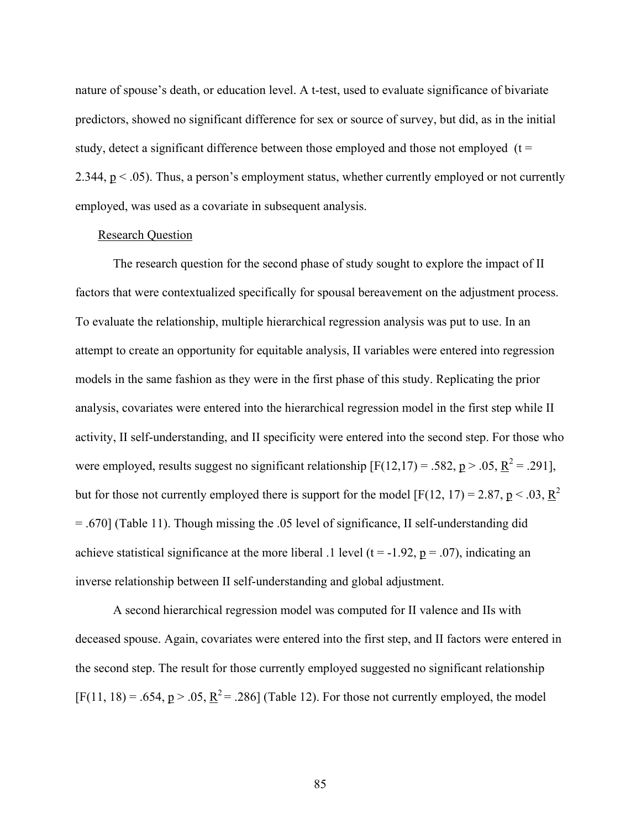nature of spouse's death, or education level. A t-test, used to evaluate significance of bivariate predictors, showed no significant difference for sex or source of survey, but did, as in the initial study, detect a significant difference between those employed and those not employed  $(t =$ 2.344, p < .05). Thus, a person's employment status, whether currently employed or not currently employed, was used as a covariate in subsequent analysis.

#### Research Question

The research question for the second phase of study sought to explore the impact of II factors that were contextualized specifically for spousal bereavement on the adjustment process. To evaluate the relationship, multiple hierarchical regression analysis was put to use. In an attempt to create an opportunity for equitable analysis, II variables were entered into regression models in the same fashion as they were in the first phase of this study. Replicating the prior analysis, covariates were entered into the hierarchical regression model in the first step while II activity, II self-understanding, and II specificity were entered into the second step. For those who were employed, results suggest no significant relationship  $[F(12,17) = .582, p > .05, R^2 = .291]$ , but for those not currently employed there is support for the model [F(12, 17) = 2.87, p < .03, R<sup>2</sup> = .670] (Table 11). Though missing the .05 level of significance, II self-understanding did achieve statistical significance at the more liberal .1 level ( $t = -1.92$ ,  $p = .07$ ), indicating an inverse relationship between II self-understanding and global adjustment.

A second hierarchical regression model was computed for II valence and IIs with deceased spouse. Again, covariates were entered into the first step, and II factors were entered in the second step. The result for those currently employed suggested no significant relationship  $[F(11, 18) = .654, p > .05, R^2 = .286]$  (Table 12). For those not currently employed, the model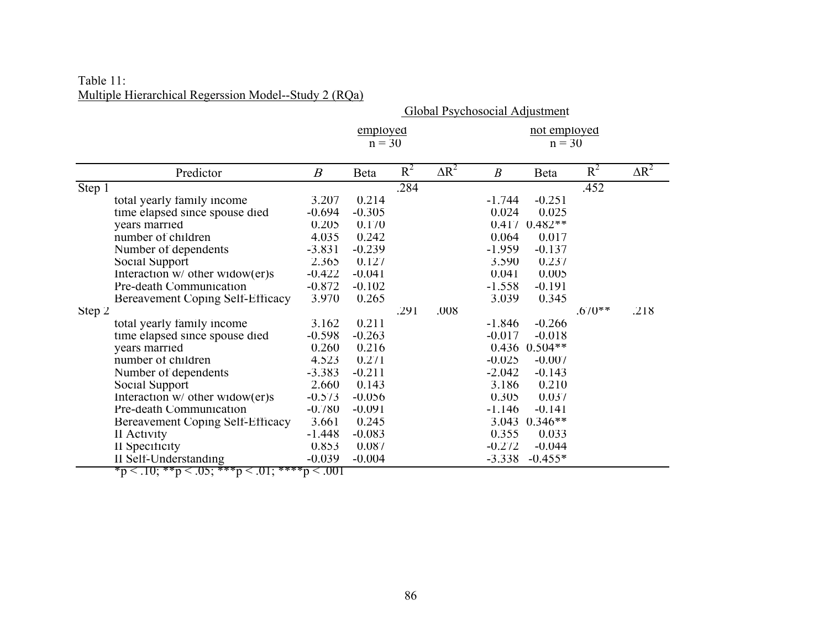| Multiple Hierarchical Regerssion Model--Study 2 (RQa) | Table 11: |  |
|-------------------------------------------------------|-----------|--|
|                                                       |           |  |

| Multiple Hierarchical Regerssion Model--Study 2 (RQa) |                                                                                    |                                |                      |       |              |                          |             |          |              |  |  |
|-------------------------------------------------------|------------------------------------------------------------------------------------|--------------------------------|----------------------|-------|--------------|--------------------------|-------------|----------|--------------|--|--|
|                                                       |                                                                                    | Global Psychosocial Adjustment |                      |       |              |                          |             |          |              |  |  |
|                                                       |                                                                                    |                                | employed<br>$n = 30$ |       |              | not employed<br>$n = 30$ |             |          |              |  |  |
|                                                       | Predictor                                                                          | $\boldsymbol{B}$               | Beta                 | $R^2$ | $\Delta R^2$ | $\boldsymbol{B}$         | <b>Beta</b> | $R^2$    | $\Delta R^2$ |  |  |
| Step 1                                                |                                                                                    |                                |                      | .284  |              |                          |             | .452     |              |  |  |
|                                                       | total yearly family income                                                         | 3.207                          | 0.214                |       |              | $-1.744$                 | $-0.251$    |          |              |  |  |
|                                                       | time elapsed since spouse died                                                     | $-0.694$                       | $-0.305$             |       |              | 0.024                    | 0.025       |          |              |  |  |
|                                                       | years married                                                                      | 0.205                          | 0.170                |       |              | 0.417                    | $0.482**$   |          |              |  |  |
|                                                       | number of children                                                                 | 4.035                          | 0.242                |       |              | 0.064                    | 0.017       |          |              |  |  |
|                                                       | Number of dependents                                                               | $-3.831$                       | $-0.239$             |       |              | $-1.959$                 | $-0.137$    |          |              |  |  |
|                                                       | Social Support                                                                     | 2.365                          | 0.127                |       |              | 3.590                    | 0.237       |          |              |  |  |
|                                                       | Interaction $w/$ other widow(er)s                                                  | $-0.422$                       | $-0.041$             |       |              | 0.041                    | 0.005       |          |              |  |  |
|                                                       | Pre-death Communication                                                            | $-0.872$                       | $-0.102$             |       |              | $-1.558$                 | $-0.191$    |          |              |  |  |
|                                                       | Bereavement Coping Self-Efficacy                                                   | 3.970                          | 0.265                |       |              | 3.039                    | 0.345       |          |              |  |  |
| Step 2                                                |                                                                                    |                                |                      | .291  | .008         |                          |             | $.670**$ | .218         |  |  |
|                                                       | total yearly family income                                                         | 3.162                          | 0.211                |       |              | $-1.846$                 | $-0.266$    |          |              |  |  |
|                                                       | time elapsed since spouse died                                                     | $-0.598$                       | $-0.263$             |       |              | $-0.017$                 | $-0.018$    |          |              |  |  |
|                                                       | years married                                                                      | 0.260                          | 0.216                |       |              | 0.436                    | $0.504**$   |          |              |  |  |
|                                                       | number of children                                                                 | 4.523                          | 0.271                |       |              | $-0.025$                 | $-0.007$    |          |              |  |  |
|                                                       | Number of dependents                                                               | $-3.383$                       | $-0.211$             |       |              | $-2.042$                 | $-0.143$    |          |              |  |  |
|                                                       | Social Support                                                                     | 2.660                          | 0.143                |       |              | 3.186                    | 0.210       |          |              |  |  |
|                                                       | Interaction $w/$ other widow(er)s                                                  | $-0.573$                       | $-0.056$             |       |              | 0.305                    | 0.037       |          |              |  |  |
|                                                       | Pre-death Communication                                                            | $-0.780$                       | $-0.091$             |       |              | $-1.146$                 | $-0.141$    |          |              |  |  |
|                                                       | Bereavement Coping Self-Efficacy                                                   | 3.661                          | 0.245                |       |              | 3.043                    | $0.346**$   |          |              |  |  |
|                                                       | II Activity                                                                        | $-1.448$                       | $-0.083$             |       |              | 0.355                    | 0.033       |          |              |  |  |
|                                                       | II Specificity                                                                     | 0.853                          | 0.087                |       |              | $-0.272$                 | $-0.044$    |          |              |  |  |
|                                                       | II Self-Understanding<br>$m < 10 \cdot 88n < 05 \cdot 888n < 01 \cdot 8888n < 001$ | $-0.039$                       | $-0.004$             |       |              | $-3.338$                 | $-0.455*$   |          |              |  |  |

 $*p < .10; **p < .05; **p < .01; **p < .001$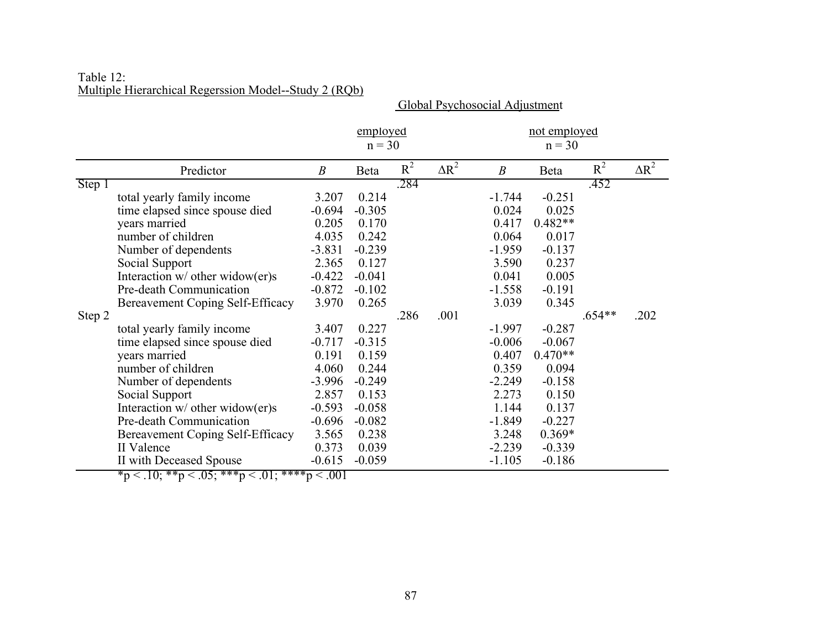| Table 12:                                             |  |  |
|-------------------------------------------------------|--|--|
| Multiple Hierarchical Regerssion Model--Study 2 (RQb) |  |  |

|        |                                   | employed<br>$n = 30$ |          |       |              | not employed<br>$n = 30$ |           |          |              |  |
|--------|-----------------------------------|----------------------|----------|-------|--------------|--------------------------|-----------|----------|--------------|--|
|        |                                   |                      |          |       |              |                          |           |          |              |  |
|        | Predictor                         | $\boldsymbol{B}$     | Beta     | $R^2$ | $\Delta R^2$ | $\boldsymbol{B}$         | Beta      | $R^2$    | $\Delta R^2$ |  |
| Step 1 |                                   |                      |          | .284  |              |                          |           | .452     |              |  |
|        | total yearly family income        | 3.207                | 0.214    |       |              | $-1.744$                 | $-0.251$  |          |              |  |
|        | time elapsed since spouse died    | $-0.694$             | $-0.305$ |       |              | 0.024                    | 0.025     |          |              |  |
|        | years married                     | 0.205                | 0.170    |       |              | 0.417                    | $0.482**$ |          |              |  |
|        | number of children                | 4.035                | 0.242    |       |              | 0.064                    | 0.017     |          |              |  |
|        | Number of dependents              | $-3.831$             | $-0.239$ |       |              | $-1.959$                 | $-0.137$  |          |              |  |
|        | Social Support                    | 2.365                | 0.127    |       |              | 3.590                    | 0.237     |          |              |  |
|        | Interaction $w/$ other widow(er)s | $-0.422$             | $-0.041$ |       |              | 0.041                    | 0.005     |          |              |  |
|        | Pre-death Communication           | $-0.872$             | $-0.102$ |       |              | $-1.558$                 | $-0.191$  |          |              |  |
|        | Bereavement Coping Self-Efficacy  | 3.970                | 0.265    |       |              | 3.039                    | 0.345     |          |              |  |
| Step 2 |                                   |                      |          | .286  | .001         |                          |           | $.654**$ | .202         |  |
|        | total yearly family income        | 3.407                | 0.227    |       |              | $-1.997$                 | $-0.287$  |          |              |  |
|        | time elapsed since spouse died    | $-0.717$             | $-0.315$ |       |              | $-0.006$                 | $-0.067$  |          |              |  |
|        | years married                     | 0.191                | 0.159    |       |              | 0.407                    | $0.470**$ |          |              |  |
|        | number of children                | 4.060                | 0.244    |       |              | 0.359                    | 0.094     |          |              |  |
|        | Number of dependents              | $-3.996$             | $-0.249$ |       |              | $-2.249$                 | $-0.158$  |          |              |  |
|        | Social Support                    | 2.857                | 0.153    |       |              | 2.273                    | 0.150     |          |              |  |
|        | Interaction w/ other widow(er)s   | $-0.593$             | $-0.058$ |       |              | 1.144                    | 0.137     |          |              |  |
|        | Pre-death Communication           | $-0.696$             | $-0.082$ |       |              | $-1.849$                 | $-0.227$  |          |              |  |
|        | Bereavement Coping Self-Efficacy  | 3.565                | 0.238    |       |              | 3.248                    | $0.369*$  |          |              |  |
|        | II Valence                        | 0.373                | 0.039    |       |              | $-2.239$                 | $-0.339$  |          |              |  |
|        | II with Deceased Spouse           | $-0.615$             | $-0.059$ |       |              | $-1.105$                 | $-0.186$  |          |              |  |

Global Psychosocial Adjustment

 $\mathrm{*p} < .10; \, \mathrm{^{*} * p} < .05; \, \mathrm{^{*} * * p} < .01; \, \mathrm{^{*} * * * p} < .001$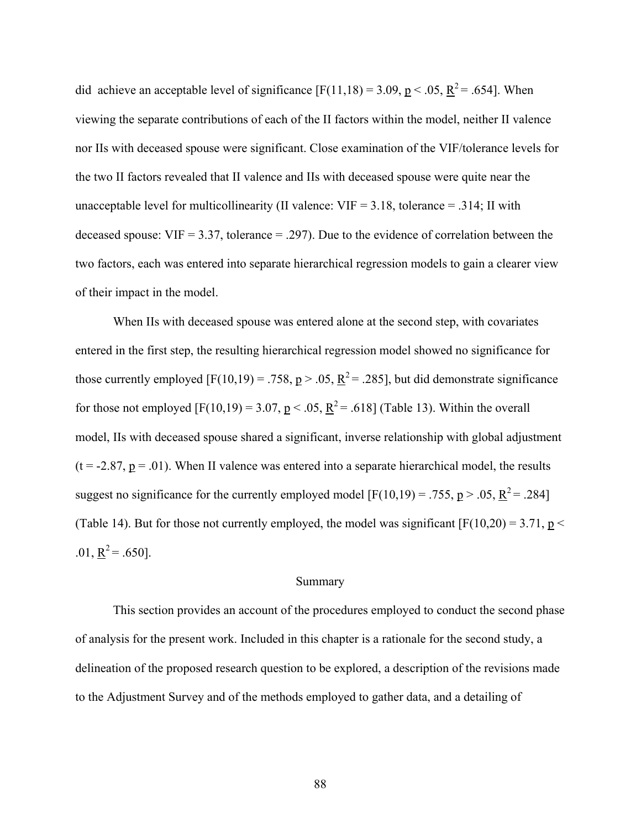did achieve an acceptable level of significance  $[F(11,18) = 3.09, p < .05, R^2 = .654]$ . When viewing the separate contributions of each of the II factors within the model, neither II valence nor IIs with deceased spouse were significant. Close examination of the VIF/tolerance levels for the two II factors revealed that II valence and IIs with deceased spouse were quite near the unacceptable level for multicollinearity (II valence:  $VIF = 3.18$ , tolerance = .314; II with deceased spouse:  $VIF = 3.37$ , tolerance = .297). Due to the evidence of correlation between the two factors, each was entered into separate hierarchical regression models to gain a clearer view of their impact in the model.

When IIs with deceased spouse was entered alone at the second step, with covariates entered in the first step, the resulting hierarchical regression model showed no significance for those currently employed  $[F(10,19) = .758, p > .05, R^2 = .285]$ , but did demonstrate significance for those not employed  $[F(10,19) = 3.07, p < .05, R^2 = .618]$  (Table 13). Within the overall model, IIs with deceased spouse shared a significant, inverse relationship with global adjustment  $(t = -2.87, p = .01)$ . When II valence was entered into a separate hierarchical model, the results suggest no significance for the currently employed model  $[F(10,19) = .755, p > .05, R^2 = .284]$ (Table 14). But for those not currently employed, the model was significant  $[F(10,20) = 3.71, p <$ .01,  $\underline{R}^2 = .650$ ].

# Summary

 This section provides an account of the procedures employed to conduct the second phase of analysis for the present work. Included in this chapter is a rationale for the second study, a delineation of the proposed research question to be explored, a description of the revisions made to the Adjustment Survey and of the methods employed to gather data, and a detailing of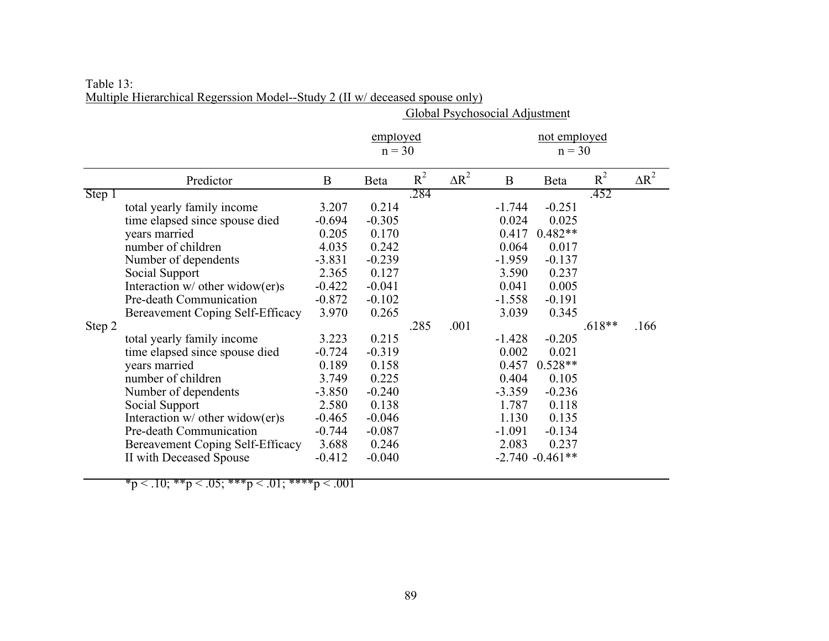|        |                                   | Global Psychosocial Adjustment |                      |       |              |                          |                    |          |              |  |
|--------|-----------------------------------|--------------------------------|----------------------|-------|--------------|--------------------------|--------------------|----------|--------------|--|
|        |                                   |                                | employed<br>$n = 30$ |       |              | not employed<br>$n = 30$ |                    |          |              |  |
|        | Predictor                         | B                              | Beta                 | $R^2$ | $\Delta R^2$ | $\mathbf{B}$             | Beta               | $R^2$    | $\Delta R^2$ |  |
| Step 1 |                                   |                                |                      | .284  |              |                          |                    | .452     |              |  |
|        | total yearly family income        | 3.207                          | 0.214                |       |              | $-1.744$                 | $-0.251$           |          |              |  |
|        | time elapsed since spouse died    | $-0.694$                       | $-0.305$             |       |              | 0.024                    | 0.025              |          |              |  |
|        | years married                     | 0.205                          | 0.170                |       |              | 0.417                    | $0.482**$          |          |              |  |
|        | number of children                | 4.035                          | 0.242                |       |              | 0.064                    | 0.017              |          |              |  |
|        | Number of dependents              | $-3.831$                       | $-0.239$             |       |              | $-1.959$                 | $-0.137$           |          |              |  |
|        | Social Support                    | 2.365                          | 0.127                |       |              | 3.590                    | 0.237              |          |              |  |
|        | Interaction $w/$ other widow(er)s | $-0.422$                       | $-0.041$             |       |              | 0.041                    | 0.005              |          |              |  |
|        | Pre-death Communication           | $-0.872$                       | $-0.102$             |       |              | $-1.558$                 | $-0.191$           |          |              |  |
|        | Bereavement Coping Self-Efficacy  | 3.970                          | 0.265                |       |              | 3.039                    | 0.345              |          |              |  |
| Step 2 |                                   |                                |                      | .285  | .001         |                          |                    | $.618**$ | .166         |  |
|        | total yearly family income        | 3.223                          | 0.215                |       |              | $-1.428$                 | $-0.205$           |          |              |  |
|        | time elapsed since spouse died    | $-0.724$                       | $-0.319$             |       |              | 0.002                    | 0.021              |          |              |  |
|        | years married                     | 0.189                          | 0.158                |       |              | 0.457                    | $0.528**$          |          |              |  |
|        | number of children                | 3.749                          | 0.225                |       |              | 0.404                    | 0.105              |          |              |  |
|        | Number of dependents              | $-3.850$                       | $-0.240$             |       |              | $-3.359$                 | $-0.236$           |          |              |  |
|        | Social Support                    | 2.580                          | 0.138                |       |              | 1.787                    | 0.118              |          |              |  |
|        | Interaction $w/$ other widow(er)s | $-0.465$                       | $-0.046$             |       |              | 1.130                    | 0.135              |          |              |  |
|        | Pre-death Communication           | $-0.744$                       | $-0.087$             |       |              | $-1.091$                 | $-0.134$           |          |              |  |
|        | Bereavement Coping Self-Efficacy  | 3.688                          | 0.246                |       |              | 2.083                    | 0.237              |          |              |  |
|        | II with Deceased Spouse           | $-0.412$                       | $-0.040$             |       |              |                          | $-2.740 - 0.461**$ |          |              |  |

Table 13: Multiple Hierarchical Regerssion Model--Study 2 (II w/ deceased spouse only)

\*p < .10; \*\*p < .05; \*\*\*p < .01; \*\*\*\*p < .001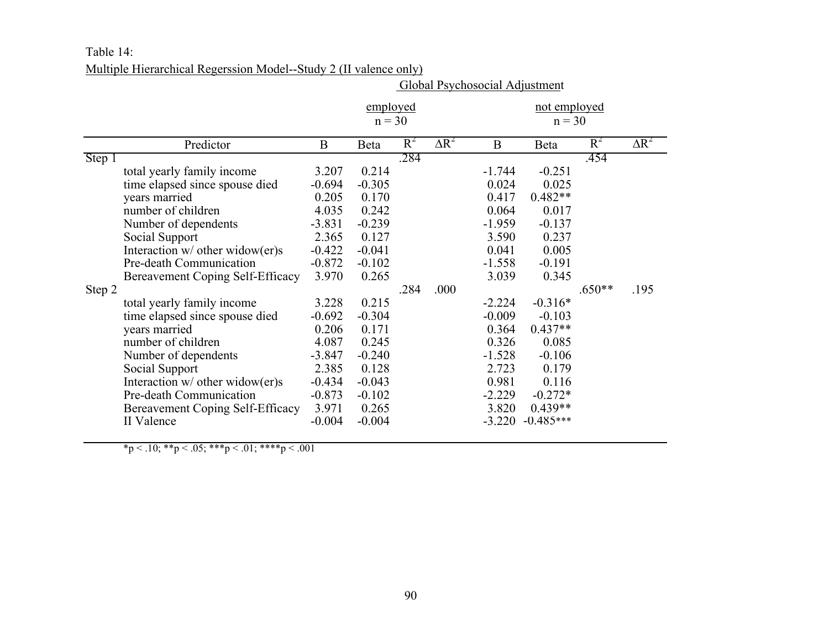# Table 14: Multiple Hierarchical Regerssion Model--Study 2 (II valence only)

|                  |                                                                                                                                                                                                                                                                                                                                                                                                                                                                                                        | Global Psychosocial Adjustment                                                                                                                                                         |                                                                                                                                                                                        |              |              |                                                                                                                                                                                     |                                                                                                                                                                                                                  |                  |              |  |  |
|------------------|--------------------------------------------------------------------------------------------------------------------------------------------------------------------------------------------------------------------------------------------------------------------------------------------------------------------------------------------------------------------------------------------------------------------------------------------------------------------------------------------------------|----------------------------------------------------------------------------------------------------------------------------------------------------------------------------------------|----------------------------------------------------------------------------------------------------------------------------------------------------------------------------------------|--------------|--------------|-------------------------------------------------------------------------------------------------------------------------------------------------------------------------------------|------------------------------------------------------------------------------------------------------------------------------------------------------------------------------------------------------------------|------------------|--------------|--|--|
|                  |                                                                                                                                                                                                                                                                                                                                                                                                                                                                                                        |                                                                                                                                                                                        | employed<br>$n = 30$                                                                                                                                                                   |              |              |                                                                                                                                                                                     | not employed<br>$n = 30$                                                                                                                                                                                         |                  |              |  |  |
|                  | Predictor                                                                                                                                                                                                                                                                                                                                                                                                                                                                                              | B                                                                                                                                                                                      | Beta                                                                                                                                                                                   | $R^2$        | $\Delta R^2$ | B                                                                                                                                                                                   | Beta                                                                                                                                                                                                             | $R^2$            | $\Delta R^2$ |  |  |
| Step 1<br>Step 2 | total yearly family income<br>time elapsed since spouse died<br>years married<br>number of children<br>Number of dependents<br>Social Support<br>Interaction $w/$ other widow(er)s<br>Pre-death Communication<br>Bereavement Coping Self-Efficacy<br>total yearly family income<br>time elapsed since spouse died<br>years married<br>number of children<br>Number of dependents<br>Social Support<br>Interaction $w/$ other widow(er)s<br>Pre-death Communication<br>Bereavement Coping Self-Efficacy | 3.207<br>$-0.694$<br>0.205<br>4.035<br>$-3.831$<br>2.365<br>$-0.422$<br>$-0.872$<br>3.970<br>3.228<br>$-0.692$<br>0.206<br>4.087<br>$-3.847$<br>2.385<br>$-0.434$<br>$-0.873$<br>3.971 | 0.214<br>$-0.305$<br>0.170<br>0.242<br>$-0.239$<br>0.127<br>$-0.041$<br>$-0.102$<br>0.265<br>0.215<br>$-0.304$<br>0.171<br>0.245<br>$-0.240$<br>0.128<br>$-0.043$<br>$-0.102$<br>0.265 | .284<br>.284 | .000         | $-1.744$<br>0.024<br>0.417<br>0.064<br>$-1.959$<br>3.590<br>0.041<br>$-1.558$<br>3.039<br>$-2.224$<br>$-0.009$<br>0.364<br>0.326<br>$-1.528$<br>2.723<br>0.981<br>$-2.229$<br>3.820 | $-0.251$<br>0.025<br>$0.482**$<br>0.017<br>$-0.137$<br>0.237<br>0.005<br>$-0.191$<br>0.345<br>$-0.316*$<br>$-0.103$<br>$0.437**$<br>0.085<br>$-0.106$<br>0.179<br>0.116<br>$-0.272*$<br>$0.439**$<br>$-0.485***$ | .454<br>$.650**$ | .195         |  |  |
|                  | II Valence                                                                                                                                                                                                                                                                                                                                                                                                                                                                                             | $-0.004$                                                                                                                                                                               | $-0.004$                                                                                                                                                                               |              |              | $-3.220$                                                                                                                                                                            |                                                                                                                                                                                                                  |                  |              |  |  |

\*p < .10; \*\*p < .05; \*\*\*p < .01; \*\*\*\*p < .001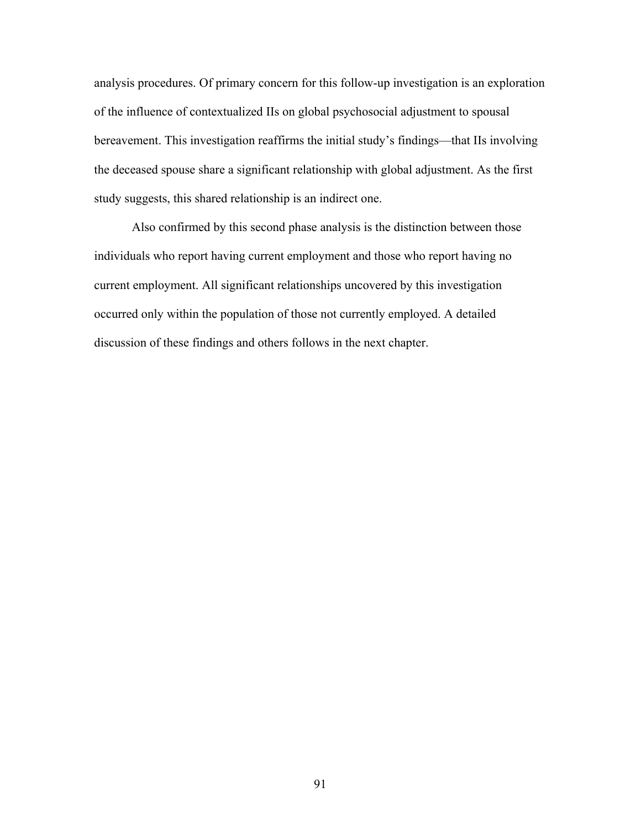analysis procedures. Of primary concern for this follow-up investigation is an exploration of the influence of contextualized IIs on global psychosocial adjustment to spousal bereavement. This investigation reaffirms the initial study's findings—that IIs involving the deceased spouse share a significant relationship with global adjustment. As the first study suggests, this shared relationship is an indirect one.

 Also confirmed by this second phase analysis is the distinction between those individuals who report having current employment and those who report having no current employment. All significant relationships uncovered by this investigation occurred only within the population of those not currently employed. A detailed discussion of these findings and others follows in the next chapter.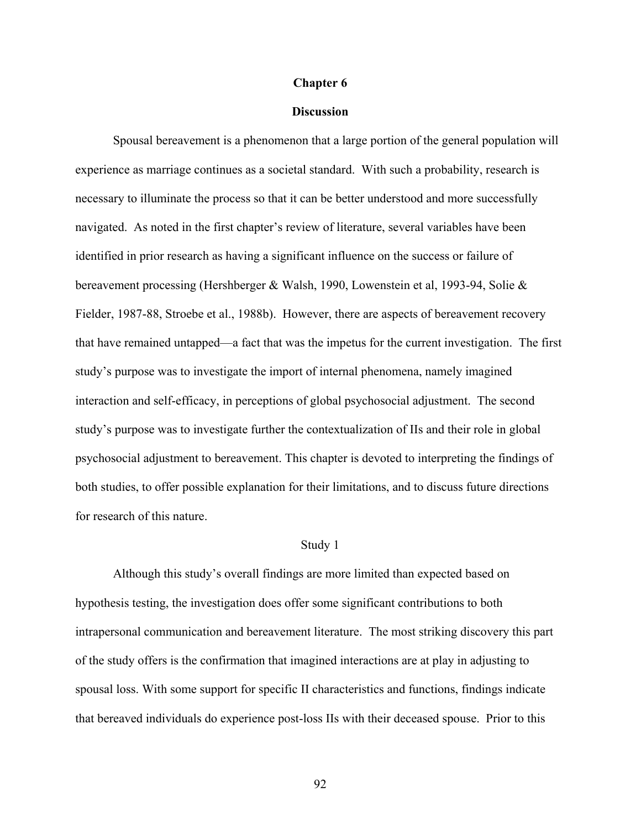### **Chapter 6**

# **Discussion**

Spousal bereavement is a phenomenon that a large portion of the general population will experience as marriage continues as a societal standard. With such a probability, research is necessary to illuminate the process so that it can be better understood and more successfully navigated. As noted in the first chapter's review of literature, several variables have been identified in prior research as having a significant influence on the success or failure of bereavement processing (Hershberger & Walsh, 1990, Lowenstein et al, 1993-94, Solie & Fielder, 1987-88, Stroebe et al., 1988b). However, there are aspects of bereavement recovery that have remained untapped—a fact that was the impetus for the current investigation. The first study's purpose was to investigate the import of internal phenomena, namely imagined interaction and self-efficacy, in perceptions of global psychosocial adjustment. The second study's purpose was to investigate further the contextualization of IIs and their role in global psychosocial adjustment to bereavement. This chapter is devoted to interpreting the findings of both studies, to offer possible explanation for their limitations, and to discuss future directions for research of this nature.

#### Study 1

Although this study's overall findings are more limited than expected based on hypothesis testing, the investigation does offer some significant contributions to both intrapersonal communication and bereavement literature. The most striking discovery this part of the study offers is the confirmation that imagined interactions are at play in adjusting to spousal loss. With some support for specific II characteristics and functions, findings indicate that bereaved individuals do experience post-loss IIs with their deceased spouse. Prior to this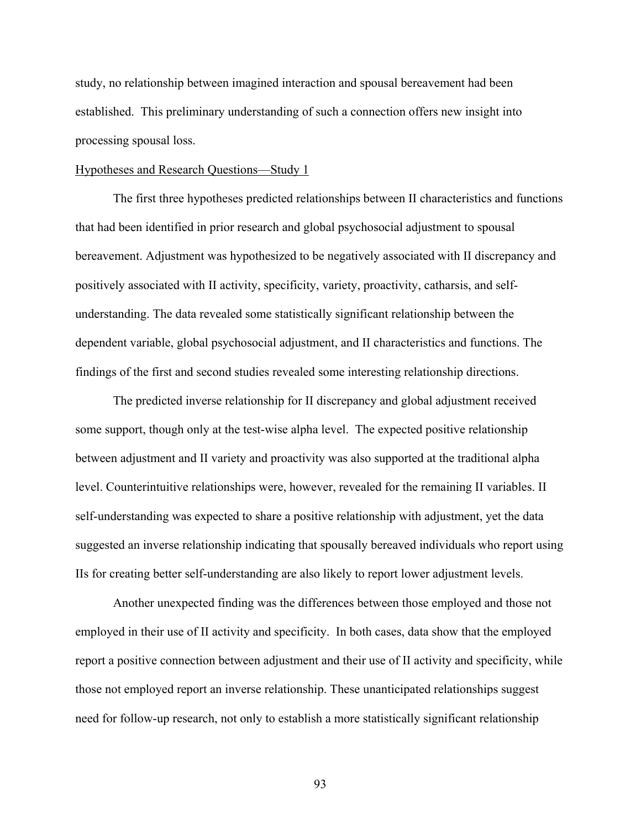study, no relationship between imagined interaction and spousal bereavement had been established. This preliminary understanding of such a connection offers new insight into processing spousal loss.

## Hypotheses and Research Questions—Study 1

The first three hypotheses predicted relationships between II characteristics and functions that had been identified in prior research and global psychosocial adjustment to spousal bereavement. Adjustment was hypothesized to be negatively associated with II discrepancy and positively associated with II activity, specificity, variety, proactivity, catharsis, and selfunderstanding. The data revealed some statistically significant relationship between the dependent variable, global psychosocial adjustment, and II characteristics and functions. The findings of the first and second studies revealed some interesting relationship directions.

The predicted inverse relationship for II discrepancy and global adjustment received some support, though only at the test-wise alpha level. The expected positive relationship between adjustment and II variety and proactivity was also supported at the traditional alpha level. Counterintuitive relationships were, however, revealed for the remaining II variables. II self-understanding was expected to share a positive relationship with adjustment, yet the data suggested an inverse relationship indicating that spousally bereaved individuals who report using IIs for creating better self-understanding are also likely to report lower adjustment levels.

Another unexpected finding was the differences between those employed and those not employed in their use of II activity and specificity. In both cases, data show that the employed report a positive connection between adjustment and their use of II activity and specificity, while those not employed report an inverse relationship. These unanticipated relationships suggest need for follow-up research, not only to establish a more statistically significant relationship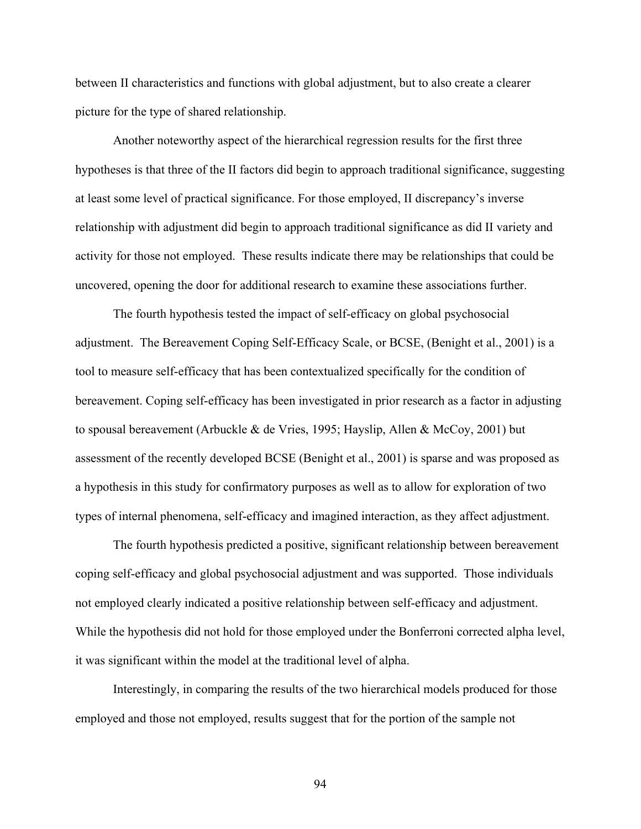between II characteristics and functions with global adjustment, but to also create a clearer picture for the type of shared relationship.

Another noteworthy aspect of the hierarchical regression results for the first three hypotheses is that three of the II factors did begin to approach traditional significance, suggesting at least some level of practical significance. For those employed, II discrepancy's inverse relationship with adjustment did begin to approach traditional significance as did II variety and activity for those not employed. These results indicate there may be relationships that could be uncovered, opening the door for additional research to examine these associations further.

 The fourth hypothesis tested the impact of self-efficacy on global psychosocial adjustment. The Bereavement Coping Self-Efficacy Scale, or BCSE, (Benight et al., 2001) is a tool to measure self-efficacy that has been contextualized specifically for the condition of bereavement. Coping self-efficacy has been investigated in prior research as a factor in adjusting to spousal bereavement (Arbuckle & de Vries, 1995; Hayslip, Allen & McCoy, 2001) but assessment of the recently developed BCSE (Benight et al., 2001) is sparse and was proposed as a hypothesis in this study for confirmatory purposes as well as to allow for exploration of two types of internal phenomena, self-efficacy and imagined interaction, as they affect adjustment.

The fourth hypothesis predicted a positive, significant relationship between bereavement coping self-efficacy and global psychosocial adjustment and was supported. Those individuals not employed clearly indicated a positive relationship between self-efficacy and adjustment. While the hypothesis did not hold for those employed under the Bonferroni corrected alpha level, it was significant within the model at the traditional level of alpha.

Interestingly, in comparing the results of the two hierarchical models produced for those employed and those not employed, results suggest that for the portion of the sample not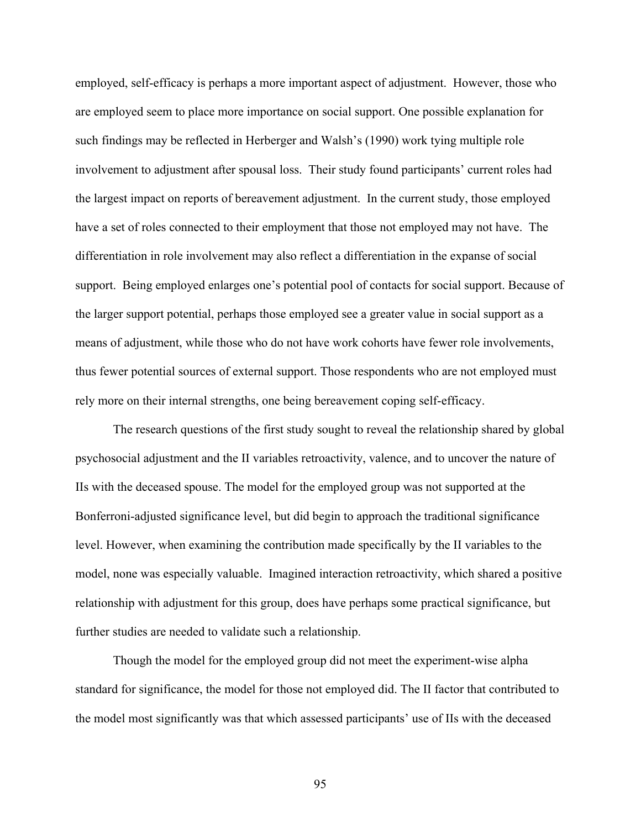employed, self-efficacy is perhaps a more important aspect of adjustment. However, those who are employed seem to place more importance on social support. One possible explanation for such findings may be reflected in Herberger and Walsh's (1990) work tying multiple role involvement to adjustment after spousal loss. Their study found participants' current roles had the largest impact on reports of bereavement adjustment. In the current study, those employed have a set of roles connected to their employment that those not employed may not have. The differentiation in role involvement may also reflect a differentiation in the expanse of social support. Being employed enlarges one's potential pool of contacts for social support. Because of the larger support potential, perhaps those employed see a greater value in social support as a means of adjustment, while those who do not have work cohorts have fewer role involvements, thus fewer potential sources of external support. Those respondents who are not employed must rely more on their internal strengths, one being bereavement coping self-efficacy.

The research questions of the first study sought to reveal the relationship shared by global psychosocial adjustment and the II variables retroactivity, valence, and to uncover the nature of IIs with the deceased spouse. The model for the employed group was not supported at the Bonferroni-adjusted significance level, but did begin to approach the traditional significance level. However, when examining the contribution made specifically by the II variables to the model, none was especially valuable. Imagined interaction retroactivity, which shared a positive relationship with adjustment for this group, does have perhaps some practical significance, but further studies are needed to validate such a relationship.

Though the model for the employed group did not meet the experiment-wise alpha standard for significance, the model for those not employed did. The II factor that contributed to the model most significantly was that which assessed participants' use of IIs with the deceased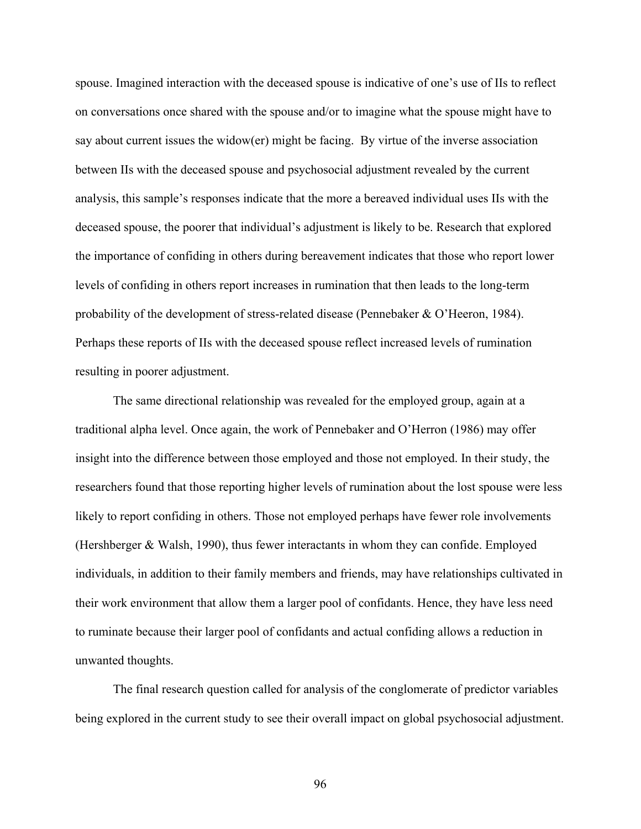spouse. Imagined interaction with the deceased spouse is indicative of one's use of IIs to reflect on conversations once shared with the spouse and/or to imagine what the spouse might have to say about current issues the widow(er) might be facing. By virtue of the inverse association between IIs with the deceased spouse and psychosocial adjustment revealed by the current analysis, this sample's responses indicate that the more a bereaved individual uses IIs with the deceased spouse, the poorer that individual's adjustment is likely to be. Research that explored the importance of confiding in others during bereavement indicates that those who report lower levels of confiding in others report increases in rumination that then leads to the long-term probability of the development of stress-related disease (Pennebaker & O'Heeron, 1984). Perhaps these reports of IIs with the deceased spouse reflect increased levels of rumination resulting in poorer adjustment.

The same directional relationship was revealed for the employed group, again at a traditional alpha level. Once again, the work of Pennebaker and O'Herron (1986) may offer insight into the difference between those employed and those not employed. In their study, the researchers found that those reporting higher levels of rumination about the lost spouse were less likely to report confiding in others. Those not employed perhaps have fewer role involvements (Hershberger & Walsh, 1990), thus fewer interactants in whom they can confide. Employed individuals, in addition to their family members and friends, may have relationships cultivated in their work environment that allow them a larger pool of confidants. Hence, they have less need to ruminate because their larger pool of confidants and actual confiding allows a reduction in unwanted thoughts.

The final research question called for analysis of the conglomerate of predictor variables being explored in the current study to see their overall impact on global psychosocial adjustment.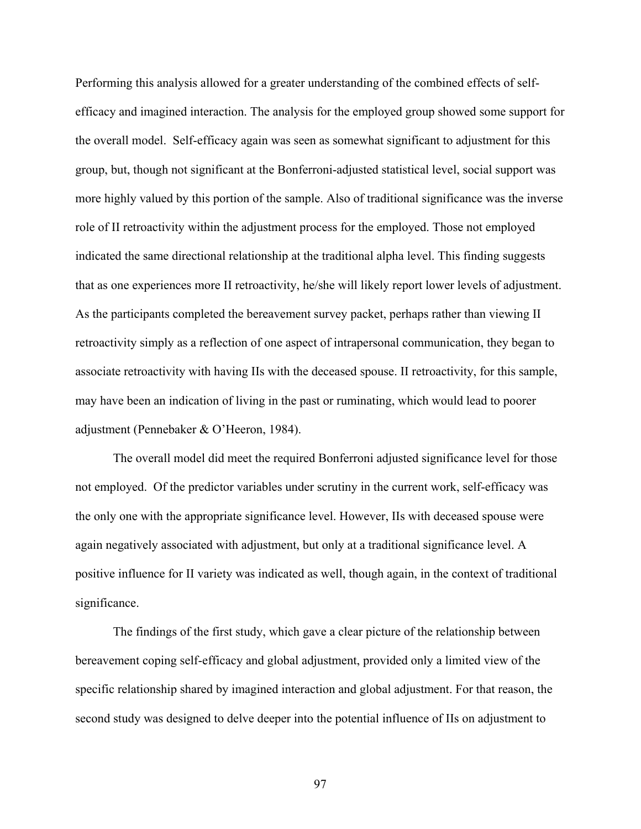Performing this analysis allowed for a greater understanding of the combined effects of selfefficacy and imagined interaction. The analysis for the employed group showed some support for the overall model. Self-efficacy again was seen as somewhat significant to adjustment for this group, but, though not significant at the Bonferroni-adjusted statistical level, social support was more highly valued by this portion of the sample. Also of traditional significance was the inverse role of II retroactivity within the adjustment process for the employed. Those not employed indicated the same directional relationship at the traditional alpha level. This finding suggests that as one experiences more II retroactivity, he/she will likely report lower levels of adjustment. As the participants completed the bereavement survey packet, perhaps rather than viewing II retroactivity simply as a reflection of one aspect of intrapersonal communication, they began to associate retroactivity with having IIs with the deceased spouse. II retroactivity, for this sample, may have been an indication of living in the past or ruminating, which would lead to poorer adjustment (Pennebaker & O'Heeron, 1984).

The overall model did meet the required Bonferroni adjusted significance level for those not employed. Of the predictor variables under scrutiny in the current work, self-efficacy was the only one with the appropriate significance level. However, IIs with deceased spouse were again negatively associated with adjustment, but only at a traditional significance level. A positive influence for II variety was indicated as well, though again, in the context of traditional significance.

The findings of the first study, which gave a clear picture of the relationship between bereavement coping self-efficacy and global adjustment, provided only a limited view of the specific relationship shared by imagined interaction and global adjustment. For that reason, the second study was designed to delve deeper into the potential influence of IIs on adjustment to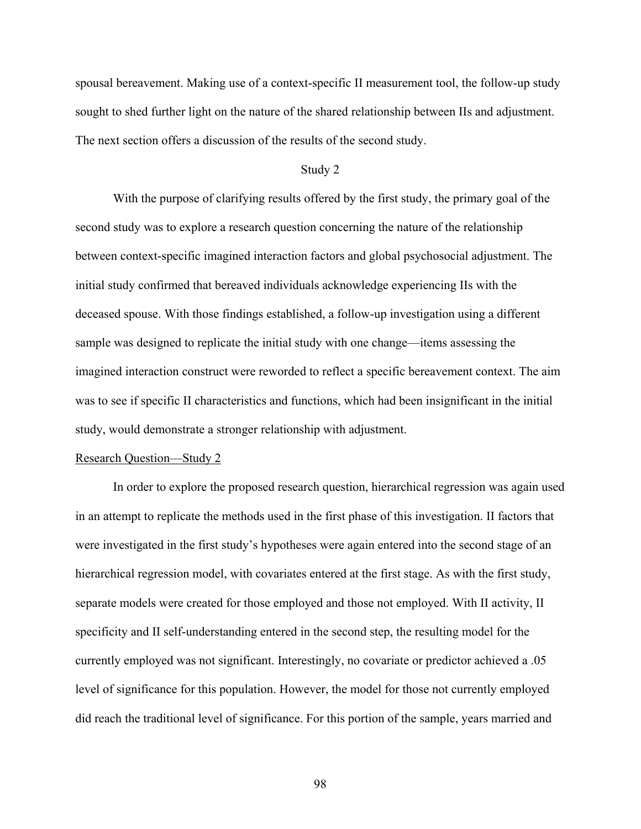spousal bereavement. Making use of a context-specific II measurement tool, the follow-up study sought to shed further light on the nature of the shared relationship between IIs and adjustment. The next section offers a discussion of the results of the second study.

# Study 2

With the purpose of clarifying results offered by the first study, the primary goal of the second study was to explore a research question concerning the nature of the relationship between context-specific imagined interaction factors and global psychosocial adjustment. The initial study confirmed that bereaved individuals acknowledge experiencing IIs with the deceased spouse. With those findings established, a follow-up investigation using a different sample was designed to replicate the initial study with one change—items assessing the imagined interaction construct were reworded to reflect a specific bereavement context. The aim was to see if specific II characteristics and functions, which had been insignificant in the initial study, would demonstrate a stronger relationship with adjustment.

#### Research Question—Study 2

In order to explore the proposed research question, hierarchical regression was again used in an attempt to replicate the methods used in the first phase of this investigation. II factors that were investigated in the first study's hypotheses were again entered into the second stage of an hierarchical regression model, with covariates entered at the first stage. As with the first study, separate models were created for those employed and those not employed. With II activity, II specificity and II self-understanding entered in the second step, the resulting model for the currently employed was not significant. Interestingly, no covariate or predictor achieved a .05 level of significance for this population. However, the model for those not currently employed did reach the traditional level of significance. For this portion of the sample, years married and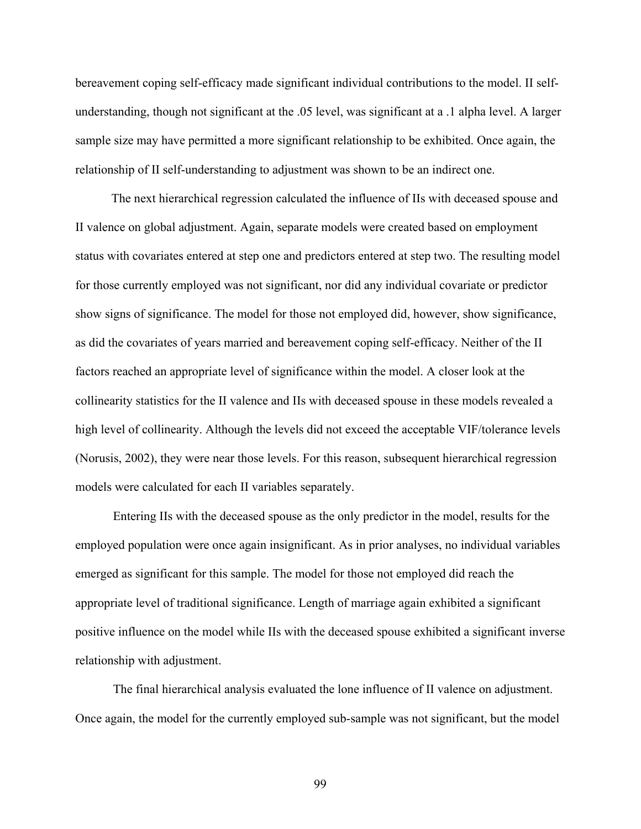bereavement coping self-efficacy made significant individual contributions to the model. II selfunderstanding, though not significant at the .05 level, was significant at a .1 alpha level. A larger sample size may have permitted a more significant relationship to be exhibited. Once again, the relationship of II self-understanding to adjustment was shown to be an indirect one.

 The next hierarchical regression calculated the influence of IIs with deceased spouse and II valence on global adjustment. Again, separate models were created based on employment status with covariates entered at step one and predictors entered at step two. The resulting model for those currently employed was not significant, nor did any individual covariate or predictor show signs of significance. The model for those not employed did, however, show significance, as did the covariates of years married and bereavement coping self-efficacy. Neither of the II factors reached an appropriate level of significance within the model. A closer look at the collinearity statistics for the II valence and IIs with deceased spouse in these models revealed a high level of collinearity. Although the levels did not exceed the acceptable VIF/tolerance levels (Norusis, 2002), they were near those levels. For this reason, subsequent hierarchical regression models were calculated for each II variables separately.

Entering IIs with the deceased spouse as the only predictor in the model, results for the employed population were once again insignificant. As in prior analyses, no individual variables emerged as significant for this sample. The model for those not employed did reach the appropriate level of traditional significance. Length of marriage again exhibited a significant positive influence on the model while IIs with the deceased spouse exhibited a significant inverse relationship with adjustment.

The final hierarchical analysis evaluated the lone influence of II valence on adjustment. Once again, the model for the currently employed sub-sample was not significant, but the model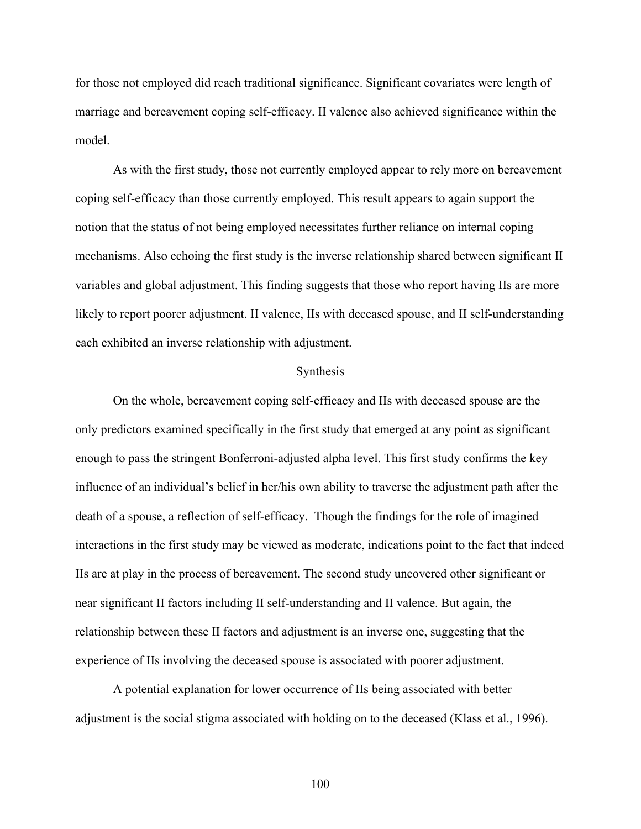for those not employed did reach traditional significance. Significant covariates were length of marriage and bereavement coping self-efficacy. II valence also achieved significance within the model.

As with the first study, those not currently employed appear to rely more on bereavement coping self-efficacy than those currently employed. This result appears to again support the notion that the status of not being employed necessitates further reliance on internal coping mechanisms. Also echoing the first study is the inverse relationship shared between significant II variables and global adjustment. This finding suggests that those who report having IIs are more likely to report poorer adjustment. II valence, IIs with deceased spouse, and II self-understanding each exhibited an inverse relationship with adjustment.

#### Synthesis

On the whole, bereavement coping self-efficacy and IIs with deceased spouse are the only predictors examined specifically in the first study that emerged at any point as significant enough to pass the stringent Bonferroni-adjusted alpha level. This first study confirms the key influence of an individual's belief in her/his own ability to traverse the adjustment path after the death of a spouse, a reflection of self-efficacy. Though the findings for the role of imagined interactions in the first study may be viewed as moderate, indications point to the fact that indeed IIs are at play in the process of bereavement. The second study uncovered other significant or near significant II factors including II self-understanding and II valence. But again, the relationship between these II factors and adjustment is an inverse one, suggesting that the experience of IIs involving the deceased spouse is associated with poorer adjustment.

A potential explanation for lower occurrence of IIs being associated with better adjustment is the social stigma associated with holding on to the deceased (Klass et al., 1996).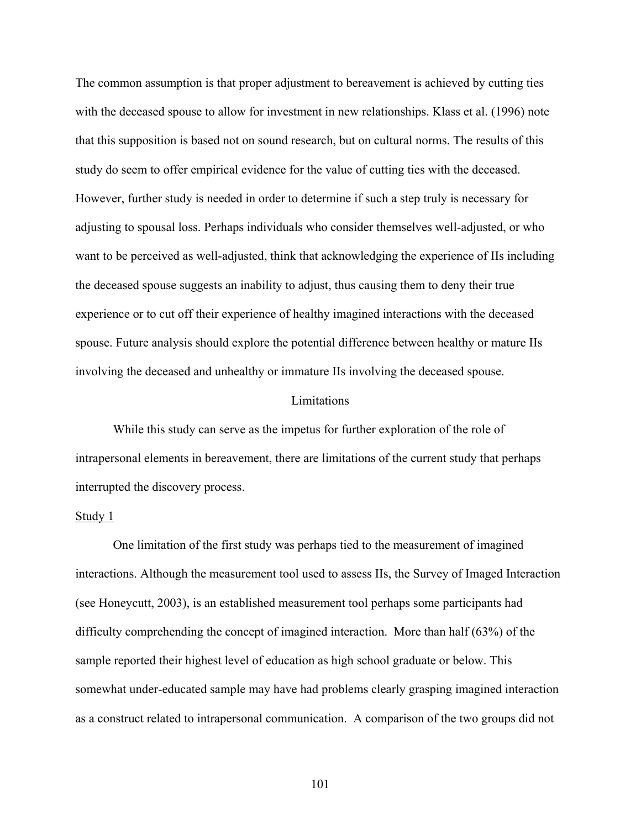The common assumption is that proper adjustment to bereavement is achieved by cutting ties with the deceased spouse to allow for investment in new relationships. Klass et al. (1996) note that this supposition is based not on sound research, but on cultural norms. The results of this study do seem to offer empirical evidence for the value of cutting ties with the deceased. However, further study is needed in order to determine if such a step truly is necessary for adjusting to spousal loss. Perhaps individuals who consider themselves well-adjusted, or who want to be perceived as well-adjusted, think that acknowledging the experience of IIs including the deceased spouse suggests an inability to adjust, thus causing them to deny their true experience or to cut off their experience of healthy imagined interactions with the deceased spouse. Future analysis should explore the potential difference between healthy or mature IIs involving the deceased and unhealthy or immature IIs involving the deceased spouse.

#### Limitations

While this study can serve as the impetus for further exploration of the role of intrapersonal elements in bereavement, there are limitations of the current study that perhaps interrupted the discovery process.

#### Study 1

One limitation of the first study was perhaps tied to the measurement of imagined interactions. Although the measurement tool used to assess IIs, the Survey of Imaged Interaction (see Honeycutt, 2003), is an established measurement tool perhaps some participants had difficulty comprehending the concept of imagined interaction. More than half (63%) of the sample reported their highest level of education as high school graduate or below. This somewhat under-educated sample may have had problems clearly grasping imagined interaction as a construct related to intrapersonal communication. A comparison of the two groups did not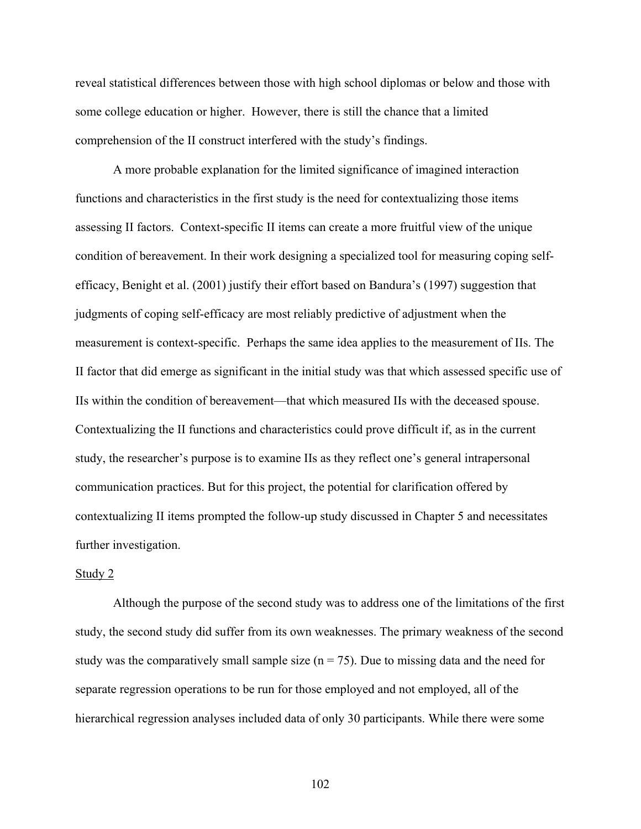reveal statistical differences between those with high school diplomas or below and those with some college education or higher. However, there is still the chance that a limited comprehension of the II construct interfered with the study's findings.

A more probable explanation for the limited significance of imagined interaction functions and characteristics in the first study is the need for contextualizing those items assessing II factors. Context-specific II items can create a more fruitful view of the unique condition of bereavement. In their work designing a specialized tool for measuring coping selfefficacy, Benight et al. (2001) justify their effort based on Bandura's (1997) suggestion that judgments of coping self-efficacy are most reliably predictive of adjustment when the measurement is context-specific. Perhaps the same idea applies to the measurement of IIs. The II factor that did emerge as significant in the initial study was that which assessed specific use of IIs within the condition of bereavement—that which measured IIs with the deceased spouse. Contextualizing the II functions and characteristics could prove difficult if, as in the current study, the researcher's purpose is to examine IIs as they reflect one's general intrapersonal communication practices. But for this project, the potential for clarification offered by contextualizing II items prompted the follow-up study discussed in Chapter 5 and necessitates further investigation.

### Study 2

Although the purpose of the second study was to address one of the limitations of the first study, the second study did suffer from its own weaknesses. The primary weakness of the second study was the comparatively small sample size  $(n = 75)$ . Due to missing data and the need for separate regression operations to be run for those employed and not employed, all of the hierarchical regression analyses included data of only 30 participants. While there were some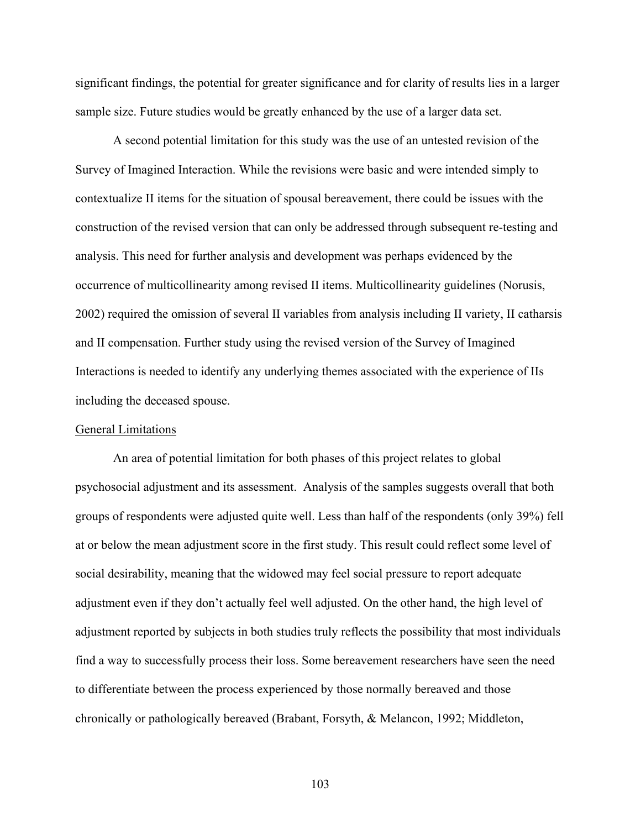significant findings, the potential for greater significance and for clarity of results lies in a larger sample size. Future studies would be greatly enhanced by the use of a larger data set.

A second potential limitation for this study was the use of an untested revision of the Survey of Imagined Interaction. While the revisions were basic and were intended simply to contextualize II items for the situation of spousal bereavement, there could be issues with the construction of the revised version that can only be addressed through subsequent re-testing and analysis. This need for further analysis and development was perhaps evidenced by the occurrence of multicollinearity among revised II items. Multicollinearity guidelines (Norusis, 2002) required the omission of several II variables from analysis including II variety, II catharsis and II compensation. Further study using the revised version of the Survey of Imagined Interactions is needed to identify any underlying themes associated with the experience of IIs including the deceased spouse.

#### General Limitations

An area of potential limitation for both phases of this project relates to global psychosocial adjustment and its assessment. Analysis of the samples suggests overall that both groups of respondents were adjusted quite well. Less than half of the respondents (only 39%) fell at or below the mean adjustment score in the first study. This result could reflect some level of social desirability, meaning that the widowed may feel social pressure to report adequate adjustment even if they don't actually feel well adjusted. On the other hand, the high level of adjustment reported by subjects in both studies truly reflects the possibility that most individuals find a way to successfully process their loss. Some bereavement researchers have seen the need to differentiate between the process experienced by those normally bereaved and those chronically or pathologically bereaved (Brabant, Forsyth, & Melancon, 1992; Middleton,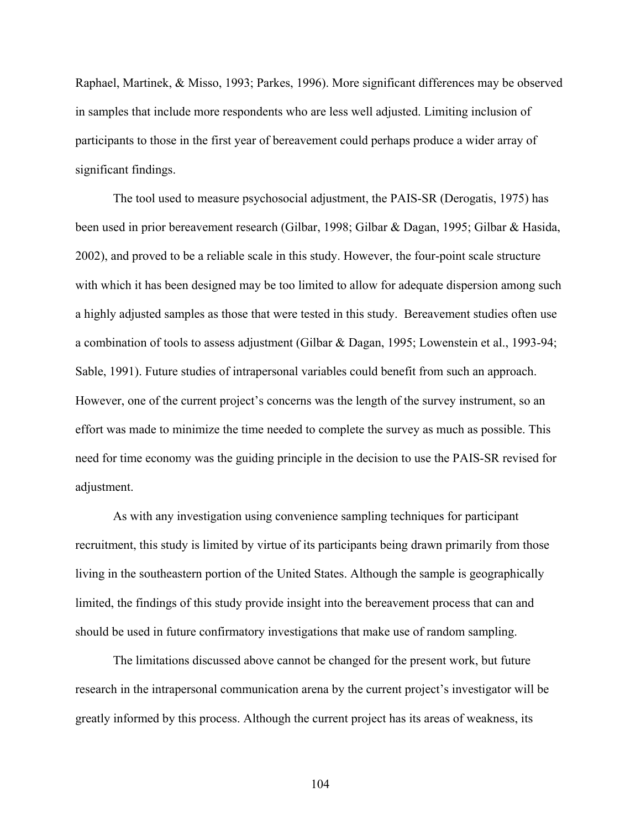Raphael, Martinek, & Misso, 1993; Parkes, 1996). More significant differences may be observed in samples that include more respondents who are less well adjusted. Limiting inclusion of participants to those in the first year of bereavement could perhaps produce a wider array of significant findings.

The tool used to measure psychosocial adjustment, the PAIS-SR (Derogatis, 1975) has been used in prior bereavement research (Gilbar, 1998; Gilbar & Dagan, 1995; Gilbar & Hasida, 2002), and proved to be a reliable scale in this study. However, the four-point scale structure with which it has been designed may be too limited to allow for adequate dispersion among such a highly adjusted samples as those that were tested in this study. Bereavement studies often use a combination of tools to assess adjustment (Gilbar & Dagan, 1995; Lowenstein et al., 1993-94; Sable, 1991). Future studies of intrapersonal variables could benefit from such an approach. However, one of the current project's concerns was the length of the survey instrument, so an effort was made to minimize the time needed to complete the survey as much as possible. This need for time economy was the guiding principle in the decision to use the PAIS-SR revised for adjustment.

As with any investigation using convenience sampling techniques for participant recruitment, this study is limited by virtue of its participants being drawn primarily from those living in the southeastern portion of the United States. Although the sample is geographically limited, the findings of this study provide insight into the bereavement process that can and should be used in future confirmatory investigations that make use of random sampling.

The limitations discussed above cannot be changed for the present work, but future research in the intrapersonal communication arena by the current project's investigator will be greatly informed by this process. Although the current project has its areas of weakness, its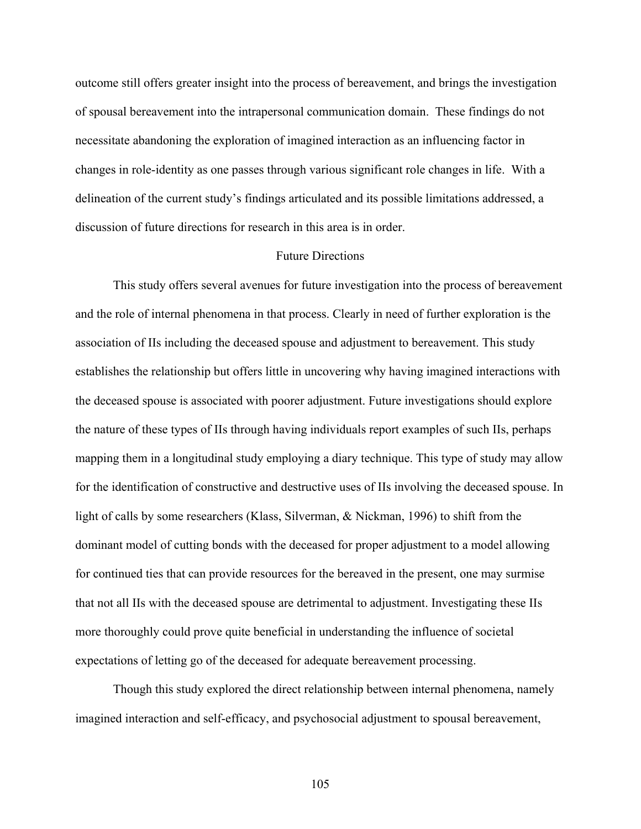outcome still offers greater insight into the process of bereavement, and brings the investigation of spousal bereavement into the intrapersonal communication domain. These findings do not necessitate abandoning the exploration of imagined interaction as an influencing factor in changes in role-identity as one passes through various significant role changes in life. With a delineation of the current study's findings articulated and its possible limitations addressed, a discussion of future directions for research in this area is in order.

### Future Directions

This study offers several avenues for future investigation into the process of bereavement and the role of internal phenomena in that process. Clearly in need of further exploration is the association of IIs including the deceased spouse and adjustment to bereavement. This study establishes the relationship but offers little in uncovering why having imagined interactions with the deceased spouse is associated with poorer adjustment. Future investigations should explore the nature of these types of IIs through having individuals report examples of such IIs, perhaps mapping them in a longitudinal study employing a diary technique. This type of study may allow for the identification of constructive and destructive uses of IIs involving the deceased spouse. In light of calls by some researchers (Klass, Silverman, & Nickman, 1996) to shift from the dominant model of cutting bonds with the deceased for proper adjustment to a model allowing for continued ties that can provide resources for the bereaved in the present, one may surmise that not all IIs with the deceased spouse are detrimental to adjustment. Investigating these IIs more thoroughly could prove quite beneficial in understanding the influence of societal expectations of letting go of the deceased for adequate bereavement processing.

Though this study explored the direct relationship between internal phenomena, namely imagined interaction and self-efficacy, and psychosocial adjustment to spousal bereavement,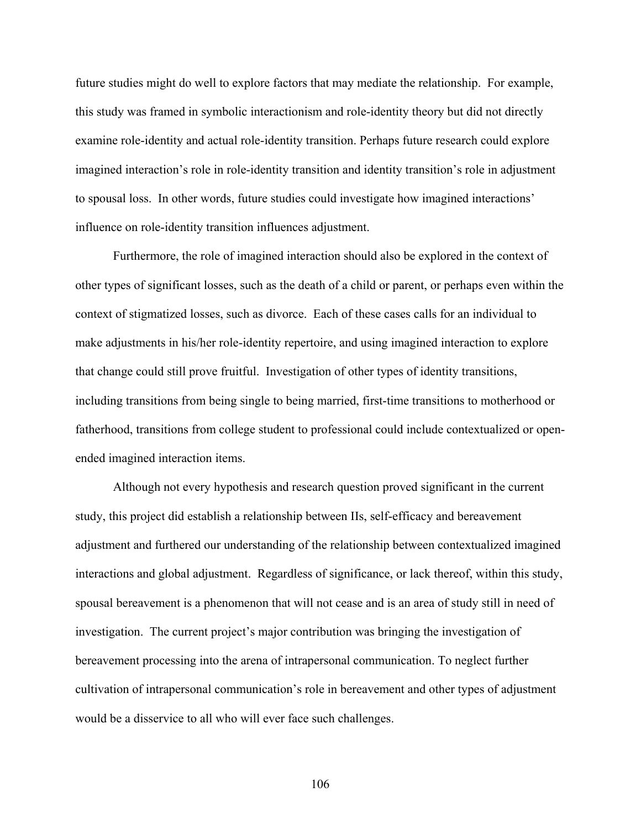future studies might do well to explore factors that may mediate the relationship. For example, this study was framed in symbolic interactionism and role-identity theory but did not directly examine role-identity and actual role-identity transition. Perhaps future research could explore imagined interaction's role in role-identity transition and identity transition's role in adjustment to spousal loss. In other words, future studies could investigate how imagined interactions' influence on role-identity transition influences adjustment.

Furthermore, the role of imagined interaction should also be explored in the context of other types of significant losses, such as the death of a child or parent, or perhaps even within the context of stigmatized losses, such as divorce. Each of these cases calls for an individual to make adjustments in his/her role-identity repertoire, and using imagined interaction to explore that change could still prove fruitful. Investigation of other types of identity transitions, including transitions from being single to being married, first-time transitions to motherhood or fatherhood, transitions from college student to professional could include contextualized or openended imagined interaction items.

Although not every hypothesis and research question proved significant in the current study, this project did establish a relationship between IIs, self-efficacy and bereavement adjustment and furthered our understanding of the relationship between contextualized imagined interactions and global adjustment. Regardless of significance, or lack thereof, within this study, spousal bereavement is a phenomenon that will not cease and is an area of study still in need of investigation. The current project's major contribution was bringing the investigation of bereavement processing into the arena of intrapersonal communication. To neglect further cultivation of intrapersonal communication's role in bereavement and other types of adjustment would be a disservice to all who will ever face such challenges.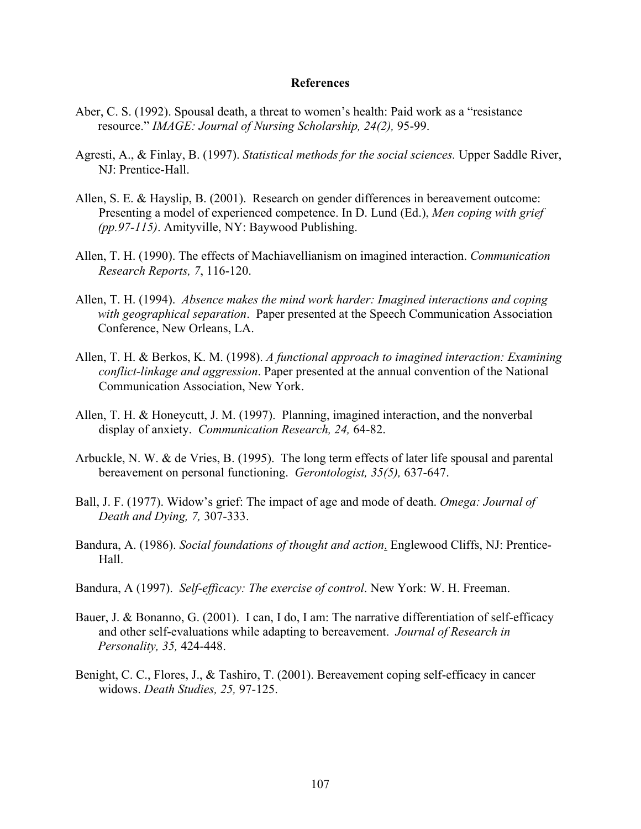#### **References**

- Aber, C. S. (1992). Spousal death, a threat to women's health: Paid work as a "resistance resource." *IMAGE: Journal of Nursing Scholarship, 24(2),* 95-99.
- Agresti, A., & Finlay, B. (1997). *Statistical methods for the social sciences.* Upper Saddle River, NJ: Prentice-Hall.
- Allen, S. E. & Hayslip, B. (2001). Research on gender differences in bereavement outcome: Presenting a model of experienced competence. In D. Lund (Ed.), *Men coping with grief (pp.97-115)*. Amityville, NY: Baywood Publishing.
- Allen, T. H. (1990). The effects of Machiavellianism on imagined interaction. *Communication Research Reports, 7*, 116-120.
- Allen, T. H. (1994). *Absence makes the mind work harder: Imagined interactions and coping with geographical separation*. Paper presented at the Speech Communication Association Conference, New Orleans, LA.
- Allen, T. H. & Berkos, K. M. (1998). *A functional approach to imagined interaction: Examining conflict-linkage and aggression*. Paper presented at the annual convention of the National Communication Association, New York.
- Allen, T. H. & Honeycutt, J. M. (1997). Planning, imagined interaction, and the nonverbal display of anxiety. *Communication Research, 24,* 64-82.
- Arbuckle, N. W. & de Vries, B. (1995). The long term effects of later life spousal and parental bereavement on personal functioning. *Gerontologist, 35(5),* 637-647.
- Ball, J. F. (1977). Widow's grief: The impact of age and mode of death. *Omega: Journal of Death and Dying, 7,* 307-333.
- Bandura, A. (1986). *Social foundations of thought and action*. Englewood Cliffs, NJ: Prentice- Hall.
- Bandura, A (1997). *Self-efficacy: The exercise of control*. New York: W. H. Freeman.
- Bauer, J. & Bonanno, G. (2001). I can, I do, I am: The narrative differentiation of self-efficacy and other self-evaluations while adapting to bereavement. *Journal of Research in Personality, 35,* 424-448.
- Benight, C. C., Flores, J., & Tashiro, T. (2001). Bereavement coping self-efficacy in cancer widows. *Death Studies, 25,* 97-125.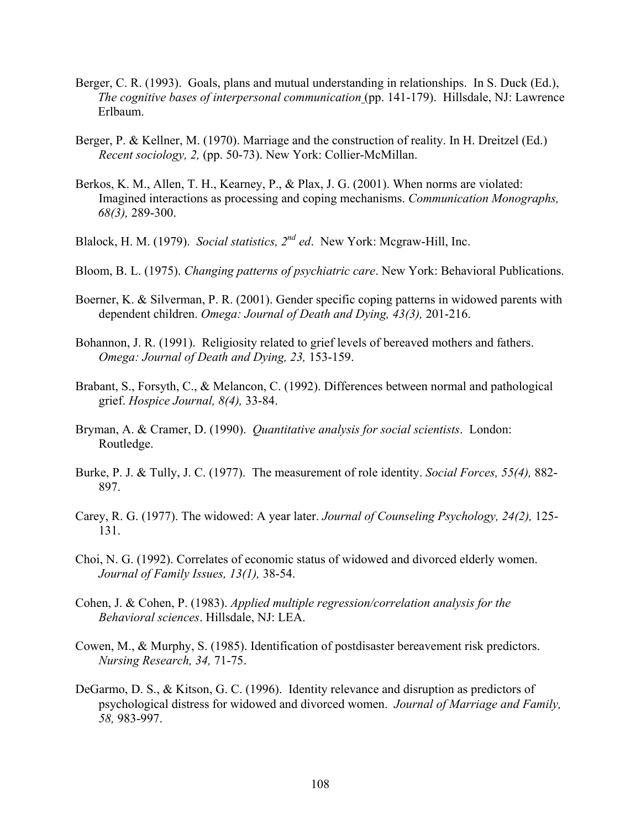- Berger, C. R. (1993). Goals, plans and mutual understanding in relationships. In S. Duck (Ed.), *The cognitive bases of interpersonal communication* (pp. 141-179). Hillsdale, NJ: Lawrence Erlbaum.
- Berger, P. & Kellner, M. (1970). Marriage and the construction of reality. In H. Dreitzel (Ed.) *Recent sociology, 2,* (pp. 50-73). New York: Collier-McMillan.
- Berkos, K. M., Allen, T. H., Kearney, P., & Plax, J. G. (2001). When norms are violated: Imagined interactions as processing and coping mechanisms. *Communication Monographs, 68(3),* 289-300.
- Blalock, H. M. (1979). *Social statistics, 2nd ed*. New York: Mcgraw-Hill, Inc.
- Bloom, B. L. (1975). *Changing patterns of psychiatric care*. New York: Behavioral Publications.
- Boerner, K. & Silverman, P. R. (2001). Gender specific coping patterns in widowed parents with dependent children. *Omega: Journal of Death and Dying, 43(3),* 201-216.
- Bohannon, J. R. (1991). Religiosity related to grief levels of bereaved mothers and fathers. *Omega: Journal of Death and Dying, 23,* 153-159.
- Brabant, S., Forsyth, C., & Melancon, C. (1992). Differences between normal and pathological grief. *Hospice Journal, 8(4),* 33-84.
- Bryman, A. & Cramer, D. (1990). *Quantitative analysis for social scientists*. London: Routledge.
- Burke, P. J. & Tully, J. C. (1977). The measurement of role identity. *Social Forces, 55(4),* 882- 897.
- Carey, R. G. (1977). The widowed: A year later. *Journal of Counseling Psychology, 24(2),* 125- 131.
- Choi, N. G. (1992). Correlates of economic status of widowed and divorced elderly women. *Journal of Family Issues, 13(1),* 38-54.
- Cohen, J. & Cohen, P. (1983). *Applied multiple regression/correlation analysis for the Behavioral sciences*. Hillsdale, NJ: LEA.
- Cowen, M., & Murphy, S. (1985). Identification of postdisaster bereavement risk predictors. *Nursing Research, 34,* 71-75.
- DeGarmo, D. S., & Kitson, G. C. (1996). Identity relevance and disruption as predictors of psychological distress for widowed and divorced women. *Journal of Marriage and Family, 58,* 983-997.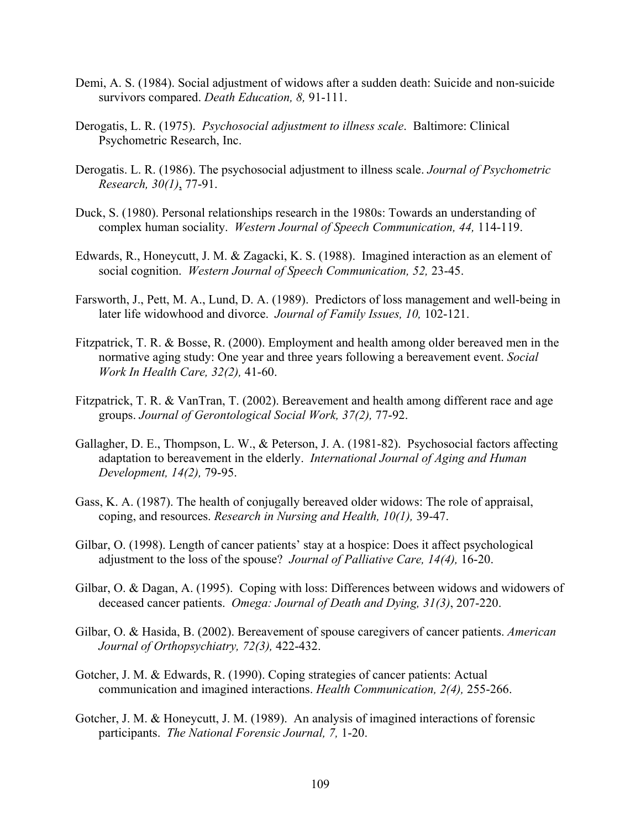- Demi, A. S. (1984). Social adjustment of widows after a sudden death: Suicide and non-suicide survivors compared. *Death Education, 8,* 91-111.
- Derogatis, L. R. (1975). *Psychosocial adjustment to illness scale*. Baltimore: Clinical Psychometric Research, Inc.
- Derogatis. L. R. (1986). The psychosocial adjustment to illness scale. *Journal of Psychometric Research, 30(1)*, 77-91.
- Duck, S. (1980). Personal relationships research in the 1980s: Towards an understanding of complex human sociality. *Western Journal of Speech Communication, 44,* 114-119.
- Edwards, R., Honeycutt, J. M. & Zagacki, K. S. (1988). Imagined interaction as an element of social cognition. *Western Journal of Speech Communication, 52,* 23-45.
- Farsworth, J., Pett, M. A., Lund, D. A. (1989). Predictors of loss management and well-being in later life widowhood and divorce. *Journal of Family Issues, 10,* 102-121.
- Fitzpatrick, T. R. & Bosse, R. (2000). Employment and health among older bereaved men in the normative aging study: One year and three years following a bereavement event. *Social Work In Health Care, 32(2),* 41-60.
- Fitzpatrick, T. R. & VanTran, T. (2002). Bereavement and health among different race and age groups. *Journal of Gerontological Social Work, 37(2),* 77-92.
- Gallagher, D. E., Thompson, L. W., & Peterson, J. A. (1981-82). Psychosocial factors affecting adaptation to bereavement in the elderly. *International Journal of Aging and Human Development, 14(2),* 79-95.
- Gass, K. A. (1987). The health of conjugally bereaved older widows: The role of appraisal, coping, and resources. *Research in Nursing and Health, 10(1),* 39-47.
- Gilbar, O. (1998). Length of cancer patients' stay at a hospice: Does it affect psychological adjustment to the loss of the spouse? *Journal of Palliative Care, 14(4),* 16-20.
- Gilbar, O. & Dagan, A. (1995). Coping with loss: Differences between widows and widowers of deceased cancer patients. *Omega: Journal of Death and Dying, 31(3)*, 207-220.
- Gilbar, O. & Hasida, B. (2002). Bereavement of spouse caregivers of cancer patients. *American Journal of Orthopsychiatry, 72(3),* 422-432.
- Gotcher, J. M. & Edwards, R. (1990). Coping strategies of cancer patients: Actual communication and imagined interactions. *Health Communication, 2(4),* 255-266.
- Gotcher, J. M. & Honeycutt, J. M. (1989). An analysis of imagined interactions of forensic participants. *The National Forensic Journal, 7,* 1-20.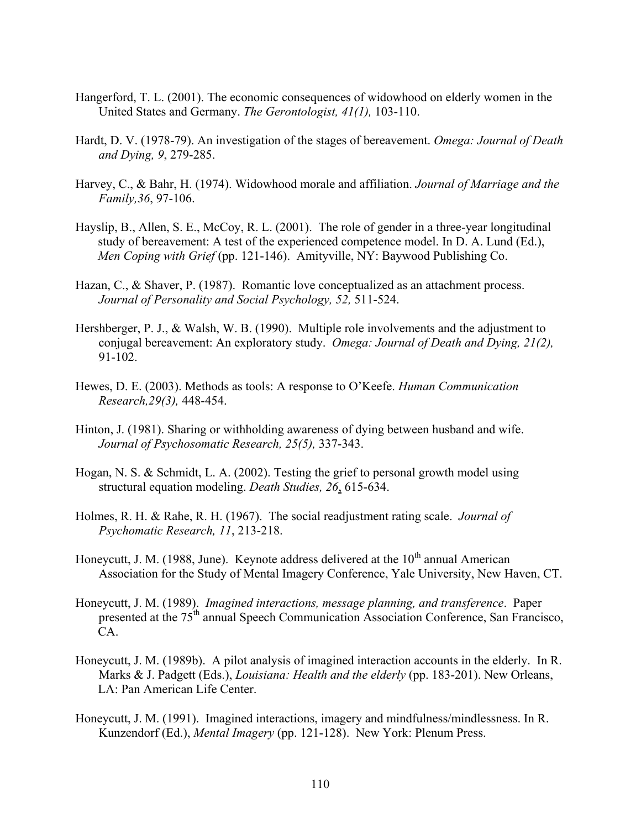- Hangerford, T. L. (2001). The economic consequences of widowhood on elderly women in the United States and Germany. *The Gerontologist, 41(1),* 103-110.
- Hardt, D. V. (1978-79). An investigation of the stages of bereavement. *Omega: Journal of Death and Dying, 9*, 279-285.
- Harvey, C., & Bahr, H. (1974). Widowhood morale and affiliation. *Journal of Marriage and the Family,36*, 97-106.
- Hayslip, B., Allen, S. E., McCoy, R. L. (2001). The role of gender in a three-year longitudinal study of bereavement: A test of the experienced competence model. In D. A. Lund (Ed.), *Men Coping with Grief* (pp. 121-146). Amityville, NY: Baywood Publishing Co.
- Hazan, C., & Shaver, P. (1987). Romantic love conceptualized as an attachment process. *Journal of Personality and Social Psychology, 52,* 511-524.
- Hershberger, P. J., & Walsh, W. B. (1990). Multiple role involvements and the adjustment to conjugal bereavement: An exploratory study. *Omega: Journal of Death and Dying, 21(2),* 91-102.
- Hewes, D. E. (2003). Methods as tools: A response to O'Keefe. *Human Communication Research,29(3),* 448-454.
- Hinton, J. (1981). Sharing or withholding awareness of dying between husband and wife. *Journal of Psychosomatic Research, 25(5),* 337-343.
- Hogan, N. S. & Schmidt, L. A. (2002). Testing the grief to personal growth model using structural equation modeling. *Death Studies, 26*, 615-634.
- Holmes, R. H. & Rahe, R. H. (1967). The social readjustment rating scale. *Journal of Psychomatic Research, 11*, 213-218.
- Honeycutt, J. M. (1988, June). Keynote address delivered at the  $10<sup>th</sup>$  annual American Association for the Study of Mental Imagery Conference, Yale University, New Haven, CT.
- Honeycutt, J. M. (1989). *Imagined interactions, message planning, and transference*. Paper presented at the 75<sup>th</sup> annual Speech Communication Association Conference, San Francisco, CA.
- Honeycutt, J. M. (1989b). A pilot analysis of imagined interaction accounts in the elderly. In R. Marks & J. Padgett (Eds.), *Louisiana: Health and the elderly* (pp. 183-201). New Orleans, LA: Pan American Life Center.
- Honeycutt, J. M. (1991). Imagined interactions, imagery and mindfulness/mindlessness. In R. Kunzendorf (Ed.), *Mental Imagery* (pp. 121-128). New York: Plenum Press.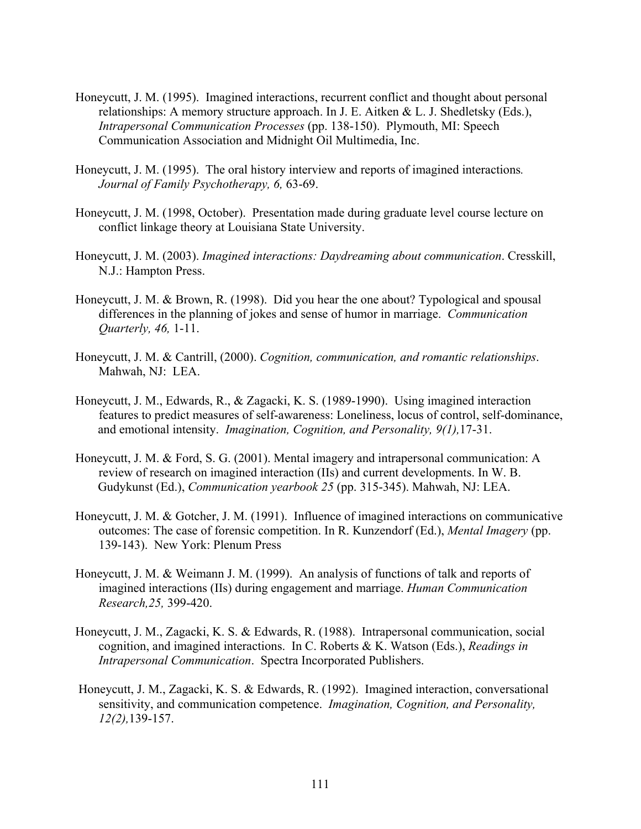- Honeycutt, J. M. (1995). Imagined interactions, recurrent conflict and thought about personal relationships: A memory structure approach. In J. E. Aitken & L. J. Shedletsky (Eds.), *Intrapersonal Communication Processes* (pp. 138-150). Plymouth, MI: Speech Communication Association and Midnight Oil Multimedia, Inc.
- Honeycutt, J. M. (1995). The oral history interview and reports of imagined interactions*. Journal of Family Psychotherapy, 6,* 63-69.
- Honeycutt, J. M. (1998, October). Presentation made during graduate level course lecture on conflict linkage theory at Louisiana State University.
- Honeycutt, J. M. (2003). *Imagined interactions: Daydreaming about communication*. Cresskill, N.J.: Hampton Press.
- Honeycutt, J. M. & Brown, R. (1998). Did you hear the one about? Typological and spousal differences in the planning of jokes and sense of humor in marriage. *Communication Quarterly, 46,* 1-11.
- Honeycutt, J. M. & Cantrill, (2000). *Cognition, communication, and romantic relationships*. Mahwah, NJ: LEA.
- Honeycutt, J. M., Edwards, R., & Zagacki, K. S. (1989-1990). Using imagined interaction features to predict measures of self-awareness: Loneliness, locus of control, self-dominance, and emotional intensity. *Imagination, Cognition, and Personality, 9(1),*17-31.
- Honeycutt, J. M. & Ford, S. G. (2001). Mental imagery and intrapersonal communication: A review of research on imagined interaction (IIs) and current developments. In W. B. Gudykunst (Ed.), *Communication yearbook 25* (pp. 315-345). Mahwah, NJ: LEA.
- Honeycutt, J. M. & Gotcher, J. M. (1991). Influence of imagined interactions on communicative outcomes: The case of forensic competition. In R. Kunzendorf (Ed.), *Mental Imagery* (pp. 139-143). New York: Plenum Press
- Honeycutt, J. M. & Weimann J. M. (1999). An analysis of functions of talk and reports of imagined interactions (IIs) during engagement and marriage. *Human Communication Research,25,* 399-420.
- Honeycutt, J. M., Zagacki, K. S. & Edwards, R. (1988). Intrapersonal communication, social cognition, and imagined interactions. In C. Roberts & K. Watson (Eds.), *Readings in Intrapersonal Communication*. Spectra Incorporated Publishers.
- Honeycutt, J. M., Zagacki, K. S. & Edwards, R. (1992). Imagined interaction, conversational sensitivity, and communication competence. *Imagination, Cognition, and Personality, 12(2),*139-157.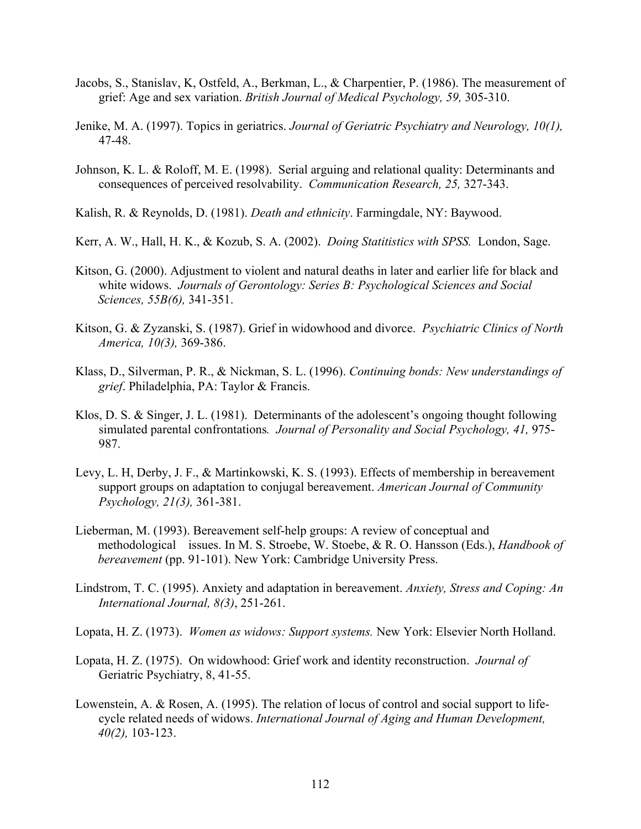- Jacobs, S., Stanislav, K, Ostfeld, A., Berkman, L., & Charpentier, P. (1986). The measurement of grief: Age and sex variation. *British Journal of Medical Psychology, 59,* 305-310.
- Jenike, M. A. (1997). Topics in geriatrics. *Journal of Geriatric Psychiatry and Neurology, 10(1),* 47-48.
- Johnson, K. L. & Roloff, M. E. (1998). Serial arguing and relational quality: Determinants and consequences of perceived resolvability. *Communication Research, 25,* 327-343.
- Kalish, R. & Reynolds, D. (1981). *Death and ethnicity*. Farmingdale, NY: Baywood.
- Kerr, A. W., Hall, H. K., & Kozub, S. A. (2002). *Doing Statitistics with SPSS.* London, Sage.
- Kitson, G. (2000). Adjustment to violent and natural deaths in later and earlier life for black and white widows. *Journals of Gerontology: Series B: Psychological Sciences and Social Sciences, 55B(6),* 341-351.
- Kitson, G. & Zyzanski, S. (1987). Grief in widowhood and divorce. *Psychiatric Clinics of North America, 10(3),* 369-386.
- Klass, D., Silverman, P. R., & Nickman, S. L. (1996). *Continuing bonds: New understandings of grief*. Philadelphia, PA: Taylor & Francis.
- Klos, D. S. & Singer, J. L. (1981). Determinants of the adolescent's ongoing thought following simulated parental confrontations*. Journal of Personality and Social Psychology, 41,* 975- 987.
- Levy, L. H, Derby, J. F., & Martinkowski, K. S. (1993). Effects of membership in bereavement support groups on adaptation to conjugal bereavement. *American Journal of Community Psychology, 21(3),* 361-381.
- Lieberman, M. (1993). Bereavement self-help groups: A review of conceptual and methodological issues. In M. S. Stroebe, W. Stoebe, & R. O. Hansson (Eds.), *Handbook of bereavement* (pp. 91-101). New York: Cambridge University Press.
- Lindstrom, T. C. (1995). Anxiety and adaptation in bereavement. *Anxiety, Stress and Coping: An International Journal, 8(3)*, 251-261.
- Lopata, H. Z. (1973). *Women as widows: Support systems.* New York: Elsevier North Holland.
- Lopata, H. Z. (1975). On widowhood: Grief work and identity reconstruction. *Journal of*  Geriatric Psychiatry, 8, 41-55.
- Lowenstein, A. & Rosen, A. (1995). The relation of locus of control and social support to life cycle related needs of widows. *International Journal of Aging and Human Development, 40(2),* 103-123.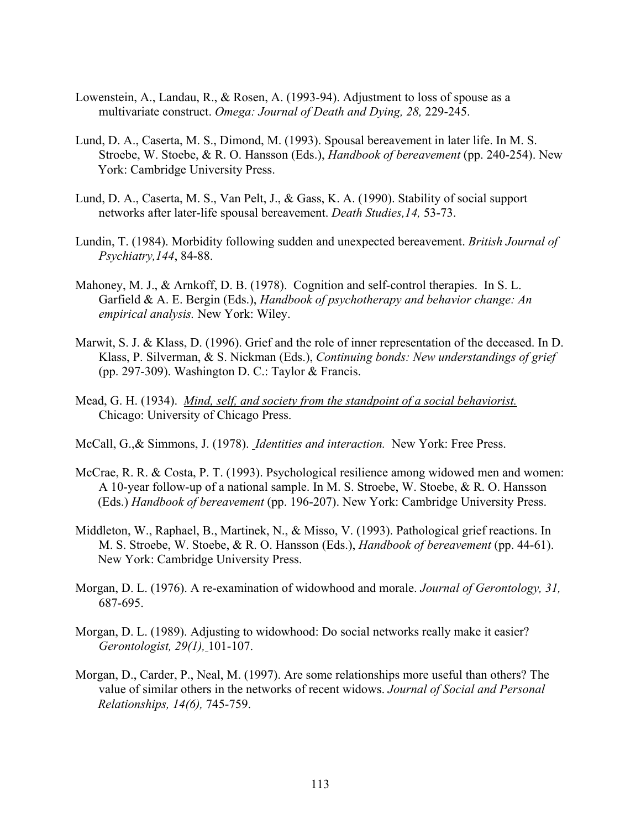- Lowenstein, A., Landau, R., & Rosen, A. (1993-94). Adjustment to loss of spouse as a multivariate construct. *Omega: Journal of Death and Dying, 28,* 229-245.
- Lund, D. A., Caserta, M. S., Dimond, M. (1993). Spousal bereavement in later life. In M. S. Stroebe, W. Stoebe, & R. O. Hansson (Eds.), *Handbook of bereavement* (pp. 240-254). New York: Cambridge University Press.
- Lund, D. A., Caserta, M. S., Van Pelt, J., & Gass, K. A. (1990). Stability of social support networks after later-life spousal bereavement. *Death Studies,14,* 53-73.
- Lundin, T. (1984). Morbidity following sudden and unexpected bereavement. *British Journal of Psychiatry,144*, 84-88.
- Mahoney, M. J., & Arnkoff, D. B. (1978). Cognition and self-control therapies. In S. L. Garfield & A. E. Bergin (Eds.), *Handbook of psychotherapy and behavior change: An empirical analysis.* New York: Wiley.
- Marwit, S. J. & Klass, D. (1996). Grief and the role of inner representation of the deceased. In D. Klass, P. Silverman, & S. Nickman (Eds.), *Continuing bonds: New understandings of grief* (pp. 297-309). Washington D. C.: Taylor & Francis.
- Mead, G. H. (1934). *Mind, self, and society from the standpoint of a social behaviorist.*  Chicago: University of Chicago Press.
- McCall, G.,& Simmons, J. (1978). *Identities and interaction.* New York: Free Press.
- McCrae, R. R. & Costa, P. T. (1993). Psychological resilience among widowed men and women: A 10-year follow-up of a national sample. In M. S. Stroebe, W. Stoebe, & R. O. Hansson (Eds.) *Handbook of bereavement* (pp. 196-207). New York: Cambridge University Press.
- Middleton, W., Raphael, B., Martinek, N., & Misso, V. (1993). Pathological grief reactions. In M. S. Stroebe, W. Stoebe, & R. O. Hansson (Eds.), *Handbook of bereavement* (pp. 44-61). New York: Cambridge University Press.
- Morgan, D. L. (1976). A re-examination of widowhood and morale. *Journal of Gerontology, 31,* 687-695.
- Morgan, D. L. (1989). Adjusting to widowhood: Do social networks really make it easier? *Gerontologist, 29(1),* 101-107.
- Morgan, D., Carder, P., Neal, M. (1997). Are some relationships more useful than others? The value of similar others in the networks of recent widows. *Journal of Social and Personal Relationships, 14(6),* 745-759.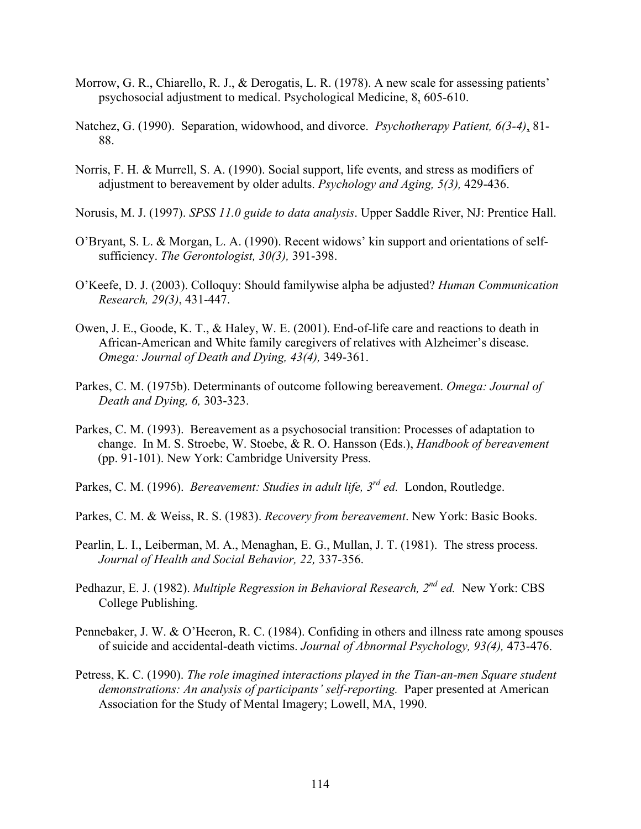- Morrow, G. R., Chiarello, R. J., & Derogatis, L. R. (1978). A new scale for assessing patients' psychosocial adjustment to medical. Psychological Medicine, 8, 605-610.
- Natchez, G. (1990). Separation, widowhood, and divorce. *Psychotherapy Patient, 6(3-4)*, 81- 88.
- Norris, F. H. & Murrell, S. A. (1990). Social support, life events, and stress as modifiers of adjustment to bereavement by older adults. *Psychology and Aging, 5(3),* 429-436.
- Norusis, M. J. (1997). *SPSS 11.0 guide to data analysis*. Upper Saddle River, NJ: Prentice Hall.
- O'Bryant, S. L. & Morgan, L. A. (1990). Recent widows' kin support and orientations of self sufficiency. *The Gerontologist, 30(3),* 391-398.
- O'Keefe, D. J. (2003). Colloquy: Should familywise alpha be adjusted? *Human Communication Research, 29(3)*, 431-447.
- Owen, J. E., Goode, K. T., & Haley, W. E. (2001). End-of-life care and reactions to death in African-American and White family caregivers of relatives with Alzheimer's disease. *Omega: Journal of Death and Dying, 43(4),* 349-361.
- Parkes, C. M. (1975b). Determinants of outcome following bereavement. *Omega: Journal of Death and Dying, 6,* 303-323.
- Parkes, C. M. (1993). Bereavement as a psychosocial transition: Processes of adaptation to change. In M. S. Stroebe, W. Stoebe, & R. O. Hansson (Eds.), *Handbook of bereavement*  (pp. 91-101). New York: Cambridge University Press.
- Parkes, C. M. (1996). *Bereavement: Studies in adult life, 3rd ed.* London, Routledge.
- Parkes, C. M. & Weiss, R. S. (1983). *Recovery from bereavement*. New York: Basic Books.
- Pearlin, L. I., Leiberman, M. A., Menaghan, E. G., Mullan, J. T. (1981). The stress process. *Journal of Health and Social Behavior, 22,* 337-356.
- Pedhazur, E. J. (1982). *Multiple Regression in Behavioral Research, 2nd ed.* New York: CBS College Publishing.
- Pennebaker, J. W. & O'Heeron, R. C. (1984). Confiding in others and illness rate among spouses of suicide and accidental-death victims. *Journal of Abnormal Psychology, 93(4),* 473-476.
- Petress, K. C. (1990). *The role imagined interactions played in the Tian-an-men Square student demonstrations: An analysis of participants' self-reporting.* Paper presented at American Association for the Study of Mental Imagery; Lowell, MA, 1990.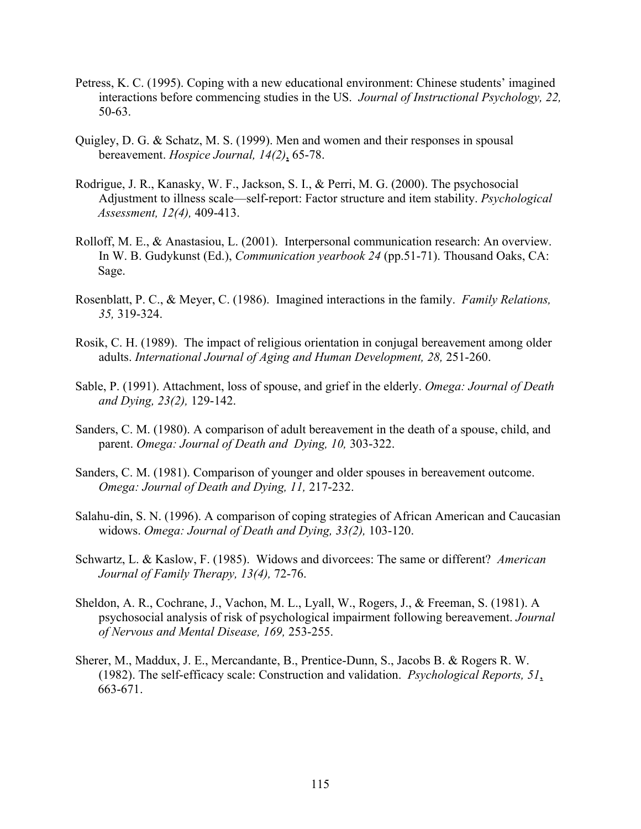- Petress, K. C. (1995). Coping with a new educational environment: Chinese students' imagined interactions before commencing studies in the US. *Journal of Instructional Psychology, 22,*  50-63.
- Quigley, D. G. & Schatz, M. S. (1999). Men and women and their responses in spousal bereavement. *Hospice Journal, 14(2)*, 65-78.
- Rodrigue, J. R., Kanasky, W. F., Jackson, S. I., & Perri, M. G. (2000). The psychosocial Adjustment to illness scale—self-report: Factor structure and item stability. *Psychological Assessment, 12(4),* 409-413.
- Rolloff, M. E., & Anastasiou, L. (2001). Interpersonal communication research: An overview. In W. B. Gudykunst (Ed.), *Communication yearbook 24* (pp.51-71). Thousand Oaks, CA: Sage.
- Rosenblatt, P. C., & Meyer, C. (1986). Imagined interactions in the family. *Family Relations, 35,* 319-324.
- Rosik, C. H. (1989). The impact of religious orientation in conjugal bereavement among older adults. *International Journal of Aging and Human Development, 28,* 251-260.
- Sable, P. (1991). Attachment, loss of spouse, and grief in the elderly. *Omega: Journal of Death and Dying, 23(2),* 129-142.
- Sanders, C. M. (1980). A comparison of adult bereavement in the death of a spouse, child, and parent. *Omega: Journal of Death and Dying, 10,* 303-322.
- Sanders, C. M. (1981). Comparison of younger and older spouses in bereavement outcome. *Omega: Journal of Death and Dying, 11,* 217-232.
- Salahu-din, S. N. (1996). A comparison of coping strategies of African American and Caucasian widows. *Omega: Journal of Death and Dying, 33(2),* 103-120.
- Schwartz, L. & Kaslow, F. (1985). Widows and divorcees: The same or different? *American Journal of Family Therapy, 13(4),* 72-76.
- Sheldon, A. R., Cochrane, J., Vachon, M. L., Lyall, W., Rogers, J., & Freeman, S. (1981). A psychosocial analysis of risk of psychological impairment following bereavement. *Journal of Nervous and Mental Disease, 169,* 253-255.
- Sherer, M., Maddux, J. E., Mercandante, B., Prentice-Dunn, S., Jacobs B. & Rogers R. W. (1982). The self-efficacy scale: Construction and validation. *Psychological Reports, 51*, 663-671.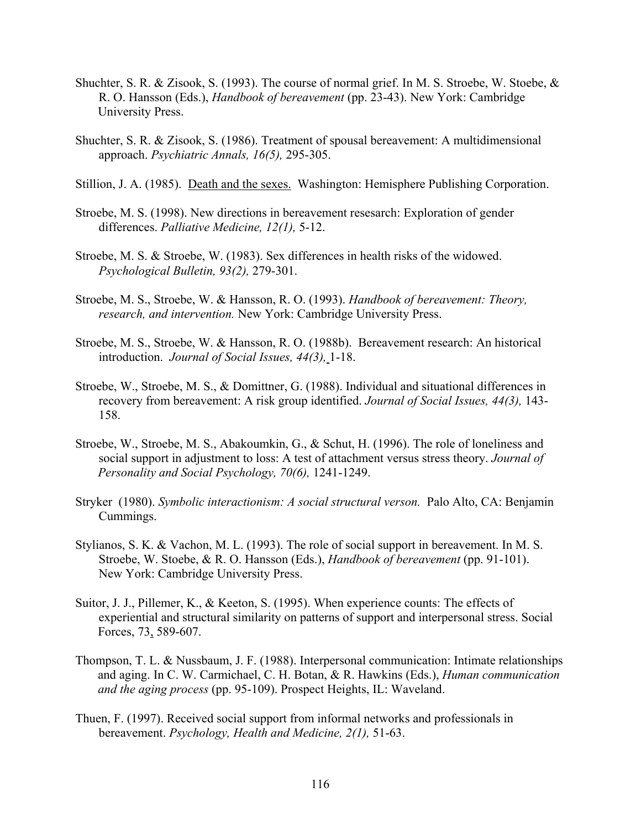- Shuchter, S. R. & Zisook, S. (1993). The course of normal grief. In M. S. Stroebe, W. Stoebe, & R. O. Hansson (Eds.), *Handbook of bereavement* (pp. 23-43). New York: Cambridge University Press.
- Shuchter, S. R. & Zisook, S. (1986). Treatment of spousal bereavement: A multidimensional approach. *Psychiatric Annals, 16(5),* 295-305.
- Stillion, J. A. (1985). Death and the sexes.Washington: Hemisphere Publishing Corporation.
- Stroebe, M. S. (1998). New directions in bereavement resesarch: Exploration of gender differences. *Palliative Medicine, 12(1),* 5-12.
- Stroebe, M. S. & Stroebe, W. (1983). Sex differences in health risks of the widowed. *Psychological Bulletin, 93(2),* 279-301.
- Stroebe, M. S., Stroebe, W. & Hansson, R. O. (1993). *Handbook of bereavement: Theory, research, and intervention.* New York: Cambridge University Press.
- Stroebe, M. S., Stroebe, W. & Hansson, R. O. (1988b). Bereavement research: An historical introduction. *Journal of Social Issues, 44(3),* 1-18.
- Stroebe, W., Stroebe, M. S., & Domittner, G. (1988). Individual and situational differences in recovery from bereavement: A risk group identified. *Journal of Social Issues, 44(3),* 143- 158.
- Stroebe, W., Stroebe, M. S., Abakoumkin, G., & Schut, H. (1996). The role of loneliness and social support in adjustment to loss: A test of attachment versus stress theory. *Journal of Personality and Social Psychology, 70(6),* 1241-1249.
- Stryker (1980). *Symbolic interactionism: A social structural verson.* Palo Alto, CA: Benjamin Cummings.
- Stylianos, S. K. & Vachon, M. L. (1993). The role of social support in bereavement. In M. S. Stroebe, W. Stoebe, & R. O. Hansson (Eds.), *Handbook of bereavement* (pp. 91-101). New York: Cambridge University Press.
- Suitor, J. J., Pillemer, K., & Keeton, S. (1995). When experience counts: The effects of experiential and structural similarity on patterns of support and interpersonal stress. Social Forces, 73, 589-607.
- Thompson, T. L. & Nussbaum, J. F. (1988). Interpersonal communication: Intimate relationships and aging. In C. W. Carmichael, C. H. Botan, & R. Hawkins (Eds.), *Human communication and the aging process* (pp. 95-109). Prospect Heights, IL: Waveland.
- Thuen, F. (1997). Received social support from informal networks and professionals in bereavement. *Psychology, Health and Medicine, 2(1),* 51-63.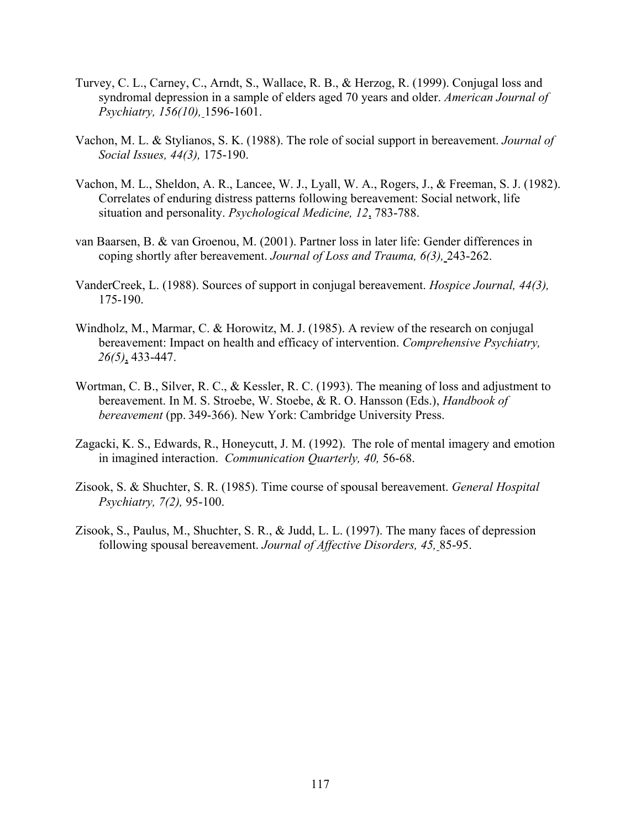- Turvey, C. L., Carney, C., Arndt, S., Wallace, R. B., & Herzog, R. (1999). Conjugal loss and syndromal depression in a sample of elders aged 70 years and older. *American Journal of Psychiatry, 156(10),* 1596-1601.
- Vachon, M. L. & Stylianos, S. K. (1988). The role of social support in bereavement. *Journal of Social Issues, 44(3),* 175-190.
- Vachon, M. L., Sheldon, A. R., Lancee, W. J., Lyall, W. A., Rogers, J., & Freeman, S. J. (1982). Correlates of enduring distress patterns following bereavement: Social network, life situation and personality. *Psychological Medicine, 12*, 783-788.
- van Baarsen, B. & van Groenou, M. (2001). Partner loss in later life: Gender differences in coping shortly after bereavement. *Journal of Loss and Trauma, 6(3),* 243-262.
- VanderCreek, L. (1988). Sources of support in conjugal bereavement. *Hospice Journal, 44(3),* 175-190.
- Windholz, M., Marmar, C. & Horowitz, M. J. (1985). A review of the research on conjugal bereavement: Impact on health and efficacy of intervention. *Comprehensive Psychiatry, 26(5)*, 433-447.
- Wortman, C. B., Silver, R. C., & Kessler, R. C. (1993). The meaning of loss and adjustment to bereavement. In M. S. Stroebe, W. Stoebe, & R. O. Hansson (Eds.), *Handbook of bereavement* (pp. 349-366). New York: Cambridge University Press.
- Zagacki, K. S., Edwards, R., Honeycutt, J. M. (1992). The role of mental imagery and emotion in imagined interaction. *Communication Quarterly, 40,* 56-68.
- Zisook, S. & Shuchter, S. R. (1985). Time course of spousal bereavement. *General Hospital Psychiatry, 7(2),* 95-100.
- Zisook, S., Paulus, M., Shuchter, S. R., & Judd, L. L. (1997). The many faces of depression following spousal bereavement. *Journal of Affective Disorders, 45,* 85-95.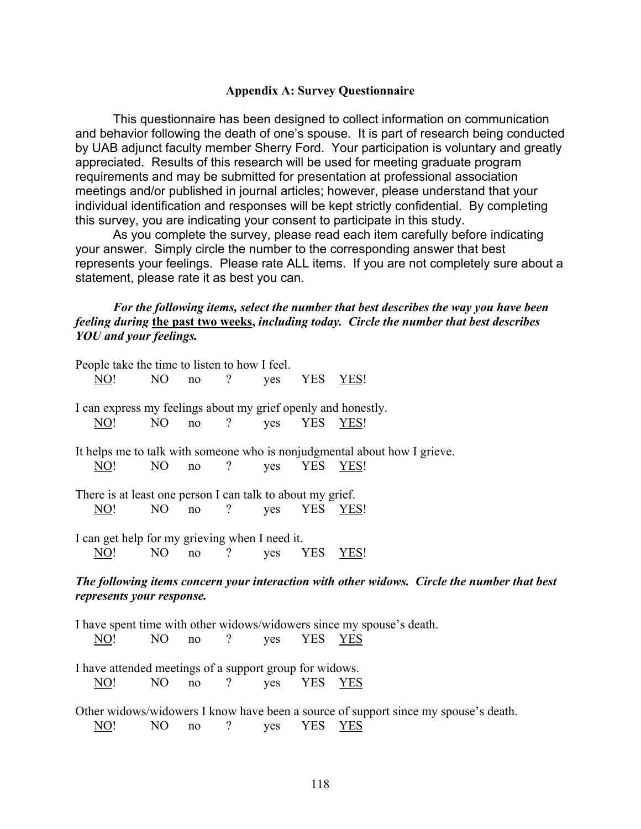### **Appendix A: Survey Questionnaire**

This questionnaire has been designed to collect information on communication and behavior following the death of one's spouse. It is part of research being conducted by UAB adjunct faculty member Sherry Ford. Your participation is voluntary and greatly appreciated. Results of this research will be used for meeting graduate program requirements and may be submitted for presentation at professional association meetings and/or published in journal articles; however, please understand that your individual identification and responses will be kept strictly confidential. By completing this survey, you are indicating your consent to participate in this study.

As you complete the survey, please read each item carefully before indicating your answer. Simply circle the number to the corresponding answer that best represents your feelings. Please rate ALL items. If you are not completely sure about a statement, please rate it as best you can.

*For the following items, select the number that best describes the way you have been feeling during* **the past two weeks,** *including today. Circle the number that best describes YOU and your feelings.*

| People take the time to listen to how I feel.                 |                |    |                          |     |            |                                                                                             |
|---------------------------------------------------------------|----------------|----|--------------------------|-----|------------|---------------------------------------------------------------------------------------------|
| NO!                                                           | N <sub>O</sub> | no | $\overline{?}$           | yes | YES YES!   |                                                                                             |
|                                                               |                |    |                          |     |            |                                                                                             |
| I can express my feelings about my grief openly and honestly. |                |    |                          |     |            |                                                                                             |
| <u>NO!</u>                                                    | NO             | no | $\overline{?}$           | yes | YES YES!   |                                                                                             |
|                                                               |                |    |                          |     |            | It helps me to talk with someone who is nonjudgmental about how I grieve.                   |
|                                                               |                |    | $\overline{\mathcal{L}}$ |     |            |                                                                                             |
| NO!                                                           | N <sub>O</sub> | no |                          | yes | <b>YES</b> | YES!                                                                                        |
| There is at least one person I can talk to about my grief.    |                |    |                          |     |            |                                                                                             |
| <u>NO!</u>                                                    | NO.            | no | $\gamma$                 | yes | YES YES!   |                                                                                             |
|                                                               |                |    |                          |     |            |                                                                                             |
| I can get help for my grieving when I need it.                |                |    |                          |     |            |                                                                                             |
| $\overline{NO}!$                                              | N <sub>O</sub> | no | $\gamma$                 | yes | <b>YES</b> | <u>YES!</u>                                                                                 |
|                                                               |                |    |                          |     |            |                                                                                             |
|                                                               |                |    |                          |     |            | The following items concern your interaction with other widows. Circle the number that best |
| represents your response.                                     |                |    |                          |     |            |                                                                                             |
|                                                               |                |    |                          |     |            |                                                                                             |
|                                                               |                |    |                          |     |            | I have spent time with other widows/widowers since my spouse's death.                       |
| $\underline{NO!}$                                             | N <sub>O</sub> | no | $\gamma$                 | yes | YES YES    |                                                                                             |
|                                                               |                |    |                          |     |            |                                                                                             |
| I have attended meetings of a support group for widows.       |                |    |                          |     |            |                                                                                             |
| NO!                                                           | N <sub>O</sub> | no | $\gamma$                 | yes | YES YES    |                                                                                             |
|                                                               |                |    |                          |     |            |                                                                                             |
|                                                               |                |    |                          |     |            | Other widows/widowers I know have been a source of support since my spouse's death.         |

NO! NO no ? yes YES YES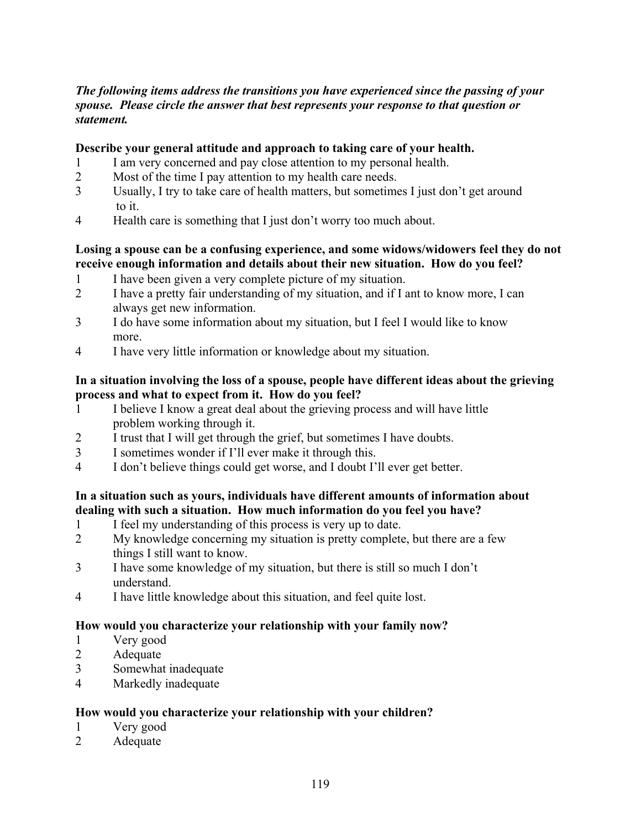# *The following items address the transitions you have experienced since the passing of your spouse. Please circle the answer that best represents your response to that question or statement.*

## **Describe your general attitude and approach to taking care of your health.**

- 1 I am very concerned and pay close attention to my personal health.
- 2 Most of the time I pay attention to my health care needs.
- 3 Usually, I try to take care of health matters, but sometimes I just don't get around to it.
- 4 Health care is something that I just don't worry too much about.

## **Losing a spouse can be a confusing experience, and some widows/widowers feel they do not receive enough information and details about their new situation. How do you feel?**

- 1 I have been given a very complete picture of my situation.
- 2 I have a pretty fair understanding of my situation, and if I ant to know more, I can always get new information.
- 3 I do have some information about my situation, but I feel I would like to know more.
- 4 I have very little information or knowledge about my situation.

## **In a situation involving the loss of a spouse, people have different ideas about the grieving process and what to expect from it. How do you feel?**

- 1 I believe I know a great deal about the grieving process and will have little problem working through it.
- 2 I trust that I will get through the grief, but sometimes I have doubts.
- 3 I sometimes wonder if I'll ever make it through this.
- 4 I don't believe things could get worse, and I doubt I'll ever get better.

## **In a situation such as yours, individuals have different amounts of information about dealing with such a situation. How much information do you feel you have?**

- 1 I feel my understanding of this process is very up to date.
- 2 My knowledge concerning my situation is pretty complete, but there are a few things I still want to know.
- 3 I have some knowledge of my situation, but there is still so much I don't understand.
- 4 I have little knowledge about this situation, and feel quite lost.

### **How would you characterize your relationship with your family now?**

- 1 Very good
- 2 Adequate
- 3 Somewhat inadequate
- 4 Markedly inadequate

### **How would you characterize your relationship with your children?**

- 1 Very good
- 2 Adequate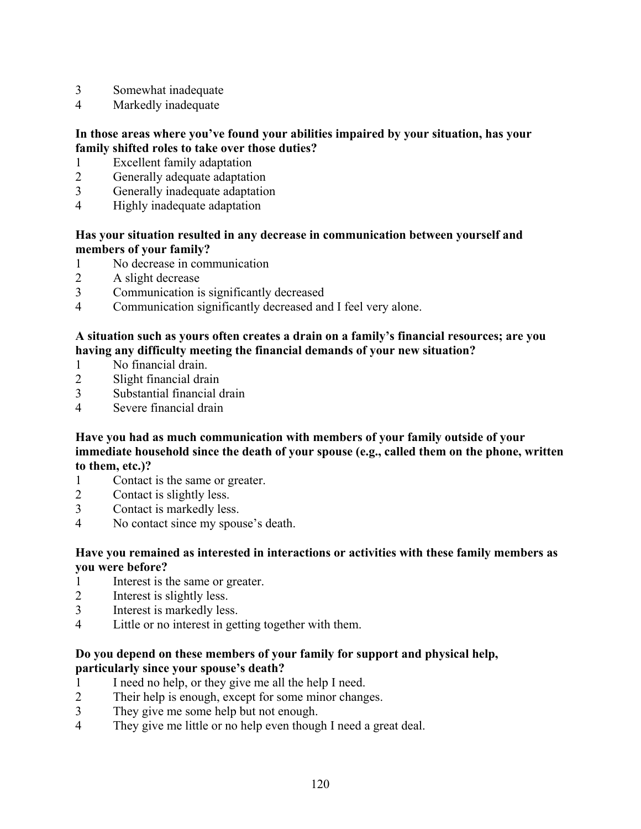- 3 Somewhat inadequate
- 4 Markedly inadequate

# **In those areas where you've found your abilities impaired by your situation, has your family shifted roles to take over those duties?**

- 1 Excellent family adaptation
- 2 Generally adequate adaptation
- 3 Generally inadequate adaptation
- 4 Highly inadequate adaptation

# **Has your situation resulted in any decrease in communication between yourself and members of your family?**

- 1 No decrease in communication
- 2 A slight decrease
- 3 Communication is significantly decreased
- 4 Communication significantly decreased and I feel very alone.

# **A situation such as yours often creates a drain on a family's financial resources; are you having any difficulty meeting the financial demands of your new situation?**

- 1 No financial drain.
- 2 Slight financial drain
- 3 Substantial financial drain
- 4 Severe financial drain

## **Have you had as much communication with members of your family outside of your immediate household since the death of your spouse (e.g., called them on the phone, written to them, etc.)?**

- 1 Contact is the same or greater.
- 2 Contact is slightly less.
- 3 Contact is markedly less.
- 4 No contact since my spouse's death.

# **Have you remained as interested in interactions or activities with these family members as you were before?**

- 1 Interest is the same or greater.
- 2 Interest is slightly less.
- 3 Interest is markedly less.
- 4 Little or no interest in getting together with them.

# **Do you depend on these members of your family for support and physical help, particularly since your spouse's death?**

- 1 I need no help, or they give me all the help I need.
- 2 Their help is enough, except for some minor changes.
- 3 They give me some help but not enough.
- 4 They give me little or no help even though I need a great deal.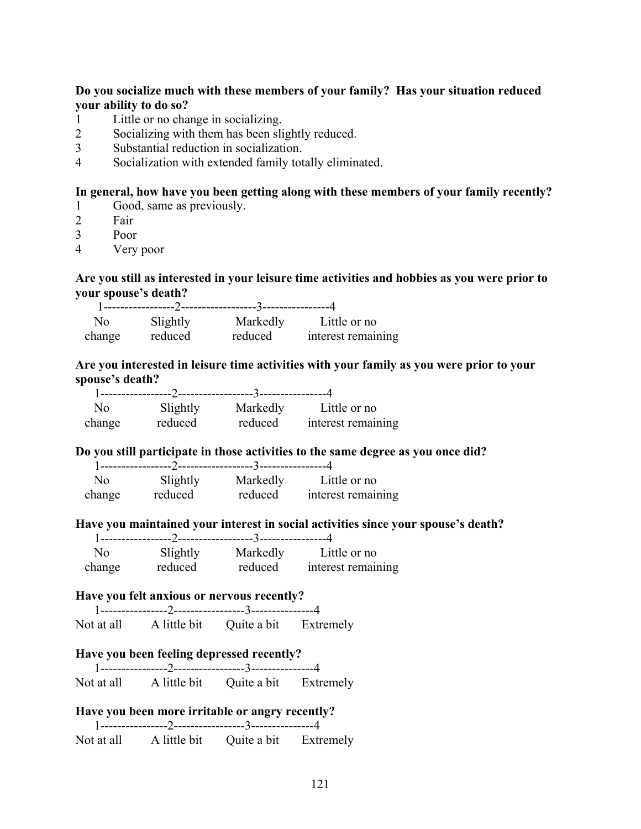# **Do you socialize much with these members of your family? Has your situation reduced your ability to do so?**

- 1 Little or no change in socializing.
- 2 Socializing with them has been slightly reduced.
- 3 Substantial reduction in socialization.
- 4 Socialization with extended family totally eliminated.

## **In general, how have you been getting along with these members of your family recently?**

- 1 Good, same as previously.
- 2 Fair
- 3 Poor
- 4 Very poor

# **Are you still as interested in your leisure time activities and hobbies as you were prior to your spouse's death?**

| No     | Slightly | Markedly | Little or no       |
|--------|----------|----------|--------------------|
| change | reduced  | reduced  | interest remaining |

### **Are you interested in leisure time activities with your family as you were prior to your spouse's death?**

|        |          |          | Little or no       |
|--------|----------|----------|--------------------|
| No.    | Slightly | Markedly |                    |
| change | reduced  | reduced  | interest remaining |

### **Do you still participate in those activities to the same degree as you once did?**

| N <sub>0</sub> | Slightly | Markedly | Little or no       |
|----------------|----------|----------|--------------------|
|                |          |          |                    |
| change         | reduced  | reduced  | interest remaining |

### **Have you maintained your interest in social activities since your spouse's death?**

| No     | Slightly | Markedly | Little or no       |
|--------|----------|----------|--------------------|
| change | reduced  | reduced  | interest remaining |

### **Have you felt anxious or nervous recently?**

|            | --------- /------------------ |             |           |
|------------|-------------------------------|-------------|-----------|
| Not at all | A little bit                  | Quite a bit | Extremely |

# **Have you been feeling depressed recently?**

 1----------------2-----------------3---------------4 Not at all A little bit Quite a bit Extremely

# **Have you been more irritable or angry recently?**

| Not at all | A little bit | Quite a bit | Extremely |
|------------|--------------|-------------|-----------|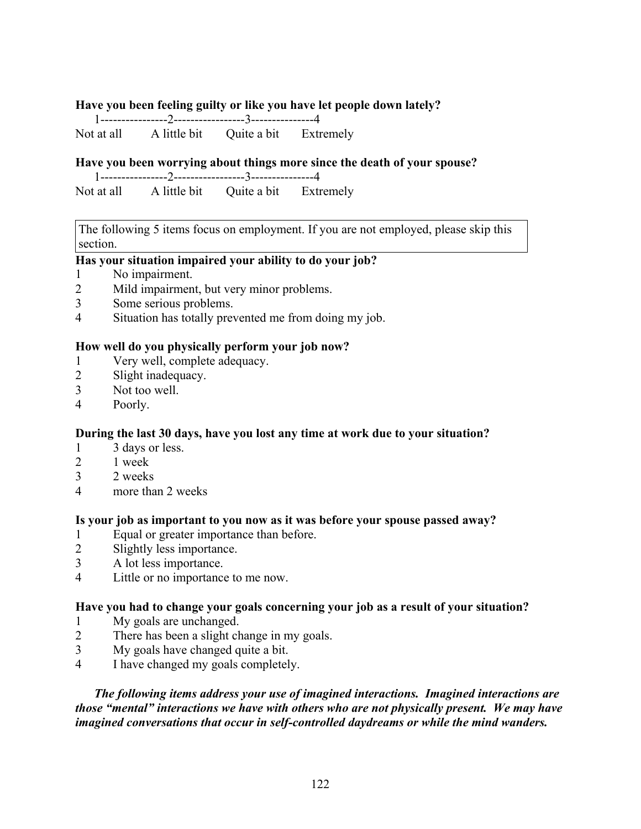### **Have you been feeling guilty or like you have let people down lately?**

 1----------------2-----------------3---------------4 Not at all A little bit Ouite a bit Extremely

### **Have you been worrying about things more since the death of your spouse?**

 1----------------2-----------------3---------------4 Not at all A little bit Quite a bit Extremely

The following 5 items focus on employment. If you are not employed, please skip this section.

# **Has your situation impaired your ability to do your job?**

- 1 No impairment.
- 2 Mild impairment, but very minor problems.
- 3 Some serious problems.
- 4 Situation has totally prevented me from doing my job.

### **How well do you physically perform your job now?**

- 1 Very well, complete adequacy.
- 2 Slight inadequacy.
- 3 Not too well.<br>4 Poorly
- Poorly.

### **During the last 30 days, have you lost any time at work due to your situation?**

- 1 3 days or less.
- 2 1 week
- 3 2 weeks
- 4 more than 2 weeks

#### **Is your job as important to you now as it was before your spouse passed away?**

- 1 Equal or greater importance than before.
- 2 Slightly less importance.
- 3 A lot less importance.
- 4 Little or no importance to me now.

#### **Have you had to change your goals concerning your job as a result of your situation?**

- 1 My goals are unchanged.
- 2 There has been a slight change in my goals.
- 3 My goals have changed quite a bit.
- 4 I have changed my goals completely.

*The following items address your use of imagined interactions. Imagined interactions are those "mental" interactions we have with others who are not physically present. We may have imagined conversations that occur in self-controlled daydreams or while the mind wanders.*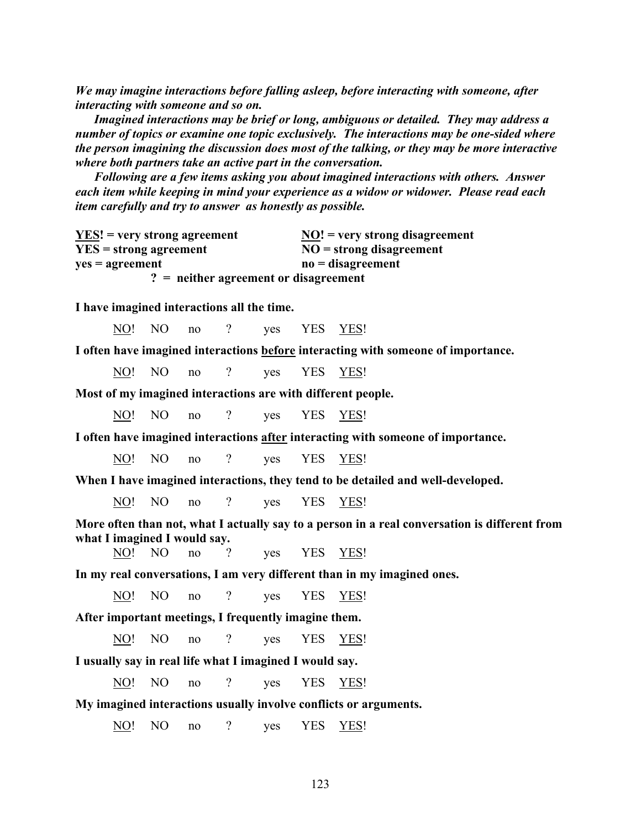*We may imagine interactions before falling asleep, before interacting with someone, after interacting with someone and so on.* 

 *Imagined interactions may be brief or long, ambiguous or detailed. They may address a number of topics or examine one topic exclusively. The interactions may be one-sided where the person imagining the discussion does most of the talking, or they may be more interactive where both partners take an active part in the conversation.* 

 *Following are a few items asking you about imagined interactions with others. Answer each item while keeping in mind your experience as a widow or widower. Please read each item carefully and try to answer as honestly as possible.*

| $YES!$ = very strong agreement          | $\overline{NO}$ ! = very strong disagreement |
|-----------------------------------------|----------------------------------------------|
| $YES = strong agreement$                | $NO =$ strong disagreement                   |
| $yes = agreement$                       | $no = disagreement$                          |
| $? =$ neither agreement or disagreement |                                              |

**I have imagined interactions all the time.**

NO! NO no ? yes YES YES!

**I often have imagined interactions before interacting with someone of importance.**

NO! NO no ? yes YES YES!

**Most of my imagined interactions are with different people.**

NO! NO no ? yes YES YES!

**I often have imagined interactions after interacting with someone of importance.**

NO! NO no ? yes YES YES!

**When I have imagined interactions, they tend to be detailed and well-developed.**

NO! NO no ? ves YES YES!

**More often than not, what I actually say to a person in a real conversation is different from what I imagined I would say.**

NO! NO no ? yes YES YES!

**In my real conversations, I am very different than in my imagined ones.**

NO! NO no ? yes YES YES!

**After important meetings, I frequently imagine them.**

NO! NO no ? ves YES YES!

**I usually say in real life what I imagined I would say.**

NO! NO no ? yes YES YES!

#### **My imagined interactions usually involve conflicts or arguments.**

NO! NO no ? yes YES YES!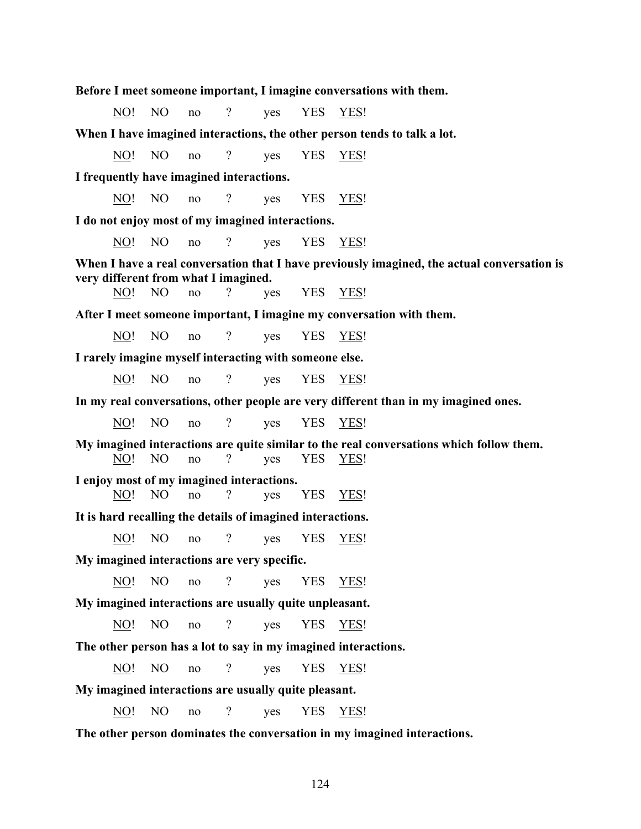**Before I meet someone important, I imagine conversations with them.**

No! No no ? yes YES YES!

**When I have imagined interactions, the other person tends to talk a lot.**

NO! NO no ? yes YES YES!

**I frequently have imagined interactions.**

NO! NO no ? ves YES YES!

**I do not enjoy most of my imagined interactions.**

NO! NO no ? yes YES YES!

**When I have a real conversation that I have previously imagined, the actual conversation is very different from what I imagined.**

NO! NO no ? yes YES YES!

**After I meet someone important, I imagine my conversation with them.**

NO! NO no ? yes YES YES!

**I rarely imagine myself interacting with someone else.**

NO! NO no ? ves YES YES!

**In my real conversations, other people are very different than in my imagined ones.**

NO! NO no ? yes YES YES!

**My imagined interactions are quite similar to the real conversations which follow them.** NO! NO no ? yes YES YES!

**I enjoy most of my imagined interactions.**

NO! NO no ? yes YES YES!

**It is hard recalling the details of imagined interactions.**

NO! NO no ? yes YES YES!

**My imagined interactions are very specific.**

NO! NO no ? yes YES YES!

**My imagined interactions are usually quite unpleasant.**

NO! NO no ? yes YES YES!

**The other person has a lot to say in my imagined interactions.**

NO! NO no ? yes YES YES!

**My imagined interactions are usually quite pleasant.**

NO! NO no ? yes YES YES!

**The other person dominates the conversation in my imagined interactions.**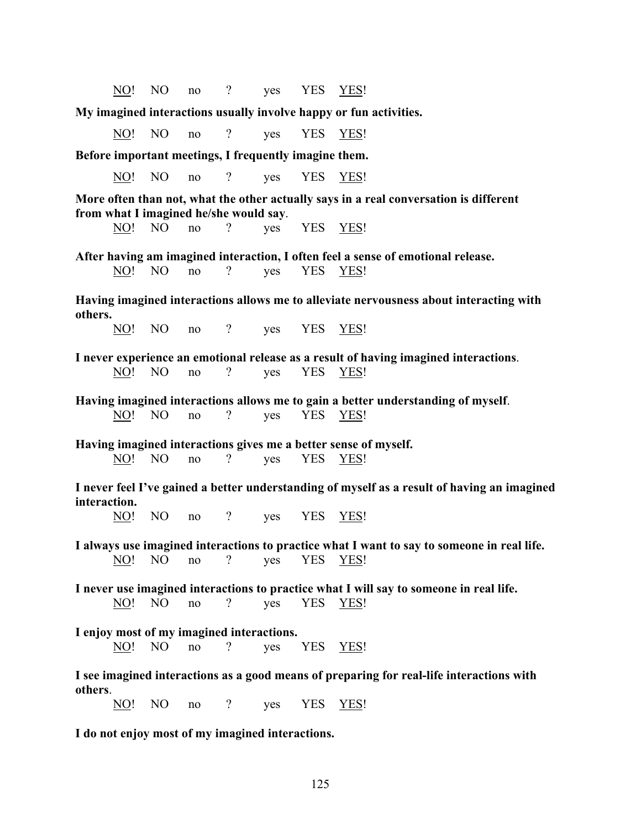NO! NO no ? ves YES YES!

**My imagined interactions usually involve happy or fun activities.**

NO! NO no ? yes YES YES!

**Before important meetings, I frequently imagine them.**

NO! NO no ? yes YES YES!

**More often than not, what the other actually says in a real conversation is different from what I imagined he/she would say**.

NO! NO no ? yes YES YES!

**After having am imagined interaction, I often feel a sense of emotional release.** NO! NO no ? yes YES YES!

**Having imagined interactions allows me to alleviate nervousness about interacting with others.**

NO! NO no ? yes YES YES!

**I never experience an emotional release as a result of having imagined interactions**. NO! NO no ? yes YES YES!

**Having imagined interactions allows me to gain a better understanding of myself**. NO! NO no ? yes YES YES!

**Having imagined interactions gives me a better sense of myself.** NO! NO no ? yes YES YES!

**I never feel I've gained a better understanding of myself as a result of having an imagined interaction.**

NO! NO no ? yes YES YES!

**I always use imagined interactions to practice what I want to say to someone in real life.** NO! NO no ? yes YES YES!

**I never use imagined interactions to practice what I will say to someone in real life.** NO! NO no ? yes YES YES!

**I enjoy most of my imagined interactions.**

NO! NO no ? ves YES YES!

**I see imagined interactions as a good means of preparing for real-life interactions with others**.

NO! NO no ? yes YES YES!

**I do not enjoy most of my imagined interactions.**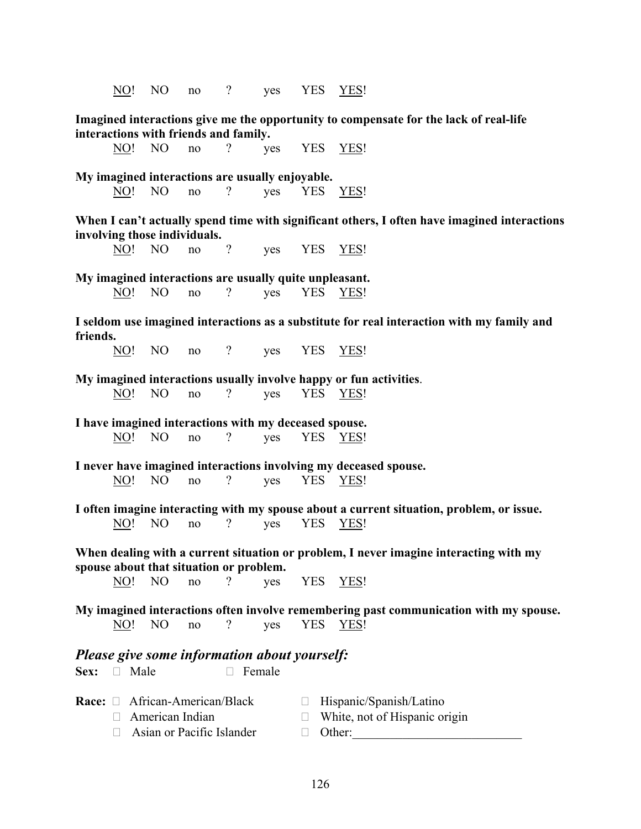NO! NO no ? ves YES YES! **Imagined interactions give me the opportunity to compensate for the lack of real-life interactions with friends and family.** NO! NO no ? yes YES YES! **My imagined interactions are usually enjoyable.** NO! NO no ? yes YES YES! **When I can't actually spend time with significant others, I often have imagined interactions involving those individuals.** NO! NO no ? yes YES YES! **My imagined interactions are usually quite unpleasant.** NO! NO no ? yes YES YES! **I seldom use imagined interactions as a substitute for real interaction with my family and friends.** NO! NO no ? yes YES YES! **My imagined interactions usually involve happy or fun activities**. NO! NO no ? yes YES YES! **I have imagined interactions with my deceased spouse.** NO! NO no ? yes YES YES! **I never have imagined interactions involving my deceased spouse.** NO! NO no ? yes YES YES! **I often imagine interacting with my spouse about a current situation, problem, or issue.** NO! NO no ? yes YES YES! **When dealing with a current situation or problem, I never imagine interacting with my spouse about that situation or problem.** NO! NO no ? yes YES YES! **My imagined interactions often involve remembering past communication with my spouse.** NO! NO no ? yes YES YES! *Please give some information about yourself:* **Sex:**  $\Box$  Male  $\Box$  Female **Race:** □ African-American/Black □ Hispanic/Spanish/Latino  $\Box$  American Indian  $\Box$  White, not of Hispanic origin  $\Box$  Asian or Pacific Islander  $\Box$  Other: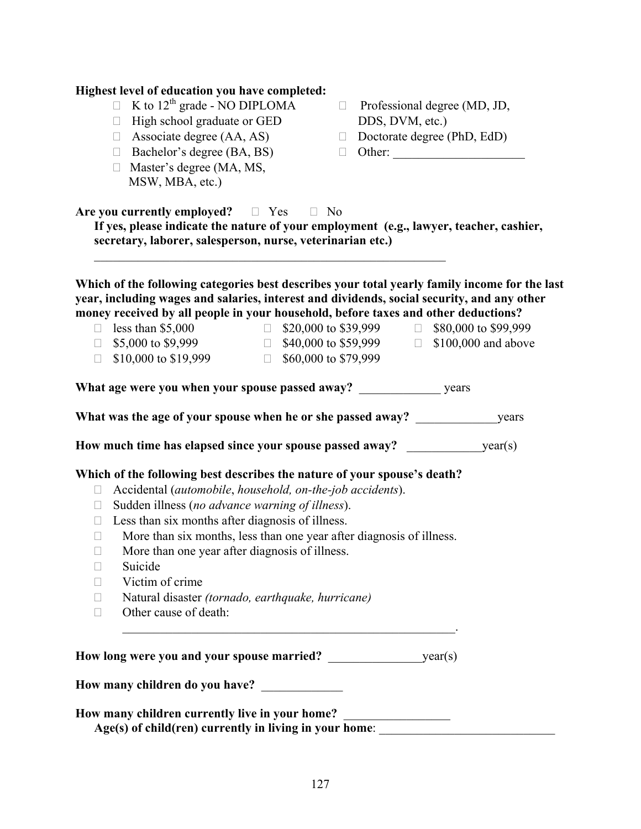|                                                                                   | K to $12th$ grade - NO DIPLOMA<br>$\Box$<br>High school graduate or GED<br>$\Box$<br>Associate degree (AA, AS)<br>$\Box$<br>Bachelor's degree (BA, BS)<br>$\Box$<br>Master's degree (MA, MS,<br>$\Box$<br>MSW, MBA, etc.)                                                                                                                                                                                                                                                          | DDS, DVM, etc.)<br>$\Box$<br>$\Box$ | $\Box$ Professional degree (MD, JD,<br>Doctorate degree (PhD, EdD)<br>Other:          |  |
|-----------------------------------------------------------------------------------|------------------------------------------------------------------------------------------------------------------------------------------------------------------------------------------------------------------------------------------------------------------------------------------------------------------------------------------------------------------------------------------------------------------------------------------------------------------------------------|-------------------------------------|---------------------------------------------------------------------------------------|--|
|                                                                                   | Are you currently employed? $\Box$ Yes<br>If yes, please indicate the nature of your employment (e.g., lawyer, teacher, cashier,<br>secretary, laborer, salesperson, nurse, veterinarian etc.)                                                                                                                                                                                                                                                                                     | $\Box$ No                           |                                                                                       |  |
| $\Box$                                                                            | Which of the following categories best describes your total yearly family income for the last<br>year, including wages and salaries, interest and dividends, social security, and any other<br>money received by all people in your household, before taxes and other deductions?<br>$\Box$ less than \$5,000<br>$\Box$ \$5,000 to \$9,999<br>\$10,000 to \$19,999 $\Box$ \$60,000 to \$79,999                                                                                     | $\Box$ \$20,000 to \$39,999         | $\Box$ \$80,000 to \$99,999<br>$\Box$ \$40,000 to \$59,999 $\Box$ \$100,000 and above |  |
|                                                                                   | What was the age of your spouse when he or she passed away?                                                                                                                                                                                                                                                                                                                                                                                                                        |                                     | years                                                                                 |  |
|                                                                                   | How much time has elapsed since your spouse passed away?                                                                                                                                                                                                                                                                                                                                                                                                                           |                                     | year(s)                                                                               |  |
| $\Box$<br>$\Box$<br>$\Box$<br>$\Box$<br>$\Box$<br>$\Box$<br>П<br>$\Box$<br>$\Box$ | Which of the following best describes the nature of your spouse's death?<br>Accidental (automobile, household, on-the-job accidents).<br>Sudden illness (no advance warning of illness).<br>Less than six months after diagnosis of illness.<br>More than six months, less than one year after diagnosis of illness.<br>More than one year after diagnosis of illness.<br>Suicide<br>Victim of crime<br>Natural disaster (tornado, earthquake, hurricane)<br>Other cause of death: |                                     |                                                                                       |  |
|                                                                                   | How many children do you have?                                                                                                                                                                                                                                                                                                                                                                                                                                                     |                                     |                                                                                       |  |

**Highest level of education you have completed:**

## **How many children currently live in your home?** \_\_\_\_\_\_\_\_\_\_\_\_\_\_\_\_\_ Age(s) of child(ren) currently in living in your home: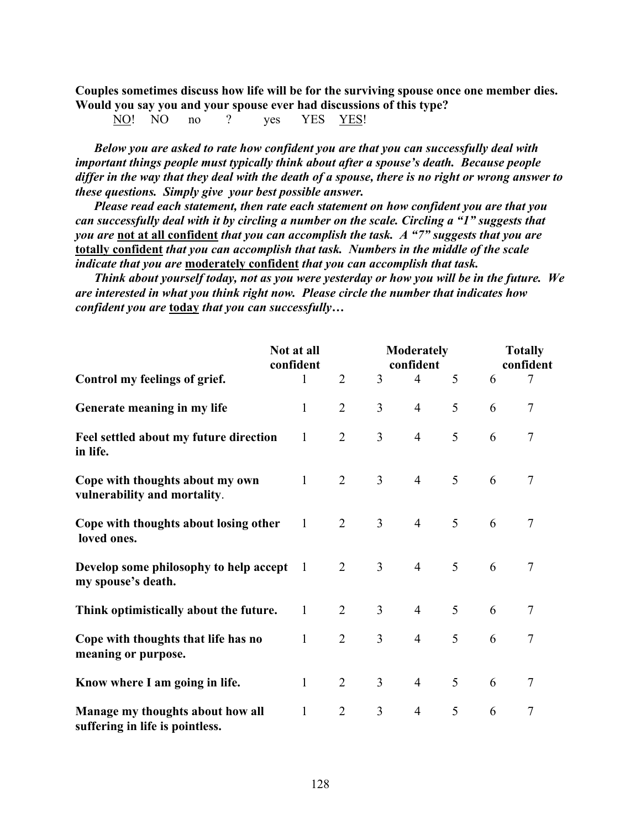**Couples sometimes discuss how life will be for the surviving spouse once one member dies. Would you say you and your spouse ever had discussions of this type?** 

NO! NO no ? yes YES YES!

*Below you are asked to rate how confident you are that you can successfully deal with important things people must typically think about after a spouse's death. Because people differ in the way that they deal with the death of a spouse, there is no right or wrong answer to these questions. Simply give your best possible answer.* 

 *Please read each statement, then rate each statement on how confident you are that you can successfully deal with it by circling a number on the scale. Circling a "1" suggests that you are* **not at all confident** *that you can accomplish the task. A "7" suggests that you are*  **totally confident** *that you can accomplish that task. Numbers in the middle of the scale indicate that you are* **moderately confident** *that you can accomplish that task.* 

 *Think about yourself today, not as you were yesterday or how you will be in the future. We are interested in what you think right now. Please circle the number that indicates how confident you are* **today** *that you can successfully…* 

|                                                                     | <b>Moderately</b><br>Not at all<br>confident<br>confident |                |                | <b>Totally</b><br>confident |   |   |                |
|---------------------------------------------------------------------|-----------------------------------------------------------|----------------|----------------|-----------------------------|---|---|----------------|
| Control my feelings of grief.                                       | 1                                                         | $\overline{2}$ | 3              | $\overline{4}$              | 5 | 6 | 7              |
| Generate meaning in my life                                         | $\mathbf{1}$                                              | $\overline{2}$ | 3              | $\overline{4}$              | 5 | 6 | $\tau$         |
| Feel settled about my future direction<br>in life.                  | $\mathbf{1}$                                              | $\overline{2}$ | $\overline{3}$ | $\overline{4}$              | 5 | 6 | $\overline{7}$ |
| Cope with thoughts about my own<br>vulnerability and mortality.     | $\mathbf{1}$                                              | $\overline{2}$ | $\overline{3}$ | $\overline{4}$              | 5 | 6 | $\tau$         |
| Cope with thoughts about losing other<br>loved ones.                | 1                                                         | $\overline{2}$ | $\overline{3}$ | $\overline{4}$              | 5 | 6 | $\tau$         |
| Develop some philosophy to help accept<br>my spouse's death.        | -1                                                        | $\overline{2}$ | $\overline{3}$ | $\overline{4}$              | 5 | 6 | $\tau$         |
| Think optimistically about the future.                              | $\mathbf{1}$                                              | $\overline{2}$ | $\overline{3}$ | $\overline{4}$              | 5 | 6 | 7              |
| Cope with thoughts that life has no<br>meaning or purpose.          | 1                                                         | $\overline{2}$ | $\overline{3}$ | $\overline{4}$              | 5 | 6 | $\tau$         |
| Know where I am going in life.                                      | $\mathbf{1}$                                              | $\overline{2}$ | $\overline{3}$ | $\overline{4}$              | 5 | 6 | 7              |
| Manage my thoughts about how all<br>suffering in life is pointless. | 1                                                         | $\overline{2}$ | $\overline{3}$ | $\overline{4}$              | 5 | 6 | 7              |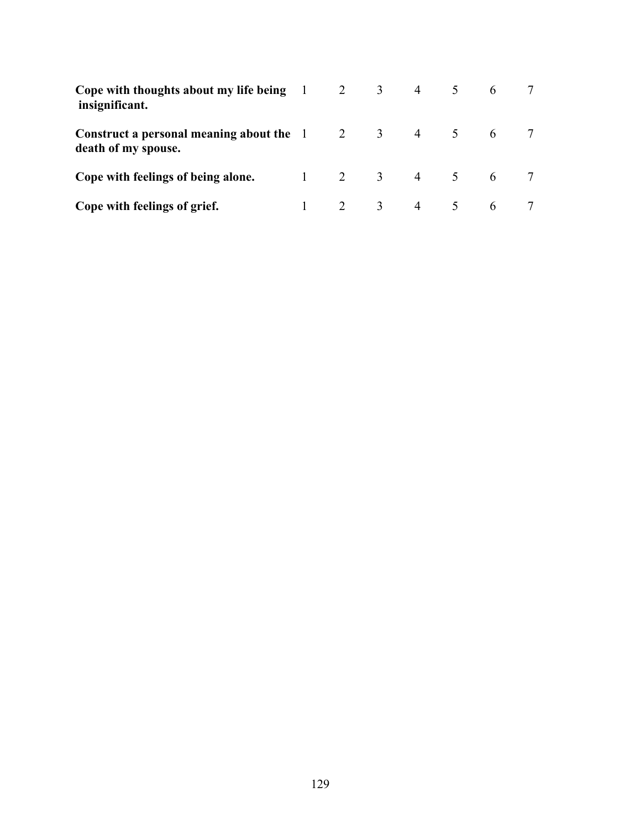| Cope with thoughts about my life being $1 \t 2 \t 3 \t 4$<br>insignificant.                |                         |  | $5 \quad 6$ |  |
|--------------------------------------------------------------------------------------------|-------------------------|--|-------------|--|
| Construct a personal meaning about the $1 \t 2 \t 3 \t 4 \t 5 \t 6$<br>death of my spouse. |                         |  |             |  |
| Cope with feelings of being alone.                                                         | $1 \t2 \t3 \t4 \t5 \t6$ |  |             |  |
| Cope with feelings of grief.                                                               | 2 3 4 5 6               |  |             |  |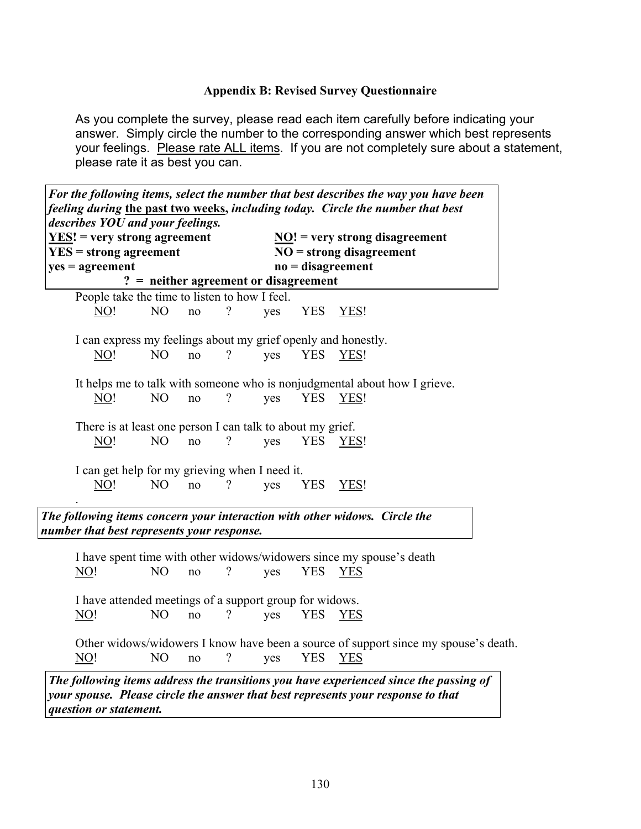# **Appendix B: Revised Survey Questionnaire**

As you complete the survey, please read each item carefully before indicating your answer. Simply circle the number to the corresponding answer which best represents your feelings. Please rate ALL items. If you are not completely sure about a statement, please rate it as best you can.

|                          | describes YOU and your feelings.                              |                          |     |            |                                                                                     |
|--------------------------|---------------------------------------------------------------|--------------------------|-----|------------|-------------------------------------------------------------------------------------|
| $YES = strong agreement$ | $YES!$ = very strong agreement                                |                          |     |            | $\overline{NO}!$ = very strong disagreement<br>$NO =$ strong disagreement           |
| $yes = agreement$        |                                                               |                          |     |            | $no = disagreement$                                                                 |
|                          | $? =$ neither agreement or disagreement                       |                          |     |            |                                                                                     |
|                          | People take the time to listen to how I feel.                 |                          |     |            |                                                                                     |
| NO!                      | N <sub>O</sub><br>no                                          | $\overline{\mathcal{C}}$ | yes | <b>YES</b> | YES!                                                                                |
|                          |                                                               |                          |     |            |                                                                                     |
|                          | I can express my feelings about my grief openly and honestly. |                          |     |            |                                                                                     |
| NO!                      | N <sub>O</sub><br>no                                          | $\gamma$                 | yes | <b>YES</b> | YES!                                                                                |
|                          |                                                               |                          |     |            |                                                                                     |
|                          |                                                               |                          |     |            | It helps me to talk with someone who is nonjudgmental about how I grieve.           |
| NO!                      | N <sub>O</sub><br>no                                          | $\overline{\mathcal{C}}$ | yes | <b>YES</b> | YES!                                                                                |
|                          |                                                               |                          |     |            |                                                                                     |
|                          | There is at least one person I can talk to about my grief.    |                          |     |            |                                                                                     |
| NO!                      | NO<br>no                                                      | $\overline{\mathcal{L}}$ | yes | YES        | YES!                                                                                |
|                          | I can get help for my grieving when I need it.                |                          |     |            |                                                                                     |
| <u>NO!</u>               | NO<br>no                                                      | $\gamma$                 | yes | <b>YES</b> | YES!                                                                                |
|                          |                                                               |                          |     |            |                                                                                     |
|                          |                                                               |                          |     |            | The following items concern your interaction with other widows. Circle the          |
|                          | number that best represents your response.                    |                          |     |            |                                                                                     |
|                          |                                                               |                          |     |            |                                                                                     |
|                          |                                                               |                          |     |            | I have spent time with other widows/widowers since my spouse's death                |
| NO!                      | N <sub>O</sub><br>no                                          | ?                        | yes | <b>YES</b> | <b>YES</b>                                                                          |
|                          |                                                               |                          |     |            |                                                                                     |
|                          | I have attended meetings of a support group for widows.       |                          |     |            |                                                                                     |
| NO!                      | N <sub>O</sub><br>no                                          | $\overline{\mathcal{L}}$ | yes | <b>YES</b> | <b>YES</b>                                                                          |
|                          |                                                               |                          |     |            |                                                                                     |
|                          |                                                               |                          |     |            | Other widows/widowers I know have been a source of support since my spouse's death. |
| $\overline{NO!}$         | N <sub>O</sub><br>no                                          | $\gamma$                 | yes | <b>YES</b> | <b>YES</b>                                                                          |

*question or statement.*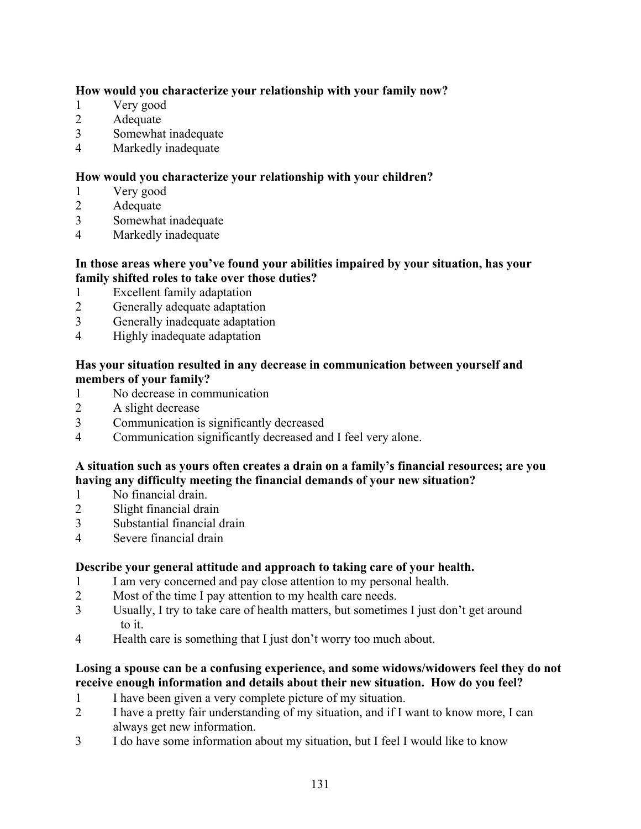# **How would you characterize your relationship with your family now?**

- 1 Very good
- 2 Adequate
- 3 Somewhat inadequate
- 4 Markedly inadequate

# **How would you characterize your relationship with your children?**

- 1 Very good
- 2 Adequate
- 3 Somewhat inadequate
- 4 Markedly inadequate

# **In those areas where you've found your abilities impaired by your situation, has your family shifted roles to take over those duties?**

- 1 Excellent family adaptation
- 2 Generally adequate adaptation
- 3 Generally inadequate adaptation
- 4 Highly inadequate adaptation

# **Has your situation resulted in any decrease in communication between yourself and members of your family?**

- 1 No decrease in communication
- 2 A slight decrease
- 3 Communication is significantly decreased
- 4 Communication significantly decreased and I feel very alone.

# **A situation such as yours often creates a drain on a family's financial resources; are you having any difficulty meeting the financial demands of your new situation?**

- 1 No financial drain.
- 2 Slight financial drain
- 3 Substantial financial drain
- 4 Severe financial drain

# **Describe your general attitude and approach to taking care of your health.**

- 1 I am very concerned and pay close attention to my personal health.
- 2 Most of the time I pay attention to my health care needs.
- 3 Usually, I try to take care of health matters, but sometimes I just don't get around to it.
- 4 Health care is something that I just don't worry too much about.

# **Losing a spouse can be a confusing experience, and some widows/widowers feel they do not receive enough information and details about their new situation. How do you feel?**

- 1 I have been given a very complete picture of my situation.
- 2 I have a pretty fair understanding of my situation, and if I want to know more, I can always get new information.
- 3 I do have some information about my situation, but I feel I would like to know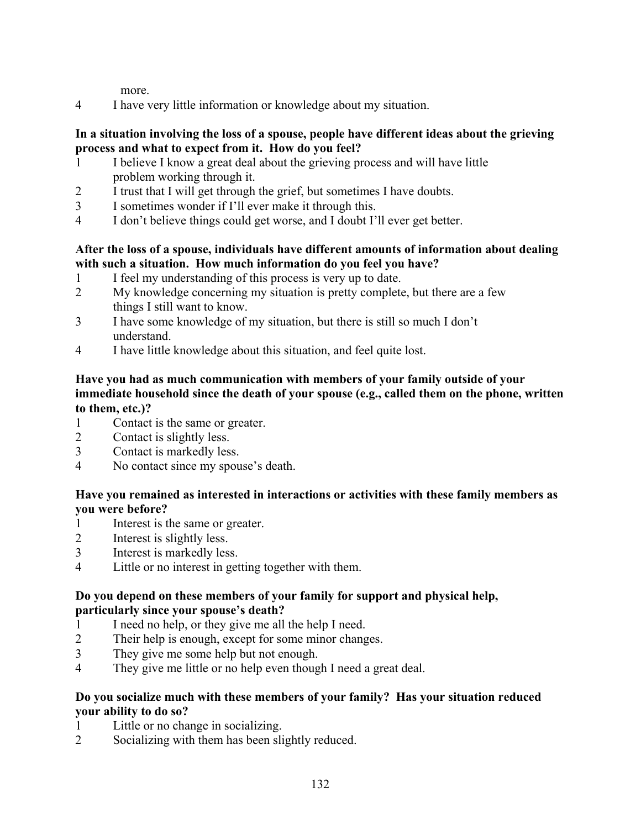more.

4 I have very little information or knowledge about my situation.

## **In a situation involving the loss of a spouse, people have different ideas about the grieving process and what to expect from it. How do you feel?**

- 1 I believe I know a great deal about the grieving process and will have little problem working through it.
- 2 I trust that I will get through the grief, but sometimes I have doubts.
- 3 I sometimes wonder if I'll ever make it through this.
- 4 I don't believe things could get worse, and I doubt I'll ever get better.

# **After the loss of a spouse, individuals have different amounts of information about dealing with such a situation. How much information do you feel you have?**

- 1 I feel my understanding of this process is very up to date.
- 2 My knowledge concerning my situation is pretty complete, but there are a few things I still want to know.
- 3 I have some knowledge of my situation, but there is still so much I don't understand.
- 4 I have little knowledge about this situation, and feel quite lost.

# **Have you had as much communication with members of your family outside of your immediate household since the death of your spouse (e.g., called them on the phone, written to them, etc.)?**

- 1 Contact is the same or greater.
- 2 Contact is slightly less.
- 3 Contact is markedly less.
- 4 No contact since my spouse's death.

# **Have you remained as interested in interactions or activities with these family members as you were before?**

- 1 Interest is the same or greater.
- 2 Interest is slightly less.
- 3 Interest is markedly less.
- 4 Little or no interest in getting together with them.

# **Do you depend on these members of your family for support and physical help, particularly since your spouse's death?**

- 1 I need no help, or they give me all the help I need.
- 2 Their help is enough, except for some minor changes.
- 3 They give me some help but not enough.
- 4 They give me little or no help even though I need a great deal.

# **Do you socialize much with these members of your family? Has your situation reduced your ability to do so?**

- 1 Little or no change in socializing.
- 2 Socializing with them has been slightly reduced.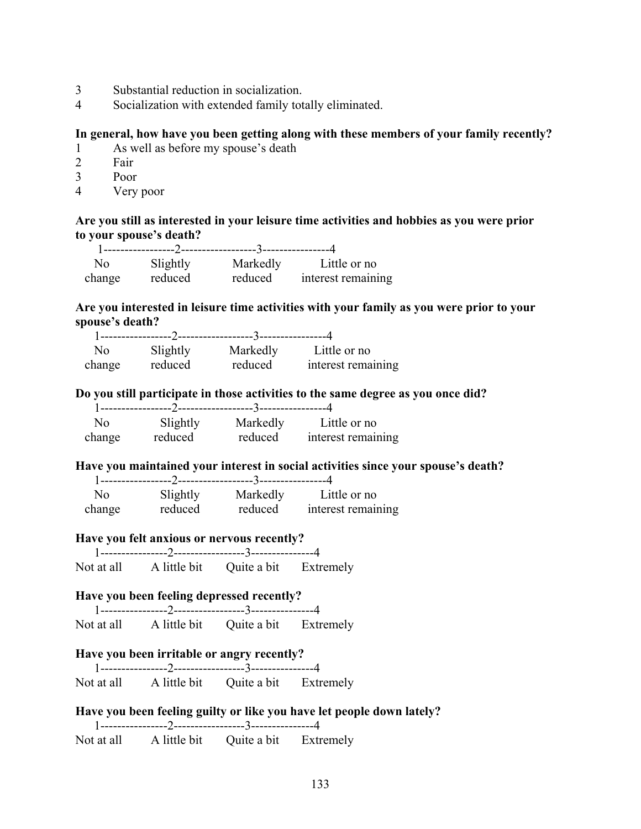- 3 Substantial reduction in socialization.
- 4 Socialization with extended family totally eliminated.

## **In general, how have you been getting along with these members of your family recently?**

- 1 As well as before my spouse's death
- 2 Fair
- 3 Poor
- 4 Very poor

### **Are you still as interested in your leisure time activities and hobbies as you were prior to your spouse's death?**

| No.    | Slightly | Markedly | Little or no       |
|--------|----------|----------|--------------------|
| change | reduced  | reduced  | interest remaining |

### **Are you interested in leisure time activities with your family as you were prior to your spouse's death?**

| No     | Slightly | Markedly | Little or no       |
|--------|----------|----------|--------------------|
| change | reduced  | reduced  | interest remaining |

#### **Do you still participate in those activities to the same degree as you once did?**

| No     | Slightly | Markedly | Little or no       |
|--------|----------|----------|--------------------|
| change | reduced  | reduced  | interest remaining |

#### **Have you maintained your interest in social activities since your spouse's death?**

| Nο     |          |          | Little or no       |
|--------|----------|----------|--------------------|
|        | Slightly | Markedly |                    |
| change | reduced  | reduced  | interest remaining |

# **Have you felt anxious or nervous recently?**

 1----------------2-----------------3---------------4 Not at all A little bit Ouite a bit Extremely

### **Have you been feeling depressed recently?**

| Not at all | A little bit | Quite a bit | Extremely |
|------------|--------------|-------------|-----------|

### **Have you been irritable or angry recently?**

 1----------------2-----------------3---------------4 Not at all A little bit Quite a bit Extremely

## **Have you been feeling guilty or like you have let people down lately?** 1----------------2-----------------3---------------4 Not at all A little bit Quite a bit Extremely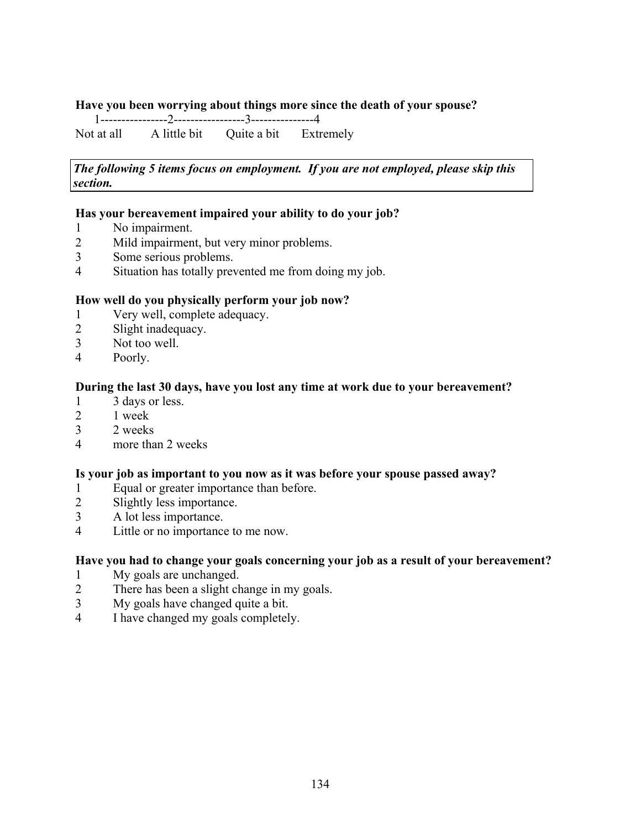## **Have you been worrying about things more since the death of your spouse?**

1----------------2-----------------3---------------4

Not at all A little bit Quite a bit Extremely

*The following 5 items focus on employment. If you are not employed, please skip this section.* 

### **Has your bereavement impaired your ability to do your job?**

- 1 No impairment.
- 2 Mild impairment, but very minor problems.
- 3 Some serious problems.
- 4 Situation has totally prevented me from doing my job.

## **How well do you physically perform your job now?**

- 1 Very well, complete adequacy.
- 2 Slight inadequacy.
- 3 Not too well.
- 4 Poorly.

### **During the last 30 days, have you lost any time at work due to your bereavement?**

- 1 3 days or less.
- 2 1 week
- 3 2 weeks
- 4 more than 2 weeks

### **Is your job as important to you now as it was before your spouse passed away?**

- 1 Equal or greater importance than before.
- 2 Slightly less importance.
- 3 A lot less importance.
- 4 Little or no importance to me now.

### **Have you had to change your goals concerning your job as a result of your bereavement?**

- 1 My goals are unchanged.
- 2 There has been a slight change in my goals.
- 3 My goals have changed quite a bit.
- 4 I have changed my goals completely.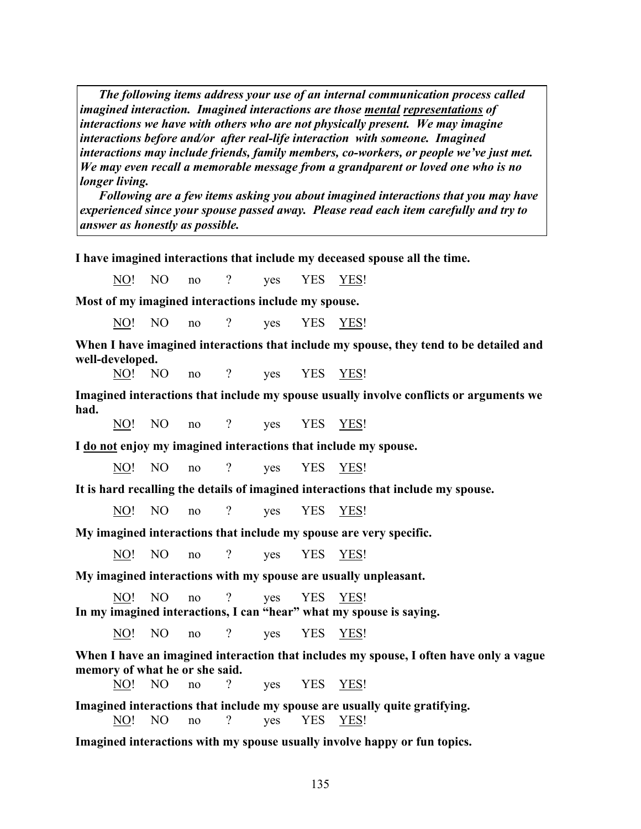*The following items address your use of an internal communication process called imagined interaction. Imagined interactions are those mental representations of interactions we have with others who are not physically present. We may imagine interactions before and/or after real-life interaction with someone. Imagined interactions may include friends, family members, co-workers, or people we've just met. We may even recall a memorable message from a grandparent or loved one who is no longer living.* 

 *Following are a few items asking you about imagined interactions that you may have experienced since your spouse passed away. Please read each item carefully and try to answer as honestly as possible.*

**I have imagined interactions that include my deceased spouse all the time.**

NO! NO no ? yes YES YES!

**Most of my imagined interactions include my spouse.**

NO! NO no ? yes YES YES!

**When I have imagined interactions that include my spouse, they tend to be detailed and well-developed.**

NO! NO no ? yes YES YES!

**Imagined interactions that include my spouse usually involve conflicts or arguments we had.**

NO! NO no ? yes YES YES!

**I do not enjoy my imagined interactions that include my spouse.**

NO! NO no ? yes YES YES!

**It is hard recalling the details of imagined interactions that include my spouse.**

NO! NO no ? yes YES YES!

**My imagined interactions that include my spouse are very specific.**

NO! NO no ? yes YES YES!

**My imagined interactions with my spouse are usually unpleasant.**

NO! NO no ? yes YES YES! **In my imagined interactions, I can "hear" what my spouse is saying.** 

NO! NO no ? yes YES YES!

**When I have an imagined interaction that includes my spouse, I often have only a vague memory of what he or she said.** 

NO! NO no ? yes YES YES!

**Imagined interactions that include my spouse are usually quite gratifying.**

NO! NO no ? yes YES YES!

**Imagined interactions with my spouse usually involve happy or fun topics.**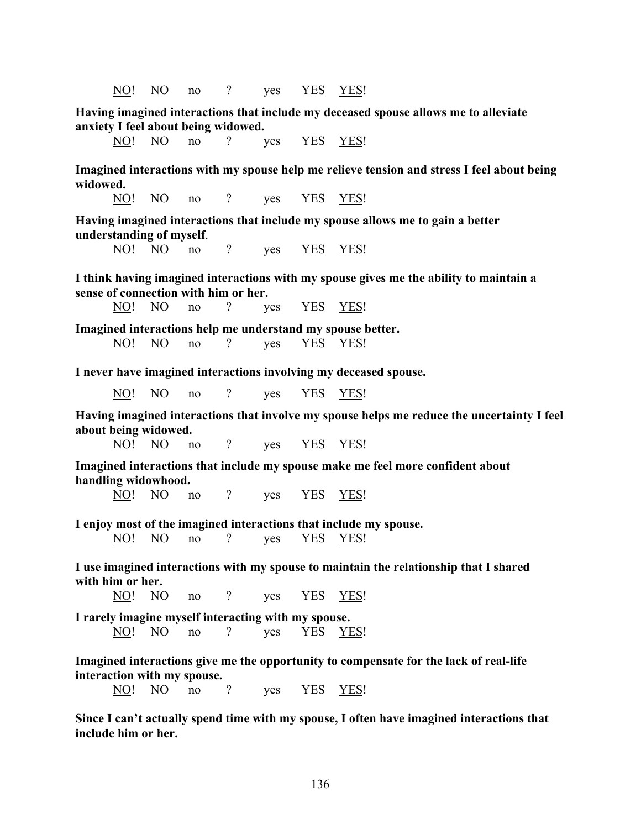NO! NO no ? yes YES YES!

**Having imagined interactions that include my deceased spouse allows me to alleviate anxiety I feel about being widowed.**

NO! NO no ? yes YES YES!

**Imagined interactions with my spouse help me relieve tension and stress I feel about being widowed.**

NO! NO no ? ves YES YES!

**Having imagined interactions that include my spouse allows me to gain a better understanding of myself**.

NO! NO no ? ves YES YES!

**I think having imagined interactions with my spouse gives me the ability to maintain a sense of connection with him or her.** 

NO! NO no ? yes YES YES!

**Imagined interactions help me understand my spouse better.** NO! NO no ? yes YES YES!

**I never have imagined interactions involving my deceased spouse.** 

NO! NO no ? yes YES YES!

**Having imagined interactions that involve my spouse helps me reduce the uncertainty I feel about being widowed.** 

NO! NO no ? yes YES YES!

**Imagined interactions that include my spouse make me feel more confident about handling widowhood.**

NO! NO no ? ves YES YES!

**I enjoy most of the imagined interactions that include my spouse.**

NO! NO no ? yes YES YES!

**I use imagined interactions with my spouse to maintain the relationship that I shared with him or her.** 

NO! NO no ? yes YES YES!

**I rarely imagine myself interacting with my spouse.** NO! NO no ? yes YES YES!

**Imagined interactions give me the opportunity to compensate for the lack of real-life interaction with my spouse.**

NO! NO no ? yes YES YES!

**Since I can't actually spend time with my spouse, I often have imagined interactions that include him or her.**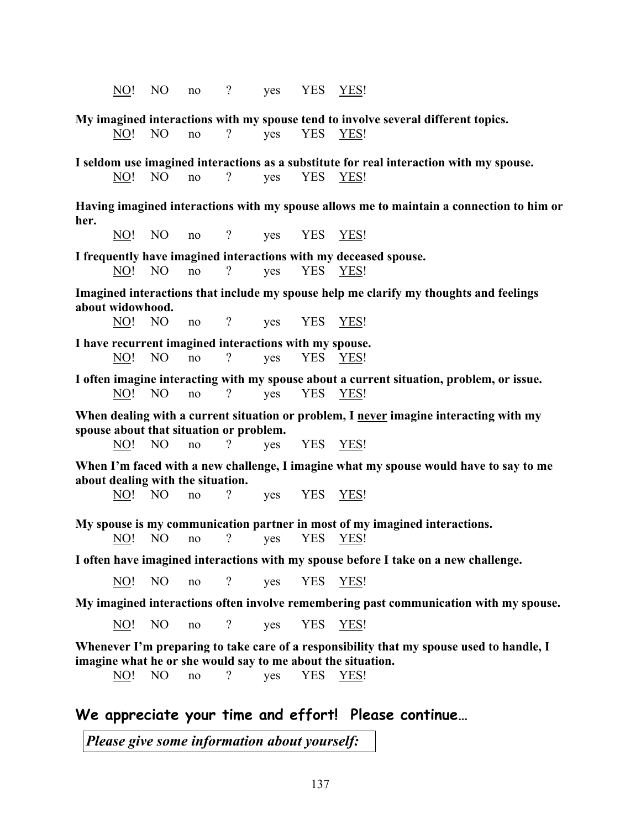**My imagined interactions with my spouse tend to involve several different topics.** NO! NO no ? yes YES YES! **I seldom use imagined interactions as a substitute for real interaction with my spouse.**  NO! NO no ? yes YES YES! **Having imagined interactions with my spouse allows me to maintain a connection to him or her.** NO! NO no ? yes YES YES! **I frequently have imagined interactions with my deceased spouse.** NO! NO no ? yes YES YES! **Imagined interactions that include my spouse help me clarify my thoughts and feelings about widowhood.** NO! NO no ? yes YES YES! **I have recurrent imagined interactions with my spouse.** NO! NO no ? yes YES YES! **I often imagine interacting with my spouse about a current situation, problem, or issue.** NO! NO no ? yes YES YES! **When dealing with a current situation or problem, I never imagine interacting with my spouse about that situation or problem.** NO! NO no ? yes YES YES! **When I'm faced with a new challenge, I imagine what my spouse would have to say to me about dealing with the situation.** NO! NO no ? yes YES YES! **My spouse is my communication partner in most of my imagined interactions.** NO! NO no ? yes YES YES! **I often have imagined interactions with my spouse before I take on a new challenge.** NO! NO no ? yes YES YES! **My imagined interactions often involve remembering past communication with my spouse.** No! No no ? yes YES YES! **Whenever I'm preparing to take care of a responsibility that my spouse used to handle, I imagine what he or she would say to me about the situation.** NO! NO no ? yes YES YES! **We appreciate your time and effort! Please continue…**

NO! NO no ? yes YES YES!

*Please give some information about yourself:*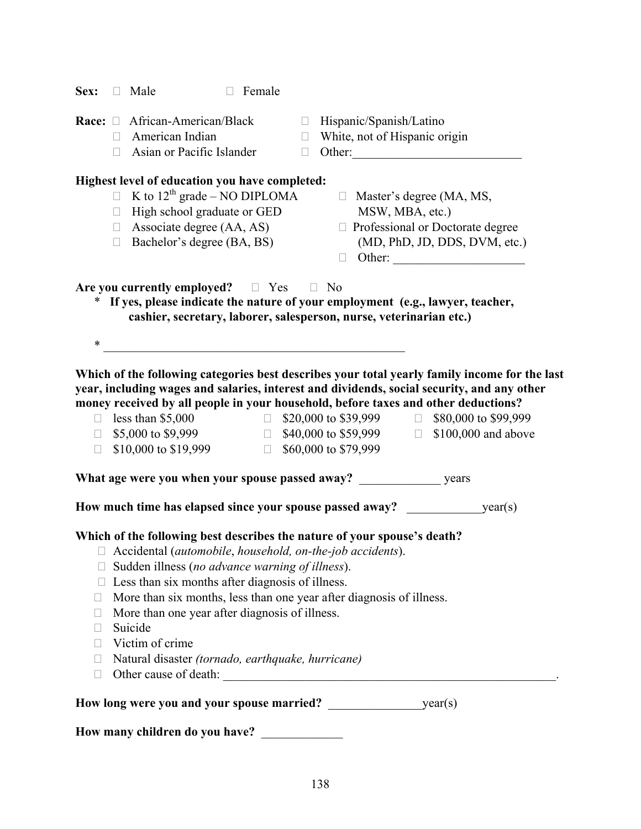| Sex:            |        | $\Box$ Male                                            | Female<br>$\Box$ |                  |                                                                          |                                                                                               |
|-----------------|--------|--------------------------------------------------------|------------------|------------------|--------------------------------------------------------------------------|-----------------------------------------------------------------------------------------------|
| Race: $\square$ | $\Box$ | African-American/Black<br>American Indian              |                  | $\Box$<br>$\Box$ | Hispanic/Spanish/Latino<br>White, not of Hispanic origin                 |                                                                                               |
|                 | П      | Asian or Pacific Islander                              |                  | $\Box$           |                                                                          |                                                                                               |
|                 |        | Highest level of education you have completed:         |                  |                  |                                                                          |                                                                                               |
|                 |        | $\Box$ K to 12 <sup>th</sup> grade – NO DIPLOMA        |                  |                  |                                                                          | $\Box$ Master's degree (MA, MS,                                                               |
|                 | $\Box$ | High school graduate or GED                            |                  |                  | MSW, MBA, etc.)                                                          |                                                                                               |
|                 |        | $\Box$ Associate degree (AA, AS)                       |                  |                  |                                                                          | □ Professional or Doctorate degree                                                            |
|                 | $\Box$ | Bachelor's degree (BA, BS)                             |                  |                  | $\Box$                                                                   | (MD, PhD, JD, DDS, DVM, etc.)                                                                 |
|                 |        |                                                        |                  |                  |                                                                          |                                                                                               |
|                 |        | Are you currently employed? $\square$ Yes $\square$ No |                  |                  |                                                                          |                                                                                               |
|                 |        |                                                        |                  |                  |                                                                          | * If yes, please indicate the nature of your employment (e.g., lawyer, teacher,               |
|                 |        |                                                        |                  |                  | cashier, secretary, laborer, salesperson, nurse, veterinarian etc.)      |                                                                                               |
| $\ast$          |        |                                                        |                  |                  |                                                                          |                                                                                               |
|                 |        |                                                        |                  |                  |                                                                          |                                                                                               |
|                 |        |                                                        |                  |                  |                                                                          | Which of the following categories best describes your total yearly family income for the last |
|                 |        |                                                        |                  |                  |                                                                          | year, including wages and salaries, interest and dividends, social security, and any other    |
|                 |        |                                                        |                  |                  |                                                                          | money received by all people in your household, before taxes and other deductions?            |
|                 |        | $\Box$ less than \$5,000                               |                  |                  |                                                                          | $\Box$ \$20,000 to \$39,999 $\Box$ \$80,000 to \$99,999                                       |
| $\Box$          |        | \$10,000 to \$19,999 $\Box$                            |                  |                  | \$60,000 to \$79,999                                                     | $\Box$ \$5,000 to \$9,999 $\Box$ \$40,000 to \$59,999 $\Box$ \$100,000 and above              |
|                 |        |                                                        |                  |                  |                                                                          |                                                                                               |
|                 |        |                                                        |                  |                  |                                                                          |                                                                                               |
|                 |        |                                                        |                  |                  | How much time has elapsed since your spouse passed away?                 | year(s)                                                                                       |
|                 |        |                                                        |                  |                  | Which of the following best describes the nature of your spouse's death? |                                                                                               |
|                 |        |                                                        |                  |                  | Accidental (automobile, household, on-the-job accidents).                |                                                                                               |
|                 |        | Sudden illness (no advance warning of illness).        |                  |                  |                                                                          |                                                                                               |
|                 |        | Less than six months after diagnosis of illness.       |                  |                  |                                                                          |                                                                                               |
| Ц               |        |                                                        |                  |                  | More than six months, less than one year after diagnosis of illness.     |                                                                                               |
| $\Box$          |        | More than one year after diagnosis of illness.         |                  |                  |                                                                          |                                                                                               |
| $\Box$          |        | Suicide                                                |                  |                  |                                                                          |                                                                                               |
| П               |        | Victim of crime                                        |                  |                  |                                                                          |                                                                                               |
| $\Box$          |        | Natural disaster (tornado, earthquake, hurricane)      |                  |                  |                                                                          |                                                                                               |
| $\Box$          |        |                                                        |                  |                  |                                                                          |                                                                                               |
|                 |        |                                                        |                  |                  |                                                                          |                                                                                               |
|                 |        |                                                        |                  |                  |                                                                          |                                                                                               |
|                 |        | How many children do you have?                         |                  |                  |                                                                          |                                                                                               |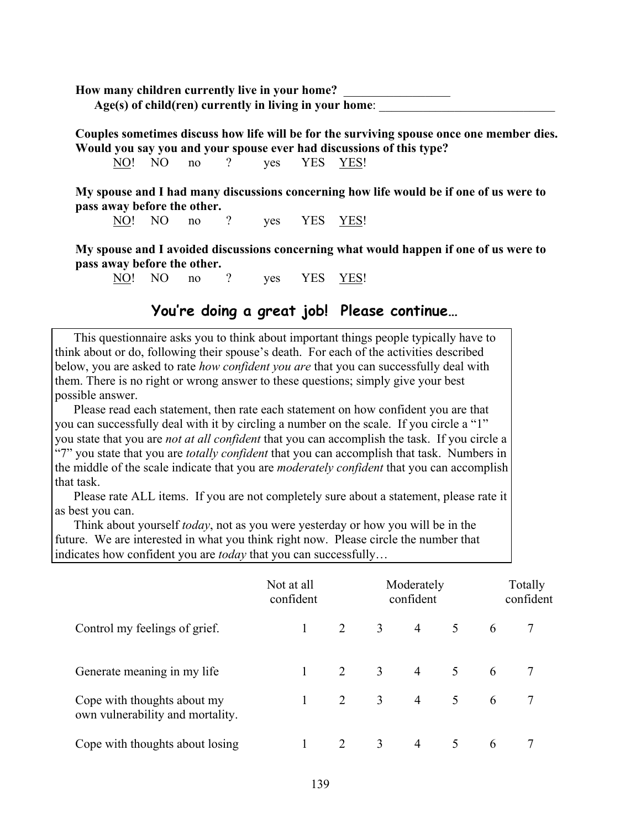**How many children currently live in your home?** \_\_\_\_\_\_\_\_\_\_\_\_\_\_\_\_\_ Age(s) of child(ren) currently in living in your home:

**Couples sometimes discuss how life will be for the surviving spouse once one member dies. Would you say you and your spouse ever had discussions of this type?** 

NO! NO no ? ves YES YES!

**My spouse and I had many discussions concerning how life would be if one of us were to pass away before the other.** 

NO! NO no ? ves YES YES!

**My spouse and I avoided discussions concerning what would happen if one of us were to pass away before the other.** 

NO! NO no ? yes YES YES!

## **You're doing a great job! Please continue…**

 This questionnaire asks you to think about important things people typically have to think about or do, following their spouse's death. For each of the activities described below, you are asked to rate *how confident you are* that you can successfully deal with them. There is no right or wrong answer to these questions; simply give your best possible answer.

 Please read each statement, then rate each statement on how confident you are that you can successfully deal with it by circling a number on the scale. If you circle a "1" you state that you are *not at all confident* that you can accomplish the task. If you circle a "7" you state that you are *totally confident* that you can accomplish that task. Numbers in the middle of the scale indicate that you are *moderately confident* that you can accomplish that task.

 Please rate ALL items. If you are not completely sure about a statement, please rate it as best you can.

 Think about yourself *today*, not as you were yesterday or how you will be in the future. We are interested in what you think right now. Please circle the number that indicates how confident you are *today* that you can successfully…

|                                                                 | Not at all<br>confident |                | Moderately<br>confident |                |             | Totally<br>confident |  |  |
|-----------------------------------------------------------------|-------------------------|----------------|-------------------------|----------------|-------------|----------------------|--|--|
| Control my feelings of grief.                                   |                         | $\overline{2}$ |                         | 3 4 5 6        |             |                      |  |  |
| Generate meaning in my life                                     |                         | 2              | $\overline{3}$          |                | $4\quad 5$  | 6                    |  |  |
| Cope with thoughts about my<br>own vulnerability and mortality. |                         | 2              | 3 <sup>1</sup>          |                | $4 \quad 5$ | 6                    |  |  |
| Cope with thoughts about losing                                 |                         | 2              | 3                       | $\overline{4}$ | 5           | 6                    |  |  |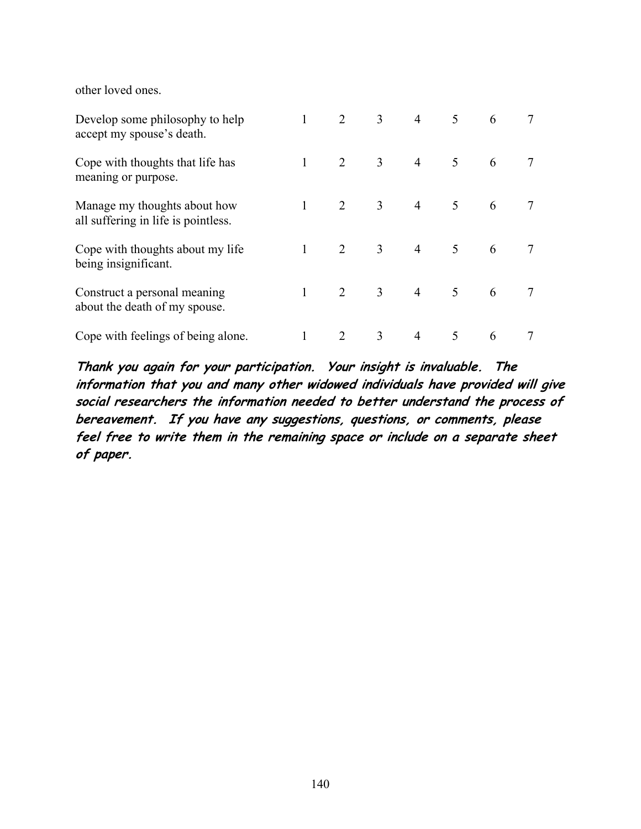other loved ones.

| Develop some philosophy to help<br>accept my spouse's death.        | 2              | 3 <sup>1</sup> | $\overline{4}$ | 5 <sup>1</sup>  | 6 |  |
|---------------------------------------------------------------------|----------------|----------------|----------------|-----------------|---|--|
| Cope with thoughts that life has<br>meaning or purpose.             | 2              | 3 <sup>7</sup> | $\overline{4}$ | 5 <sup>5</sup>  | 6 |  |
| Manage my thoughts about how<br>all suffering in life is pointless. | 2              | 3 <sup>7</sup> | $\overline{4}$ | $5\overline{)}$ | 6 |  |
| Cope with thoughts about my life<br>being insignificant.            | 2              | 3 <sup>1</sup> |                | 4 5             | 6 |  |
| Construct a personal meaning<br>about the death of my spouse.       | $\overline{2}$ | 3 <sup>1</sup> |                | $4\qquad 5$     | 6 |  |
| Cope with feelings of being alone.                                  | 2              | 3              | $\overline{4}$ | 5               | 6 |  |

**Thank you again for your participation. Your insight is invaluable. The information that you and many other widowed individuals have provided will give social researchers the information needed to better understand the process of bereavement. If you have any suggestions, questions, or comments, please feel free to write them in the remaining space or include on a separate sheet of paper.**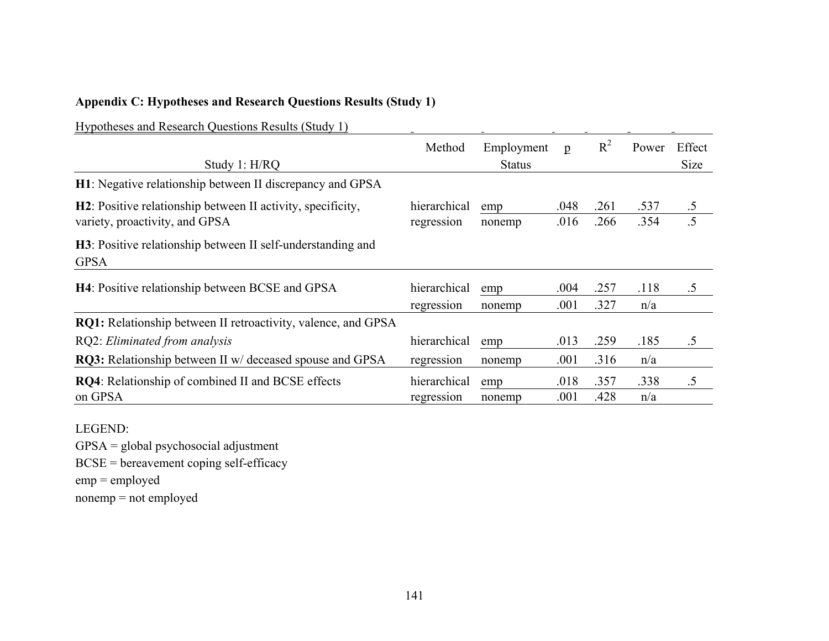## **Appendix C: Hypotheses and Research Questions Results (Study 1)**

Hypotheses and Research Questions Results (Study 1)

| Hypotheses and Research Questions Results (Study 1)                        |              |               |              |       |       |             |
|----------------------------------------------------------------------------|--------------|---------------|--------------|-------|-------|-------------|
|                                                                            | Method       | Employment    | $\mathbf{p}$ | $R^2$ | Power | Effect      |
| Study 1: H/RQ                                                              |              | <b>Status</b> |              |       |       | <b>Size</b> |
| H1: Negative relationship between II discrepancy and GPSA                  |              |               |              |       |       |             |
| <b>H2</b> : Positive relationship between II activity, specificity,        | hierarchical | emp           | .048         | .261  | .537  | $.5\,$      |
| variety, proactivity, and GPSA                                             | regression   | nonemp        | .016         | .266  | .354  | .5          |
| H3: Positive relationship between II self-understanding and<br><b>GPSA</b> |              |               |              |       |       |             |
| H4: Positive relationship between BCSE and GPSA                            | hierarchical | emp           | .004         | .257  | .118  | $.5\,$      |
|                                                                            | regression   | nonemp        | .001         | .327  | n/a   |             |
| <b>RQ1:</b> Relationship between II retroactivity, valence, and GPSA       |              |               |              |       |       |             |
| RQ2: Eliminated from analysis                                              | hierarchical | emp           | .013         | .259  | .185  | .5          |
| <b>RQ3:</b> Relationship between II w/ deceased spouse and GPSA            | regression   | nonemp        | .001         | .316  | n/a   |             |
| <b>RQ4</b> : Relationship of combined II and BCSE effects                  | hierarchical | emp           | .018         | .357  | .338  | .5          |
| on GPSA                                                                    | regression   | nonemp        | .001         | .428  | n/a   |             |

 $\mathbf{r}$ 

LEGEND:

GPSA = global psychosocial adjustment BCSE = bereavement coping self-efficacy emp = employed nonemp = not employed